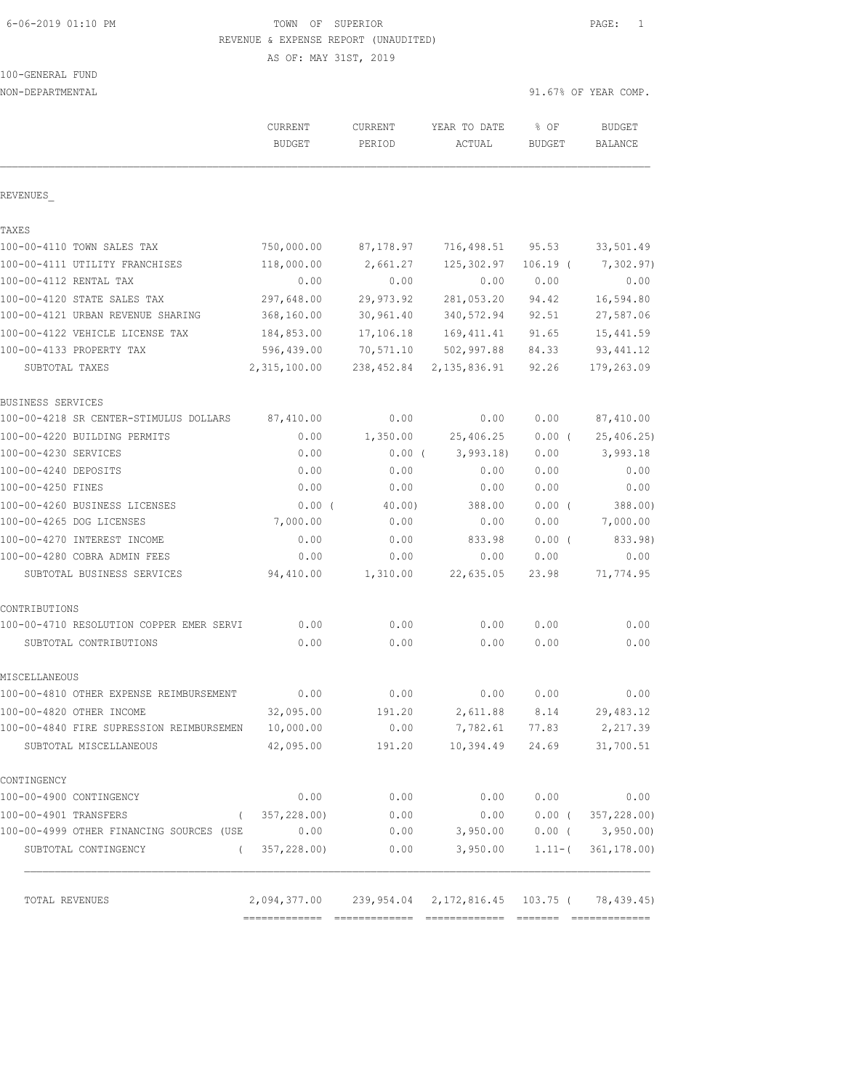6-06-2019 01:10 PM TOWN OF SUPERIOR PAGE: 1 REVENUE & EXPENSE REPORT (UNAUDITED)

AS OF: MAY 31ST, 2019

|  | 100-GENERAL FUND |  |
|--|------------------|--|
|  |                  |  |

| NON-DEPARTMENTAL                         |                                      |                |                |               | 91.67% OF YEAR COMP. |
|------------------------------------------|--------------------------------------|----------------|----------------|---------------|----------------------|
|                                          | CURRENT                              | <b>CURRENT</b> | YEAR TO DATE   | % OF          | <b>BUDGET</b>        |
|                                          | <b>BUDGET</b>                        | PERIOD         | ACTUAL         | <b>BUDGET</b> | <b>BALANCE</b>       |
| REVENUES                                 |                                      |                |                |               |                      |
| TAXES                                    |                                      |                |                |               |                      |
| 100-00-4110 TOWN SALES TAX               | 750,000.00                           | 87,178.97      | 716,498.51     | 95.53         | 33,501.49            |
| 100-00-4111 UTILITY FRANCHISES           | 118,000.00                           | 2,661.27       | 125,302.97     | $106.19$ (    | 7,302.97)            |
| 100-00-4112 RENTAL TAX                   | 0.00                                 | 0.00           | 0.00           | 0.00          | 0.00                 |
| 100-00-4120 STATE SALES TAX              | 297,648.00                           | 29,973.92      | 281,053.20     | 94.42         | 16,594.80            |
| 100-00-4121 URBAN REVENUE SHARING        | 368,160.00                           | 30,961.40      | 340,572.94     | 92.51         | 27,587.06            |
| 100-00-4122 VEHICLE LICENSE TAX          | 184,853.00                           | 17,106.18      | 169, 411.41    | 91.65         | 15, 441.59           |
| 100-00-4133 PROPERTY TAX                 | 596,439.00                           | 70,571.10      | 502,997.88     | 84.33         | 93, 441.12           |
| SUBTOTAL TAXES                           | 2,315,100.00                         | 238,452.84     | 2, 135, 836.91 | 92.26         | 179,263.09           |
| BUSINESS SERVICES                        |                                      |                |                |               |                      |
| 100-00-4218 SR CENTER-STIMULUS DOLLARS   | 87,410.00                            | 0.00           | 0.00           | 0.00          | 87,410.00            |
| 100-00-4220 BUILDING PERMITS             | 0.00                                 | 1,350.00       | 25,406.25      | $0.00$ (      | 25,406.25)           |
| 100-00-4230 SERVICES                     | 0.00                                 | $0.00$ (       | 3,993.18       | 0.00          | 3,993.18             |
| 100-00-4240 DEPOSITS                     | 0.00                                 | 0.00           | 0.00           | 0.00          | 0.00                 |
| 100-00-4250 FINES                        | 0.00                                 | 0.00           | 0.00           | 0.00          | 0.00                 |
| 100-00-4260 BUSINESS LICENSES            | 0.00(                                | 40.00          | 388.00         | 0.00(         | 388.00)              |
| 100-00-4265 DOG LICENSES                 | 7,000.00                             | 0.00           | 0.00           | 0.00          | 7,000.00             |
| 100-00-4270 INTEREST INCOME              | 0.00                                 | 0.00           | 833.98         | $0.00$ (      | 833.98)              |
| 100-00-4280 COBRA ADMIN FEES             | 0.00                                 | 0.00           | 0.00           | 0.00          | 0.00                 |
| SUBTOTAL BUSINESS SERVICES               | 94,410.00                            | 1,310.00       | 22,635.05      | 23.98         | 71,774.95            |
| CONTRIBUTIONS                            |                                      |                |                |               |                      |
| 100-00-4710 RESOLUTION COPPER EMER SERVI | 0.00                                 | 0.00           | 0.00           | 0.00          | 0.00                 |
| SUBTOTAL CONTRIBUTIONS                   | 0.00                                 | 0.00           | 0.00           | 0.00          | 0.00                 |
| MISCELLANEOUS                            |                                      |                |                |               |                      |
| 100-00-4810 OTHER EXPENSE REIMBURSEMENT  | 0.00                                 | 0.00           | 0.00           | 0.00          | 0.00                 |
| 100-00-4820 OTHER INCOME                 | 32,095.00                            | 191.20         | 2,611.88       | 8.14          | 29,483.12            |
| 100-00-4840 FIRE SUPRESSION REIMBURSEMEN | 10,000.00                            | 0.00           | 7,782.61       | 77.83         | 2,217.39             |
| SUBTOTAL MISCELLANEOUS                   | 42,095.00                            | 191.20         | 10,394.49      | 24.69         | 31,700.51            |
| CONTINGENCY                              |                                      |                |                |               |                      |
| 100-00-4900 CONTINGENCY                  | 0.00                                 | 0.00           | 0.00           | 0.00          | 0.00                 |
| 100-00-4901 TRANSFERS<br>$\left($        | 357,228.00)                          | 0.00           | 0.00           | $0.00$ (      | 357,228.00)          |
| 100-00-4999 OTHER FINANCING SOURCES (USE | 0.00                                 | 0.00           | 3,950.00       | $0.00$ (      | 3,950.00             |
| SUBTOTAL CONTINGENCY<br>$\left($         | 357,228.00)                          | 0.00           | 3,950.00       | $1.11-$ (     | 361, 178.00)         |
| TOTAL REVENUES                           | 2,094,377.00 239,954.04 2,172,816.45 |                |                | 103.75 (      | 78, 439.45)          |
|                                          |                                      |                |                |               |                      |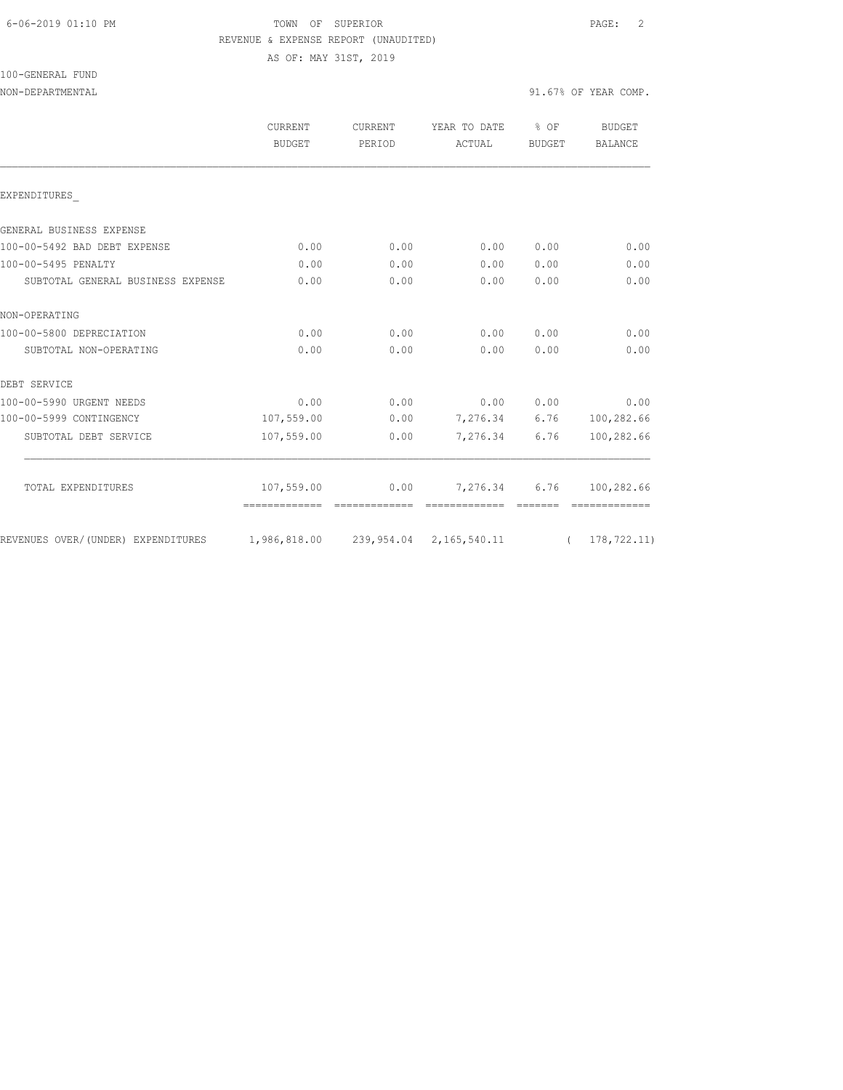## 6-06-2019 01:10 PM TOWN OF SUPERIOR PAGE: 2 REVENUE & EXPENSE REPORT (UNAUDITED)

AS OF: MAY 31ST, 2019

100-GENERAL FUND

|                                    | <b>CURRENT</b><br><b>BUDGET</b>                      | CURRENT<br>PERIOD | YEAR TO DATE % OF<br>ACTUAL     | BUDGET    | <b>BUDGET</b><br><b>BALANCE</b> |
|------------------------------------|------------------------------------------------------|-------------------|---------------------------------|-----------|---------------------------------|
| EXPENDITURES                       |                                                      |                   |                                 |           |                                 |
| GENERAL BUSINESS EXPENSE           |                                                      |                   |                                 |           |                                 |
| 100-00-5492 BAD DEBT EXPENSE       | 0.00                                                 | 0.00              | 0.00                            | 0.00      | 0.00                            |
| 100-00-5495 PENALTY                | 0.00                                                 | 0.00              | 0.00                            | 0.00      | 0.00                            |
| SUBTOTAL GENERAL BUSINESS EXPENSE  | 0.00                                                 | 0.00              | 0.00                            | 0.00      | 0.00                            |
| NON-OPERATING                      |                                                      |                   |                                 |           |                                 |
| 100-00-5800 DEPRECIATION           | 0.00                                                 | 0.00              |                                 | 0.00 0.00 | 0.00                            |
| SUBTOTAL NON-OPERATING             | 0.00                                                 | 0.00              | 0.00                            | 0.00      | 0.00                            |
| DEBT SERVICE                       |                                                      |                   |                                 |           |                                 |
| 100-00-5990 URGENT NEEDS           | 0.00                                                 | 0.00              | 0.0000000                       |           | 0.00                            |
| 100-00-5999 CONTINGENCY            | 107,559.00                                           |                   | $0.00$ 7,276.34 6.76 100,282.66 |           |                                 |
| SUBTOTAL DEBT SERVICE              | 107,559.00                                           | 0.00              | 7,276.34                        | 6.76      | 100,282.66                      |
| TOTAL EXPENDITURES                 | 107,559.00                                           | 0.00              | 7,276.34 6.76                   |           | 100,282.66                      |
|                                    | =============                                        | essessessesse     | =======================         |           |                                 |
| REVENUES OVER/(UNDER) EXPENDITURES | 1,986,818.00  239,954.04  2,165,540.11  (178,722.11) |                   |                                 |           |                                 |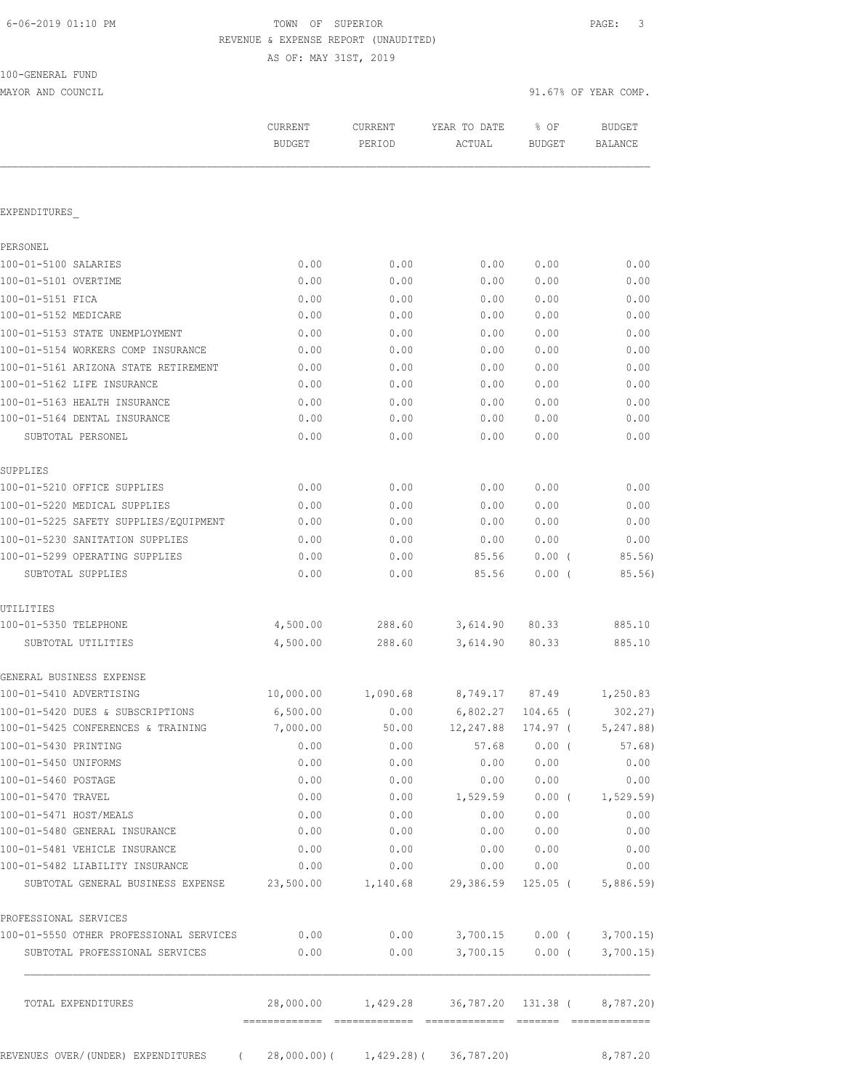# TOWN OF SUPERIOR **Example 2019** PAGE: 3 REVENUE & EXPENSE REPORT (UNAUDITED)

AS OF: MAY 31ST, 2019

| 100-GENERAL FUND |  |
|------------------|--|
|                  |  |

MAYOR AND COUNCIL SERVICES AND COUNCIL SERVICES OF YEAR COMP.

|                                                                                  | CURRENT<br><b>BUDGET</b> | CURRENT<br>PERIOD | YEAR TO DATE<br>ACTUAL                                    | % OF<br>BUDGET | <b>BUDGET</b><br>BALANCE |
|----------------------------------------------------------------------------------|--------------------------|-------------------|-----------------------------------------------------------|----------------|--------------------------|
| EXPENDITURES                                                                     |                          |                   |                                                           |                |                          |
|                                                                                  |                          |                   |                                                           |                |                          |
| PERSONEL                                                                         |                          |                   |                                                           |                |                          |
| 100-01-5100 SALARIES                                                             | 0.00                     | 0.00              | 0.00                                                      | 0.00           | 0.00                     |
| 100-01-5101 OVERTIME                                                             | 0.00                     | 0.00              | 0.00                                                      | 0.00           | 0.00                     |
| 100-01-5151 FICA                                                                 | 0.00                     | 0.00              | 0.00                                                      | 0.00           | 0.00                     |
| 100-01-5152 MEDICARE                                                             | 0.00                     | 0.00              | 0.00                                                      | 0.00           | 0.00                     |
| 100-01-5153 STATE UNEMPLOYMENT                                                   | 0.00                     | 0.00              | 0.00                                                      | 0.00           | 0.00                     |
| 100-01-5154 WORKERS COMP INSURANCE                                               | 0.00                     | 0.00              | 0.00                                                      | 0.00           | 0.00                     |
| 100-01-5161 ARIZONA STATE RETIREMENT                                             | 0.00                     | 0.00              | 0.00                                                      | 0.00           | 0.00                     |
| 100-01-5162 LIFE INSURANCE                                                       | 0.00                     | 0.00              | 0.00                                                      | 0.00           | 0.00                     |
| 100-01-5163 HEALTH INSURANCE<br>100-01-5164 DENTAL INSURANCE                     | 0.00                     | 0.00              | 0.00                                                      | 0.00           | 0.00                     |
|                                                                                  | 0.00                     | 0.00              | 0.00                                                      | 0.00           | 0.00                     |
| SUBTOTAL PERSONEL                                                                | 0.00                     | 0.00              | 0.00                                                      | 0.00           | 0.00                     |
| SUPPLIES                                                                         |                          |                   |                                                           |                |                          |
| 100-01-5210 OFFICE SUPPLIES                                                      | 0.00                     | 0.00              | 0.00                                                      | 0.00           | 0.00                     |
| 100-01-5220 MEDICAL SUPPLIES                                                     | 0.00                     | 0.00              | 0.00                                                      | 0.00           | 0.00                     |
| 100-01-5225 SAFETY SUPPLIES/EQUIPMENT                                            | 0.00                     | 0.00              | 0.00                                                      | 0.00           | 0.00                     |
| 100-01-5230 SANITATION SUPPLIES                                                  | 0.00                     | 0.00              | 0.00                                                      | 0.00           | 0.00                     |
| 100-01-5299 OPERATING SUPPLIES                                                   | 0.00                     | 0.00              | 85.56                                                     | $0.00$ (       | 85.56)                   |
| SUBTOTAL SUPPLIES                                                                | 0.00                     | 0.00              | 85.56                                                     | 0.00(          | 85.56)                   |
| UTILITIES                                                                        |                          |                   |                                                           |                |                          |
| 100-01-5350 TELEPHONE                                                            | 4,500.00                 | 288.60            | 3,614.90                                                  | 80.33          | 885.10                   |
| SUBTOTAL UTILITIES                                                               | 4,500.00                 | 288.60            | 3,614.90                                                  | 80.33          | 885.10                   |
| GENERAL BUSINESS EXPENSE                                                         |                          |                   |                                                           |                |                          |
| 100-01-5410 ADVERTISING                                                          | 10,000.00                | 1,090.68          | 8,749.17 87.49                                            |                | 1,250.83                 |
| 100-01-5420 DUES & SUBSCRIPTIONS                                                 | 6,500.00                 | 0.00              | $6,802.27$ 104.65 (                                       |                | 302.27                   |
| 100-01-5425 CONFERENCES & TRAINING                                               | 7,000.00                 | 50.00             | 12,247.88 174.97 (                                        |                | 5,247.88)                |
| 100-01-5430 PRINTING                                                             | 0.00                     | 0.00              | 57.68                                                     | $0.00$ (       | 57.68)                   |
| 100-01-5450 UNIFORMS                                                             | 0.00                     | 0.00              | 0.00                                                      | 0.00           | 0.00                     |
| 100-01-5460 POSTAGE                                                              | 0.00                     | 0.00              | 0.00                                                      | 0.00           | 0.00                     |
| 100-01-5470 TRAVEL                                                               | 0.00                     |                   | $0.00$ 1,529.59                                           |                | $0.00$ ( $1,529.59$ )    |
| 100-01-5471 HOST/MEALS                                                           | 0.00                     | 0.00              | 0.00                                                      | 0.00           | 0.00                     |
| 100-01-5480 GENERAL INSURANCE                                                    | 0.00                     | 0.00              | 0.00                                                      | 0.00           | 0.00                     |
| 100-01-5481 VEHICLE INSURANCE                                                    | 0.00                     | 0.00              | 0.00                                                      | 0.00           | 0.00                     |
| 100-01-5482 LIABILITY INSURANCE                                                  | 0.00                     |                   | 0.00<br>0.00                                              | 0.00           | 0.00                     |
| SUBTOTAL GENERAL BUSINESS EXPENSE 23,500.00 1,140.68 29,386.59 125.05 (5,886.59) |                          |                   |                                                           |                |                          |
| PROFESSIONAL SERVICES                                                            |                          |                   |                                                           |                |                          |
| 100-01-5550 OTHER PROFESSIONAL SERVICES                                          | 0.00                     |                   | $0.00$ $3,700.15$ $0.00$ ( $3,700.15$ )                   |                |                          |
| SUBTOTAL PROFESSIONAL SERVICES                                                   | 0.00                     |                   | $0.00$ 3,700.15 0.00 ( 3,700.15)                          |                |                          |
| TOTAL EXPENDITURES                                                               |                          |                   | 28,000.00   1,429.28   36,787.20   131.38   (   8,787.20) |                |                          |
|                                                                                  |                          |                   |                                                           |                |                          |
| REVENUES OVER/(UNDER) EXPENDITURES (28,000.00)( 1,429.28)( 36,787.20)            |                          |                   |                                                           |                | 8,787.20                 |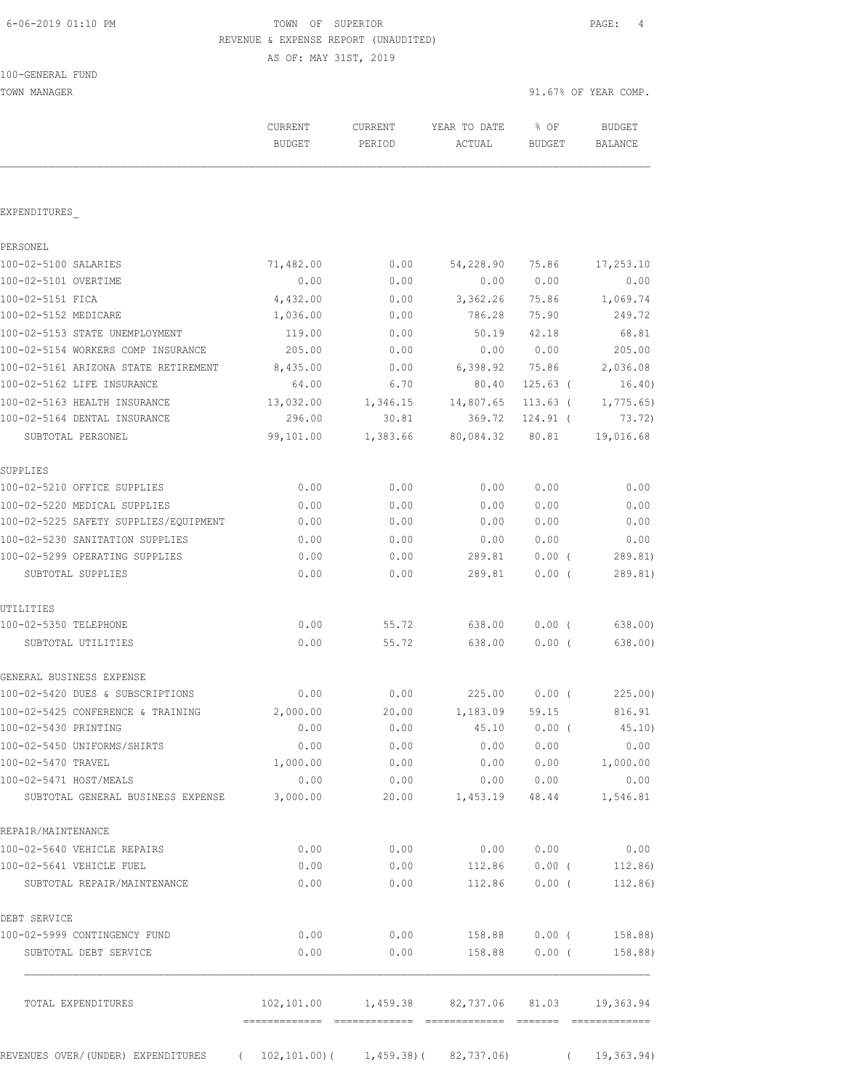# 6-06-2019 01:10 PM TOWN OF SUPERIOR PAGE: 4 REVENUE & EXPENSE REPORT (UNAUDITED)

AS OF: MAY 31ST, 2019

100-GENERAL FUND

TOWN MANAGER 91.67% OF YEAR COMP.

|                                       | <b>CURRENT</b><br><b>BUDGET</b> | <b>CURRENT</b><br>PERIOD | YEAR TO DATE<br>ACTUAL                 | $8$ OF<br><b>BUDGET</b> | <b>BUDGET</b><br><b>BALANCE</b> |
|---------------------------------------|---------------------------------|--------------------------|----------------------------------------|-------------------------|---------------------------------|
|                                       |                                 |                          |                                        |                         |                                 |
| EXPENDITURES                          |                                 |                          |                                        |                         |                                 |
| PERSONEL                              |                                 |                          |                                        |                         |                                 |
| 100-02-5100 SALARIES                  | 71,482.00                       | 0.00                     | 54,228.90                              | 75.86                   | 17,253.10                       |
| 100-02-5101 OVERTIME                  | 0.00                            | 0.00                     | 0.00                                   | 0.00                    | 0.00                            |
| 100-02-5151 FICA                      | 4,432.00                        | 0.00                     | 3,362.26                               | 75.86                   | 1,069.74                        |
| 100-02-5152 MEDICARE                  | 1,036.00                        | 0.00                     | 786.28                                 | 75.90                   | 249.72                          |
| 100-02-5153 STATE UNEMPLOYMENT        | 119.00                          | 0.00                     | 50.19                                  | 42.18                   | 68.81                           |
| 100-02-5154 WORKERS COMP INSURANCE    | 205.00                          | 0.00                     | 0.00                                   | 0.00                    | 205.00                          |
| 100-02-5161 ARIZONA STATE RETIREMENT  | 8,435.00                        | 0.00                     | 6,398.92 75.86                         |                         | 2,036.08                        |
| 100-02-5162 LIFE INSURANCE            | 64.00                           | 6.70                     | 80.40                                  | $125.63$ (              | 16.40)                          |
| 100-02-5163 HEALTH INSURANCE          | 13,032.00                       | 1,346.15                 | 14,807.65                              | $113.63$ (              | 1,775.65                        |
| 100-02-5164 DENTAL INSURANCE          | 296.00                          | 30.81                    | 369.72                                 | $124.91$ (              | 73.72)                          |
| SUBTOTAL PERSONEL                     | 99,101.00                       | 1,383.66                 | 80,084.32                              | 80.81                   | 19,016.68                       |
| SUPPLIES                              |                                 |                          |                                        |                         |                                 |
| 100-02-5210 OFFICE SUPPLIES           | 0.00                            | 0.00                     | 0.00                                   | 0.00                    | 0.00                            |
| 100-02-5220 MEDICAL SUPPLIES          | 0.00                            | 0.00                     | 0.00                                   | 0.00                    | 0.00                            |
| 100-02-5225 SAFETY SUPPLIES/EQUIPMENT | 0.00                            | 0.00                     | 0.00                                   | 0.00                    | 0.00                            |
| 100-02-5230 SANITATION SUPPLIES       | 0.00                            | 0.00                     | 0.00                                   | 0.00                    | 0.00                            |
| 100-02-5299 OPERATING SUPPLIES        | 0.00                            | 0.00                     | 289.81                                 | $0.00$ (                | 289.81)                         |
| SUBTOTAL SUPPLIES                     | 0.00                            | 0.00                     | 289.81                                 | 0.00(                   | 289.81)                         |
| UTILITIES                             |                                 |                          |                                        |                         |                                 |
| 100-02-5350 TELEPHONE                 | 0.00                            | 55.72                    | 638.00                                 | $0.00$ (                | 638.00)                         |
| SUBTOTAL UTILITIES                    | 0.00                            | 55.72                    | 638.00                                 | $0.00$ (                | 638.00)                         |
| GENERAL BUSINESS EXPENSE              |                                 |                          |                                        |                         |                                 |
| 100-02-5420 DUES & SUBSCRIPTIONS      | 0.00                            | 0.00                     | 225.00                                 | $0.00$ (                | 225.00)                         |
| 100-02-5425 CONFERENCE & TRAINING     | 2,000.00                        | 20.00                    | 1,183.09                               | 59.15                   | 816.91                          |
| 100-02-5430 PRINTING                  | 0.00                            | 0.00                     | 45.10                                  | $0.00$ (                | 45.10)                          |
| 100-02-5450 UNIFORMS/SHIRTS           | 0.00                            | 0.00                     | 0.00                                   | 0.00                    | 0.00                            |
| 100-02-5470 TRAVEL                    | 1,000.00                        | 0.00                     | 0.00                                   | 0.00                    | 1,000.00                        |
| 100-02-5471 HOST/MEALS                | 0.00                            | 0.00                     |                                        | 0.00 0.00               | 0.00                            |
| SUBTOTAL GENERAL BUSINESS EXPENSE     | 3,000.00                        |                          | 20.00 1,453.19                         | 48.44                   | 1,546.81                        |
| REPAIR/MAINTENANCE                    |                                 |                          |                                        |                         |                                 |
| 100-02-5640 VEHICLE REPAIRS           | 0.00                            | 0.00                     | 0.00                                   | 0.00                    | 0.00                            |
| 100-02-5641 VEHICLE FUEL              | 0.00                            | 0.00                     | 112.86                                 | $0.00$ (                | 112.86)                         |
| SUBTOTAL REPAIR/MAINTENANCE           | 0.00                            | 0.00                     | 112.86                                 | $0.00$ (                | 112.86)                         |
| DEBT SERVICE                          |                                 |                          |                                        |                         |                                 |
| 100-02-5999 CONTINGENCY FUND          | 0.00                            | 0.00                     | 158.88                                 | $0.00$ (                | 158.88)                         |
| SUBTOTAL DEBT SERVICE                 | 0.00                            | 0.00                     | 158.88                                 |                         | $0.00$ (<br>158.88)             |
| TOTAL EXPENDITURES                    |                                 |                          | 102,101.00  1,459.38  82,737.06  81.03 |                         | 19,363.94                       |
|                                       |                                 |                          |                                        |                         |                                 |

REVENUES OVER/(UNDER) EXPENDITURES ( 102,101.00)( 1,459.38)( 82,737.06) ( 19,363.94)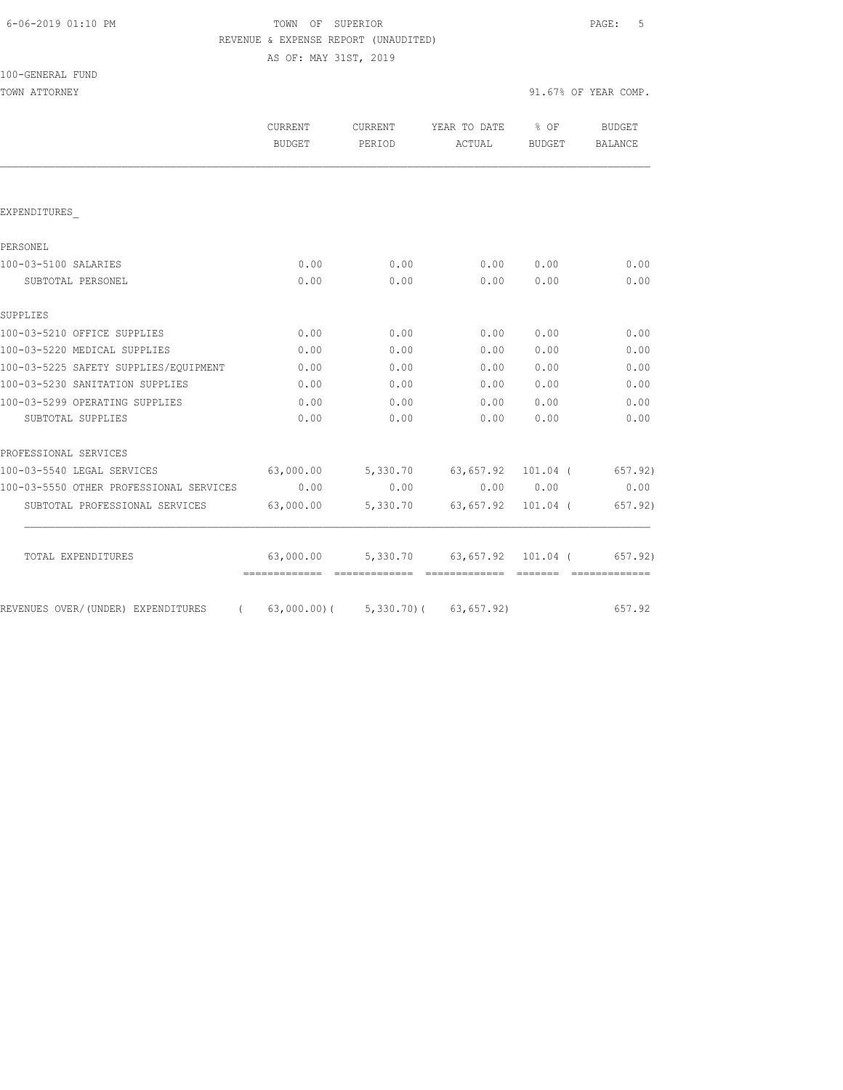## 6-06-2019 01:10 PM TOWN OF SUPERIOR PAGE: 5 REVENUE & EXPENSE REPORT (UNAUDITED)

AS OF: MAY 31ST, 2019

| 100-GENERAL FUND |  |
|------------------|--|
|------------------|--|

|                                         | CURRENT<br><b>BUDGET</b>                     | CURRENT<br>PERIOD | YEAR TO DATE % OF<br>ACTUAL                   | BUDGET    | <b>BUDGET</b><br>BALANCE |
|-----------------------------------------|----------------------------------------------|-------------------|-----------------------------------------------|-----------|--------------------------|
|                                         |                                              |                   |                                               |           |                          |
| EXPENDITURES                            |                                              |                   |                                               |           |                          |
| PERSONEL                                |                                              |                   |                                               |           |                          |
| 100-03-5100 SALARIES                    | 0.00                                         | 0.00              | 0.00                                          | 0.00      | 0.00                     |
| SUBTOTAL PERSONEL                       | 0.00                                         | 0.00              | 0.00                                          | 0.00      | 0.00                     |
| SUPPLIES                                |                                              |                   |                                               |           |                          |
| 100-03-5210 OFFICE SUPPLIES             | 0.00                                         | 0.00              | 0.00                                          | 0.00      | 0.00                     |
| 100-03-5220 MEDICAL SUPPLIES            | 0.00                                         | 0.00              | 0.00                                          | 0.00      | 0.00                     |
| 100-03-5225 SAFETY SUPPLIES/EOUIPMENT   | 0.00                                         | 0.00              | 0.00                                          | 0.00      | 0.00                     |
| 100-03-5230 SANITATION SUPPLIES         | 0.00                                         | 0.00              | 0.00                                          | 0.00      | 0.00                     |
| 100-03-5299 OPERATING SUPPLIES          | 0.00                                         | 0.00              | 0.00                                          | 0.00      | 0.00                     |
| SUBTOTAL SUPPLIES                       | 0.00                                         | 0.00              | 0.00                                          | 0.00      | 0.00                     |
| PROFESSIONAL SERVICES                   |                                              |                   |                                               |           |                          |
| 100-03-5540 LEGAL SERVICES              | 63,000.00 5,330.70 63,657.92 101.04 (657.92) |                   |                                               |           |                          |
| 100-03-5550 OTHER PROFESSIONAL SERVICES | 0.00                                         | 0.00              |                                               | 0.00 0.00 | 0.00                     |
| SUBTOTAL PROFESSIONAL SERVICES          | 63,000.00                                    |                   | 5,330.70 63,657.92 101.04 (                   |           | 657.92)                  |
| TOTAL EXPENDITURES                      |                                              |                   | $63,000.00$ $5,330.70$ $63,657.92$ $101.04$ ( |           | 657.92)                  |
|                                         |                                              |                   |                                               |           |                          |
| REVENUES OVER/(UNDER) EXPENDITURES      | $(63,000.00)$ $(5,330.70)$ $(63,657.92)$     |                   |                                               |           | 657.92                   |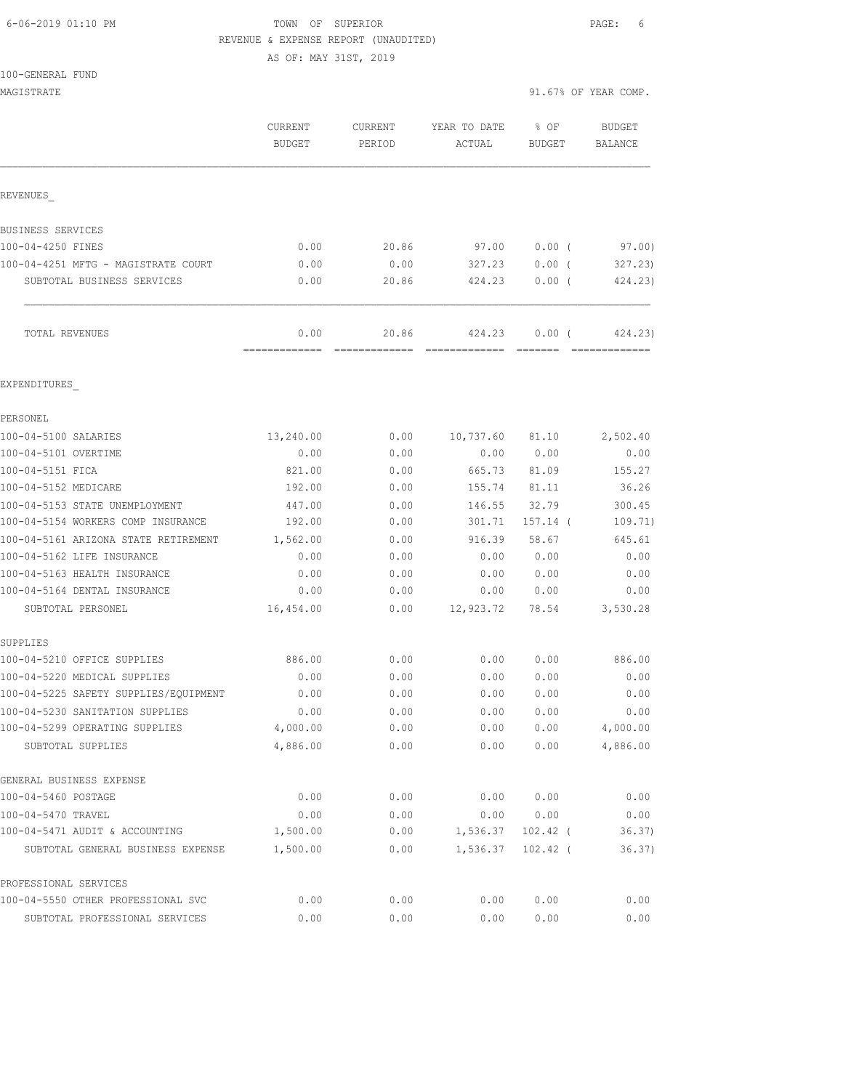## 6-06-2019 01:10 PM TOWN OF SUPERIOR PAGE: 6 REVENUE & EXPENSE REPORT (UNAUDITED)

AS OF: MAY 31ST, 2019

| MAGISTRATE                            |                                 |                        |                                                                                                                                                                                                                                                                                                                                                                                                                                                                                                  |                       | 91.67% OF YEAR COMP.     |
|---------------------------------------|---------------------------------|------------------------|--------------------------------------------------------------------------------------------------------------------------------------------------------------------------------------------------------------------------------------------------------------------------------------------------------------------------------------------------------------------------------------------------------------------------------------------------------------------------------------------------|-----------------------|--------------------------|
|                                       | <b>CURRENT</b><br><b>BUDGET</b> | CURRENT<br>PERIOD      | YEAR TO DATE<br>ACTUAL                                                                                                                                                                                                                                                                                                                                                                                                                                                                           | % OF<br><b>BUDGET</b> | <b>BUDGET</b><br>BALANCE |
| REVENUES                              |                                 |                        |                                                                                                                                                                                                                                                                                                                                                                                                                                                                                                  |                       |                          |
| BUSINESS SERVICES                     |                                 |                        |                                                                                                                                                                                                                                                                                                                                                                                                                                                                                                  |                       |                          |
| 100-04-4250 FINES                     | 0.00                            | 20.86                  | 97.00                                                                                                                                                                                                                                                                                                                                                                                                                                                                                            | $0.00$ (              | 97.00)                   |
| 100-04-4251 MFTG - MAGISTRATE COURT   | 0.00                            | 0.00                   | 327.23                                                                                                                                                                                                                                                                                                                                                                                                                                                                                           | 0.00(                 | 327.23)                  |
| SUBTOTAL BUSINESS SERVICES            | 0.00                            | 20.86                  | 424.23                                                                                                                                                                                                                                                                                                                                                                                                                                                                                           | 0.00(                 | 424.23)                  |
| TOTAL REVENUES                        | 0.00<br>=============           | 20.86<br>------------- | 424.23<br>$\begin{array}{cccccccccccccc} \multicolumn{2}{c}{} & \multicolumn{2}{c}{} & \multicolumn{2}{c}{} & \multicolumn{2}{c}{} & \multicolumn{2}{c}{} & \multicolumn{2}{c}{} & \multicolumn{2}{c}{} & \multicolumn{2}{c}{} & \multicolumn{2}{c}{} & \multicolumn{2}{c}{} & \multicolumn{2}{c}{} & \multicolumn{2}{c}{} & \multicolumn{2}{c}{} & \multicolumn{2}{c}{} & \multicolumn{2}{c}{} & \multicolumn{2}{c}{} & \multicolumn{2}{c}{} & \multicolumn{2}{c}{} & \multicolumn{2}{c}{} & \$ | $0.00$ (              | 424.23)                  |
| EXPENDITURES                          |                                 |                        |                                                                                                                                                                                                                                                                                                                                                                                                                                                                                                  |                       |                          |
| PERSONEL                              |                                 |                        |                                                                                                                                                                                                                                                                                                                                                                                                                                                                                                  |                       |                          |
| 100-04-5100 SALARIES                  | 13,240.00                       | 0.00                   | 10,737.60                                                                                                                                                                                                                                                                                                                                                                                                                                                                                        | 81.10                 | 2,502.40                 |
| 100-04-5101 OVERTIME                  | 0.00                            | 0.00                   | 0.00                                                                                                                                                                                                                                                                                                                                                                                                                                                                                             | 0.00                  | 0.00                     |
| 100-04-5151 FICA                      | 821.00                          | 0.00                   | 665.73                                                                                                                                                                                                                                                                                                                                                                                                                                                                                           | 81.09                 | 155.27                   |
| 100-04-5152 MEDICARE                  | 192.00                          | 0.00                   | 155.74                                                                                                                                                                                                                                                                                                                                                                                                                                                                                           | 81.11                 | 36.26                    |
| 100-04-5153 STATE UNEMPLOYMENT        | 447.00                          | 0.00                   | 146.55                                                                                                                                                                                                                                                                                                                                                                                                                                                                                           | 32.79                 | 300.45                   |
| 100-04-5154 WORKERS COMP INSURANCE    | 192.00                          | 0.00                   | 301.71                                                                                                                                                                                                                                                                                                                                                                                                                                                                                           | $157.14$ (            | 109.71)                  |
| 100-04-5161 ARIZONA STATE RETIREMENT  | 1,562.00                        | 0.00                   | 916.39                                                                                                                                                                                                                                                                                                                                                                                                                                                                                           | 58.67                 | 645.61                   |
| 100-04-5162 LIFE INSURANCE            | 0.00                            | 0.00                   | 0.00                                                                                                                                                                                                                                                                                                                                                                                                                                                                                             | 0.00                  | 0.00                     |
| 100-04-5163 HEALTH INSURANCE          | 0.00                            | 0.00                   | 0.00                                                                                                                                                                                                                                                                                                                                                                                                                                                                                             | 0.00                  | 0.00                     |
| 100-04-5164 DENTAL INSURANCE          | 0.00                            | 0.00                   | 0.00                                                                                                                                                                                                                                                                                                                                                                                                                                                                                             | 0.00                  | 0.00                     |
| SUBTOTAL PERSONEL                     | 16,454.00                       | 0.00                   | 12,923.72                                                                                                                                                                                                                                                                                                                                                                                                                                                                                        | 78.54                 | 3,530.28                 |
| SUPPLIES                              |                                 |                        |                                                                                                                                                                                                                                                                                                                                                                                                                                                                                                  |                       |                          |
| 100-04-5210 OFFICE SUPPLIES           | 886.00                          | 0.00                   | 0.00                                                                                                                                                                                                                                                                                                                                                                                                                                                                                             | 0.00                  | 886.00                   |
| 100-04-5220 MEDICAL SUPPLIES          | 0.00                            | 0.00                   | 0.00                                                                                                                                                                                                                                                                                                                                                                                                                                                                                             | 0.00                  | 0.00                     |
| 100-04-5225 SAFETY SUPPLIES/EQUIPMENT | 0.00                            | 0.00                   | 0.00                                                                                                                                                                                                                                                                                                                                                                                                                                                                                             | 0.00                  | 0.00                     |
| 100-04-5230 SANITATION SUPPLIES       | 0.00                            | 0.00                   | 0.00                                                                                                                                                                                                                                                                                                                                                                                                                                                                                             | 0.00                  | 0.00                     |
| 100-04-5299 OPERATING SUPPLIES        | 4,000.00                        | 0.00                   | 0.00                                                                                                                                                                                                                                                                                                                                                                                                                                                                                             | 0.00                  | 4,000.00                 |
| SUBTOTAL SUPPLIES                     | 4,886.00                        | 0.00                   | 0.00                                                                                                                                                                                                                                                                                                                                                                                                                                                                                             | 0.00                  | 4,886.00                 |
| GENERAL BUSINESS EXPENSE              |                                 |                        |                                                                                                                                                                                                                                                                                                                                                                                                                                                                                                  |                       |                          |
| 100-04-5460 POSTAGE                   | 0.00                            | 0.00                   | 0.00                                                                                                                                                                                                                                                                                                                                                                                                                                                                                             | 0.00                  | 0.00                     |
| 100-04-5470 TRAVEL                    | 0.00                            | 0.00                   | 0.00                                                                                                                                                                                                                                                                                                                                                                                                                                                                                             | 0.00                  | 0.00                     |
| 100-04-5471 AUDIT & ACCOUNTING        | 1,500.00                        | 0.00                   | 1,536.37                                                                                                                                                                                                                                                                                                                                                                                                                                                                                         | $102.42$ (            | 36.37)                   |
| SUBTOTAL GENERAL BUSINESS EXPENSE     | 1,500.00                        | 0.00                   | 1,536.37                                                                                                                                                                                                                                                                                                                                                                                                                                                                                         | $102.42$ (            | 36.37)                   |
| PROFESSIONAL SERVICES                 |                                 |                        |                                                                                                                                                                                                                                                                                                                                                                                                                                                                                                  |                       |                          |
| 100-04-5550 OTHER PROFESSIONAL SVC    | 0.00                            | 0.00                   | 0.00                                                                                                                                                                                                                                                                                                                                                                                                                                                                                             | 0.00                  | 0.00                     |

SUBTOTAL PROFESSIONAL SERVICES 0.00 0.00 0.00 0.00 0.00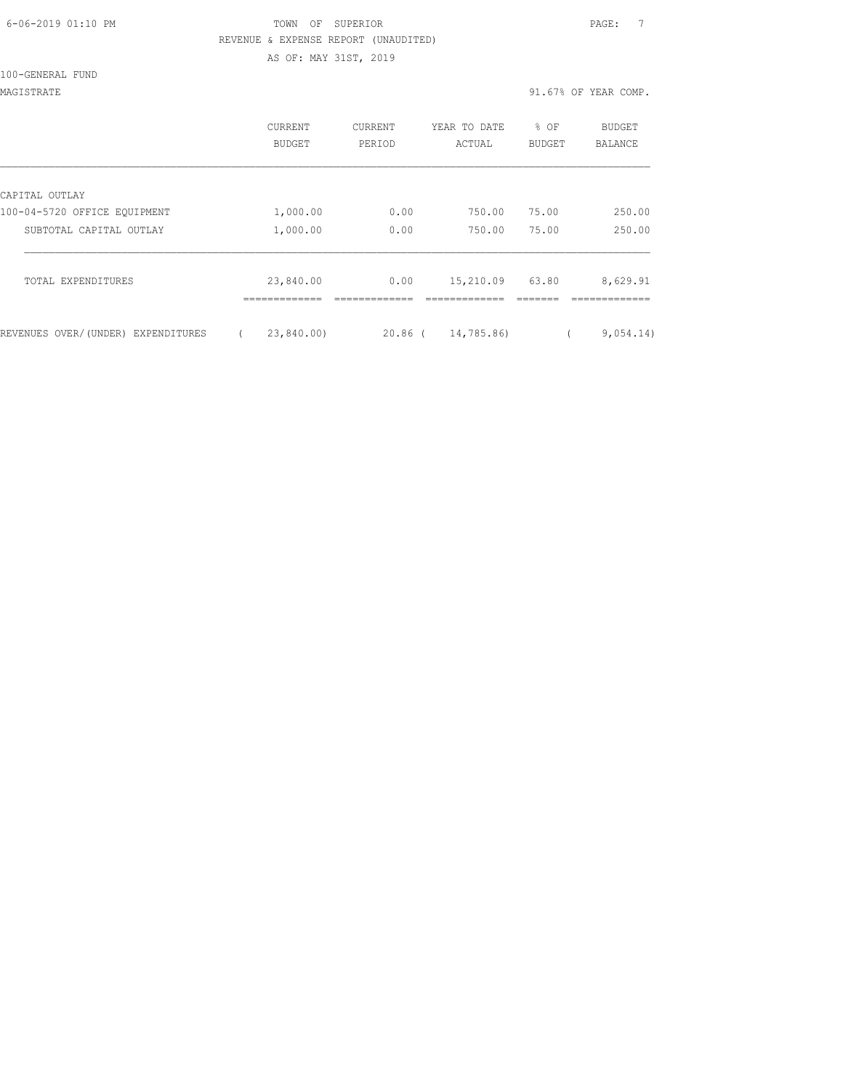| 6-06-2019 01:10 PM |  |
|--------------------|--|
|                    |  |

## fown of SUPERIOR and the Superior PAGE: 7 REVENUE & EXPENSE REPORT (UNAUDITED) AS OF: MAY 31ST, 2019

100-GENERAL FUND

MAGISTRATE 91.67% OF YEAR COMP.

|                                    | <b>CURRENT</b><br><b>BUDGET</b> | <b>CURRENT</b><br>PERIOD | YEAR TO DATE<br>ACTUAL | % OF<br><b>BUDGET</b> | <b>BUDGET</b><br><b>BALANCE</b> |
|------------------------------------|---------------------------------|--------------------------|------------------------|-----------------------|---------------------------------|
| CAPITAL OUTLAY                     |                                 |                          |                        |                       |                                 |
| 100-04-5720 OFFICE EQUIPMENT       | 1,000.00                        | 0.00                     | 750.00                 | 75.00                 | 250.00                          |
| SUBTOTAL CAPITAL OUTLAY            | 1,000.00                        | 0.00                     | 750.00                 | 75.00                 | 250.00                          |
| TOTAL EXPENDITURES                 | 23,840.00                       | 0.00                     | 15,210.09              | 63.80                 | 8,629.91                        |
| REVENUES OVER/(UNDER) EXPENDITURES | 23,840.00)                      | $20.86$ (                | 14,785.86)             |                       | 9,054.14)                       |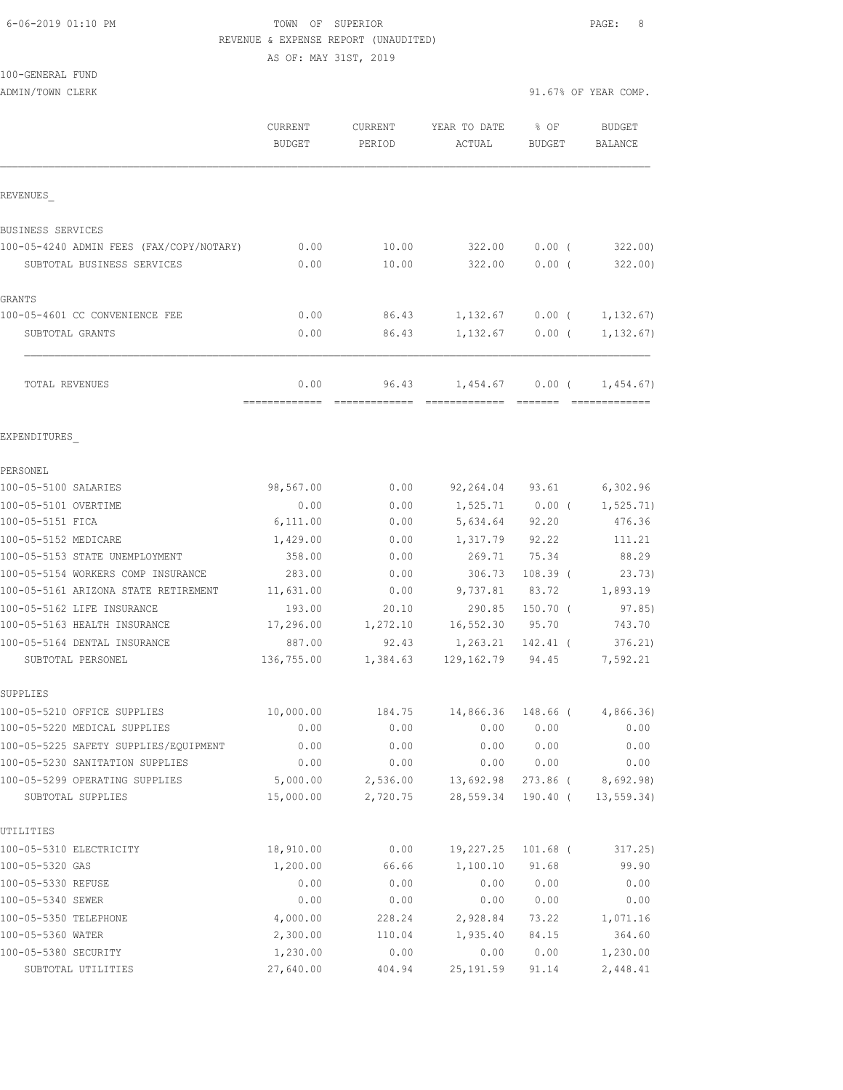#### 6-06-2019 01:10 PM TOWN OF SUPERIOR PAGE: 8 REVENUE & EXPENSE REPORT (UNAUDITED)

AS OF: MAY 31ST, 2019

100-GENERAL FUND

|                                                     | CURRENT<br><b>BUDGET</b> | CURRENT<br>PERIOD    | YEAR TO DATE<br>ACTUAL             | % OF<br>BUDGET       | <b>BUDGET</b><br>BALANCE |
|-----------------------------------------------------|--------------------------|----------------------|------------------------------------|----------------------|--------------------------|
| REVENUES                                            |                          |                      |                                    |                      |                          |
| BUSINESS SERVICES                                   |                          |                      |                                    |                      |                          |
| 100-05-4240 ADMIN FEES (FAX/COPY/NOTARY)            | 0.00                     | 10.00                | 322.00                             | $0.00$ (             | 322.00                   |
| SUBTOTAL BUSINESS SERVICES                          | 0.00                     | 10.00                | 322.00                             | 0.00(                | 322.00                   |
| GRANTS                                              |                          |                      |                                    |                      |                          |
| 100-05-4601 CC CONVENIENCE FEE                      | 0.00                     |                      | 86.43 1,132.67                     |                      | $0.00$ ( $1,132.67$ )    |
| SUBTOTAL GRANTS                                     | 0.00                     | 86.43                | 1,132.67                           |                      | $0.00$ ( $1,132.67$ )    |
| TOTAL REVENUES                                      | 0.00                     | 96.43                | 1,454.67                           |                      | $0.00$ ( 1,454.67)       |
| EXPENDITURES                                        |                          |                      |                                    |                      |                          |
| PERSONEL                                            |                          |                      |                                    |                      |                          |
| 100-05-5100 SALARIES                                | 98,567.00                | 0.00                 |                                    |                      | 92,264.04 93.61 6,302.96 |
| 100-05-5101 OVERTIME                                | 0.00                     | 0.00                 | 1,525.71                           | $0.00$ (             | 1,525.71)                |
| 100-05-5151 FICA                                    | 6,111.00                 | 0.00                 | 5,634.64                           | 92.20                | 476.36                   |
| 100-05-5152 MEDICARE                                | 1,429.00                 | 0.00                 | 1,317.79 92.22                     |                      | 111.21                   |
| 100-05-5153 STATE UNEMPLOYMENT                      | 358.00                   | 0.00                 | 269.71                             | 75.34                | 88.29                    |
| 100-05-5154 WORKERS COMP INSURANCE                  | 283.00                   | 0.00                 | 306.73                             | $108.39$ (           | 23.73)                   |
| 100-05-5161 ARIZONA STATE RETIREMENT                | 11,631.00                | 0.00                 | 9,737.81                           | 83.72                | 1,893.19                 |
| 100-05-5162 LIFE INSURANCE                          | 193.00                   | 20.10                | 290.85                             | $150.70$ (           | 97.85)                   |
| 100-05-5163 HEALTH INSURANCE                        | 17,296.00                | 1,272.10             | 16,552.30                          | 95.70                | 743.70                   |
| 100-05-5164 DENTAL INSURANCE                        | 887.00                   | 92.43                | 1,263.21                           | 142.41 (             | 376.21                   |
| SUBTOTAL PERSONEL                                   | 136,755.00               | 1,384.63             | 129,162.79                         | 94.45                | 7,592.21                 |
| SUPPLIES                                            |                          |                      |                                    |                      |                          |
| 100-05-5210 OFFICE SUPPLIES                         | 10,000.00                |                      | 184.75 14,866.36 148.66 (4,866.36) |                      |                          |
| 100-05-5220 MEDICAL SUPPLIES                        | 0.00                     | 0.00                 | 0.00                               | 0.00                 | 0.00                     |
| 100-05-5225 SAFETY SUPPLIES/EQUIPMENT               | 0.00                     | 0.00                 | 0.00                               | 0.00                 | 0.00                     |
| 100-05-5230 SANITATION SUPPLIES                     | 0.00                     | 0.00                 | 0.00                               | 0.00                 | 0.00                     |
| 100-05-5299 OPERATING SUPPLIES<br>SUBTOTAL SUPPLIES | 5,000.00<br>15,000.00    | 2,536.00<br>2,720.75 | 13,692.98<br>28,559.34             | 273.86 (<br>190.40 ( | 8,692.98)<br>13, 559.34) |
|                                                     |                          |                      |                                    |                      |                          |
| UTILITIES                                           |                          |                      |                                    |                      |                          |
| 100-05-5310 ELECTRICITY                             | 18,910.00                | 0.00                 | 19,227.25                          | $101.68$ (           | 317.25)                  |
| 100-05-5320 GAS                                     | 1,200.00                 | 66.66                | 1,100.10                           | 91.68                | 99.90                    |
| 100-05-5330 REFUSE                                  | 0.00                     | 0.00                 | 0.00                               | 0.00                 | 0.00                     |
| 100-05-5340 SEWER                                   | 0.00                     | 0.00                 | 0.00                               | 0.00                 | 0.00                     |
| 100-05-5350 TELEPHONE                               | 4,000.00                 | 228.24               | 2,928.84                           | 73.22                | 1,071.16                 |
| 100-05-5360 WATER                                   | 2,300.00                 | 110.04               | 1,935.40                           | 84.15                | 364.60                   |
| 100-05-5380 SECURITY                                | 1,230.00                 | 0.00                 | 0.00                               | 0.00                 | 1,230.00                 |
| SUBTOTAL UTILITIES                                  | 27,640.00                | 404.94               | 25, 191.59                         | 91.14                | 2,448.41                 |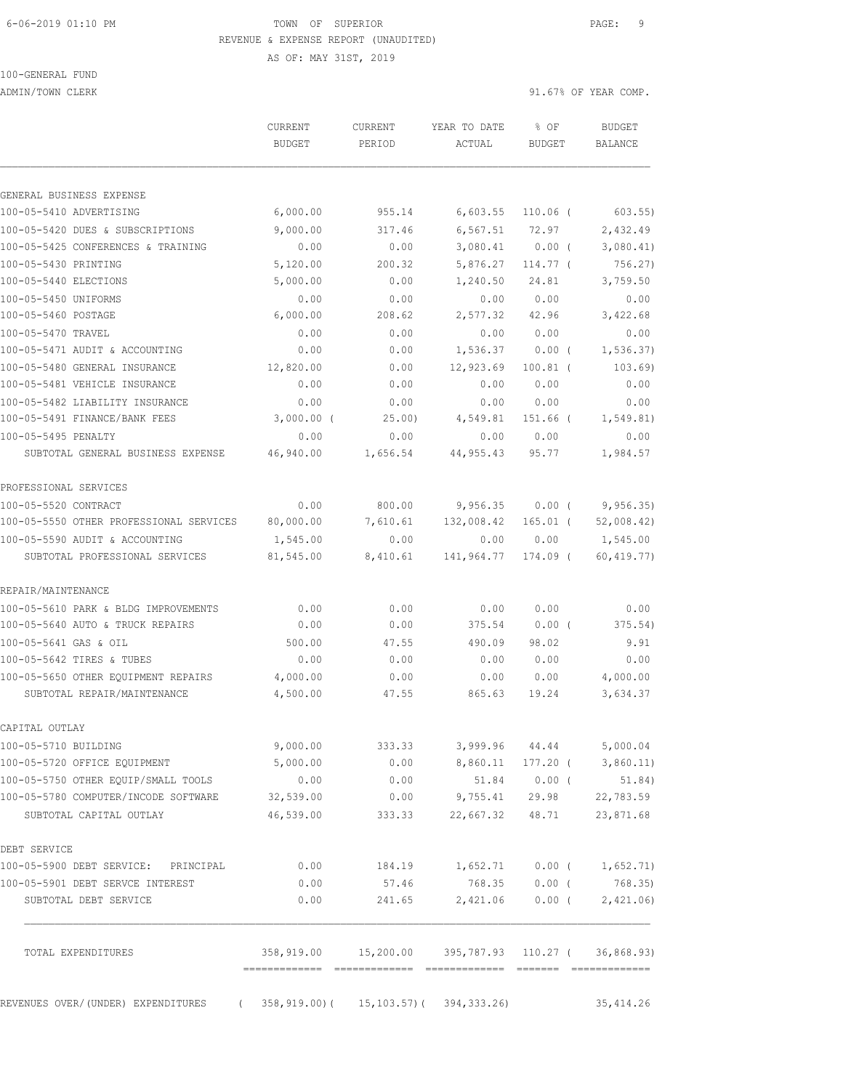#### 6-06-2019 01:10 PM TOWN OF SUPERIOR PAGE: 9 REVENUE & EXPENSE REPORT (UNAUDITED)

AS OF: MAY 31ST, 2019

# 100-GENERAL FUND

ADMIN/TOWN CLERK 31.67% OF YEAR COMP.

|                                                                          | CURRENT<br><b>BUDGET</b> | CURRENT<br>PERIOD | YEAR TO DATE<br>ACTUAL                                 | % OF<br>BUDGET  | <b>BUDGET</b><br>BALANCE |
|--------------------------------------------------------------------------|--------------------------|-------------------|--------------------------------------------------------|-----------------|--------------------------|
|                                                                          |                          |                   |                                                        |                 |                          |
| GENERAL BUSINESS EXPENSE                                                 |                          |                   |                                                        |                 |                          |
| 100-05-5410 ADVERTISING                                                  | 6,000.00                 | 955.14            | 6,603.55                                               | 110.06 (        | $603.55$ )               |
| 100-05-5420 DUES & SUBSCRIPTIONS                                         | 9,000.00                 | 317.46            | 6, 567.51                                              | 72.97           | 2,432.49                 |
| 100-05-5425 CONFERENCES & TRAINING                                       | 0.00                     | 0.00              | 3,080.41                                               | 0.00(           | 3,080.41)                |
| 100-05-5430 PRINTING                                                     | 5,120.00                 | 200.32            | 5,876.27                                               | $114.77$ (      | 756.27                   |
| 100-05-5440 ELECTIONS                                                    | 5,000.00                 | 0.00              | 1,240.50                                               | 24.81           | 3,759.50                 |
| 100-05-5450 UNIFORMS                                                     | 0.00                     | 0.00              | 0.00                                                   | 0.00            | 0.00                     |
| 100-05-5460 POSTAGE                                                      | 6,000.00                 | 208.62            | 2,577.32                                               | 42.96           | 3,422.68                 |
| 100-05-5470 TRAVEL                                                       | 0.00                     | 0.00              | 0.00                                                   | 0.00            | 0.00                     |
| 100-05-5471 AUDIT & ACCOUNTING                                           | 0.00                     | 0.00              | 1,536.37                                               | $0.00$ (        | 1, 536.37)               |
| 100-05-5480 GENERAL INSURANCE                                            | 12,820.00                | 0.00              | 12,923.69                                              | $100.81$ (      | 103.69)                  |
| 100-05-5481 VEHICLE INSURANCE                                            | 0.00                     | 0.00              | 0.00                                                   | 0.00            | 0.00                     |
| 100-05-5482 LIABILITY INSURANCE                                          | 0.00                     | 0.00              | 0.00                                                   | 0.00            | 0.00                     |
| 100-05-5491 FINANCE/BANK FEES                                            | $3,000.00$ (             | 25.00             | 4,549.81                                               | 151.66 (        | 1, 549.81)               |
| 100-05-5495 PENALTY                                                      | 0.00                     | 0.00              | 0.00                                                   | 0.00            | 0.00                     |
| SUBTOTAL GENERAL BUSINESS EXPENSE                                        | 46,940.00                | 1,656.54          | 44,955.43                                              | 95.77           | 1,984.57                 |
| PROFESSIONAL SERVICES                                                    |                          |                   |                                                        |                 |                          |
| 100-05-5520 CONTRACT                                                     | 0.00                     | 800.00            | 9,956.35                                               | 0.00(           | 9,956.35)                |
| 100-05-5550 OTHER PROFESSIONAL SERVICES                                  | 80,000.00                | 7,610.61          | 132,008.42                                             | $165.01$ (      | 52,008.42)               |
| 100-05-5590 AUDIT & ACCOUNTING                                           | 1,545.00                 | 0.00              | 0.00                                                   | 0.00            | 1,545.00                 |
| SUBTOTAL PROFESSIONAL SERVICES                                           | 81,545.00                | 8,410.61          | 141,964.77                                             | 174.09 (        | 60, 419.77)              |
| REPAIR/MAINTENANCE                                                       |                          |                   |                                                        |                 |                          |
| 100-05-5610 PARK & BLDG IMPROVEMENTS                                     | 0.00                     | 0.00              | 0.00                                                   | 0.00            | 0.00                     |
| 100-05-5640 AUTO & TRUCK REPAIRS                                         | 0.00                     | 0.00              | 375.54                                                 | 0.00(           | 375.54)                  |
| 100-05-5641 GAS & OIL                                                    | 500.00                   | 47.55             | 490.09                                                 | 98.02           | 9.91                     |
| 100-05-5642 TIRES & TUBES                                                | 0.00                     | 0.00              | 0.00                                                   | 0.00            | 0.00                     |
| 100-05-5650 OTHER EOUIPMENT REPAIRS                                      | 4,000.00                 | 0.00              | 0.00                                                   | 0.00            | 4,000.00                 |
| SUBTOTAL REPAIR/MAINTENANCE                                              | 4,500.00                 | 47.55             | 865.63                                                 | 19.24           | 3,634.37                 |
| CAPITAL OUTLAY                                                           |                          |                   |                                                        |                 |                          |
| 100-05-5710 BUILDING                                                     | 9,000.00                 | 333.33            |                                                        |                 | 3,999.96 44.44 5,000.04  |
| 100-05-5720 OFFICE EQUIPMENT                                             | 5,000.00                 | 0.00              | 8,860.11 177.20 (                                      |                 | 3,860.11)                |
| 100-05-5750 OTHER EQUIP/SMALL TOOLS                                      | 0.00                     | 0.00              | 51.84                                                  | $0.00$ (        | 51.84)                   |
| 100-05-5780 COMPUTER/INCODE SOFTWARE                                     | 32,539.00                |                   | $0.00$ 9,755.41 29.98                                  |                 | 22,783.59                |
| SUBTOTAL CAPITAL OUTLAY                                                  | 46,539.00                | 333.33            |                                                        | 22,667.32 48.71 | 23,871.68                |
| DEBT SERVICE                                                             |                          |                   |                                                        |                 |                          |
| 100-05-5900 DEBT SERVICE: PRINCIPAL                                      | 0.00                     |                   |                                                        |                 |                          |
| 100-05-5901 DEBT SERVCE INTEREST                                         | 0.00                     | 57.46             | 768.35                                                 | $0.00$ (        | 768.35)                  |
| SUBTOTAL DEBT SERVICE                                                    | 0.00                     | 241.65            |                                                        | 2,421.06 0.00 ( | 2,421.06                 |
| TOTAL EXPENDITURES                                                       |                          |                   | 358,919.00  15,200.00  395,787.93  110.27  (36,868.93) |                 |                          |
| REVENUES OVER/(UNDER) EXPENDITURES (358,919.00) (15,103.57) (394,333.26) |                          |                   |                                                        |                 | 35, 414.26               |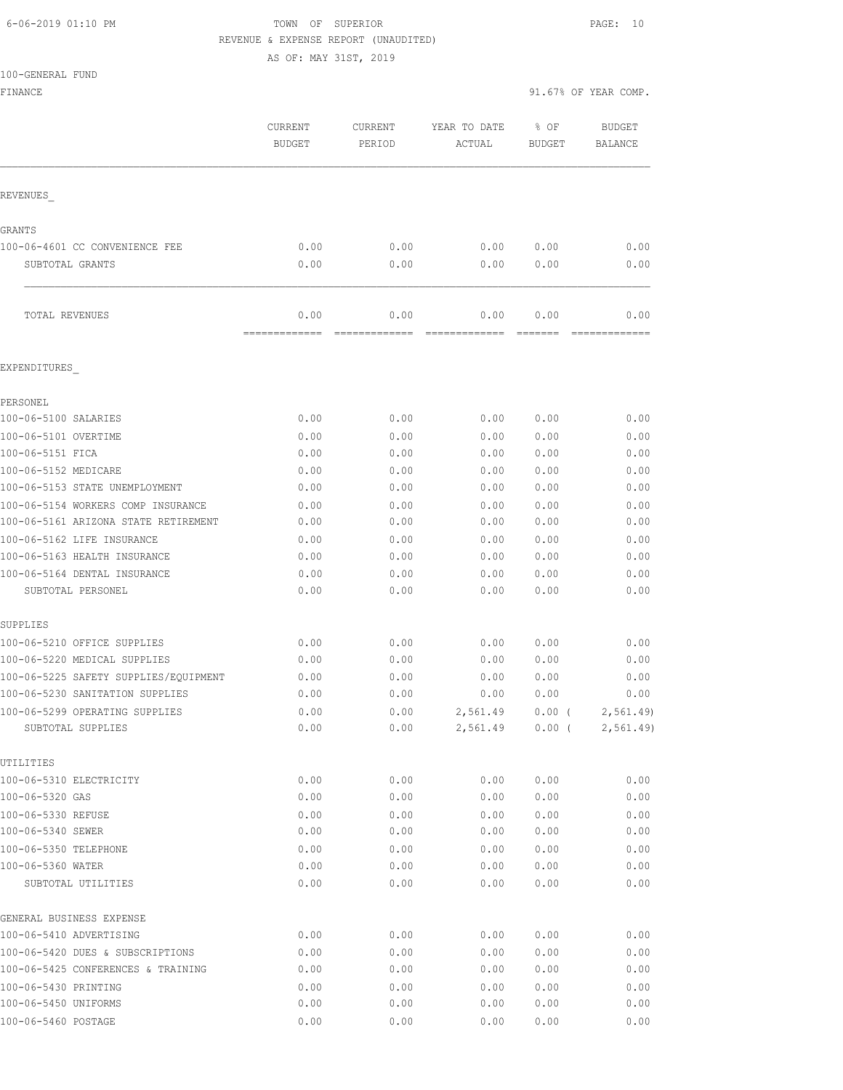### 6-06-2019 01:10 PM TOWN OF SUPERIOR PAGE: 10 REVENUE & EXPENSE REPORT (UNAUDITED)

AS OF: MAY 31ST, 2019

| 100-GENERAL FUND |  |
|------------------|--|
|                  |  |

FINANCE 91.67% OF YEAR COMP.

|                                                     | CURRENT<br><b>BUDGET</b> | CURRENT<br>PERIOD | YEAR TO DATE<br>ACTUAL | % OF<br><b>BUDGET</b> | <b>BUDGET</b><br>BALANCE |
|-----------------------------------------------------|--------------------------|-------------------|------------------------|-----------------------|--------------------------|
| REVENUES                                            |                          |                   |                        |                       |                          |
| GRANTS                                              |                          |                   |                        |                       |                          |
| 100-06-4601 CC CONVENIENCE FEE                      | 0.00                     | 0.00              | 0.00                   | 0.00                  | 0.00                     |
| SUBTOTAL GRANTS                                     | 0.00                     | 0.00              | 0.00                   | 0.00                  | 0.00                     |
| TOTAL REVENUES                                      | 0.00<br>=============    | 0.00              | 0.00                   | 0.00<br>=======       | 0.00                     |
| EXPENDITURES                                        |                          |                   |                        |                       |                          |
| PERSONEL                                            |                          |                   |                        |                       |                          |
| 100-06-5100 SALARIES                                | 0.00                     | 0.00              | 0.00                   | 0.00                  | 0.00                     |
| 100-06-5101 OVERTIME                                | 0.00                     | 0.00              | 0.00                   | 0.00                  | 0.00                     |
| 100-06-5151 FICA                                    | 0.00                     | 0.00              | 0.00                   | 0.00                  | 0.00                     |
| 100-06-5152 MEDICARE                                | 0.00                     | 0.00              | 0.00                   | 0.00                  | 0.00                     |
| 100-06-5153 STATE UNEMPLOYMENT                      | 0.00                     | 0.00              | 0.00                   | 0.00                  | 0.00                     |
| 100-06-5154 WORKERS COMP INSURANCE                  | 0.00                     | 0.00              | 0.00                   | 0.00                  | 0.00                     |
| 100-06-5161 ARIZONA STATE RETIREMENT                | 0.00                     | 0.00              | 0.00                   | 0.00                  | 0.00                     |
| 100-06-5162 LIFE INSURANCE                          | 0.00                     | 0.00              | 0.00                   | 0.00                  | 0.00                     |
| 100-06-5163 HEALTH INSURANCE                        | 0.00                     | 0.00              | 0.00                   | 0.00                  | 0.00                     |
| 100-06-5164 DENTAL INSURANCE                        | 0.00                     | 0.00              | 0.00                   | 0.00                  | 0.00                     |
| SUBTOTAL PERSONEL                                   | 0.00                     | 0.00              | 0.00                   | 0.00                  | 0.00                     |
| SUPPLIES                                            |                          |                   |                        |                       |                          |
| 100-06-5210 OFFICE SUPPLIES                         | 0.00                     | 0.00              | 0.00                   | 0.00                  | 0.00                     |
| 100-06-5220 MEDICAL SUPPLIES                        | 0.00                     | 0.00              | 0.00                   | 0.00                  | 0.00                     |
| 100-06-5225 SAFETY SUPPLIES/EQUIPMENT               | 0.00                     | 0.00              | 0.00                   | 0.00                  | 0.00                     |
| 100-06-5230 SANITATION SUPPLIES                     | 0.00                     | 0.00              | 0.00                   | 0.00                  | 0.00                     |
| 100-06-5299 OPERATING SUPPLIES<br>SUBTOTAL SUPPLIES | 0.00<br>0.00             | 0.00<br>0.00      | 2,561.49<br>2,561.49   | $0.00$ (<br>$0.00$ (  | 2, 561.49<br>2,561.49)   |
| UTILITIES                                           |                          |                   |                        |                       |                          |
| 100-06-5310 ELECTRICITY                             | 0.00                     | 0.00              | 0.00                   | 0.00                  | 0.00                     |
| 100-06-5320 GAS                                     | 0.00                     | 0.00              | 0.00                   | 0.00                  | 0.00                     |
| 100-06-5330 REFUSE                                  | 0.00                     | 0.00              | 0.00                   | 0.00                  | 0.00                     |
| 100-06-5340 SEWER                                   | 0.00                     | 0.00              | 0.00                   | 0.00                  | 0.00                     |
| 100-06-5350 TELEPHONE                               | 0.00                     | 0.00              | 0.00                   | 0.00                  | 0.00                     |
| 100-06-5360 WATER                                   | 0.00                     | 0.00              | 0.00                   | 0.00                  | 0.00                     |
| SUBTOTAL UTILITIES                                  | 0.00                     | 0.00              | 0.00                   | 0.00                  | 0.00                     |
| GENERAL BUSINESS EXPENSE                            |                          |                   |                        |                       |                          |
| 100-06-5410 ADVERTISING                             | 0.00                     | 0.00              | 0.00                   | 0.00                  | 0.00                     |
| 100-06-5420 DUES & SUBSCRIPTIONS                    | 0.00                     | 0.00              | 0.00                   | 0.00                  | 0.00                     |
| 100-06-5425 CONFERENCES & TRAINING                  | 0.00                     | 0.00              | 0.00                   | 0.00                  | 0.00                     |
| 100-06-5430 PRINTING                                | 0.00                     | 0.00              | 0.00                   | 0.00                  | 0.00                     |

100-06-5450 UNIFORMS 0.00 0.00 0.00 0.00 0.00 100-06-5460 POSTAGE 0.00 0.00 0.00 0.00 0.00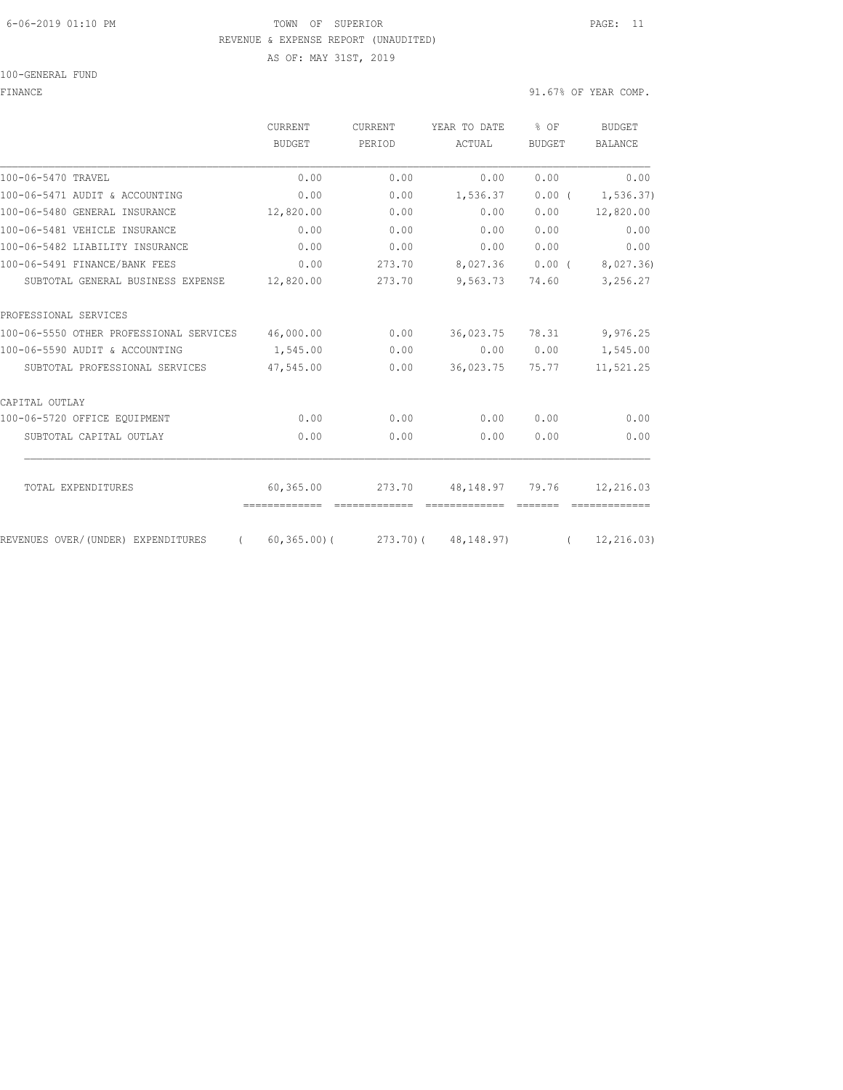#### 6-06-2019 01:10 PM TOWN OF SUPERIOR PAGE: 11 REVENUE & EXPENSE REPORT (UNAUDITED)

AS OF: MAY 31ST, 2019

100-GENERAL FUND

FINANCE 91.67% OF YEAR COMP.

|                                                | CURRENT         | <b>CURRENT</b><br>PERIOD | YEAR TO DATE        | % OF<br><b>BUDGET</b> | <b>BUDGET</b><br><b>BALANCE</b> |
|------------------------------------------------|-----------------|--------------------------|---------------------|-----------------------|---------------------------------|
|                                                | <b>BUDGET</b>   |                          | ACTUAL              |                       |                                 |
| 100-06-5470 TRAVEL                             | 0.00            | 0.00                     | 0.00                | 0.00                  | 0.00                            |
| 100-06-5471 AUDIT & ACCOUNTING                 | 0.00            | 0.00                     | 1,536.37            | $0.00$ (              | 1,536.37)                       |
| 100-06-5480 GENERAL INSURANCE                  | 12,820.00       | 0.00                     | 0.00                | 0.00                  | 12,820.00                       |
| 100-06-5481 VEHICLE INSURANCE                  | 0.00            | 0.00                     | 0.00                | 0.00                  | 0.00                            |
| 100-06-5482 LIABILITY INSURANCE                | 0.00            | 0.00                     | 0.00                | 0.00                  | 0.00                            |
| 100-06-5491 FINANCE/BANK FEES                  | 0.00            | 273.70                   | 8,027.36            | $0.00$ (              | 8,027.36)                       |
| SUBTOTAL GENERAL BUSINESS EXPENSE              | 12,820.00       | 273.70                   | 9,563.73            | 74.60                 | 3,256.27                        |
| PROFESSIONAL SERVICES                          |                 |                          |                     |                       |                                 |
| 100-06-5550 OTHER PROFESSIONAL SERVICES        | 46,000.00       | 0.00                     | 36,023.75           | 78.31                 | 9,976.25                        |
| 100-06-5590 AUDIT & ACCOUNTING                 | 1,545.00        | 0.00                     | 0.00                | 0.00                  | 1,545.00                        |
| SUBTOTAL PROFESSIONAL SERVICES                 | 47,545.00       | 0.00                     | 36,023.75           | 75.77                 | 11,521.25                       |
| CAPITAL OUTLAY                                 |                 |                          |                     |                       |                                 |
| 100-06-5720 OFFICE EQUIPMENT                   | 0.00            | 0.00                     | 0.00                | 0.00                  | 0.00                            |
| SUBTOTAL CAPITAL OUTLAY                        | 0.00            | 0.00                     | 0.00                | 0.00                  | 0.00                            |
| TOTAL EXPENDITURES                             |                 |                          |                     |                       |                                 |
|                                                | 60,365.00       | 273.70                   | 48,148.97           | 79.76                 | 12,216.03                       |
| REVENUES OVER/(UNDER) EXPENDITURES<br>$\left($ | $60, 365, 00$ ( |                          | 273.70) (48,148.97) | $\sqrt{2}$            | 12, 216.03)                     |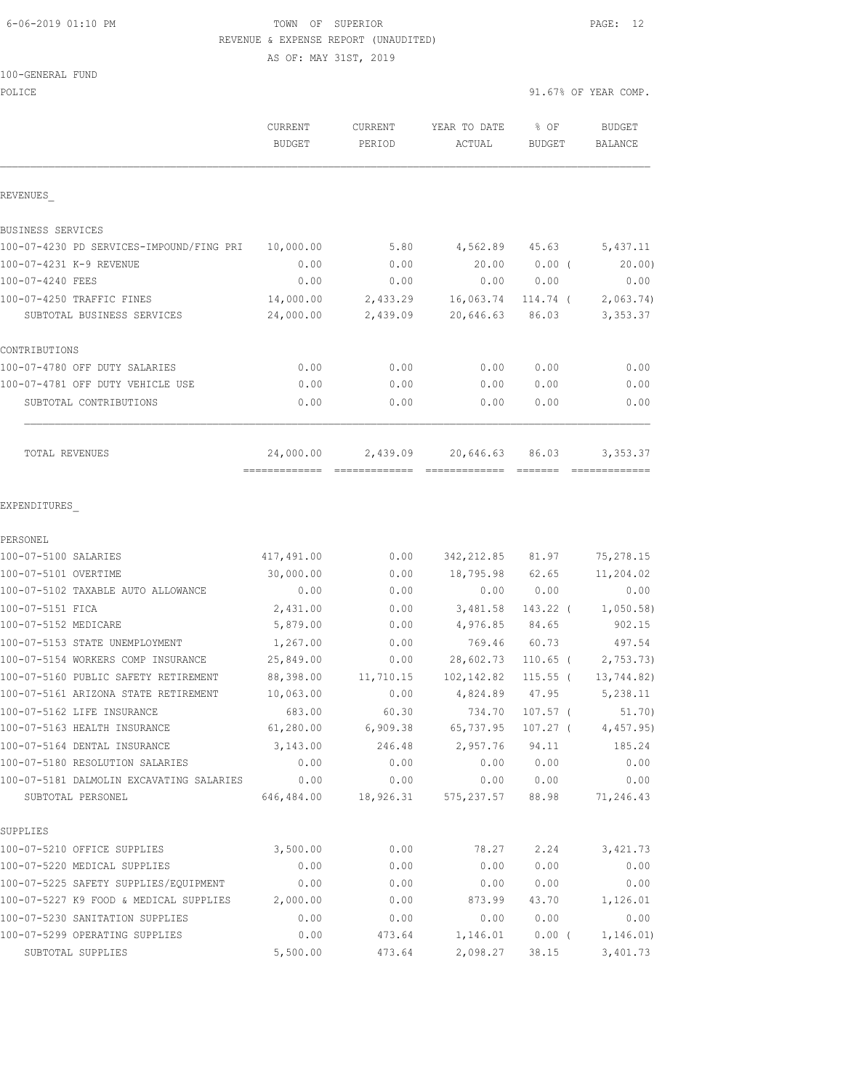### 6-06-2019 01:10 PM TOWN OF SUPERIOR PAGE: 12 REVENUE & EXPENSE REPORT (UNAUDITED)

AS OF: MAY 31ST, 2019

| POLICE                                   |                          |                   |                        |                       | 91.67% OF YEAR COMP.     |
|------------------------------------------|--------------------------|-------------------|------------------------|-----------------------|--------------------------|
|                                          | CURRENT<br><b>BUDGET</b> | CURRENT<br>PERIOD | YEAR TO DATE<br>ACTUAL | % OF<br><b>BUDGET</b> | <b>BUDGET</b><br>BALANCE |
| REVENUES                                 |                          |                   |                        |                       |                          |
| BUSINESS SERVICES                        |                          |                   |                        |                       |                          |
| 100-07-4230 PD SERVICES-IMPOUND/FING PRI | 10,000.00                | 5.80              | 4,562.89               | 45.63                 | 5,437.11                 |
| 100-07-4231 K-9 REVENUE                  | 0.00                     | 0.00              | 20.00                  | $0.00$ (              | 20.00                    |
| 100-07-4240 FEES                         | 0.00                     | 0.00              | 0.00                   | 0.00                  | 0.00                     |
| 100-07-4250 TRAFFIC FINES                | 14,000.00                | 2,433.29          | 16,063.74              | 114.74 (              | 2,063.74                 |
| SUBTOTAL BUSINESS SERVICES               | 24,000.00                | 2,439.09          | 20,646.63              | 86.03                 | 3,353.37                 |
| CONTRIBUTIONS                            |                          |                   |                        |                       |                          |
| 100-07-4780 OFF DUTY SALARIES            | 0.00                     | 0.00              | 0.00                   | 0.00                  | 0.00                     |
| 100-07-4781 OFF DUTY VEHICLE USE         | 0.00                     | 0.00              | 0.00                   | 0.00                  | 0.00                     |
| SUBTOTAL CONTRIBUTIONS                   | 0.00                     | 0.00              | 0.00                   | 0.00                  | 0.00                     |
| TOTAL REVENUES                           | 24,000.00                | 2,439.09          | 20,646.63              | 86.03                 | 3,353.37                 |
|                                          |                          |                   |                        |                       |                          |
| EXPENDITURES<br>PERSONEL                 |                          |                   |                        |                       |                          |
| 100-07-5100 SALARIES                     | 417,491.00               | 0.00              | 342, 212.85            | 81.97                 | 75, 278.15               |
| 100-07-5101 OVERTIME                     | 30,000.00                | 0.00              | 18,795.98              | 62.65                 | 11,204.02                |
| 100-07-5102 TAXABLE AUTO ALLOWANCE       | 0.00                     | 0.00              | 0.00                   | 0.00                  | 0.00                     |
| 100-07-5151 FICA                         | 2,431.00                 | 0.00              | 3,481.58               | 143.22 (              | 1,050.58                 |
| 100-07-5152 MEDICARE                     | 5,879.00                 | 0.00              | 4,976.85               | 84.65                 | 902.15                   |
| 100-07-5153 STATE UNEMPLOYMENT           | 1,267.00                 | 0.00              | 769.46                 | 60.73                 | 497.54                   |
| 100-07-5154 WORKERS COMP INSURANCE       | 25,849.00                | 0.00              | 28,602.73              | $110.65$ (            | 2,753.73)                |
| 100-07-5160 PUBLIC SAFETY RETIREMENT     | 88,398.00                | 11,710.15         | 102, 142.82            | $115.55$ (            | 13,744.82)               |
| 100-07-5161 ARIZONA STATE RETIREMENT     | 10,063.00                | 0.00              | 4,824.89               | 47.95                 | 5,238.11                 |
| 100-07-5162 LIFE INSURANCE               | 683.00                   | 60.30             | 734.70                 | $107.57$ (            | 51.70)                   |
| 100-07-5163 HEALTH INSURANCE             | 61,280.00                | 6,909.38          | 65,737.95              | 107.27 (              | 4,457.95)                |
| 100-07-5164 DENTAL INSURANCE             | 3,143.00                 | 246.48            | 2,957.76               | 94.11                 | 185.24                   |
| 100-07-5180 RESOLUTION SALARIES          | 0.00                     | 0.00              | 0.00                   | 0.00                  | 0.00                     |
| 100-07-5181 DALMOLIN EXCAVATING SALARIES | 0.00                     | 0.00              | 0.00                   | 0.00                  | 0.00                     |
| SUBTOTAL PERSONEL                        | 646,484.00               | 18,926.31         | 575, 237.57            | 88.98                 | 71,246.43                |
| SUPPLIES                                 |                          |                   |                        |                       |                          |
| 100-07-5210 OFFICE SUPPLIES              | 3,500.00                 | 0.00              | 78.27                  | 2.24                  | 3,421.73                 |
| 100-07-5220 MEDICAL SUPPLIES             | 0.00                     | 0.00              | 0.00                   | 0.00                  | 0.00                     |
| 100-07-5225 SAFETY SUPPLIES/EQUIPMENT    | 0.00                     | 0.00              | 0.00                   | 0.00                  | 0.00                     |
| 100-07-5227 K9 FOOD & MEDICAL SUPPLIES   | 2,000.00                 | 0.00              | 873.99                 | 43.70                 | 1,126.01                 |
| 100-07-5230 SANITATION SUPPLIES          | 0.00                     | 0.00              | 0.00                   | 0.00                  | 0.00                     |
| 100-07-5299 OPERATING SUPPLIES           | 0.00                     | 473.64            | 1,146.01               | $0.00$ (              | 1, 146.01)               |
| SUBTOTAL SUPPLIES                        | 5,500.00                 | 473.64            | 2,098.27               | 38.15                 | 3,401.73                 |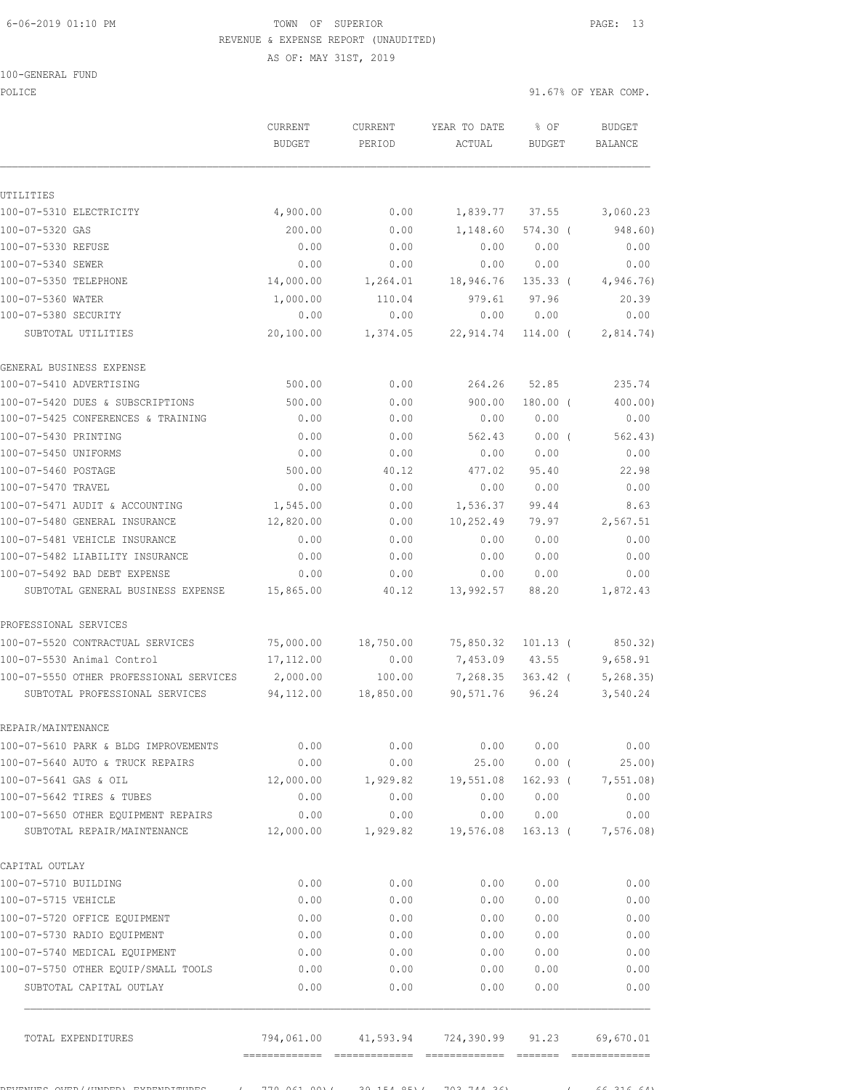## 6-06-2019 01:10 PM TOWN OF SUPERIOR PAGE: 13 REVENUE & EXPENSE REPORT (UNAUDITED)

AS OF: MAY 31ST, 2019

100-GENERAL FUND

POLICE 91.67% OF YEAR COMP.

|                                                                      | CURRENT<br><b>BUDGET</b> | <b>CURRENT</b><br>PERIOD | YEAR TO DATE<br>ACTUAL | % OF<br><b>BUDGET</b> | <b>BUDGET</b><br>BALANCE |
|----------------------------------------------------------------------|--------------------------|--------------------------|------------------------|-----------------------|--------------------------|
|                                                                      |                          |                          |                        |                       |                          |
| UTILITIES                                                            |                          |                          |                        |                       |                          |
| 100-07-5310 ELECTRICITY                                              | 4,900.00                 | 0.00                     | 1,839.77               | 37.55                 | 3,060.23                 |
| 100-07-5320 GAS                                                      | 200.00                   | 0.00                     | 1,148.60               | $574.30$ (            | 948.60)                  |
| 100-07-5330 REFUSE                                                   | 0.00                     | 0.00                     | 0.00                   | 0.00                  | 0.00                     |
| 100-07-5340 SEWER                                                    | 0.00                     | 0.00                     | 0.00                   | 0.00                  | 0.00                     |
| 100-07-5350 TELEPHONE                                                | 14,000.00                | 1,264.01                 | 18,946.76              | $135.33$ (            | 4,946.76)                |
| 100-07-5360 WATER                                                    | 1,000.00                 | 110.04                   | 979.61                 | 97.96                 | 20.39                    |
| 100-07-5380 SECURITY                                                 | 0.00                     | 0.00                     | 0.00                   | 0.00                  | 0.00                     |
| SUBTOTAL UTILITIES                                                   | 20,100.00                | 1,374.05                 | 22, 914.74             | $114.00$ (            | 2,814.74)                |
| GENERAL BUSINESS EXPENSE                                             |                          |                          |                        |                       |                          |
| 100-07-5410 ADVERTISING                                              | 500.00                   | 0.00                     | 264.26                 | 52.85                 | 235.74                   |
| 100-07-5420 DUES & SUBSCRIPTIONS                                     | 500.00                   | 0.00                     | 900.00                 | $180.00$ $($          | 400.00)                  |
| 100-07-5425 CONFERENCES & TRAINING                                   | 0.00                     | 0.00                     | 0.00                   | 0.00                  | 0.00                     |
| 100-07-5430 PRINTING                                                 | 0.00                     | 0.00                     | 562.43                 | $0.00$ (              | 562.43)                  |
| 100-07-5450 UNIFORMS                                                 | 0.00                     | 0.00                     | 0.00                   | 0.00                  | 0.00                     |
| 100-07-5460 POSTAGE                                                  | 500.00                   | 40.12                    | 477.02                 | 95.40                 | 22.98                    |
| 100-07-5470 TRAVEL                                                   | 0.00                     | 0.00                     | 0.00                   | 0.00                  | 0.00                     |
| 100-07-5471 AUDIT & ACCOUNTING                                       | 1,545.00                 | 0.00                     | 1,536.37               | 99.44                 | 8.63                     |
| 100-07-5480 GENERAL INSURANCE                                        | 12,820.00                | 0.00                     | 10,252.49              | 79.97                 | 2,567.51                 |
| 100-07-5481 VEHICLE INSURANCE                                        | 0.00                     | 0.00                     | 0.00                   | 0.00                  | 0.00                     |
| 100-07-5482 LIABILITY INSURANCE                                      | 0.00                     | 0.00                     | 0.00                   | 0.00                  | 0.00                     |
| 100-07-5492 BAD DEBT EXPENSE                                         | 0.00                     | 0.00                     | 0.00                   | 0.00                  | 0.00                     |
| SUBTOTAL GENERAL BUSINESS EXPENSE                                    | 15,865.00                | 40.12                    | 13,992.57              | 88.20                 | 1,872.43                 |
| PROFESSIONAL SERVICES                                                |                          |                          |                        |                       |                          |
| 100-07-5520 CONTRACTUAL SERVICES                                     | 75,000.00                | 18,750.00                | 75,850.32              | $101.13$ (            | 850.32)                  |
| 100-07-5530 Animal Control                                           | 17, 112.00               | 0.00                     | 7,453.09               | 43.55                 | 9,658.91                 |
| 100-07-5550 OTHER PROFESSIONAL SERVICES                              | 2,000.00                 | 100.00                   | 7,268.35               | $363.42$ (            | 5, 268, 35               |
| SUBTOTAL PROFESSIONAL SERVICES                                       | 94,112.00                | 18,850.00                | 90,571.76              | 96.24                 | 3,540.24                 |
| REPAIR/MAINTENANCE                                                   |                          |                          |                        |                       |                          |
| 100-07-5610 PARK & BLDG IMPROVEMENTS                                 | 0.00                     | 0.00                     | 0.00                   | 0.00                  | 0.00                     |
| 100-07-5640 AUTO & TRUCK REPAIRS                                     | 0.00                     | 0.00                     | 25.00                  | $0.00$ (              | 25.00)                   |
| 100-07-5641 GAS & OIL                                                | 12,000.00                | 1,929.82                 | 19,551.08              | $162.93$ (            | 7,551.08)                |
| 100-07-5642 TIRES & TUBES                                            | 0.00                     | 0.00                     | 0.00                   | 0.00                  | 0.00                     |
| 100-07-5650 OTHER EQUIPMENT REPAIRS<br>SUBTOTAL REPAIR/MAINTENANCE   | 0.00<br>12,000.00        | 0.00<br>1,929.82         | 0.00<br>19,576.08      | 0.00<br>$163.13$ (    | 0.00<br>7,576.08)        |
|                                                                      |                          |                          |                        |                       |                          |
| CAPITAL OUTLAY                                                       |                          |                          |                        |                       |                          |
| 100-07-5710 BUILDING                                                 | 0.00                     | 0.00                     | 0.00                   | 0.00                  | 0.00                     |
| 100-07-5715 VEHICLE                                                  | 0.00                     | 0.00                     | 0.00                   | 0.00                  | 0.00                     |
| 100-07-5720 OFFICE EQUIPMENT                                         | 0.00                     | 0.00                     | 0.00                   | 0.00                  | 0.00                     |
| 100-07-5730 RADIO EQUIPMENT                                          | 0.00                     | 0.00                     | 0.00                   | 0.00                  | 0.00                     |
| 100-07-5740 MEDICAL EQUIPMENT<br>100-07-5750 OTHER EQUIP/SMALL TOOLS | 0.00                     | 0.00                     | 0.00                   | 0.00                  | 0.00                     |
| SUBTOTAL CAPITAL OUTLAY                                              | 0.00<br>0.00             | 0.00<br>0.00             | 0.00<br>0.00           | 0.00<br>0.00          | 0.00<br>0.00             |
|                                                                      |                          |                          |                        |                       |                          |
| TOTAL EXPENDITURES                                                   | 794,061.00               | 41,593.94                | 724,390.99             | 91.23                 | 69,670.01                |

REVENUES OVER/(UNDER) EXPENDITURES ( 770,061.00)( 39,154.85)( 703,744.36) ( 66,316.64)

============= ============= ============= ======= =============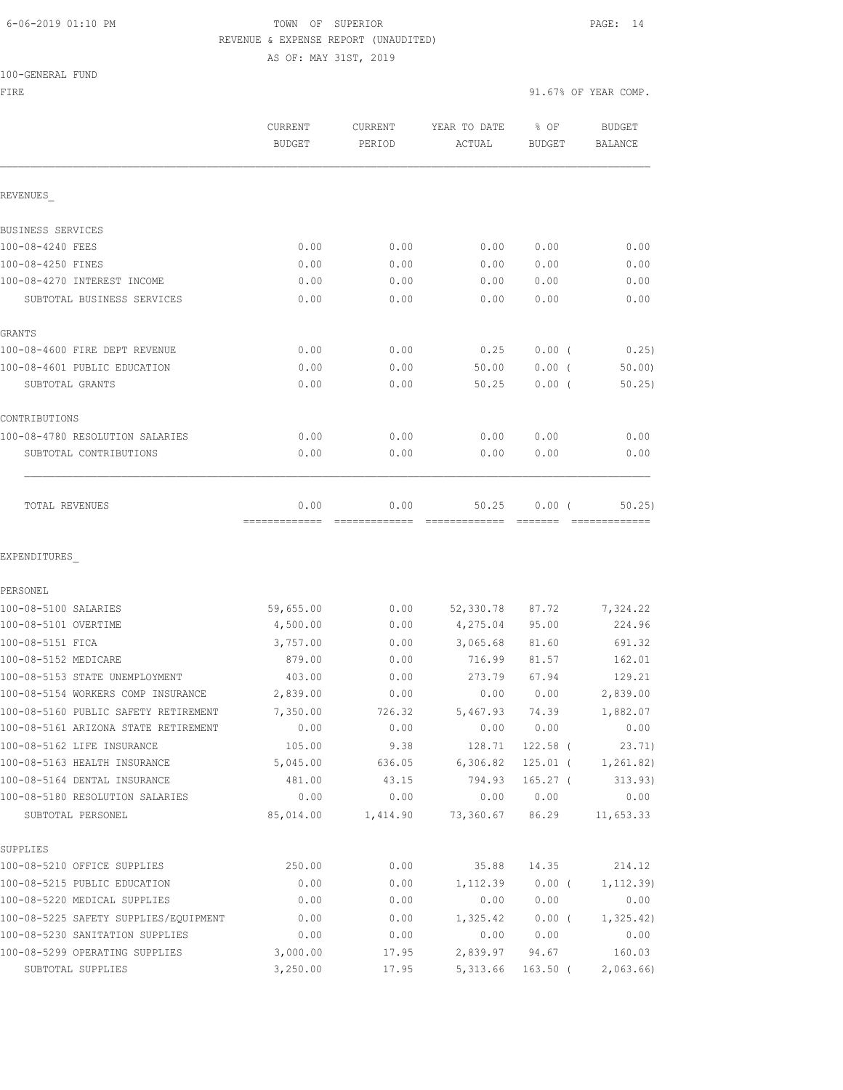## 6-06-2019 01:10 PM TOWN OF SUPERIOR PAGE: 14 REVENUE & EXPENSE REPORT (UNAUDITED)

AS OF: MAY 31ST, 2019

100-GENERAL

| 100-GENERAL FUND                      |                          |                   |                          |                       |                          |
|---------------------------------------|--------------------------|-------------------|--------------------------|-----------------------|--------------------------|
| FIRE                                  |                          |                   |                          |                       | 91.67% OF YEAR COMP.     |
|                                       | CURRENT<br><b>BUDGET</b> | CURRENT<br>PERIOD | YEAR TO DATE<br>ACTUAL   | % OF<br><b>BUDGET</b> | <b>BUDGET</b><br>BALANCE |
| REVENUES                              |                          |                   |                          |                       |                          |
| BUSINESS SERVICES                     |                          |                   |                          |                       |                          |
| 100-08-4240 FEES                      | 0.00                     | 0.00              | 0.00                     | 0.00                  | 0.00                     |
| 100-08-4250 FINES                     | 0.00                     | 0.00              | 0.00                     | 0.00                  | 0.00                     |
| 100-08-4270 INTEREST INCOME           | 0.00                     | 0.00              | 0.00                     | 0.00                  | 0.00                     |
| SUBTOTAL BUSINESS SERVICES            | 0.00                     | 0.00              | 0.00                     | 0.00                  | 0.00                     |
| GRANTS                                |                          |                   |                          |                       |                          |
| 100-08-4600 FIRE DEPT REVENUE         | 0.00                     | 0.00              | 0.25                     | $0.00$ (              | 0.25)                    |
| 100-08-4601 PUBLIC EDUCATION          | 0.00                     | 0.00              | 50.00                    | $0.00$ (              | 50.00                    |
| SUBTOTAL GRANTS                       | 0.00                     | 0.00              | 50.25                    | $0.00$ (              | 50.25)                   |
| CONTRIBUTIONS                         |                          |                   |                          |                       |                          |
| 100-08-4780 RESOLUTION SALARIES       | 0.00                     | 0.00              | 0.00                     | 0.00                  | 0.00                     |
| SUBTOTAL CONTRIBUTIONS                | 0.00                     | 0.00              | 0.00                     | 0.00                  | 0.00                     |
| TOTAL REVENUES                        | 0.00                     | 0.00              | 50.25                    | 0.00(                 | 50, 25)                  |
| EXPENDITURES                          |                          |                   |                          |                       |                          |
| PERSONEL                              |                          |                   |                          |                       |                          |
| 100-08-5100 SALARIES                  | 59,655.00                | 0.00              | 52,330.78                | 87.72                 | 7,324.22                 |
| 100-08-5101 OVERTIME                  | 4,500.00                 | 0.00              | 4,275.04                 | 95.00                 | 224.96                   |
| 100-08-5151 FICA                      | 3,757.00                 | 0.00              | 3,065.68                 | 81.60                 | 691.32                   |
| 100-08-5152 MEDICARE                  | 879.00                   | 0.00              | 716.99                   | 81.57                 | 162.01                   |
| 100-08-5153 STATE UNEMPLOYMENT        | 403.00                   | 0.00              | 273.79                   | 67.94                 | 129.21                   |
| 100-08-5154 WORKERS COMP INSURANCE    | 2,839.00                 | 0.00              | 0.00                     | 0.00                  | 2,839.00                 |
| 100-08-5160 PUBLIC SAFETY RETIREMENT  | 7,350.00                 | 726.32            |                          | 5,467.93 74.39        | 1,882.07                 |
| 100-08-5161 ARIZONA STATE RETIREMENT  | 0.00                     | 0.00              | 0.00                     | 0.00                  | 0.00                     |
| 100-08-5162 LIFE INSURANCE            | 105.00                   | 9.38              | 128.71                   | $122.58$ (            | 23.71)                   |
| 100-08-5163 HEALTH INSURANCE          | 5,045.00                 | 636.05            | 6,306.82                 |                       | 125.01 ( 1,261.82)       |
| 100-08-5164 DENTAL INSURANCE          | 481.00                   | 43.15             | 794.93                   | $165.27$ (            | 313.93)                  |
| 100-08-5180 RESOLUTION SALARIES       | 0.00                     | 0.00              | 0.00                     | 0.00                  | 0.00                     |
| SUBTOTAL PERSONEL                     | 85,014.00                |                   | 1,414.90 73,360.67 86.29 |                       | 11,653.33                |
| SUPPLIES                              |                          |                   |                          |                       |                          |
| 100-08-5210 OFFICE SUPPLIES           | 250.00                   | 0.00              | 35.88                    | 14.35                 | 214.12                   |
| 100-08-5215 PUBLIC EDUCATION          | 0.00                     | 0.00              | 1,112.39                 | $0.00$ (              | 1, 112.39)               |
| 100-08-5220 MEDICAL SUPPLIES          | 0.00                     | 0.00              | 0.00                     | 0.00                  | 0.00                     |
| 100-08-5225 SAFETY SUPPLIES/EQUIPMENT | 0.00                     | 0.00              | 1,325.42                 | $0.00$ (              | 1, 325.42)               |

100-08-5230 SANITATION SUPPLIES 0.00 0.00 0.00 0.00 0.00 100-08-5299 OPERATING SUPPLIES 3,000.00 17.95 2,839.97 94.67 160.03 SUBTOTAL SUPPLIES 3,250.00 17.95 5,313.66 163.50 ( 2,063.66)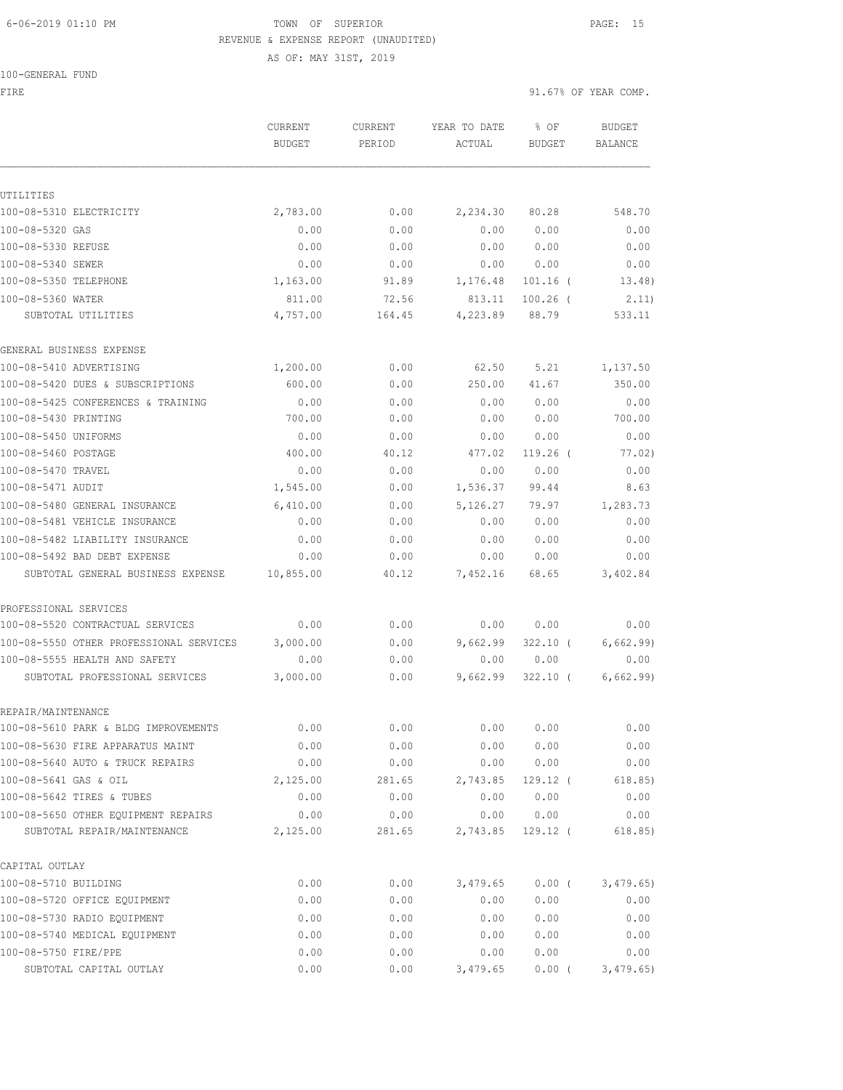## 6-06-2019 01:10 PM TOWN OF SUPERIOR PAGE: 15 REVENUE & EXPENSE REPORT (UNAUDITED)

100-GENERAL FUND

AS OF: MAY 31ST, 2019

FIRE  $91.67$ % OF YEAR COMP.

|                                         | CURRENT<br><b>BUDGET</b> | CURRENT<br>PERIOD | YEAR TO DATE<br>ACTUAL | % OF<br><b>BUDGET</b> | <b>BUDGET</b><br><b>BALANCE</b> |
|-----------------------------------------|--------------------------|-------------------|------------------------|-----------------------|---------------------------------|
| UTILITIES                               |                          |                   |                        |                       |                                 |
| 100-08-5310 ELECTRICITY                 | 2,783.00                 | 0.00              | 2,234.30               | 80.28                 | 548.70                          |
| 100-08-5320 GAS                         | 0.00                     | 0.00              | 0.00                   | 0.00                  | 0.00                            |
| 100-08-5330 REFUSE                      | 0.00                     | 0.00              | 0.00                   | 0.00                  | 0.00                            |
| 100-08-5340 SEWER                       | 0.00                     | 0.00              | 0.00                   | 0.00                  | 0.00                            |
| 100-08-5350 TELEPHONE                   | 1,163.00                 | 91.89             | 1,176.48               | $101.16$ (            | 13.48)                          |
| 100-08-5360 WATER                       | 811.00                   | 72.56             | 813.11                 | $100.26$ (            | 2.11)                           |
| SUBTOTAL UTILITIES                      | 4,757.00                 | 164.45            | 4,223.89               | 88.79                 | 533.11                          |
| GENERAL BUSINESS EXPENSE                |                          |                   |                        |                       |                                 |
| 100-08-5410 ADVERTISING                 | 1,200.00                 | 0.00              | 62.50                  | 5.21                  | 1,137.50                        |
| 100-08-5420 DUES & SUBSCRIPTIONS        | 600.00                   | 0.00              | 250.00                 | 41.67                 | 350.00                          |
| 100-08-5425 CONFERENCES & TRAINING      | 0.00                     | 0.00              | 0.00                   | 0.00                  | 0.00                            |
| 100-08-5430 PRINTING                    | 700.00                   | 0.00              | 0.00                   | 0.00                  | 700.00                          |
| 100-08-5450 UNIFORMS                    | 0.00                     | 0.00              | 0.00                   | 0.00                  | 0.00                            |
| 100-08-5460 POSTAGE                     | 400.00                   | 40.12             | 477.02                 | $119.26$ (            | 77.02)                          |
| 100-08-5470 TRAVEL                      | 0.00                     | 0.00              | 0.00                   | 0.00                  | 0.00                            |
| 100-08-5471 AUDIT                       | 1,545.00                 | 0.00              | 1,536.37               | 99.44                 | 8.63                            |
| 100-08-5480 GENERAL INSURANCE           | 6,410.00                 | 0.00              | 5,126.27               | 79.97                 | 1,283.73                        |
| 100-08-5481 VEHICLE INSURANCE           | 0.00                     | 0.00              | 0.00                   | 0.00                  | 0.00                            |
| 100-08-5482 LIABILITY INSURANCE         | 0.00                     | 0.00              | 0.00                   | 0.00                  | 0.00                            |
| 100-08-5492 BAD DEBT EXPENSE            | 0.00                     | 0.00              | 0.00                   | 0.00                  | 0.00                            |
| SUBTOTAL GENERAL BUSINESS EXPENSE       | 10,855.00                | 40.12             | 7,452.16               | 68.65                 | 3,402.84                        |
| PROFESSIONAL SERVICES                   |                          |                   |                        |                       |                                 |
| 100-08-5520 CONTRACTUAL SERVICES        | 0.00                     | 0.00              | 0.00                   | 0.00                  | 0.00                            |
| 100-08-5550 OTHER PROFESSIONAL SERVICES | 3,000.00                 | 0.00              | 9,662.99               | $322.10$ (            | 6,662.99)                       |
| 100-08-5555 HEALTH AND SAFETY           | 0.00                     | 0.00              | 0.00                   | 0.00                  | 0.00                            |
| SUBTOTAL PROFESSIONAL SERVICES          | 3,000.00                 | 0.00              | 9,662.99               | $322.10$ (            | 6,662.99)                       |
| REPAIR/MAINTENANCE                      |                          |                   |                        |                       |                                 |
| 100-08-5610 PARK & BLDG IMPROVEMENTS    | 0.00                     | 0.00              | 0.00                   | 0.00                  | 0.00                            |
| 100-08-5630 FIRE APPARATUS MAINT        | 0.00                     | 0.00              | 0.00                   | 0.00                  | 0.00                            |
| 100-08-5640 AUTO & TRUCK REPAIRS        | 0.00                     | 0.00              | 0.00                   | 0.00                  | 0.00                            |
| 100-08-5641 GAS & OIL                   | 2,125.00                 | 281.65            | 2,743.85               | $129.12$ (            | 618.85)                         |
| 100-08-5642 TIRES & TUBES               | 0.00                     | 0.00              | 0.00                   | 0.00                  | 0.00                            |
| 100-08-5650 OTHER EQUIPMENT REPAIRS     | 0.00                     | 0.00              | 0.00                   | 0.00                  | 0.00                            |
| SUBTOTAL REPAIR/MAINTENANCE             | 2,125.00                 | 281.65            | 2,743.85               | $129.12$ (            | 618.85)                         |
| CAPITAL OUTLAY                          |                          |                   |                        |                       |                                 |
| 100-08-5710 BUILDING                    | 0.00                     | 0.00              | 3,479.65               | 0.00(                 | 3,479.65                        |
| 100-08-5720 OFFICE EQUIPMENT            | 0.00                     | 0.00              | 0.00                   | 0.00                  | 0.00                            |
| 100-08-5730 RADIO EQUIPMENT             | 0.00                     | 0.00              | 0.00                   | 0.00                  | 0.00                            |
| 100-08-5740 MEDICAL EQUIPMENT           | 0.00                     | 0.00              | 0.00                   | 0.00                  | 0.00                            |
| 100-08-5750 FIRE/PPE                    | 0.00                     | 0.00              | 0.00                   | 0.00                  | 0.00                            |
| SUBTOTAL CAPITAL OUTLAY                 | 0.00                     | 0.00              | 3,479.65               | 0.00(                 | 3,479.65                        |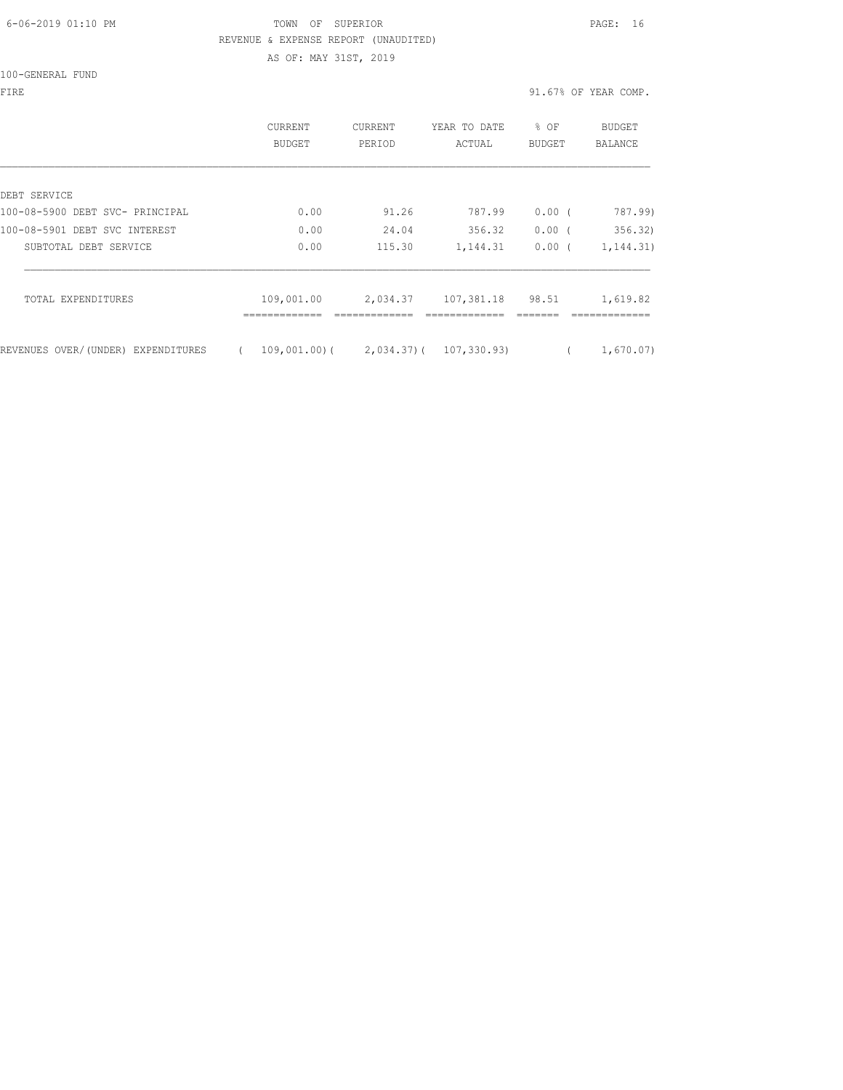## 6-06-2019 01:10 PM TOWN OF SUPERIOR PAGE: 16 REVENUE & EXPENSE REPORT (UNAUDITED)

AS OF: MAY 31ST, 2019

| 100-GENERAL FUND |  |
|------------------|--|
|------------------|--|

FIRE 91.67% OF YEAR COMP.

|                                    | CURRENT<br>BUDGET                      | CURRENT<br>PERIOD | YEAR TO DATE<br>ACTUAL | % OF<br>BUDGET | <b>BUDGET</b><br>BALANCE |
|------------------------------------|----------------------------------------|-------------------|------------------------|----------------|--------------------------|
| DEBT SERVICE                       |                                        |                   |                        |                |                          |
| 100-08-5900 DEBT SVC- PRINCIPAL    | 0.00                                   | 91.26             | 787.99                 | $0.00$ (       | 787.99)                  |
| 100-08-5901 DEBT SVC INTEREST      | 0.00                                   | 24.04             | 356.32                 | $0.00$ (       | 356.32)                  |
| SUBTOTAL DEBT SERVICE              | 0.00                                   | 115.30            | 1,144.31               | $0.00$ (       | 1, 144.31)               |
| TOTAL EXPENDITURES                 | 109,001.00                             | 2,034.37          | 107,381.18             | 98.51          | 1,619.82                 |
| REVENUES OVER/(UNDER) EXPENDITURES | $109,001,00$ ( 2,034.37) ( 107,330.93) |                   |                        |                | 1,670.07)                |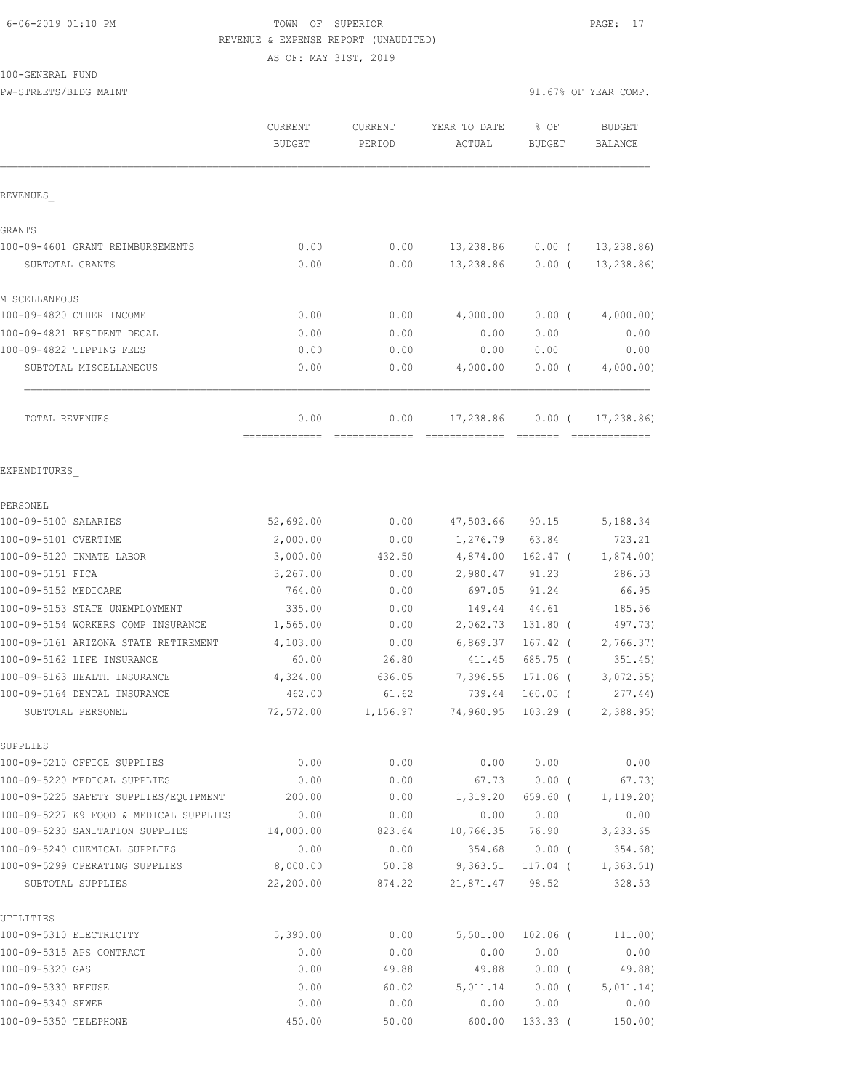## 6-06-2019 01:10 PM TOWN OF SUPERIOR PAGE: 17 REVENUE & EXPENSE REPORT (UNAUDITED) AS OF: MAY 31ST, 2019

## 100-GENERAL FUND

PW-STREETS/BLDG MAINT 31.67% OF YEAR COMP.

|                                                                 | CURRENT<br><b>BUDGET</b> | CURRENT<br>PERIOD | YEAR TO DATE<br>ACTUAL | % OF<br><b>BUDGET</b> | <b>BUDGET</b><br>BALANCE |
|-----------------------------------------------------------------|--------------------------|-------------------|------------------------|-----------------------|--------------------------|
| REVENUES                                                        |                          |                   |                        |                       |                          |
| GRANTS                                                          |                          |                   |                        |                       |                          |
| 100-09-4601 GRANT REIMBURSEMENTS                                | 0.00                     | 0.00              | 13,238.86              | $0.00$ (              | 13,238.86)               |
| SUBTOTAL GRANTS                                                 | 0.00                     | 0.00              | 13,238.86              | $0.00$ (              | 13, 238.86               |
| MISCELLANEOUS                                                   |                          |                   |                        |                       |                          |
| 100-09-4820 OTHER INCOME                                        | 0.00                     | 0.00              | 4,000.00               | $0.00$ (              | 4,000.00)                |
| 100-09-4821 RESIDENT DECAL                                      | 0.00                     | 0.00              | 0.00                   | 0.00                  | 0.00                     |
| 100-09-4822 TIPPING FEES                                        | 0.00                     | 0.00              | 0.00                   | 0.00                  | 0.00                     |
| SUBTOTAL MISCELLANEOUS                                          | 0.00                     | 0.00              | 4,000.00               | $0.00$ (              | 4,000.00)                |
| TOTAL REVENUES                                                  | 0.00                     | 0.00              | 17,238.86              | $0.00$ (              | 17,238.86)               |
| EXPENDITURES                                                    |                          |                   |                        |                       |                          |
| PERSONEL                                                        |                          |                   |                        |                       |                          |
| 100-09-5100 SALARIES                                            | 52,692.00                | 0.00              | 47,503.66              | 90.15                 | 5,188.34                 |
| 100-09-5101 OVERTIME                                            | 2,000.00                 | 0.00              | 1,276.79               | 63.84                 | 723.21                   |
| 100-09-5120 INMATE LABOR                                        | 3,000.00                 | 432.50            | 4,874.00               | 162.47 (              | 1,874.00)                |
| 100-09-5151 FICA                                                | 3,267.00                 | 0.00              | 2,980.47               | 91.23                 | 286.53                   |
| 100-09-5152 MEDICARE                                            | 764.00                   | 0.00              | 697.05                 | 91.24                 | 66.95                    |
| 100-09-5153 STATE UNEMPLOYMENT                                  | 335.00                   | 0.00              | 149.44                 | 44.61                 | 185.56                   |
| 100-09-5154 WORKERS COMP INSURANCE                              | 1,565.00                 | 0.00              | 2,062.73               | 131.80 (              | 497.73)                  |
| 100-09-5161 ARIZONA STATE RETIREMENT                            | 4,103.00                 | 0.00              | 6,869.37               | 167.42 (              | 2,766.37)                |
| 100-09-5162 LIFE INSURANCE                                      | 60.00                    | 26.80             | 411.45                 | 685.75 (              | 351.45)                  |
| 100-09-5163 HEALTH INSURANCE                                    | 4,324.00                 | 636.05            | 7,396.55               | $171.06$ (            | 3,072.55                 |
| 100-09-5164 DENTAL INSURANCE                                    | 462.00                   | 61.62             | 739.44                 | $160.05$ (            | 277.44)                  |
| SUBTOTAL PERSONEL                                               | 72,572.00                | 1,156.97          | 74,960.95              | $103.29$ (            | 2,388.95                 |
| SUPPLIES                                                        |                          |                   |                        |                       |                          |
| 100-09-5210 OFFICE SUPPLIES                                     | 0.00                     | 0.00              | 0.00                   | 0.00                  | 0.00                     |
| 100-09-5220 MEDICAL SUPPLIES                                    | 0.00                     | 0.00              | 67.73                  | 0.00(                 | 67.73)                   |
| 100-09-5225 SAFETY SUPPLIES/EOUIPMENT                           | 200.00                   | 0.00              | 1,319.20               | $659.60$ (            | 1, 119.20)               |
| 100-09-5227 K9 FOOD & MEDICAL SUPPLIES                          | 0.00                     | 0.00              | 0.00                   | 0.00                  | 0.00                     |
| 100-09-5230 SANITATION SUPPLIES                                 | 14,000.00                | 823.64            | 10,766.35              | 76.90                 | 3,233.65                 |
| 100-09-5240 CHEMICAL SUPPLIES<br>100-09-5299 OPERATING SUPPLIES | 0.00                     | 0.00              | 354.68                 | $0.00$ (              | 354.68)                  |
| SUBTOTAL SUPPLIES                                               | 8,000.00<br>22,200.00    | 50.58<br>874.22   | 9,363.51<br>21,871.47  | 117.04 (<br>98.52     | 1, 363.51<br>328.53      |
| UTILITIES                                                       |                          |                   |                        |                       |                          |
| 100-09-5310 ELECTRICITY                                         | 5,390.00                 | 0.00              | 5,501.00               | $102.06$ (            | 111.00)                  |
| 100-09-5315 APS CONTRACT                                        | 0.00                     | 0.00              | 0.00                   | 0.00                  | 0.00                     |
| 100-09-5320 GAS                                                 | 0.00                     | 49.88             | 49.88                  | $0.00$ (              | 49.88)                   |
| 100-09-5330 REFUSE                                              | 0.00                     | 60.02             | 5,011.14               | $0.00$ (              | 5,011.14)                |
| 100-09-5340 SEWER                                               | 0.00                     | 0.00              | 0.00                   | 0.00                  | 0.00                     |
| 100-09-5350 TELEPHONE                                           | 450.00                   | 50.00             | 600.00                 | 133.33(               | 150.00)                  |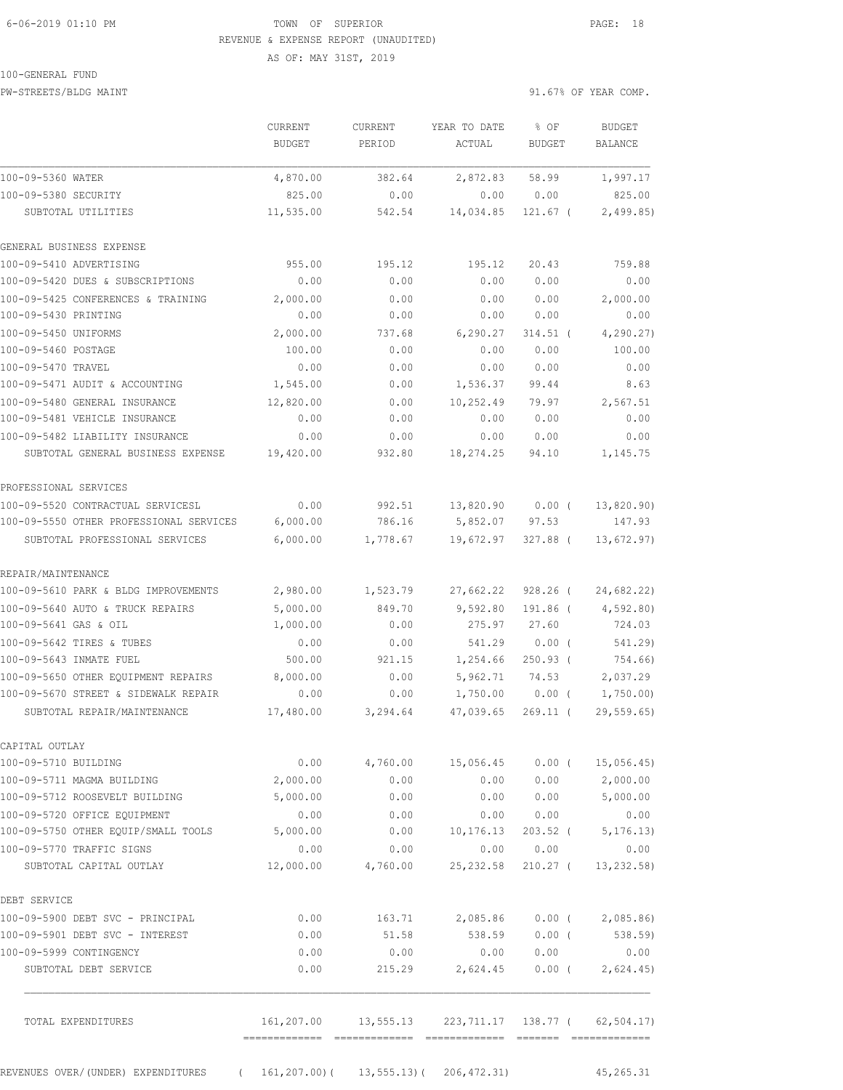## 6-06-2019 01:10 PM TOWN OF SUPERIOR PAGE: 18 REVENUE & EXPENSE REPORT (UNAUDITED) AS OF: MAY 31ST, 2019

#### 100-GENERAL FUND

PW-STREETS/BLDG MAINT 31.67% OF YEAR COMP.

|                                                                        | <b>CURRENT</b><br><b>BUDGET</b> | <b>CURRENT</b><br>PERIOD | YEAR TO DATE<br>ACTUAL                                        | % OF<br><b>BUDGET</b> | <b>BUDGET</b><br>BALANCE |
|------------------------------------------------------------------------|---------------------------------|--------------------------|---------------------------------------------------------------|-----------------------|--------------------------|
|                                                                        |                                 |                          |                                                               |                       |                          |
| 100-09-5360 WATER                                                      | 4,870.00                        | 382.64                   | 2,872.83                                                      | 58.99                 | 1,997.17                 |
| 100-09-5380 SECURITY                                                   | 825.00                          | 0.00                     | 0.00                                                          | 0.00                  | 825.00                   |
| SUBTOTAL UTILITIES                                                     | 11,535.00                       | 542.54                   | 14,034.85                                                     | $121.67$ (            | 2,499.85                 |
| GENERAL BUSINESS EXPENSE                                               |                                 |                          |                                                               |                       |                          |
| 100-09-5410 ADVERTISING                                                | 955.00                          | 195.12                   | 195.12                                                        | 20.43                 | 759.88                   |
| 100-09-5420 DUES & SUBSCRIPTIONS                                       | 0.00                            | 0.00                     | 0.00                                                          | 0.00                  | 0.00                     |
| 100-09-5425 CONFERENCES & TRAINING                                     | 2,000.00                        | 0.00                     | 0.00                                                          | 0.00                  | 2,000.00                 |
| 100-09-5430 PRINTING                                                   | 0.00                            | 0.00                     | 0.00                                                          | 0.00                  | 0.00                     |
| 100-09-5450 UNIFORMS                                                   | 2,000.00                        | 737.68                   | 6, 290.27                                                     | $314.51$ (            | 4, 290.27                |
| 100-09-5460 POSTAGE                                                    | 100.00                          | 0.00                     | 0.00                                                          | 0.00                  | 100.00                   |
| 100-09-5470 TRAVEL                                                     | 0.00                            | 0.00                     | 0.00                                                          | 0.00                  | 0.00                     |
| 100-09-5471 AUDIT & ACCOUNTING                                         | 1,545.00                        | 0.00                     | 1,536.37                                                      | 99.44                 | 8.63                     |
| 100-09-5480 GENERAL INSURANCE                                          | 12,820.00                       | 0.00                     | 10,252.49                                                     | 79.97                 | 2,567.51                 |
| 100-09-5481 VEHICLE INSURANCE                                          | 0.00                            | 0.00                     | 0.00                                                          | 0.00                  | 0.00                     |
| 100-09-5482 LIABILITY INSURANCE                                        | 0.00                            | 0.00                     | 0.00                                                          | 0.00                  | 0.00                     |
| SUBTOTAL GENERAL BUSINESS EXPENSE                                      | 19,420.00                       | 932.80                   | 18,274.25                                                     | 94.10                 | 1,145.75                 |
| PROFESSIONAL SERVICES                                                  |                                 |                          |                                                               |                       |                          |
| 100-09-5520 CONTRACTUAL SERVICESL                                      | 0.00                            | 992.51                   | 13,820.90                                                     | $0.00$ (              | 13,820.90)               |
| 100-09-5550 OTHER PROFESSIONAL SERVICES 6,000.00                       |                                 | 786.16                   | 5,852.07                                                      | 97.53                 | 147.93                   |
| SUBTOTAL PROFESSIONAL SERVICES                                         | 6,000.00                        | 1,778.67                 | 19,672.97                                                     | 327.88 (              | 13,672.97)               |
| REPAIR/MAINTENANCE                                                     |                                 |                          |                                                               |                       |                          |
| 100-09-5610 PARK & BLDG IMPROVEMENTS                                   | 2,980.00                        | 1,523.79                 | 27,662.22                                                     | $928.26$ (            | 24,682.22)               |
| 100-09-5640 AUTO & TRUCK REPAIRS                                       | 5,000.00                        | 849.70                   | 9,592.80                                                      | 191.86 (              | 4,592.80)                |
| 100-09-5641 GAS & OIL                                                  | 1,000.00                        | 0.00                     | 275.97                                                        | 27.60                 | 724.03                   |
| 100-09-5642 TIRES & TUBES                                              | 0.00                            | 0.00                     | 541.29                                                        | $0.00$ (              | 541.29)                  |
| 100-09-5643 INMATE FUEL                                                | 500.00                          | 921.15                   | 1,254.66                                                      | $250.93$ (            | 754.66)                  |
| 100-09-5650 OTHER EOUIPMENT REPAIRS                                    | 8,000.00                        | 0.00                     | 5,962.71                                                      | 74.53                 | 2,037.29                 |
| 100-09-5670 STREET & SIDEWALK REPAIR                                   | 0.00                            | 0.00                     | 1,750.00                                                      | $0.00$ (              | 1,750.00)                |
| SUBTOTAL REPAIR/MAINTENANCE                                            | 17,480.00                       | 3,294.64                 | 47,039.65                                                     | $269.11$ (            | 29, 559.65               |
| CAPITAL OUTLAY                                                         |                                 |                          |                                                               |                       |                          |
| 100-09-5710 BUILDING                                                   |                                 |                          | $0.00$ 4,760.00 15,056.45                                     |                       | $0.00$ ( 15,056.45)      |
| 100-09-5711 MAGMA BUILDING                                             | 2,000.00                        | 0.00                     | 0.00                                                          |                       | 0.00 2,000.00            |
| 100-09-5712 ROOSEVELT BUILDING                                         | 5,000.00                        | 0.00                     | 0.00                                                          |                       | $0.00$ 5,000.00          |
| 100-09-5720 OFFICE EQUIPMENT                                           | 0.00                            | 0.00                     | 0.00                                                          | 0.00                  | 0.00                     |
| 100-09-5750 OTHER EQUIP/SMALL TOOLS                                    | 5,000.00                        | 0.00                     | 10,176.13                                                     | $203.52$ (            | 5, 176.13)               |
| 100-09-5770 TRAFFIC SIGNS                                              | 0.00                            | 0.00                     | 0.00                                                          | 0.00                  | 0.00                     |
| SUBTOTAL CAPITAL OUTLAY                                                |                                 | 12,000.00 4,760.00       | 25, 232.58                                                    | 210.27 (              | 13, 232.58               |
| DEBT SERVICE                                                           |                                 |                          |                                                               |                       |                          |
| 100-09-5900 DEBT SVC - PRINCIPAL                                       | 0.00                            |                          | 163.71 2,085.86 0.00 ( 2,085.86)                              |                       |                          |
| 100-09-5901 DEBT SVC - INTEREST                                        | 0.00                            | 51.58                    |                                                               |                       | 538.59 0.00 (538.59)     |
| 100-09-5999 CONTINGENCY                                                | 0.00                            | 0.00                     | 0.00                                                          | 0.00                  | 0.00                     |
| SUBTOTAL DEBT SERVICE                                                  | 0.00                            | 215.29                   | 2,624.45                                                      |                       | $0.00$ ( 2,624.45)       |
| TOTAL EXPENDITURES                                                     |                                 |                          | 161, 207.00   13, 555.13   223, 711.17   138.77   62, 504.17) |                       |                          |
| REVENUES OVER/(UNDER) EXPENDITURES (161,207.00)(13,555.13)(206,472.31) |                                 |                          |                                                               |                       | 45,265.31                |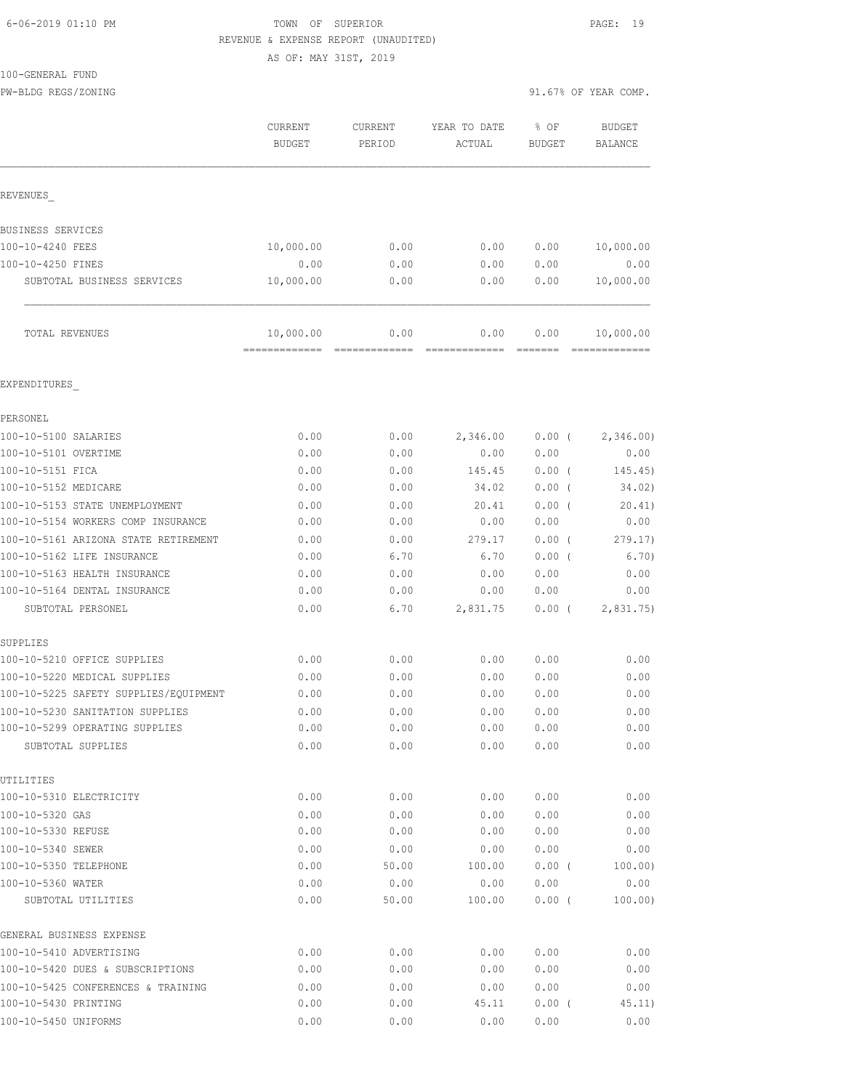#### 6-06-2019 01:10 PM TOWN OF SUPERIOR PAGE: 19 REVENUE & EXPENSE REPORT (UNAUDITED)

AS OF: MAY 31ST, 2019

100-GENERAL FUND

PW-BLDG REGS/ZONING 91.67% OF YEAR COMP.

|                                       | CURRENT<br><b>BUDGET</b>  | CURRENT<br>PERIOD     | YEAR TO DATE<br>ACTUAL | % OF<br><b>BUDGET</b>                                                           | <b>BUDGET</b><br>BALANCE   |
|---------------------------------------|---------------------------|-----------------------|------------------------|---------------------------------------------------------------------------------|----------------------------|
| REVENUES                              |                           |                       |                        |                                                                                 |                            |
| BUSINESS SERVICES                     |                           |                       |                        |                                                                                 |                            |
| 100-10-4240 FEES                      | 10,000.00                 | 0.00                  | 0.00                   | 0.00                                                                            | 10,000.00                  |
| 100-10-4250 FINES                     | 0.00                      | 0.00                  | 0.00                   | 0.00                                                                            | 0.00                       |
| SUBTOTAL BUSINESS SERVICES            | 10,000.00                 | 0.00                  | 0.00                   | 0.00                                                                            | 10,000.00                  |
| TOTAL REVENUES                        | 10,000.00<br>============ | 0.00<br>============= | 0.00<br>=============  | 0.00<br>$\begin{array}{cccccccccc} = & = & = & = & = & = & = & = & \end{array}$ | 10,000.00<br>============= |
| EXPENDITURES                          |                           |                       |                        |                                                                                 |                            |
| PERSONEL                              |                           |                       |                        |                                                                                 |                            |
| 100-10-5100 SALARIES                  | 0.00                      | 0.00                  | 2,346.00               | $0.00$ (                                                                        | 2,346.00                   |
| 100-10-5101 OVERTIME                  | 0.00                      | 0.00                  | 0.00                   | 0.00                                                                            | 0.00                       |
| 100-10-5151 FICA                      | 0.00                      | 0.00                  | 145.45                 | 0.00(                                                                           | 145.45)                    |
| 100-10-5152 MEDICARE                  | 0.00                      | 0.00                  | 34.02                  | $0.00$ (                                                                        | 34.02)                     |
| 100-10-5153 STATE UNEMPLOYMENT        | 0.00                      | 0.00                  | 20.41                  | $0.00$ (                                                                        | 20.41)                     |
| 100-10-5154 WORKERS COMP INSURANCE    | 0.00                      | 0.00                  | 0.00                   | 0.00                                                                            | 0.00                       |
| 100-10-5161 ARIZONA STATE RETIREMENT  | 0.00                      | 0.00                  | 279.17                 | $0.00$ (                                                                        | 279.17)                    |
| 100-10-5162 LIFE INSURANCE            | 0.00                      | 6.70                  | 6.70                   | 0.00(                                                                           | 6.70)                      |
| 100-10-5163 HEALTH INSURANCE          | 0.00                      | 0.00                  | 0.00                   | 0.00                                                                            | 0.00                       |
| 100-10-5164 DENTAL INSURANCE          | 0.00                      | 0.00                  | 0.00                   | 0.00                                                                            | 0.00                       |
| SUBTOTAL PERSONEL                     | 0.00                      | 6.70                  | 2,831.75               | $0.00$ (                                                                        | 2,831.75                   |
| SUPPLIES                              |                           |                       |                        |                                                                                 |                            |
| 100-10-5210 OFFICE SUPPLIES           | 0.00                      | 0.00                  | 0.00                   | 0.00                                                                            | 0.00                       |
| 100-10-5220 MEDICAL SUPPLIES          | 0.00                      | 0.00                  | 0.00                   | 0.00                                                                            | 0.00                       |
| 100-10-5225 SAFETY SUPPLIES/EQUIPMENT | 0.00                      | 0.00                  | 0.00                   | 0.00                                                                            | 0.00                       |
| 100-10-5230 SANITATION SUPPLIES       | 0.00                      | 0.00                  | 0.00                   | 0.00                                                                            | 0.00                       |
| 100-10-5299 OPERATING SUPPLIES        | 0.00                      | 0.00                  | 0.00                   | 0.00                                                                            | 0.00                       |
| SUBTOTAL SUPPLIES                     | 0.00                      | 0.00                  | 0.00                   | 0.00                                                                            | 0.00                       |
| UTILITIES<br>100-10-5310 ELECTRICITY  | 0.00                      | 0.00                  | 0.00                   | 0.00                                                                            | 0.00                       |
|                                       |                           |                       |                        |                                                                                 |                            |
| 100-10-5320 GAS<br>100-10-5330 REFUSE | 0.00<br>0.00              | 0.00<br>0.00          | 0.00<br>0.00           | 0.00<br>0.00                                                                    | 0.00<br>0.00               |
| 100-10-5340 SEWER                     | 0.00                      | 0.00                  | 0.00                   | 0.00                                                                            | 0.00                       |
| 100-10-5350 TELEPHONE                 | 0.00                      | 50.00                 | 100.00                 | 0.00(                                                                           | 100.00)                    |
| 100-10-5360 WATER                     | 0.00                      | 0.00                  | 0.00                   | 0.00                                                                            | 0.00                       |
| SUBTOTAL UTILITIES                    | 0.00                      | 50.00                 | 100.00                 | 0.00(                                                                           | 100.00)                    |
| GENERAL BUSINESS EXPENSE              |                           |                       |                        |                                                                                 |                            |
| 100-10-5410 ADVERTISING               | 0.00                      | 0.00                  | 0.00                   | 0.00                                                                            | 0.00                       |
| 100-10-5420 DUES & SUBSCRIPTIONS      | 0.00                      | 0.00                  | 0.00                   | 0.00                                                                            | 0.00                       |
| 100-10-5425 CONFERENCES & TRAINING    | 0.00                      | 0.00                  | 0.00                   | 0.00                                                                            | 0.00                       |
| 100-10-5430 PRINTING                  | 0.00                      | 0.00                  | 45.11                  | 0.00(                                                                           | 45.11)                     |

100-10-5450 UNIFORMS 0.00 0.00 0.00 0.00 0.00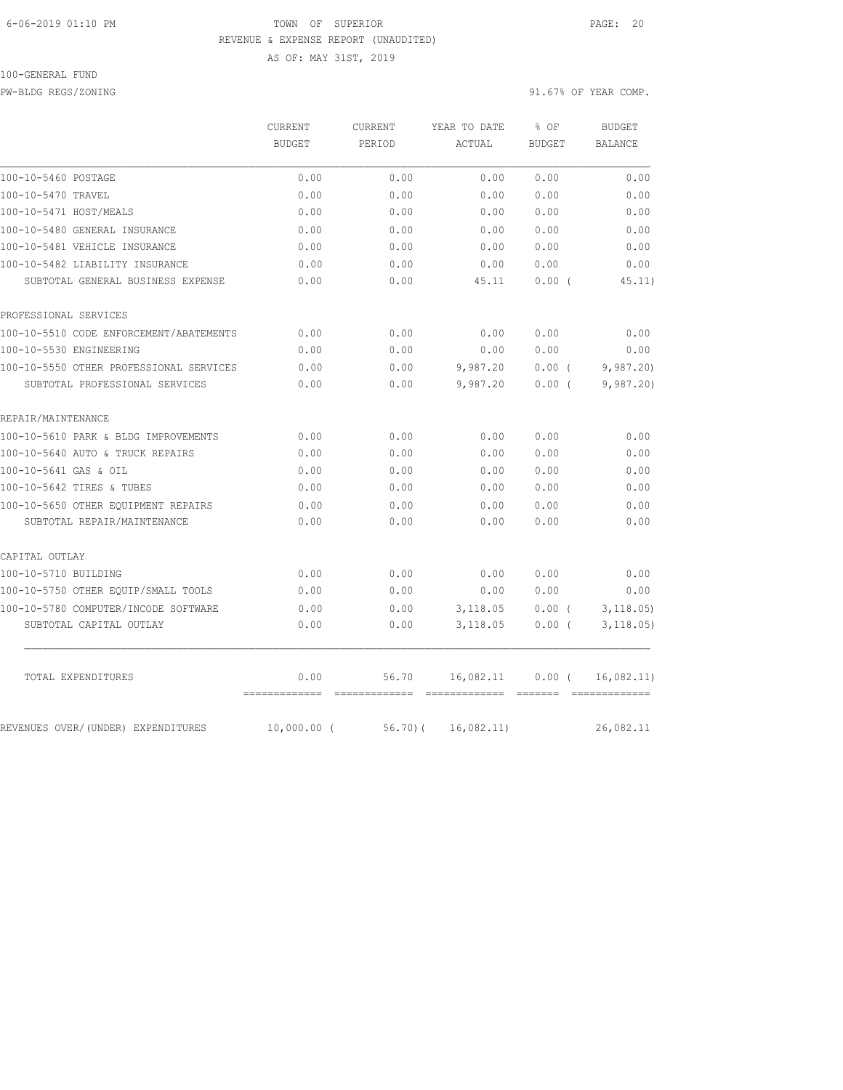#### 6-06-2019 01:10 PM TOWN OF SUPERIOR PAGE: 20 REVENUE & EXPENSE REPORT (UNAUDITED)

AS OF: MAY 31ST, 2019

#### 100-GENERAL FUND

PW-BLDG REGS/ZONING 91.67% OF YEAR COMP.

|                                         | CURRENT<br><b>BUDGET</b> | <b>CURRENT</b><br>PERIOD | YEAR TO DATE | % OF<br><b>BUDGET</b> | <b>BUDGET</b>  |
|-----------------------------------------|--------------------------|--------------------------|--------------|-----------------------|----------------|
|                                         |                          |                          | ACTUAL       |                       | <b>BALANCE</b> |
| 100-10-5460 POSTAGE                     | 0.00                     | 0.00                     | 0.00         | 0.00                  | 0.00           |
| 100-10-5470 TRAVEL                      | 0.00                     | 0.00                     | 0.00         | 0.00                  | 0.00           |
| 100-10-5471 HOST/MEALS                  | 0.00                     | 0.00                     | 0.00         | 0.00                  | 0.00           |
| 100-10-5480 GENERAL INSURANCE           | 0.00                     | 0.00                     | 0.00         | 0.00                  | 0.00           |
| 100-10-5481 VEHICLE INSURANCE           | 0.00                     | 0.00                     | 0.00         | 0.00                  | 0.00           |
| 100-10-5482 LIABILITY INSURANCE         | 0.00                     | 0.00                     | 0.00         | 0.00                  | 0.00           |
| SUBTOTAL GENERAL BUSINESS EXPENSE       | 0.00                     | 0.00                     | 45.11        | 0.00(                 | 45.11)         |
| PROFESSIONAL SERVICES                   |                          |                          |              |                       |                |
| 100-10-5510 CODE ENFORCEMENT/ABATEMENTS | 0.00                     | 0.00                     | 0.00         | 0.00                  | 0.00           |
| 100-10-5530 ENGINEERING                 | 0.00                     | 0.00                     | 0.00         | 0.00                  | 0.00           |
| 100-10-5550 OTHER PROFESSIONAL SERVICES | 0.00                     | 0.00                     | 9,987.20     | 0.00(                 | 9,987.20       |
| SUBTOTAL PROFESSIONAL SERVICES          | 0.00                     | 0.00                     | 9,987.20     | 0.00(                 | 9,987.20       |
| REPAIR/MAINTENANCE                      |                          |                          |              |                       |                |
| 100-10-5610 PARK & BLDG IMPROVEMENTS    | 0.00                     | 0.00                     | 0.00         | 0.00                  | 0.00           |
| 100-10-5640 AUTO & TRUCK REPAIRS        | 0.00                     | 0.00                     | 0.00         | 0.00                  | 0.00           |
| 100-10-5641 GAS & OIL                   | 0.00                     | 0.00                     | 0.00         | 0.00                  | 0.00           |
| 100-10-5642 TIRES & TUBES               | 0.00                     | 0.00                     | 0.00         | 0.00                  | 0.00           |
| 100-10-5650 OTHER EQUIPMENT REPAIRS     | 0.00                     | 0.00                     | 0.00         | 0.00                  | 0.00           |
| SUBTOTAL REPAIR/MAINTENANCE             | 0.00                     | 0.00                     | 0.00         | 0.00                  | 0.00           |
| CAPITAL OUTLAY                          |                          |                          |              |                       |                |
| 100-10-5710 BUILDING                    | 0.00                     | 0.00                     | 0.00         | 0.00                  | 0.00           |
| 100-10-5750 OTHER EQUIP/SMALL TOOLS     | 0.00                     | 0.00                     | 0.00         | 0.00                  | 0.00           |
| 100-10-5780 COMPUTER/INCODE SOFTWARE    | 0.00                     | 0.00                     | 3,118.05     | $0.00$ (              | 3, 118.05      |
| SUBTOTAL CAPITAL OUTLAY                 | 0.00                     | 0.00                     | 3,118.05     | 0.00(                 | 3, 118.05)     |
| TOTAL EXPENDITURES                      | 0.00                     | 56.70                    | 16,082.11    | 0.00(                 | 16,082.11)     |
| REVENUES OVER/(UNDER) EXPENDITURES      | $10,000.00$ (            | 56.70(                   | 16,082.11)   |                       | 26,082.11      |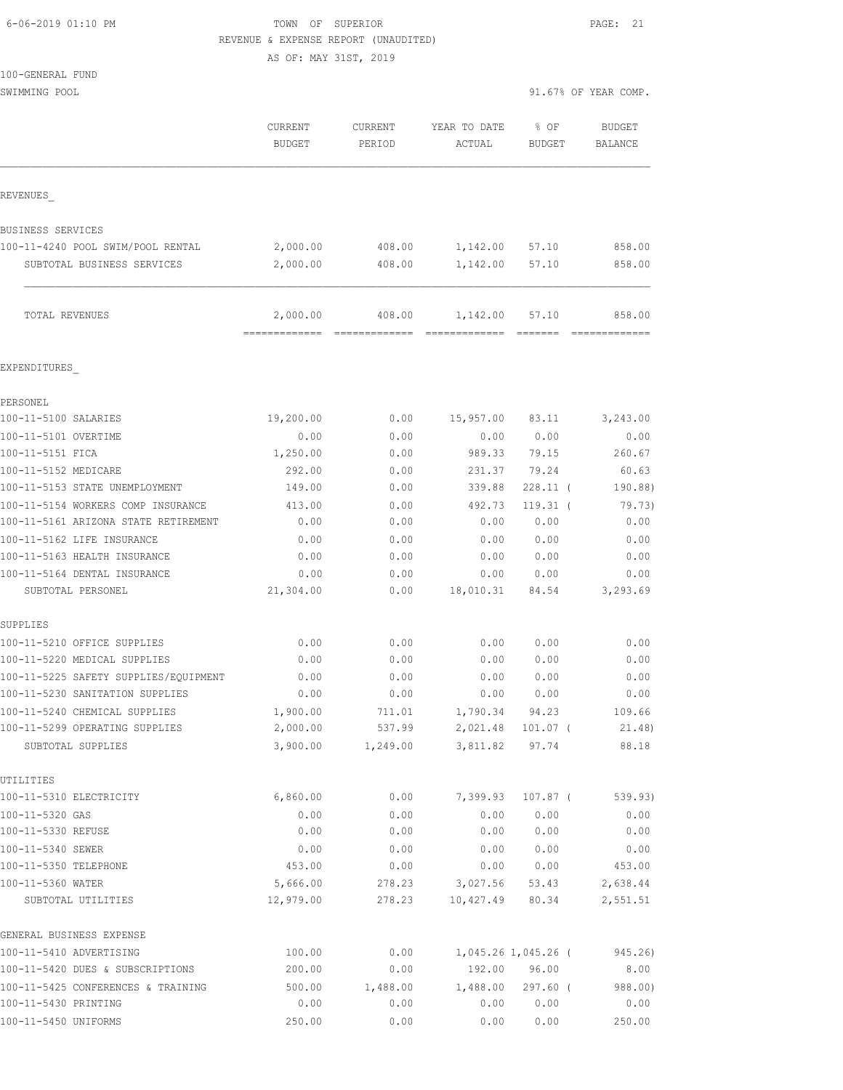| 6-06-2019 01:10 PM |  |
|--------------------|--|

100-GENERAL FUND

TOWN OF SUPERIOR **Example 21** PAGE: 21 REVENUE & EXPENSE REPORT (UNAUDITED)

AS OF: MAY 31ST, 2019

| SWIMMING POOL                                     |                          |                          |                        |                       | 91.67% OF YEAR COMP.            |
|---------------------------------------------------|--------------------------|--------------------------|------------------------|-----------------------|---------------------------------|
|                                                   | CURRENT<br><b>BUDGET</b> | <b>CURRENT</b><br>PERIOD | YEAR TO DATE<br>ACTUAL | % OF<br><b>BUDGET</b> | <b>BUDGET</b><br><b>BALANCE</b> |
| REVENUES                                          |                          |                          |                        |                       |                                 |
| BUSINESS SERVICES                                 |                          |                          |                        |                       |                                 |
| 100-11-4240 POOL SWIM/POOL RENTAL                 | 2,000.00                 | 408.00                   | 1,142.00               | 57.10                 | 858.00                          |
| SUBTOTAL BUSINESS SERVICES                        | 2,000.00                 | 408.00                   | 1,142.00               | 57.10                 | 858.00                          |
| TOTAL REVENUES                                    | 2,000.00                 | 408.00                   | 1,142.00               | 57.10                 | 858.00                          |
| EXPENDITURES                                      |                          |                          |                        |                       |                                 |
| PERSONEL                                          |                          |                          |                        |                       |                                 |
| 100-11-5100 SALARIES                              | 19,200.00                | 0.00                     | 15,957.00              | 83.11                 | 3,243.00                        |
| 100-11-5101 OVERTIME                              | 0.00                     | 0.00                     | 0.00                   | 0.00                  | 0.00                            |
| 100-11-5151 FICA                                  | 1,250.00                 | 0.00                     | 989.33                 | 79.15                 | 260.67                          |
| 100-11-5152 MEDICARE                              | 292.00                   | 0.00                     | 231.37                 | 79.24                 | 60.63                           |
| 100-11-5153 STATE UNEMPLOYMENT                    | 149.00                   | 0.00                     | 339.88                 | $228.11$ (            | 190.88)                         |
| 100-11-5154 WORKERS COMP INSURANCE                | 413.00                   | 0.00                     | 492.73                 | $119.31$ (            | 79.73)                          |
| 100-11-5161 ARIZONA STATE RETIREMENT              | 0.00                     | 0.00                     | 0.00                   | 0.00                  | 0.00                            |
| 100-11-5162 LIFE INSURANCE                        | 0.00                     | 0.00                     | 0.00                   | 0.00                  | 0.00                            |
| 100-11-5163 HEALTH INSURANCE                      | 0.00                     | 0.00                     | 0.00                   | 0.00                  | 0.00                            |
| 100-11-5164 DENTAL INSURANCE<br>SUBTOTAL PERSONEL | 0.00<br>21,304.00        | 0.00<br>0.00             | 0.00<br>18,010.31      | 0.00<br>84.54         | 0.00<br>3,293.69                |
| SUPPLIES                                          |                          |                          |                        |                       |                                 |
| 100-11-5210 OFFICE SUPPLIES                       | 0.00                     | 0.00                     | 0.00                   | 0.00                  | 0.00                            |
| 100-11-5220 MEDICAL SUPPLIES                      | 0.00                     | 0.00                     | 0.00                   | 0.00                  | 0.00                            |
| 100-11-5225 SAFETY SUPPLIES/EQUIPMENT             | 0.00                     | 0.00                     | 0.00                   | 0.00                  | 0.00                            |
| 100-11-5230 SANITATION SUPPLIES                   | 0.00                     | 0.00                     | 0.00                   | 0.00                  | 0.00                            |
| 100-11-5240 CHEMICAL SUPPLIES                     | 1,900.00                 | 711.01                   |                        | 1,790.34 94.23        | 109.66                          |
| 100-11-5299 OPERATING SUPPLIES                    | 2,000.00                 | 537.99                   |                        | 2,021.48 101.07 (     | 21.48)                          |
| SUBTOTAL SUPPLIES                                 | 3,900.00                 | 1,249.00                 |                        | 3,811.82 97.74        | 88.18                           |
| UTILITIES<br>100-11-5310 ELECTRICITY              | 6,860.00                 | 0.00                     | 7,399.93               | 107.87 (              | 539.93)                         |
| 100-11-5320 GAS                                   | 0.00                     | 0.00                     | 0.00                   | 0.00                  | 0.00                            |
| 100-11-5330 REFUSE                                | 0.00                     | 0.00                     | 0.00                   | 0.00                  | 0.00                            |
| 100-11-5340 SEWER                                 | 0.00                     | 0.00                     | 0.00                   | 0.00                  | 0.00                            |
| 100-11-5350 TELEPHONE                             | 453.00                   | 0.00                     | 0.00                   | 0.00                  | 453.00                          |
| 100-11-5360 WATER                                 | 5,666.00                 | 278.23                   | 3,027.56 53.43         |                       | 2,638.44                        |
| SUBTOTAL UTILITIES                                | 12,979.00                | 278.23                   | 10,427.49              | 80.34                 | 2,551.51                        |
| GENERAL BUSINESS EXPENSE                          |                          |                          |                        |                       |                                 |
| 100-11-5410 ADVERTISING                           | 100.00                   | 0.00                     |                        | 1,045.26 1,045.26 (   | 945.26)                         |
| 100-11-5420 DUES & SUBSCRIPTIONS                  | 200.00                   | 0.00                     |                        | 192.00 96.00          | 8.00                            |
| 100-11-5425 CONFERENCES & TRAINING                | 500.00                   | 1,488.00                 |                        | $1,488.00$ 297.60 (   | 988.00)                         |
| 100-11-5430 PRINTING                              | 0.00                     | 0.00                     | 0.00                   | 0.00                  | 0.00                            |
| 100-11-5450 UNIFORMS                              | 250.00                   | 0.00                     | 0.00                   | 0.00                  | 250.00                          |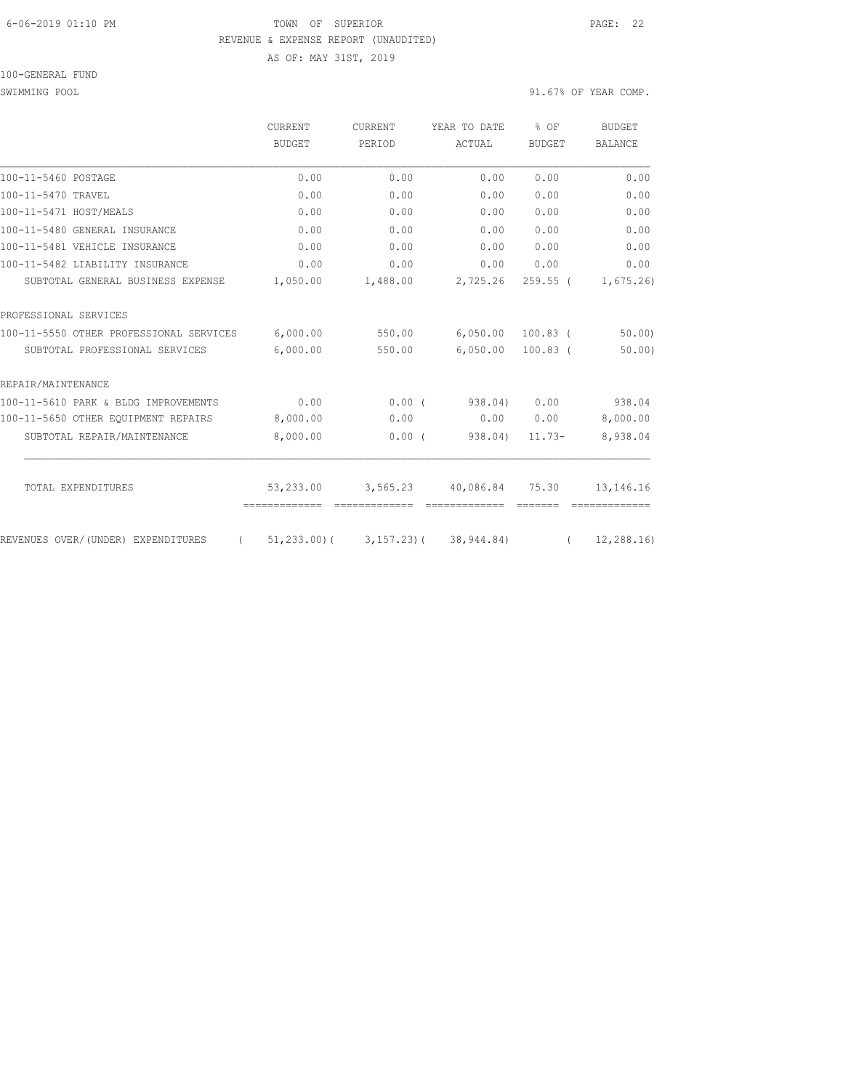#### 6-06-2019 01:10 PM TOWN OF SUPERIOR PAGE: 22 REVENUE & EXPENSE REPORT (UNAUDITED) AS OF: MAY 31ST, 2019

100-GENERAL FUND

|                                                | <b>CURRENT</b><br><b>BUDGET</b> | <b>CURRENT</b><br>PERIOD | YEAR TO DATE                 | $8$ OF<br><b>BUDGET</b> | <b>BUDGET</b><br><b>BALANCE</b> |
|------------------------------------------------|---------------------------------|--------------------------|------------------------------|-------------------------|---------------------------------|
|                                                |                                 |                          | ACTUAL                       |                         |                                 |
| 100-11-5460 POSTAGE                            | 0.00                            | 0.00                     | 0.00                         | 0.00                    | 0.00                            |
| 100-11-5470 TRAVEL                             | 0.00                            | 0.00                     | 0.00                         | 0.00                    | 0.00                            |
| 100-11-5471 HOST/MEALS                         | 0.00                            | 0.00                     | 0.00                         | 0.00                    | 0.00                            |
| 100-11-5480 GENERAL INSURANCE                  | 0.00                            | 0.00                     | 0.00                         | 0.00                    | 0.00                            |
| 100-11-5481 VEHICLE INSURANCE                  | 0.00                            | 0.00                     | 0.00                         | 0.00                    | 0.00                            |
| 100-11-5482 LIABILITY INSURANCE                | 0.00                            | 0.00                     | 0.00                         | 0.00                    | 0.00                            |
| SUBTOTAL GENERAL BUSINESS EXPENSE              | 1,050.00                        | 1,488.00                 | 2,725.26                     | $259.55$ (              | 1,675.26                        |
| PROFESSIONAL SERVICES                          |                                 |                          |                              |                         |                                 |
| 100-11-5550 OTHER PROFESSIONAL SERVICES        | 6,000.00                        | 550.00                   | 6,050.00                     | $100.83$ (              | 50.00                           |
| SUBTOTAL PROFESSIONAL SERVICES                 | 6,000.00                        | 550.00                   | 6,050.00                     | $100.83$ (              | 50.00                           |
| REPAIR/MAINTENANCE                             |                                 |                          |                              |                         |                                 |
| 100-11-5610 PARK & BLDG IMPROVEMENTS           | 0.00                            | $0.00$ (                 | 938.04)                      | 0.00                    | 938.04                          |
| 100-11-5650 OTHER EOUIPMENT REPAIRS            | 8,000.00                        | 0.00                     | 0.00                         | 0.00                    | 8,000.00                        |
| SUBTOTAL REPAIR/MAINTENANCE                    | 8,000.00                        | 0.00(                    | 938.04)                      | $11.73-$                | 8,938.04                        |
| TOTAL EXPENDITURES                             | 53,233.00                       | 3,565.23                 | 40,086.84                    | 75.30                   | 13, 146. 16                     |
|                                                | =============                   |                          |                              |                         |                                 |
| REVENUES OVER/(UNDER) EXPENDITURES<br>$\left($ | 51,233.00)(                     |                          | $3, 157.23$ ( $38, 944.84$ ) | $\left($                | 12, 288, 16)                    |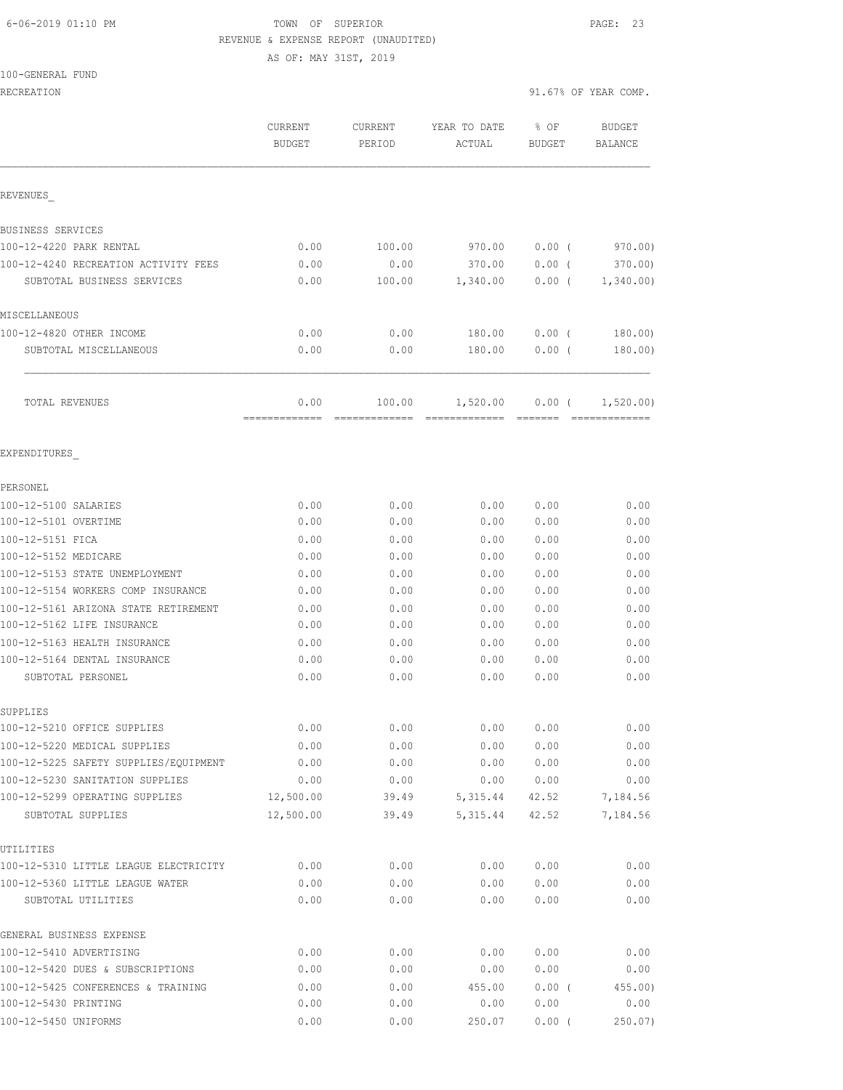#### 6-06-2019 01:10 PM TOWN OF SUPERIOR PAGE: 23 REVENUE & EXPENSE REPORT (UNAUDITED)

AS OF: MAY 31ST, 2019

100-GENERAL FUND

RECREATION 91.67% OF YEAR COMP.

|                                                       | <b>CURRENT</b><br><b>BUDGET</b> | <b>CURRENT</b><br>PERIOD | YEAR TO DATE<br>ACTUAL | % OF<br>BUDGET | <b>BUDGET</b><br><b>BALANCE</b> |
|-------------------------------------------------------|---------------------------------|--------------------------|------------------------|----------------|---------------------------------|
| REVENUES                                              |                                 |                          |                        |                |                                 |
| BUSINESS SERVICES                                     |                                 |                          |                        |                |                                 |
| 100-12-4220 PARK RENTAL                               | 0.00                            | 100.00                   | 970.00                 | 0.00(          | 970.00)                         |
| 100-12-4240 RECREATION ACTIVITY FEES                  | 0.00                            | 0.00                     | 370.00                 | $0.00$ (       | 370.00)                         |
| SUBTOTAL BUSINESS SERVICES                            | 0.00                            | 100.00                   | 1,340.00               | 0.00(          | 1,340.00                        |
| MISCELLANEOUS                                         |                                 |                          |                        |                |                                 |
| 100-12-4820 OTHER INCOME                              | 0.00                            | 0.00                     | 180.00                 | 0.00(          | 180.00                          |
| SUBTOTAL MISCELLANEOUS                                | 0.00                            | 0.00                     | 180.00                 | 0.00(          | 180.00)                         |
| <b>TOTAL REVENUES</b>                                 | 0.00                            | 100.00                   | 1,520.00               | 0.00(          | 1,520.00)                       |
| EXPENDITURES                                          |                                 |                          |                        |                |                                 |
| PERSONEL                                              |                                 |                          |                        |                |                                 |
| 100-12-5100 SALARIES                                  | 0.00                            | 0.00                     | 0.00                   | 0.00           | 0.00                            |
| 100-12-5101 OVERTIME                                  | 0.00                            | 0.00                     | 0.00                   | 0.00           | 0.00                            |
| 100-12-5151 FICA                                      | 0.00                            | 0.00                     | 0.00                   | 0.00           | 0.00                            |
| 100-12-5152 MEDICARE                                  | 0.00                            | 0.00                     | 0.00                   | 0.00           | 0.00                            |
| 100-12-5153 STATE UNEMPLOYMENT                        | 0.00                            | 0.00                     | 0.00                   | 0.00           | 0.00                            |
| 100-12-5154 WORKERS COMP INSURANCE                    | 0.00                            | 0.00                     | 0.00                   | 0.00           | 0.00                            |
| 100-12-5161 ARIZONA STATE RETIREMENT                  | 0.00                            | 0.00                     | 0.00                   | 0.00           | 0.00                            |
| 100-12-5162 LIFE INSURANCE                            | 0.00                            | 0.00                     | 0.00                   | 0.00           | 0.00                            |
| 100-12-5163 HEALTH INSURANCE                          | 0.00                            | 0.00                     | 0.00                   | 0.00           | 0.00                            |
| 100-12-5164 DENTAL INSURANCE                          | 0.00                            | 0.00                     | 0.00                   | 0.00           | 0.00                            |
| SUBTOTAL PERSONEL                                     | 0.00                            | 0.00                     | 0.00                   | 0.00           | 0.00                            |
| SUPPLIES                                              |                                 |                          |                        |                |                                 |
| 100-12-5210 OFFICE SUPPLIES                           | 0.00                            | 0.00                     | 0.00                   | 0.00           | 0.00                            |
| 100-12-5220 MEDICAL SUPPLIES                          | 0.00                            | 0.00                     | 0.00                   | 0.00           | 0.00                            |
| 100-12-5225 SAFETY SUPPLIES/EQUIPMENT                 | 0.00                            | 0.00                     | 0.00                   | 0.00           | 0.00                            |
| 100-12-5230 SANITATION SUPPLIES                       | 0.00                            | 0.00                     | 0.00                   | 0.00           | 0.00                            |
| 100-12-5299 OPERATING SUPPLIES                        | 12,500.00                       | 39.49                    | 5,315.44               | 42.52          | 7,184.56                        |
| SUBTOTAL SUPPLIES                                     | 12,500.00                       | 39.49                    | 5, 315.44              | 42.52          | 7,184.56                        |
| UTILITIES                                             |                                 |                          |                        |                |                                 |
| 100-12-5310 LITTLE LEAGUE ELECTRICITY                 | 0.00                            | 0.00                     | 0.00                   | 0.00           | 0.00                            |
| 100-12-5360 LITTLE LEAGUE WATER<br>SUBTOTAL UTILITIES | 0.00<br>0.00                    | 0.00<br>0.00             | 0.00<br>0.00           | 0.00<br>0.00   | 0.00<br>0.00                    |
| GENERAL BUSINESS EXPENSE                              |                                 |                          |                        |                |                                 |
| 100-12-5410 ADVERTISING                               | 0.00                            | 0.00                     | 0.00                   | 0.00           | 0.00                            |
| 100-12-5420 DUES & SUBSCRIPTIONS                      | 0.00                            | 0.00                     | 0.00                   | 0.00           | 0.00                            |
| 100-12-5425 CONFERENCES & TRAINING                    | 0.00                            | 0.00                     | 455.00                 | $0.00$ (       | $455.00$ )                      |
| 100-12-5430 PRINTING                                  | 0.00                            | 0.00                     | 0.00                   | 0.00           | 0.00                            |
| 100-12-5450 UNIFORMS                                  | 0.00                            | 0.00                     | 250.07                 | $0.00$ (       | 250.07                          |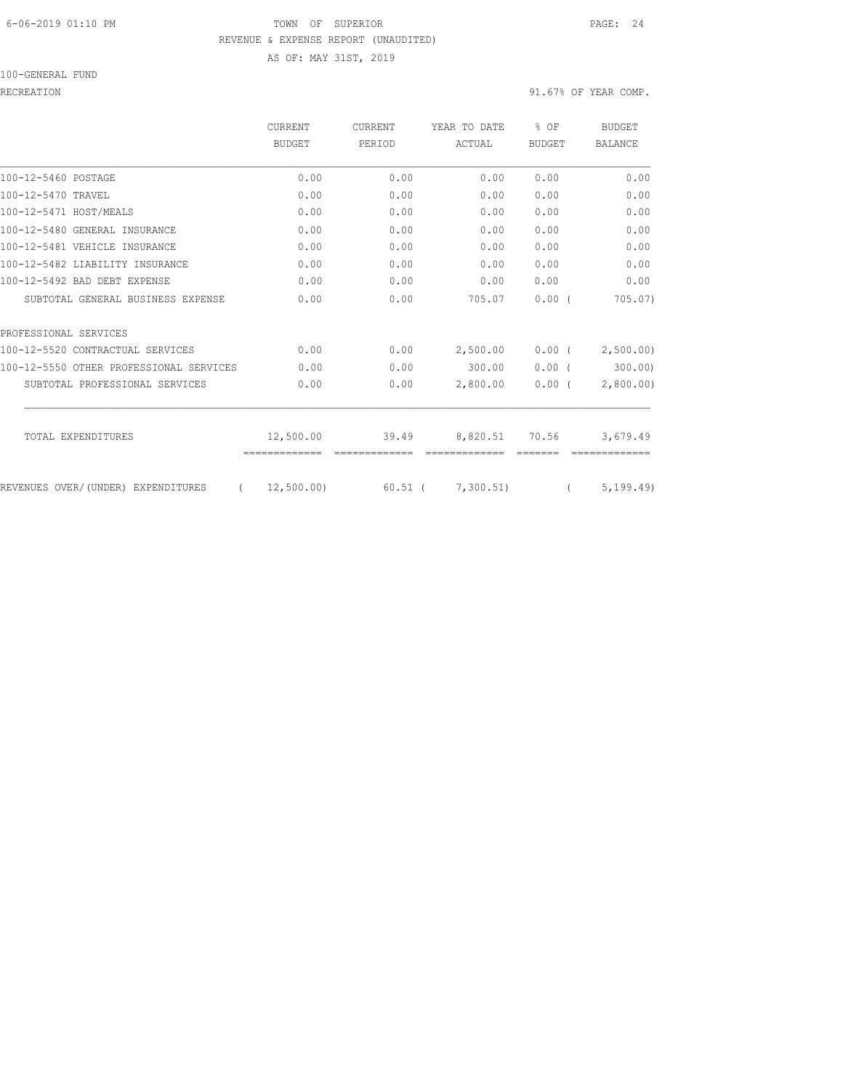## 6-06-2019 01:10 PM TOWN OF SUPERIOR PAGE: 24 REVENUE & EXPENSE REPORT (UNAUDITED)

AS OF: MAY 31ST, 2019

#### 100-GENERAL FUND

RECREATION 91.67% OF YEAR COMP.

|                                         | <b>CURRENT</b><br><b>BUDGET</b> | CURRENT<br>PERIOD | YEAR TO DATE   | % OF<br><b>BUDGET</b> | <b>BUDGET</b><br><b>BALANCE</b> |
|-----------------------------------------|---------------------------------|-------------------|----------------|-----------------------|---------------------------------|
|                                         |                                 |                   | ACTUAL         |                       |                                 |
| 100-12-5460 POSTAGE                     | 0.00                            | 0.00              | 0.00           | 0.00                  | 0.00                            |
| 100-12-5470 TRAVEL                      | 0.00                            | 0.00              | 0.00           | 0.00                  | 0.00                            |
| 100-12-5471 HOST/MEALS                  | 0.00                            | 0.00              | 0.00           | 0.00                  | 0.00                            |
| 100-12-5480 GENERAL INSURANCE           | 0.00                            | 0.00              | 0.00           | 0.00                  | 0.00                            |
| 100-12-5481 VEHICLE INSURANCE           | 0.00                            | 0.00              | 0.00           | 0.00                  | 0.00                            |
| 100-12-5482 LIABILITY INSURANCE         | 0.00                            | 0.00              | 0.00           | 0.00                  | 0.00                            |
| 100-12-5492 BAD DEBT EXPENSE            | 0.00                            | 0.00              | 0.00           | 0.00                  | 0.00                            |
| SUBTOTAL GENERAL BUSINESS EXPENSE       | 0.00                            | 0.00              | 705.07         | 0.00(                 | 705.07)                         |
| PROFESSIONAL SERVICES                   |                                 |                   |                |                       |                                 |
| 100-12-5520 CONTRACTUAL SERVICES        | 0.00                            | 0.00              | 2,500.00       | $0.00$ (              | 2,500.00)                       |
| 100-12-5550 OTHER PROFESSIONAL SERVICES | 0.00                            | 0.00              | 300.00         | 0.00(                 | 300.00                          |
| SUBTOTAL PROFESSIONAL SERVICES          | 0.00                            | 0.00              | 2,800.00       | $0.00$ (              | 2,800.00)                       |
|                                         |                                 |                   |                |                       |                                 |
| TOTAL EXPENDITURES                      | 12,500.00                       | 39.49             | 8,820.51 70.56 |                       | 3,679.49                        |
| REVENUES OVER/(UNDER) EXPENDITURES      | 12,500.00)                      | 60.51 (           | 7,300.51)      |                       | 5, 199, 49)                     |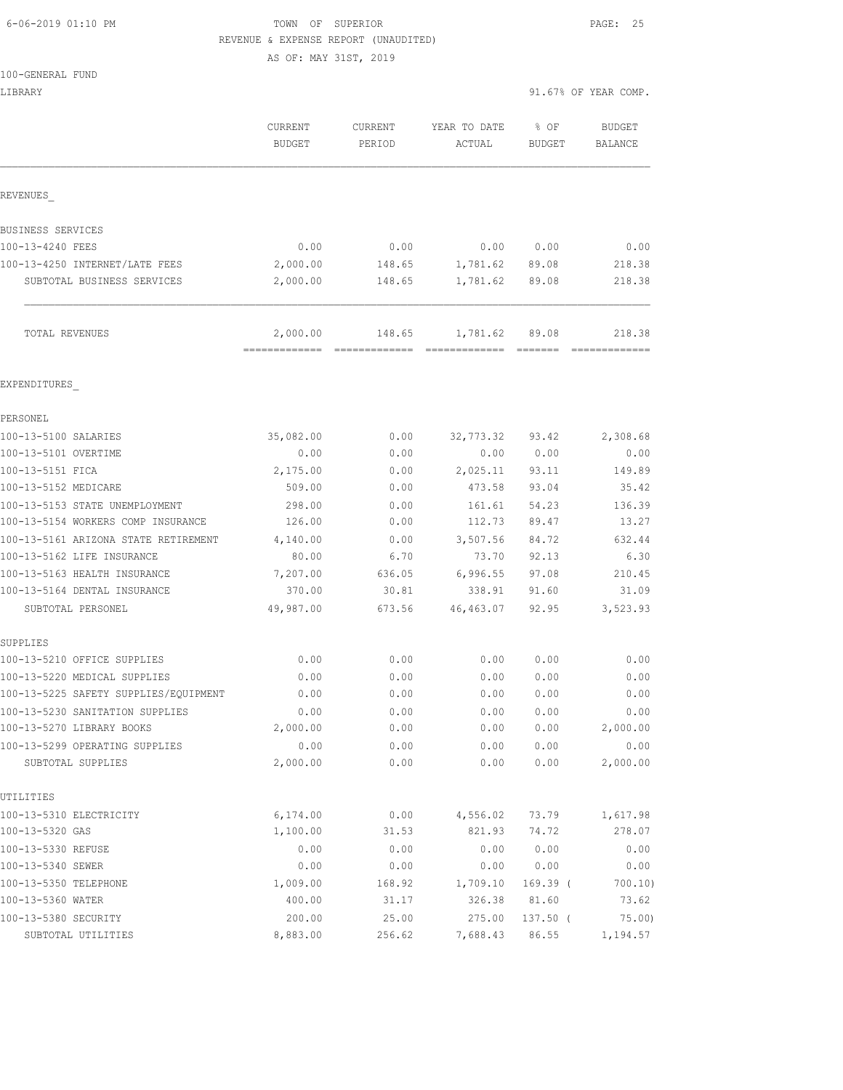## 6-06-2019 01:10 PM TOWN OF SUPERIOR PAGE: 25 REVENUE & EXPENSE REPORT (UNAUDITED)

AS OF: MAY 31ST, 2019

| LIBRARY                                 |                                            |                   |                              |                       | 91.67% OF YEAR COMP.     |
|-----------------------------------------|--------------------------------------------|-------------------|------------------------------|-----------------------|--------------------------|
|                                         | CURRENT<br><b>BUDGET</b>                   | CURRENT<br>PERIOD | YEAR TO DATE<br>ACTUAL       | % OF<br><b>BUDGET</b> | <b>BUDGET</b><br>BALANCE |
| REVENUES                                |                                            |                   |                              |                       |                          |
| BUSINESS SERVICES                       |                                            |                   |                              |                       |                          |
| 100-13-4240 FEES                        | 0.00                                       | 0.00              | 0.00                         | 0.00                  | 0.00                     |
| 100-13-4250 INTERNET/LATE FEES          | 2,000.00                                   | 148.65            | 1,781.62                     | 89.08                 | 218.38                   |
| SUBTOTAL BUSINESS SERVICES              | 2,000.00                                   | 148.65            | 1,781.62                     | 89.08                 | 218.38                   |
| TOTAL REVENUES                          | 2,000.00<br>============================== | 148.65            | 1,781.62<br>- ============== | 89.08<br>eessess      | 218.38<br>=============  |
| EXPENDITURES                            |                                            |                   |                              |                       |                          |
| PERSONEL                                |                                            |                   |                              |                       |                          |
| 100-13-5100 SALARIES                    | 35,082.00                                  | 0.00              | 32,773.32                    | 93.42                 | 2,308.68                 |
| 100-13-5101 OVERTIME                    | 0.00                                       | 0.00              | 0.00                         | 0.00                  | 0.00                     |
| 100-13-5151 FICA                        | 2,175.00                                   | 0.00              | 2,025.11                     | 93.11                 | 149.89                   |
| 100-13-5152 MEDICARE                    | 509.00                                     | 0.00              | 473.58                       | 93.04                 | 35.42                    |
| 100-13-5153 STATE UNEMPLOYMENT          | 298.00                                     | 0.00              | 161.61                       | 54.23                 | 136.39                   |
| 100-13-5154 WORKERS COMP INSURANCE      | 126.00                                     | 0.00              | 112.73                       | 89.47                 | 13.27                    |
| 100-13-5161 ARIZONA STATE RETIREMENT    | 4,140.00                                   | 0.00              | 3,507.56                     | 84.72                 | 632.44                   |
| 100-13-5162 LIFE INSURANCE              | 80.00                                      | 6.70              | 73.70                        | 92.13                 | 6.30                     |
| 100-13-5163 HEALTH INSURANCE            | 7,207.00                                   | 636.05            | 6,996.55                     | 97.08                 | 210.45                   |
| 100-13-5164 DENTAL INSURANCE            | 370.00                                     | 30.81             | 338.91                       | 91.60                 | 31.09                    |
| SUBTOTAL PERSONEL                       | 49,987.00                                  | 673.56            | 46, 463.07                   | 92.95                 | 3,523.93                 |
| SUPPLIES<br>100-13-5210 OFFICE SUPPLIES | 0.00                                       | 0.00              | 0.00                         | 0.00                  | 0.00                     |
| 100-13-5220 MEDICAL SUPPLIES            | 0.00                                       | 0.00              | 0.00                         | 0.00                  | 0.00                     |
| 100-13-5225 SAFETY SUPPLIES/EQUIPMENT   | 0.00                                       | 0.00              | 0.00                         | 0.00                  | 0.00                     |
| 100-13-5230 SANITATION SUPPLIES         | 0.00                                       | 0.00              | 0.00                         | 0.00                  | 0.00                     |
| 100-13-5270 LIBRARY BOOKS               | 2,000.00                                   | 0.00              | 0.00                         | 0.00                  | 2,000.00                 |
| 100-13-5299 OPERATING SUPPLIES          | 0.00                                       | 0.00              | 0.00                         | 0.00                  | 0.00                     |
| SUBTOTAL SUPPLIES                       | 2,000.00                                   | 0.00              | 0.00                         | 0.00                  | 2,000.00                 |
| UTILITIES                               |                                            |                   |                              |                       |                          |
| 100-13-5310 ELECTRICITY                 | 6,174.00                                   | 0.00              | 4,556.02                     | 73.79                 | 1,617.98                 |
| 100-13-5320 GAS                         | 1,100.00                                   | 31.53             | 821.93                       | 74.72                 | 278.07                   |
| 100-13-5330 REFUSE                      | 0.00                                       | 0.00              | 0.00                         | 0.00                  | 0.00                     |
| 100-13-5340 SEWER                       | 0.00                                       | 0.00              | 0.00                         | 0.00                  | 0.00                     |
| 100-13-5350 TELEPHONE                   | 1,009.00                                   | 168.92            | 1,709.10                     | 169.39 (              | 700.10)                  |
| 100-13-5360 WATER                       | 400.00                                     | 31.17             | 326.38                       | 81.60                 | 73.62                    |
| 100-13-5380 SECURITY                    | 200.00                                     | 25.00             | 275.00                       | $137.50$ (            | 75.00                    |
| SUBTOTAL UTILITIES                      | 8,883.00                                   | 256.62            | 7,688.43                     | 86.55                 | 1,194.57                 |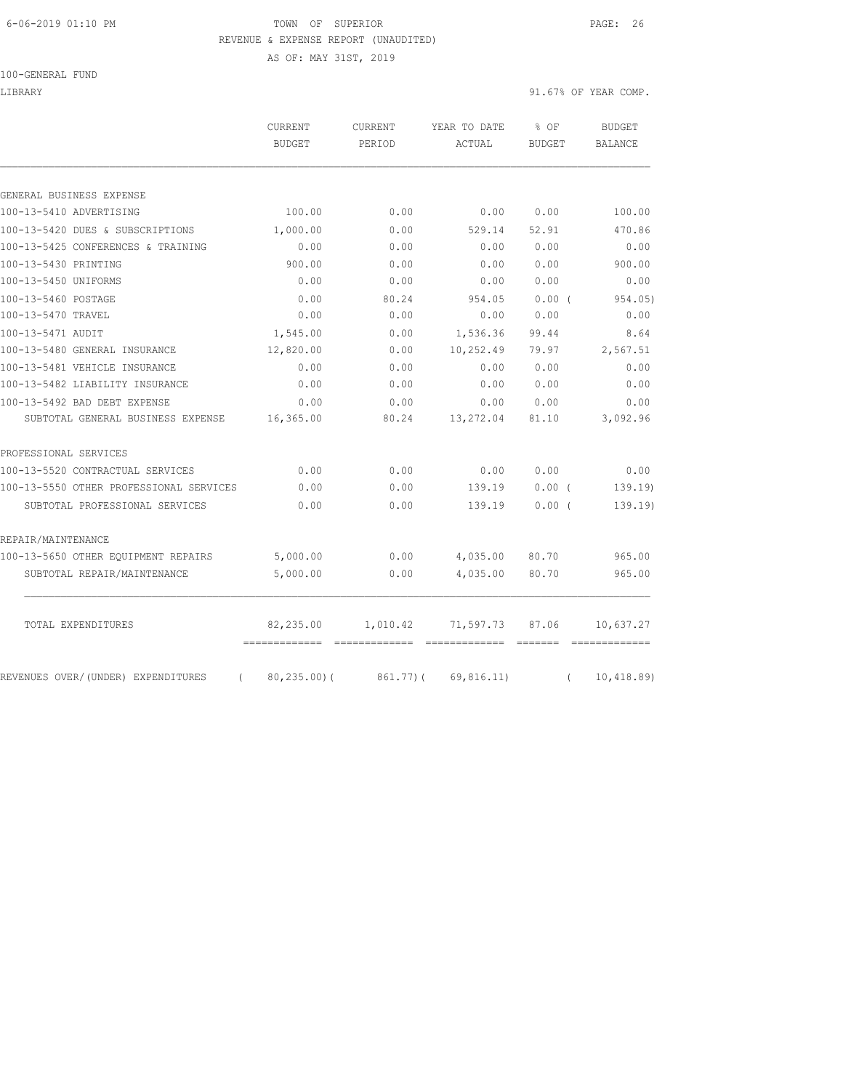#### 6-06-2019 01:10 PM TOWN OF SUPERIOR PAGE: 26 REVENUE & EXPENSE REPORT (UNAUDITED)

|                                    | AS OF: MAY 31ST, 2019 |         |              |        |                      |
|------------------------------------|-----------------------|---------|--------------|--------|----------------------|
| 100-GENERAL FUND                   |                       |         |              |        |                      |
| LIBRARY                            |                       |         |              |        | 91.67% OF YEAR COMP. |
|                                    | CURRENT               | CURRENT | YEAR TO DATE | % OF   | <b>BUDGET</b>        |
|                                    | BUDGET                | PERIOD  | ACTUAL       | BUDGET | BALANCE              |
|                                    |                       |         |              |        |                      |
| GENERAL BUSINESS EXPENSE           |                       |         |              |        |                      |
| 100-13-5410 ADVERTISING            | 100.00                | 0.00    | 0.00         | 0.00   | 100.00               |
| 100-13-5420 DUES & SUBSCRIPTIONS   | 1,000.00              | 0.00    | 529.14       | 52.91  | 470.86               |
| 100-13-5425 CONFERENCES & TRAINING | 0.00                  | 0.00    | 0.00         | 0.00   | 0.00                 |
| 100-13-5430 PRINTING               | 900.00                | 0.00    | 0.00         | 0.00   | 900.00               |
| 100-13-5450 UNIFORMS               | 0.00                  | 0.00    | 0.00         | 0.00   | 0.00                 |

| TOTAL EXPENDITURES                      | 82,235.00 | 1,010.42 | 71,597.73 87.06 |          | 10,637.27<br>$\begin{array}{cccccccccccccc} \multicolumn{2}{c}{} & \multicolumn{2}{c}{} & \multicolumn{2}{c}{} & \multicolumn{2}{c}{} & \multicolumn{2}{c}{} & \multicolumn{2}{c}{} & \multicolumn{2}{c}{} & \multicolumn{2}{c}{} & \multicolumn{2}{c}{} & \multicolumn{2}{c}{} & \multicolumn{2}{c}{} & \multicolumn{2}{c}{} & \multicolumn{2}{c}{} & \multicolumn{2}{c}{} & \multicolumn{2}{c}{} & \multicolumn{2}{c}{} & \multicolumn{2}{c}{} & \multicolumn{2}{c}{} & \multicolumn{2}{c}{} & \$ |
|-----------------------------------------|-----------|----------|-----------------|----------|-----------------------------------------------------------------------------------------------------------------------------------------------------------------------------------------------------------------------------------------------------------------------------------------------------------------------------------------------------------------------------------------------------------------------------------------------------------------------------------------------------|
| SUBTOTAL REPAIR/MAINTENANCE             | 5,000.00  | 0.00     | 4,035.00        | 80.70    | 965.00                                                                                                                                                                                                                                                                                                                                                                                                                                                                                              |
| 100-13-5650 OTHER EQUIPMENT REPAIRS     | 5,000.00  | 0.00     | 4,035.00        | 80.70    | 965.00                                                                                                                                                                                                                                                                                                                                                                                                                                                                                              |
| REPAIR/MAINTENANCE                      |           |          |                 |          |                                                                                                                                                                                                                                                                                                                                                                                                                                                                                                     |
| SUBTOTAL PROFESSIONAL SERVICES          | 0.00      | 0.00     | 139.19          | $0.00$ ( | 139.19                                                                                                                                                                                                                                                                                                                                                                                                                                                                                              |
| 100-13-5550 OTHER PROFESSIONAL SERVICES | 0.00      | 0.00     | 139.19          | $0.00$ ( | 139.19                                                                                                                                                                                                                                                                                                                                                                                                                                                                                              |
| 100-13-5520 CONTRACTUAL SERVICES        | 0.00      | 0.00     | 0.00            | 0.00     | 0.00                                                                                                                                                                                                                                                                                                                                                                                                                                                                                                |
| PROFESSIONAL SERVICES                   |           |          |                 |          |                                                                                                                                                                                                                                                                                                                                                                                                                                                                                                     |
| SUBTOTAL GENERAL BUSINESS EXPENSE       | 16,365.00 | 80.24    | 13,272.04       | 81.10    | 3,092.96                                                                                                                                                                                                                                                                                                                                                                                                                                                                                            |
| 100-13-5492 BAD DEBT EXPENSE            | 0.00      | 0.00     | 0.00            | 0.00     | 0.00                                                                                                                                                                                                                                                                                                                                                                                                                                                                                                |
| 100-13-5482 LIABILITY INSURANCE         | 0.00      | 0.00     | 0.00            | 0.00     | 0.00                                                                                                                                                                                                                                                                                                                                                                                                                                                                                                |
| 100-13-5481 VEHICLE INSURANCE           | 0.00      | 0.00     | 0.00            | 0.00     | 0.00                                                                                                                                                                                                                                                                                                                                                                                                                                                                                                |
| 100-13-5480 GENERAL INSURANCE           | 12,820.00 | 0.00     | 10,252.49       | 79.97    | 2,567.51                                                                                                                                                                                                                                                                                                                                                                                                                                                                                            |
| 100-13-5471 AUDIT                       | 1,545.00  | 0.00     | 1,536.36        | 99.44    | 8.64                                                                                                                                                                                                                                                                                                                                                                                                                                                                                                |
| 100-13-5470 TRAVEL                      | 0.00      | 0.00     | 0.00            | 0.00     | 0.00                                                                                                                                                                                                                                                                                                                                                                                                                                                                                                |
| 100-13-5460 POSTAGE                     | 0.00      | 80.24    | 954.05          | $0.00$ ( | 954.05)                                                                                                                                                                                                                                                                                                                                                                                                                                                                                             |
| 100-13-5450 UNIFORMS                    | 0.00      | 0.00     | 0.00            | 0.00     | 0.00                                                                                                                                                                                                                                                                                                                                                                                                                                                                                                |
| 100-13-5430 PRINTING                    | 900.00    | 0.00     | 0.00            | 0.00     | 900.00                                                                                                                                                                                                                                                                                                                                                                                                                                                                                              |
| 100-13-5425 CONFERENCES & TRAINING      | 0.00      | 0.00     | 0.00            | 0.00     | 0.00                                                                                                                                                                                                                                                                                                                                                                                                                                                                                                |
| 100-13-5420 DUES & SUBSCRIPTIONS        | 1,000.00  | 0.00     | 529.14          | 52.91    | 470.86                                                                                                                                                                                                                                                                                                                                                                                                                                                                                              |
|                                         |           |          |                 |          |                                                                                                                                                                                                                                                                                                                                                                                                                                                                                                     |

REVENUES OVER/(UNDER) EXPENDITURES (80,235.00)(861.77)(69,816.11) (10,418.89)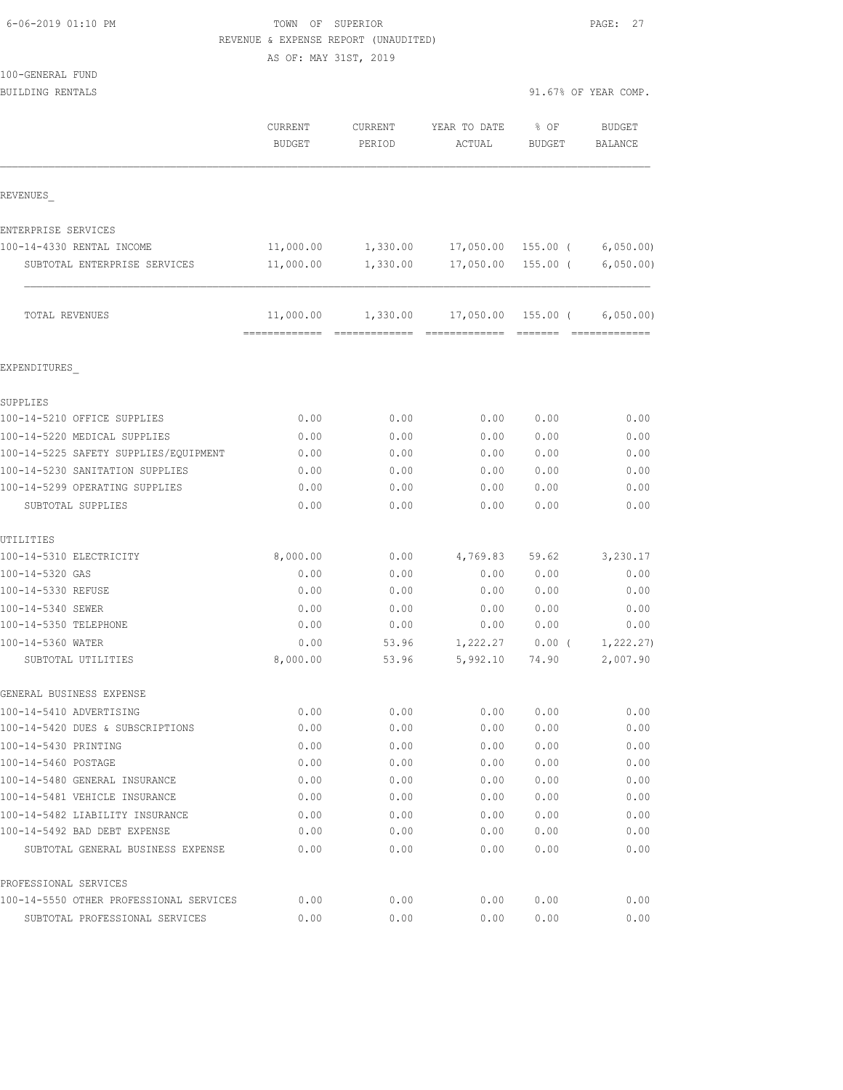| 6-06-2019 01:10 PM |  |  |
|--------------------|--|--|
|--------------------|--|--|

## TOWN OF SUPERIOR **Example 2019** PAGE: 27 REVENUE & EXPENSE REPORT (UNAUDITED)

AS OF: MAY 31ST, 2019

| 100-GENERAL FUND                        |                  |                |                      |                    |                       |
|-----------------------------------------|------------------|----------------|----------------------|--------------------|-----------------------|
| BUILDING RENTALS                        |                  |                |                      |                    | 91.67% OF YEAR COMP.  |
|                                         | CURRENT          | CURRENT        | YEAR TO DATE         | % OF               | <b>BUDGET</b>         |
|                                         | <b>BUDGET</b>    | PERIOD         | ACTUAL               | BUDGET             | <b>BALANCE</b>        |
| REVENUES                                |                  |                |                      |                    |                       |
| ENTERPRISE SERVICES                     |                  |                |                      |                    |                       |
| 100-14-4330 RENTAL INCOME               | 11,000.00        | 1,330.00       | 17,050.00            | 155.00 (           | 6,050.00              |
| SUBTOTAL ENTERPRISE SERVICES            | 11,000.00        | 1,330.00       | 17,050.00            | $155.00$ (         | 6,050.00)             |
| TOTAL REVENUES                          | 11,000.00        | 1,330.00       |                      | 17,050.00 155.00 ( | 6,050.00)             |
| EXPENDITURES                            |                  |                |                      |                    |                       |
| SUPPLIES                                |                  |                |                      |                    |                       |
| 100-14-5210 OFFICE SUPPLIES             | 0.00             | 0.00           | 0.00                 | 0.00               | 0.00                  |
| 100-14-5220 MEDICAL SUPPLIES            | 0.00             | 0.00           | 0.00                 | 0.00               | 0.00                  |
| 100-14-5225 SAFETY SUPPLIES/EQUIPMENT   | 0.00             | 0.00           | 0.00                 | 0.00               | 0.00                  |
| 100-14-5230 SANITATION SUPPLIES         | 0.00             | 0.00           | 0.00                 | 0.00               | 0.00                  |
| 100-14-5299 OPERATING SUPPLIES          | 0.00             | 0.00           | 0.00                 | 0.00               | 0.00                  |
| SUBTOTAL SUPPLIES                       | 0.00             | 0.00           | 0.00                 | 0.00               | 0.00                  |
| UTILITIES                               |                  |                |                      |                    |                       |
| 100-14-5310 ELECTRICITY                 | 8,000.00         | 0.00           | 4,769.83             | 59.62              | 3,230.17              |
| 100-14-5320 GAS                         | 0.00             | 0.00           | 0.00                 | 0.00               | 0.00                  |
| 100-14-5330 REFUSE                      | 0.00             | 0.00           | 0.00                 | 0.00               | 0.00                  |
| 100-14-5340 SEWER                       | 0.00             | 0.00           | 0.00                 | 0.00               | 0.00                  |
| 100-14-5350 TELEPHONE                   | 0.00             | 0.00           | 0.00                 | 0.00               | 0.00                  |
| 100-14-5360 WATER<br>SUBTOTAL UTILITIES | 0.00<br>8,000.00 | 53.96<br>53.96 | 1,222.27<br>5,992.10 | 0.00(<br>74.90     | 1,222.27)<br>2,007.90 |
| GENERAL BUSINESS EXPENSE                |                  |                |                      |                    |                       |
| 100-14-5410 ADVERTISING                 | 0.00             | 0.00           | 0.00                 | 0.00               | 0.00                  |
| 100-14-5420 DUES & SUBSCRIPTIONS        | 0.00             | 0.00           | 0.00                 | 0.00               | 0.00                  |
| 100-14-5430 PRINTING                    | 0.00             | 0.00           | 0.00                 | 0.00               | 0.00                  |
| 100-14-5460 POSTAGE                     | 0.00             | 0.00           | 0.00                 | 0.00               | 0.00                  |
| 100-14-5480 GENERAL INSURANCE           | 0.00             | 0.00           | 0.00                 | 0.00               | 0.00                  |
| 100-14-5481 VEHICLE INSURANCE           | 0.00             | 0.00           | 0.00                 | 0.00               | 0.00                  |
| 100-14-5482 LIABILITY INSURANCE         | 0.00             | 0.00           | 0.00                 | 0.00               | 0.00                  |
| 100-14-5492 BAD DEBT EXPENSE            | 0.00             | 0.00           | 0.00                 | 0.00               | 0.00                  |
| SUBTOTAL GENERAL BUSINESS EXPENSE       | 0.00             | 0.00           | 0.00                 | 0.00               | 0.00                  |

PROFESSIONAL SERVICES

100-14-5550 OTHER PROFESSIONAL SERVICES 0.00 0.00 0.00 0.00 0.00 SUBTOTAL PROFESSIONAL SERVICES 0.00 0.00 0.00 0.00 0.00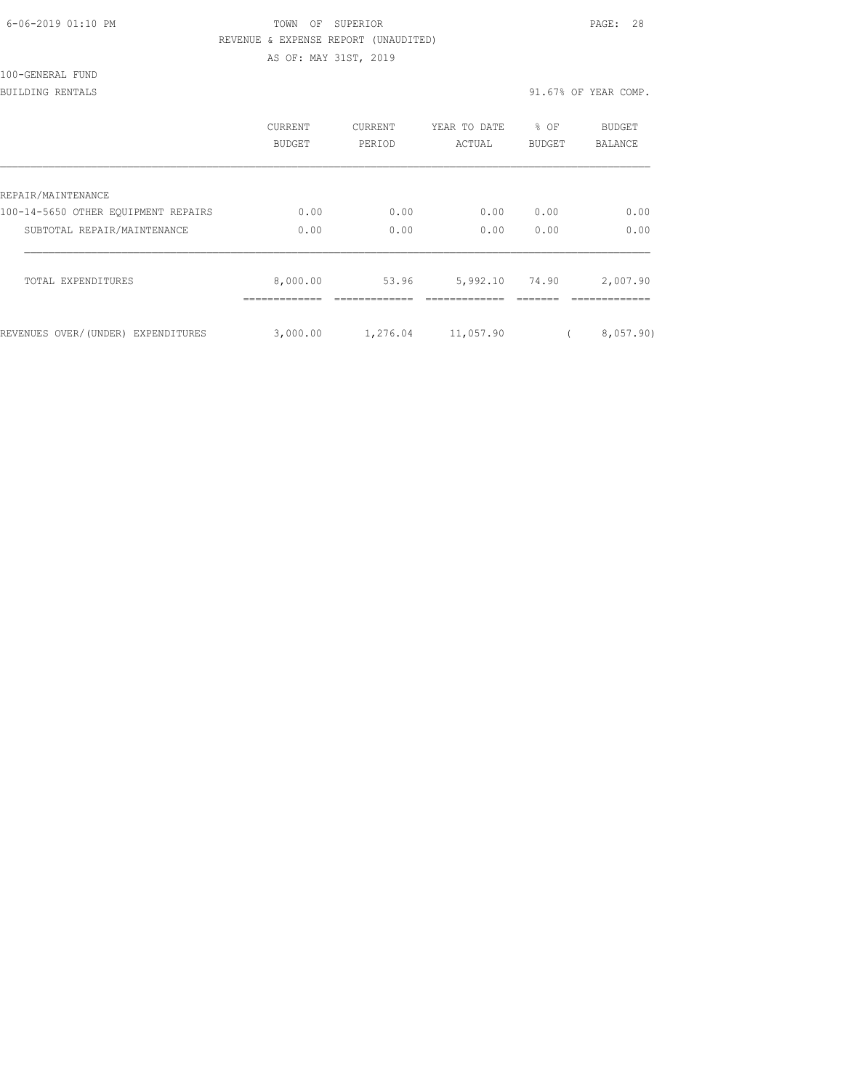| 6-06-2019 01:10 PM |  |
|--------------------|--|
|                    |  |

## TOWN OF SUPERIOR **Example 28** PAGE: 28 REVENUE & EXPENSE REPORT (UNAUDITED)

AS OF: MAY 31ST, 2019

100-GENERAL FUND

BUILDING RENTALS 91.67% OF YEAR COMP.

|                                     | CURRENT<br><b>BUDGET</b> | <b>CURRENT</b><br>PERIOD | YEAR TO DATE<br>ACTUAL | % OF<br><b>BUDGET</b> | <b>BUDGET</b><br><b>BALANCE</b> |
|-------------------------------------|--------------------------|--------------------------|------------------------|-----------------------|---------------------------------|
| REPAIR/MAINTENANCE                  |                          |                          |                        |                       |                                 |
| 100-14-5650 OTHER EOUIPMENT REPAIRS | 0.00                     | 0.00                     | 0.00                   | 0.00                  | 0.00                            |
| SUBTOTAL REPAIR/MAINTENANCE         | 0.00                     | 0.00                     | 0.00                   | 0.00                  | 0.00                            |
| TOTAL EXPENDITURES                  | 8,000.00                 | 53.96                    | 5,992.10               | 74.90                 | 2,007.90                        |
| REVENUES OVER/(UNDER) EXPENDITURES  | 3,000.00                 | 1,276.04                 | 11,057.90              |                       | 8,057,90)                       |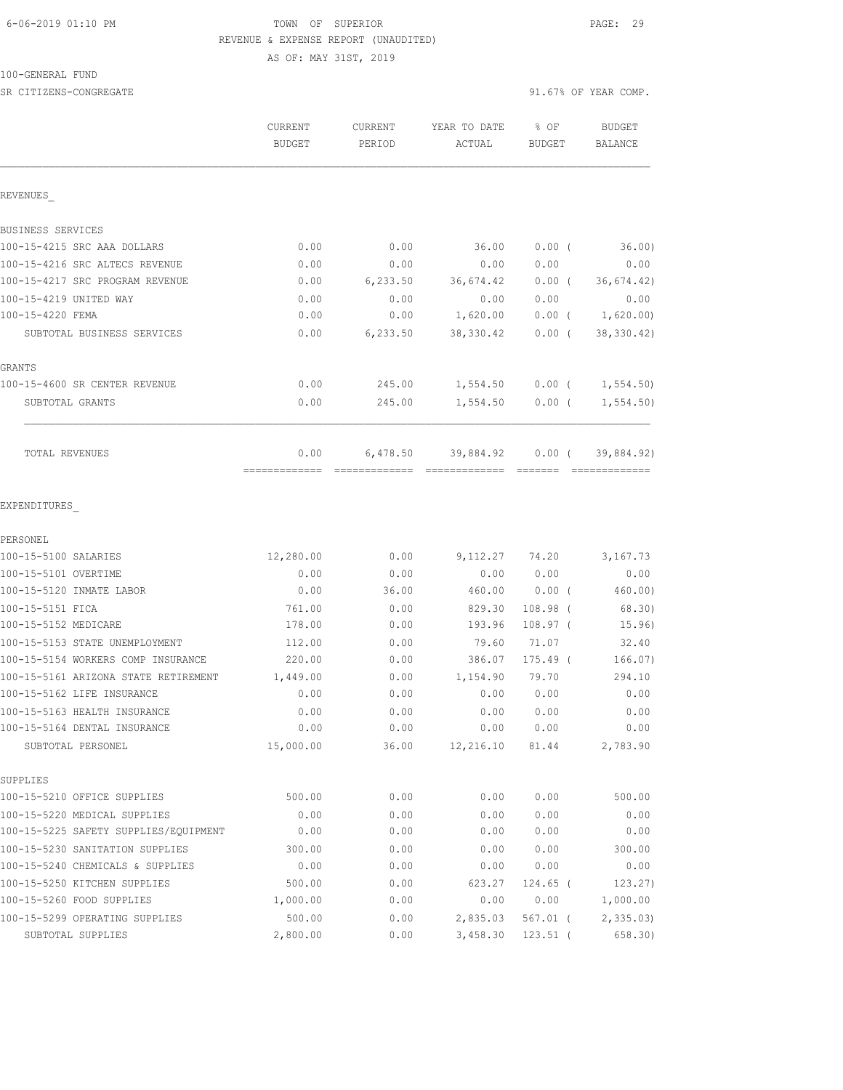## 6-06-2019 01:10 PM TOWN OF SUPERIOR PAGE: 29 REVENUE & EXPENSE REPORT (UNAUDITED) AS OF: MAY 31ST, 2019

100-GENERAL FUND

| SR CITIZENS-CONGREGATE                |                                 |                   |                        |                         | 91.67% OF YEAR COMP.     |
|---------------------------------------|---------------------------------|-------------------|------------------------|-------------------------|--------------------------|
|                                       | <b>CURRENT</b><br><b>BUDGET</b> | CURRENT<br>PERIOD | YEAR TO DATE<br>ACTUAL | $8$ OF<br><b>BUDGET</b> | BUDGET<br><b>BALANCE</b> |
| REVENUES                              |                                 |                   |                        |                         |                          |
| BUSINESS SERVICES                     |                                 |                   |                        |                         |                          |
| 100-15-4215 SRC AAA DOLLARS           | 0.00                            | 0.00              | 36.00                  | $0.00$ (                | 36.00                    |
| 100-15-4216 SRC ALTECS REVENUE        | 0.00                            | 0.00              | 0.00                   | 0.00                    | 0.00                     |
| 100-15-4217 SRC PROGRAM REVENUE       | 0.00                            | 6, 233.50         | 36,674.42              | $0.00$ (                | 36, 674.42)              |
| 100-15-4219 UNITED WAY                | 0.00                            | 0.00              | 0.00                   | 0.00                    | 0.00                     |
| 100-15-4220 FEMA                      | 0.00                            | 0.00              | 1,620.00               | $0.00$ (                | 1,620.00)                |
| SUBTOTAL BUSINESS SERVICES            | 0.00                            | 6, 233.50         | 38,330.42              | $0.00$ (                | 38, 330.42)              |
| GRANTS                                |                                 |                   |                        |                         |                          |
| 100-15-4600 SR CENTER REVENUE         | 0.00                            | 245.00            | 1,554.50               |                         | $0.00$ ( $1,554.50$ )    |
| SUBTOTAL GRANTS                       | 0.00                            | 245.00            | 1,554.50               | $0.00$ (                | 1, 554.50                |
| TOTAL REVENUES                        | 0.00                            |                   | 6,478.50 39,884.92     | $0.00$ (<br>--------    | 39,884.92)               |
| EXPENDITURES<br>PERSONEL              |                                 |                   |                        |                         |                          |
| 100-15-5100 SALARIES                  | 12,280.00                       | 0.00              |                        | 9,112.27 74.20          | 3,167.73                 |
| 100-15-5101 OVERTIME                  | 0.00                            | 0.00              | 0.00                   | 0.00                    | 0.00                     |
| 100-15-5120 INMATE LABOR              | 0.00                            | 36.00             | 460.00                 | $0.00$ (                | 460.00)                  |
| 100-15-5151 FICA                      | 761.00                          | 0.00              | 829.30                 | $108.98$ (              | 68.30)                   |
| 100-15-5152 MEDICARE                  | 178.00                          | 0.00              | 193.96                 | $108.97$ (              | 15.96)                   |
| 100-15-5153 STATE UNEMPLOYMENT        | 112.00                          | 0.00              | 79.60                  | 71.07                   | 32.40                    |
| 100-15-5154 WORKERS COMP INSURANCE    | 220.00                          | 0.00              | 386.07                 | $175.49$ (              | 166.07)                  |
| 100-15-5161 ARIZONA STATE RETIREMENT  | 1,449.00                        | 0.00              | 1,154.90               | 79.70                   | 294.10                   |
| 100-15-5162 LIFE INSURANCE            | 0.00                            | 0.00              | 0.00                   | 0.00                    | 0.00                     |
| 100-15-5163 HEALTH INSURANCE          | 0.00                            | 0.00              | 0.00                   | 0.00                    | 0.00                     |
| 100-15-5164 DENTAL INSURANCE          | 0.00                            | 0.00              | 0.00                   | 0.00                    | 0.00                     |
| SUBTOTAL PERSONEL                     | 15,000.00                       | 36.00             | 12,216.10              | 81.44                   | 2,783.90                 |
| SUPPLIES                              |                                 |                   |                        |                         |                          |
| 100-15-5210 OFFICE SUPPLIES           | 500.00                          | 0.00              | 0.00                   | 0.00                    | 500.00                   |
| 100-15-5220 MEDICAL SUPPLIES          | 0.00                            | 0.00              | 0.00                   | 0.00                    | 0.00                     |
| 100-15-5225 SAFETY SUPPLIES/EQUIPMENT | 0.00                            | 0.00              | 0.00                   | 0.00                    | 0.00                     |
| 100-15-5230 SANITATION SUPPLIES       | 300.00                          | 0.00              | 0.00                   | 0.00                    | 300.00                   |
| 100-15-5240 CHEMICALS & SUPPLIES      | 0.00                            | 0.00              | 0.00                   | 0.00                    | 0.00                     |
| 100-15-5250 KITCHEN SUPPLIES          | 500.00                          | 0.00              | 623.27                 | $124.65$ (              | 123.27)                  |
| 100-15-5260 FOOD SUPPLIES             | 1,000.00                        | 0.00              | 0.00                   | 0.00                    | 1,000.00                 |
| 100-15-5299 OPERATING SUPPLIES        | 500.00                          | 0.00              | 2,835.03               | 567.01 (                | 2,335.03                 |

SUBTOTAL SUPPLIES 2,800.00 0.00 3,458.30 123.51 ( 658.30)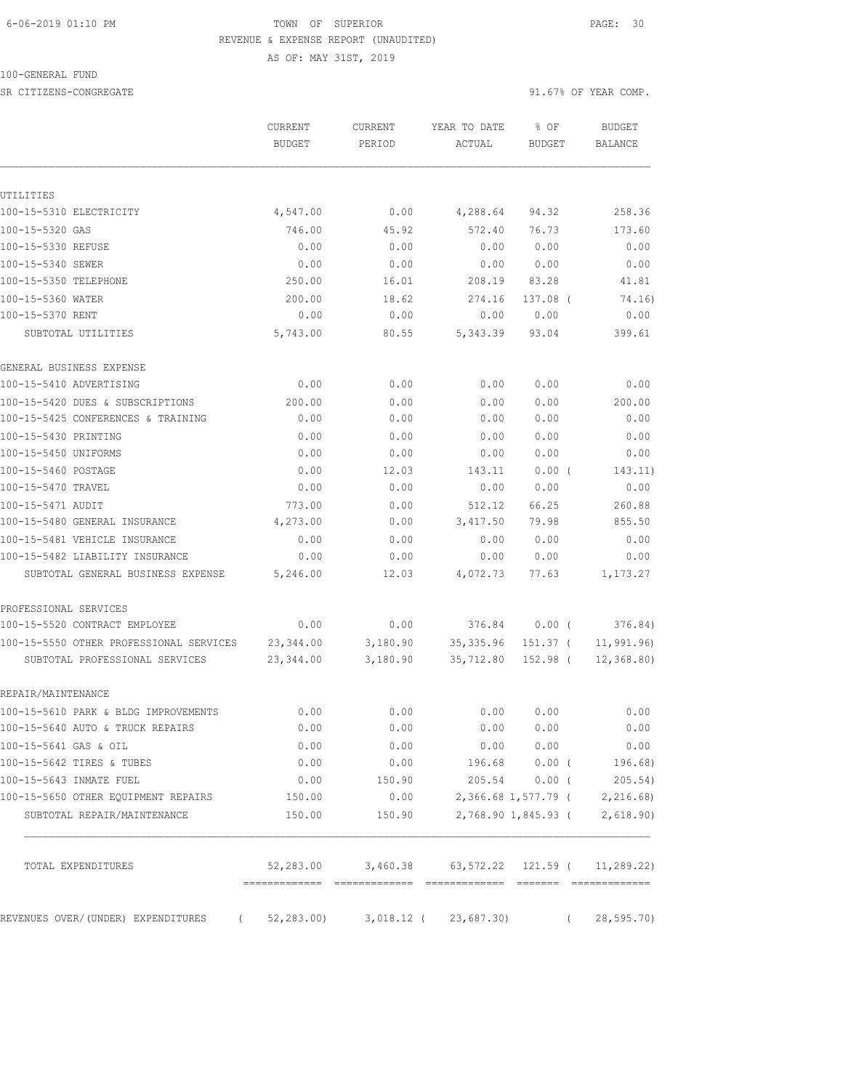## 6-06-2019 01:10 PM TOWN OF SUPERIOR PAGE: 30 REVENUE & EXPENSE REPORT (UNAUDITED)

AS OF: MAY 31ST, 2019

100-GENERAL FUND

SR CITIZENS-CONGREGATE 91.67% OF YEAR COMP.

|                                                                           | CURRENT<br><b>BUDGET</b> | CURRENT<br>PERIOD    | YEAR TO DATE<br>ACTUAL     | % OF<br><b>BUDGET</b> | <b>BUDGET</b><br><b>BALANCE</b> |
|---------------------------------------------------------------------------|--------------------------|----------------------|----------------------------|-----------------------|---------------------------------|
| UTILITIES                                                                 |                          |                      |                            |                       |                                 |
| 100-15-5310 ELECTRICITY                                                   | 4,547.00                 | 0.00                 | 4,288.64                   | 94.32                 | 258.36                          |
| 100-15-5320 GAS                                                           | 746.00                   | 45.92                | 572.40                     | 76.73                 | 173.60                          |
| 100-15-5330 REFUSE                                                        | 0.00                     | 0.00                 | 0.00                       | 0.00                  | 0.00                            |
| 100-15-5340 SEWER                                                         | 0.00                     | 0.00                 | 0.00                       | 0.00                  | 0.00                            |
| 100-15-5350 TELEPHONE                                                     | 250.00                   | 16.01                | 208.19                     | 83.28                 | 41.81                           |
| 100-15-5360 WATER                                                         | 200.00                   | 18.62                | 274.16                     | 137.08 (              | 74.16)                          |
| 100-15-5370 RENT                                                          | 0.00                     | 0.00                 | 0.00                       | 0.00                  | 0.00                            |
| SUBTOTAL UTILITIES                                                        | 5,743.00                 | 80.55                | 5,343.39                   | 93.04                 | 399.61                          |
| GENERAL BUSINESS EXPENSE                                                  |                          |                      |                            |                       |                                 |
| 100-15-5410 ADVERTISING                                                   | 0.00                     | 0.00                 | 0.00                       | 0.00                  | 0.00                            |
| 100-15-5420 DUES & SUBSCRIPTIONS                                          | 200.00                   | 0.00                 | 0.00                       | 0.00                  | 200.00                          |
| 100-15-5425 CONFERENCES & TRAINING                                        | 0.00                     | 0.00                 | 0.00                       | 0.00                  | 0.00                            |
| 100-15-5430 PRINTING                                                      | 0.00                     | 0.00                 | 0.00                       | 0.00                  | 0.00                            |
| 100-15-5450 UNIFORMS                                                      | 0.00                     | 0.00                 | 0.00                       | 0.00                  | 0.00                            |
| 100-15-5460 POSTAGE                                                       | 0.00                     | 12.03                | 143.11                     | $0.00$ (              | 143.11)                         |
| 100-15-5470 TRAVEL                                                        | 0.00                     | 0.00                 | 0.00                       | 0.00                  | 0.00                            |
| 100-15-5471 AUDIT                                                         | 773.00                   | 0.00                 | 512.12                     | 66.25                 | 260.88                          |
| 100-15-5480 GENERAL INSURANCE                                             | 4,273.00                 | 0.00                 | 3,417.50                   | 79.98                 | 855.50                          |
| 100-15-5481 VEHICLE INSURANCE                                             | 0.00                     | 0.00                 | 0.00                       | 0.00                  | 0.00                            |
| 100-15-5482 LIABILITY INSURANCE                                           | 0.00                     | 0.00                 | 0.00                       | 0.00                  | 0.00                            |
| SUBTOTAL GENERAL BUSINESS EXPENSE                                         | 5,246.00                 | 12.03                | 4,072.73                   | 77.63                 | 1,173.27                        |
| PROFESSIONAL SERVICES                                                     |                          |                      |                            |                       |                                 |
| 100-15-5520 CONTRACT EMPLOYEE                                             | 0.00                     | 0.00                 | 376.84                     | $0.00$ (              | 376.84)                         |
| 100-15-5550 OTHER PROFESSIONAL SERVICES<br>SUBTOTAL PROFESSIONAL SERVICES | 23, 344.00<br>23, 344.00 | 3,180.90<br>3,180.90 | 35, 335.96<br>35,712.80    | 151.37 (<br>152.98 (  | 11,991.96<br>12, 368.80         |
| REPAIR/MAINTENANCE                                                        |                          |                      |                            |                       |                                 |
| 100-15-5610 PARK & BLDG IMPROVEMENTS                                      | 0.00                     | 0.00                 | 0.00                       | 0.00                  | 0.00                            |
| 100-15-5640 AUTO & TRUCK REPAIRS                                          | 0.00                     | 0.00                 | 0.00                       | 0.00                  | 0.00                            |
| 100-15-5641 GAS & OIL                                                     | 0.00                     | 0.00                 | 0.00                       | 0.00                  | 0.00                            |
| 100-15-5642 TIRES & TUBES                                                 | 0.00                     | 0.00                 |                            | 196.68 0.00 (         | 196.68)                         |
| 100-15-5643 INMATE FUEL                                                   | 0.00                     | 150.90               |                            | 205.54 0.00 (         | $205.54$ )                      |
| 100-15-5650 OTHER EQUIPMENT REPAIRS                                       | 150.00                   | 0.00                 |                            | 2,366.68 1,577.79 (   | 2,216.68)                       |
| SUBTOTAL REPAIR/MAINTENANCE                                               | 150.00                   | 150.90               |                            | 2,768.90 1,845.93 (   | 2,618.90)                       |
| TOTAL EXPENDITURES                                                        | 52,283.00                | 3,460.38             | 63,572.22 121.59 (         |                       | 11,289.22)                      |
| REVENUES OVER/(UNDER) EXPENDITURES (                                      | 52,283.00)               |                      | $3,018.12$ ( $23,687.30$ ) |                       | 28, 595.70                      |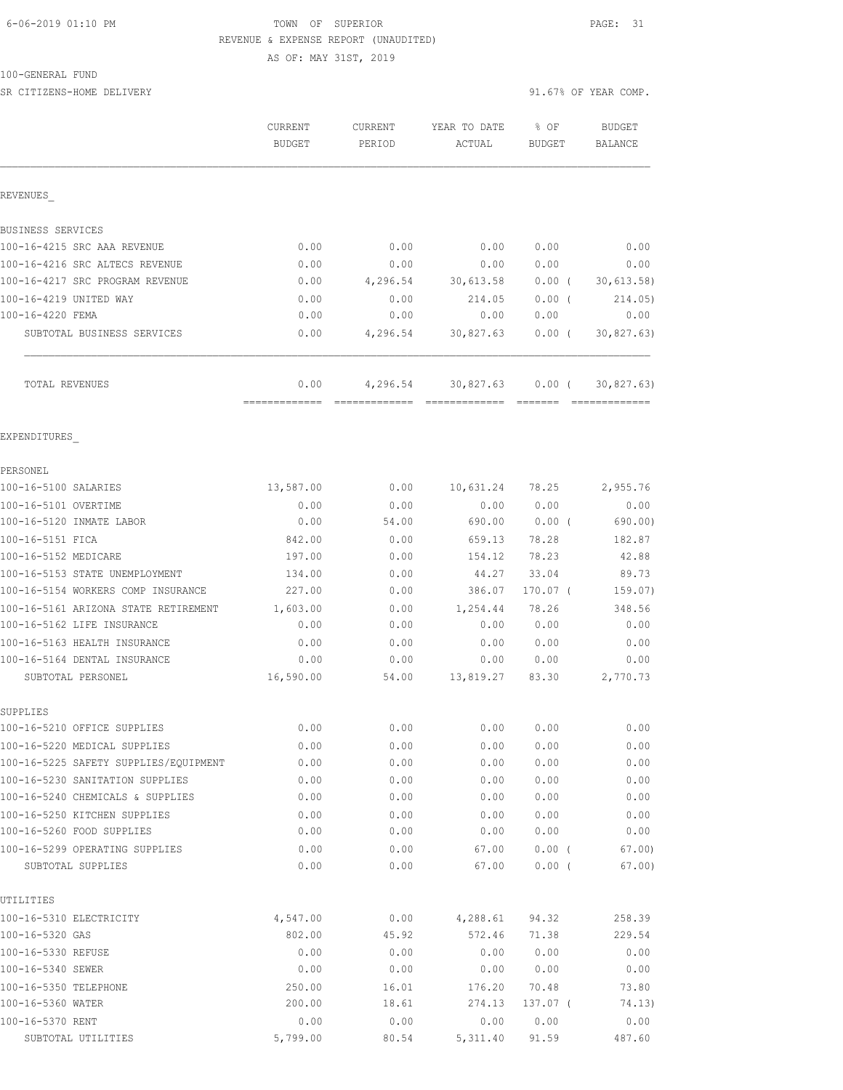## 6-06-2019 01:10 PM TOWN OF SUPERIOR PAGE: 31 REVENUE & EXPENSE REPORT (UNAUDITED)

AS OF: MAY 31ST, 2019

#### 100-GENERAL FUND

| SR CITIZENS-HOME DELIVERY             |                          |                          |                                 |                         | 91.67% OF YEAR COMP. |
|---------------------------------------|--------------------------|--------------------------|---------------------------------|-------------------------|----------------------|
|                                       | <b>CURRENT</b><br>BUDGET | <b>CURRENT</b><br>PERIOD | YEAR TO DATE<br>$\verb ACTUAL $ | $8$ OF<br><b>BUDGET</b> | BUDGET<br>BALANCE    |
| REVENUES                              |                          |                          |                                 |                         |                      |
| BUSINESS SERVICES                     |                          |                          |                                 |                         |                      |
| 100-16-4215 SRC AAA REVENUE           | 0.00                     | 0.00                     | 0.00                            | 0.00                    | 0.00                 |
| 100-16-4216 SRC ALTECS REVENUE        | 0.00                     | 0.00                     | 0.00                            | 0.00                    | 0.00                 |
| 100-16-4217 SRC PROGRAM REVENUE       | 0.00                     | 4,296.54                 | 30,613.58                       | $0.00$ (                | 30,613.58)           |
| 100-16-4219 UNITED WAY                | 0.00                     | 0.00                     | 214.05                          | $0.00$ (                | 214.05)              |
| 100-16-4220 FEMA                      | 0.00                     | 0.00                     | 0.00                            | 0.00                    | 0.00                 |
| SUBTOTAL BUSINESS SERVICES            | 0.00                     | 4,296.54                 | 30,827.63                       | $0.00$ (                | 30, 827.63)          |
| TOTAL REVENUES                        | 0.00                     |                          | $4,296.54$ $30,827.63$ $0.00$ ( |                         | 30, 827.63)          |
| EXPENDITURES                          |                          |                          |                                 |                         |                      |
| PERSONEL                              |                          |                          |                                 |                         |                      |
| 100-16-5100 SALARIES                  | 13,587.00                | 0.00                     | 10,631.24                       | 78.25                   | 2,955.76             |
| 100-16-5101 OVERTIME                  | 0.00                     | 0.00                     | 0.00                            | 0.00                    | 0.00                 |
| 100-16-5120 INMATE LABOR              | 0.00                     | 54.00                    | 690.00                          | $0.00$ (                | 690.00)              |
| 100-16-5151 FICA                      | 842.00                   | 0.00                     | 659.13                          | 78.28                   | 182.87               |
| 100-16-5152 MEDICARE                  | 197.00                   | 0.00                     | 154.12                          | 78.23                   | 42.88                |
| 100-16-5153 STATE UNEMPLOYMENT        | 134.00                   | 0.00                     | 44.27                           | 33.04                   | 89.73                |
| 100-16-5154 WORKERS COMP INSURANCE    | 227.00                   | 0.00                     | 386.07                          | $170.07$ (              | 159.07)              |
| 100-16-5161 ARIZONA STATE RETIREMENT  | 1,603.00                 | 0.00                     | 1,254.44                        | 78.26                   | 348.56               |
| 100-16-5162 LIFE INSURANCE            | 0.00                     | 0.00                     | 0.00                            | 0.00                    | 0.00                 |
| 100-16-5163 HEALTH INSURANCE          | 0.00                     | 0.00                     | 0.00                            | 0.00                    | 0.00                 |
| 100-16-5164 DENTAL INSURANCE          | 0.00                     | 0.00                     | 0.00                            | 0.00                    | 0.00                 |
| SUBTOTAL PERSONEL                     | 16,590.00                | 54.00                    | 13,819.27                       | 83.30                   | 2,770.73             |
| SUPPLIES                              |                          |                          |                                 |                         |                      |
| 100-16-5210 OFFICE SUPPLIES           | 0.00                     | 0.00                     | 0.00                            | 0.00                    | 0.00                 |
| 100-16-5220 MEDICAL SUPPLIES          | 0.00                     | 0.00                     | 0.00                            | 0.00                    | 0.00                 |
| 100-16-5225 SAFETY SUPPLIES/EQUIPMENT | 0.00                     | 0.00                     | 0.00                            | 0.00                    | 0.00                 |
| 100-16-5230 SANITATION SUPPLIES       | 0.00                     | 0.00                     | 0.00                            | 0.00                    | 0.00                 |
| 100-16-5240 CHEMICALS & SUPPLIES      | 0.00                     | 0.00                     | 0.00                            | 0.00                    | 0.00                 |
| 100-16-5250 KITCHEN SUPPLIES          | 0.00                     | 0.00                     | 0.00                            | 0.00                    | 0.00                 |
| 100-16-5260 FOOD SUPPLIES             | 0.00                     | 0.00                     | 0.00                            | 0.00                    | 0.00                 |
| 100-16-5299 OPERATING SUPPLIES        | 0.00                     | 0.00                     | 67.00                           | 0.00(                   | 67.00                |
| SUBTOTAL SUPPLIES                     | 0.00                     | 0.00                     | 67.00                           | 0.00(                   | 67.00)               |
| UTILITIES                             |                          |                          |                                 |                         |                      |
| 100-16-5310 ELECTRICITY               | 4,547.00                 | 0.00                     | 4,288.61                        | 94.32                   | 258.39               |
| 100-16-5320 GAS                       | 802.00                   | 45.92                    | 572.46                          | 71.38                   | 229.54               |
| 100-16-5330 REFUSE                    | 0.00                     | 0.00                     | 0.00                            | 0.00                    | 0.00                 |

100-16-5340 SEWER 0.00 0.00 0.00 0.00 0.00 100-16-5350 TELEPHONE 250.00 16.01 176.20 70.48 73.80 100-16-5360 WATER 200.00 18.61 274.13 137.07 ( 74.13) 100-16-5370 RENT 0.00 0.00 0.00 0.00 0.00 SUBTOTAL UTILITIES 5,799.00 80.54 5,311.40 91.59 487.60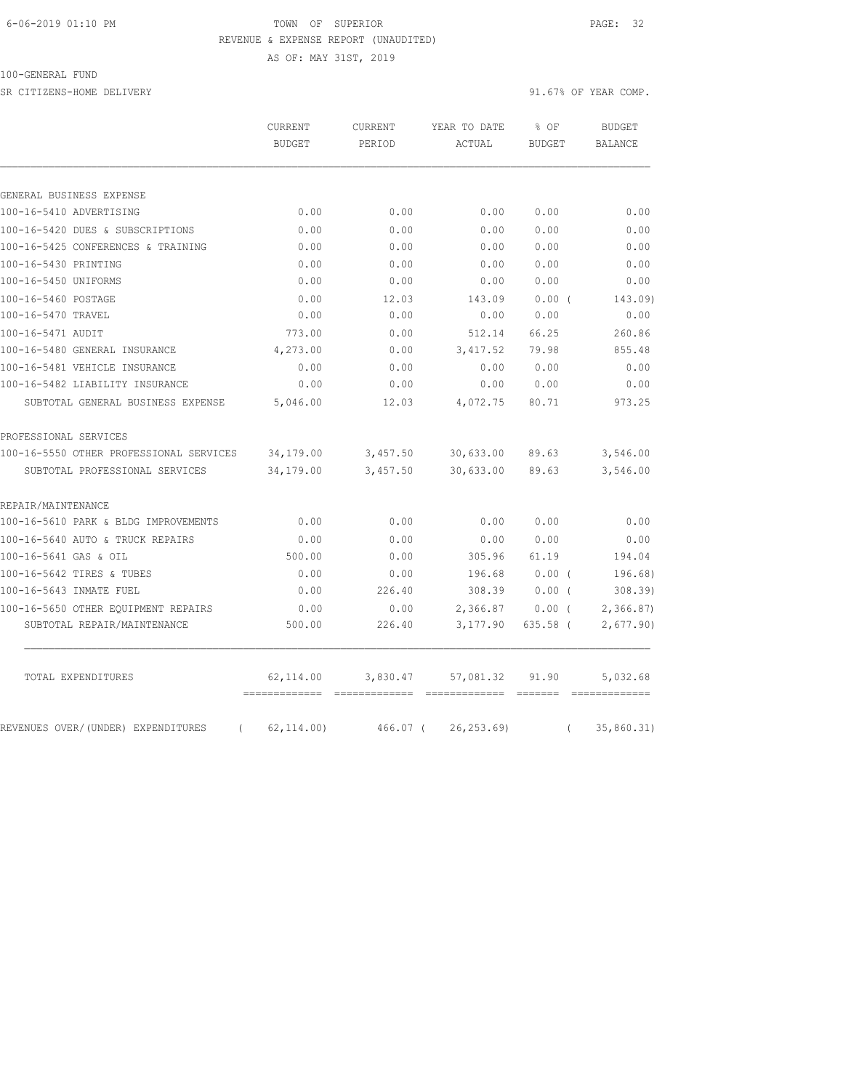## 6-06-2019 01:10 PM TOWN OF SUPERIOR PAGE: 32 REVENUE & EXPENSE REPORT (UNAUDITED)

AS OF: MAY 31ST, 2019

#### 100-GENERAL FUND

SR CITIZENS-HOME DELIVERY 91.67% OF YEAR COMP.

|                                                | CURRENT       | <b>CURRENT</b> | YEAR TO DATE | % OF          | <b>BUDGET</b>  |  |
|------------------------------------------------|---------------|----------------|--------------|---------------|----------------|--|
|                                                | <b>BUDGET</b> | PERIOD         | ACTUAL       | <b>BUDGET</b> | <b>BALANCE</b> |  |
|                                                |               |                |              |               |                |  |
| GENERAL BUSINESS EXPENSE                       |               |                |              |               |                |  |
| 100-16-5410 ADVERTISING                        | 0.00          | 0.00           | 0.00         | 0.00          | 0.00           |  |
| 100-16-5420 DUES & SUBSCRIPTIONS               | 0.00          | 0.00           | 0.00         | 0.00          | 0.00           |  |
| 100-16-5425 CONFERENCES & TRAINING             | 0.00          | 0.00           | 0.00         | 0.00          | 0.00           |  |
| 100-16-5430 PRINTING                           | 0.00          | 0.00           | 0.00         | 0.00          | 0.00           |  |
| 100-16-5450 UNIFORMS                           | 0.00          | 0.00           | 0.00         | 0.00          | 0.00           |  |
| 100-16-5460 POSTAGE                            | 0.00          | 12.03          | 143.09       | 0.00(         | 143.09)        |  |
| 100-16-5470 TRAVEL                             | 0.00          | 0.00           | 0.00         | 0.00          | 0.00           |  |
| 100-16-5471 AUDIT                              | 773.00        | 0.00           | 512.14       | 66.25         | 260.86         |  |
| 100-16-5480 GENERAL INSURANCE                  | 4,273.00      | 0.00           | 3, 417.52    | 79.98         | 855.48         |  |
| 100-16-5481 VEHICLE INSURANCE                  | 0.00          | 0.00           | 0.00         | 0.00          | 0.00           |  |
| 100-16-5482 LIABILITY INSURANCE                | 0.00          | 0.00           | 0.00         | 0.00          | 0.00           |  |
| SUBTOTAL GENERAL BUSINESS EXPENSE              | 5,046.00      | 12.03          | 4,072.75     | 80.71         | 973.25         |  |
| PROFESSIONAL SERVICES                          |               |                |              |               |                |  |
| 100-16-5550 OTHER PROFESSIONAL SERVICES        | 34,179.00     | 3,457.50       | 30,633.00    | 89.63         | 3,546.00       |  |
| SUBTOTAL PROFESSIONAL SERVICES                 | 34,179.00     | 3,457.50       | 30,633.00    | 89.63         | 3,546.00       |  |
| REPAIR/MAINTENANCE                             |               |                |              |               |                |  |
| 100-16-5610 PARK & BLDG IMPROVEMENTS           | 0.00          | 0.00           | 0.00         | 0.00          | 0.00           |  |
| 100-16-5640 AUTO & TRUCK REPAIRS               | 0.00          | 0.00           | 0.00         | 0.00          | 0.00           |  |
| 100-16-5641 GAS & OIL                          | 500.00        | 0.00           | 305.96       | 61.19         | 194.04         |  |
| 100-16-5642 TIRES & TUBES                      | 0.00          | 0.00           | 196.68       | $0.00$ (      | 196.68)        |  |
| 100-16-5643 INMATE FUEL                        | 0.00          | 226.40         | 308.39       | $0.00$ (      | 308.39)        |  |
| 100-16-5650 OTHER EQUIPMENT REPAIRS            | 0.00          | 0.00           | 2,366.87     | 0.00(         | 2,366.87       |  |
| SUBTOTAL REPAIR/MAINTENANCE                    | 500.00        | 226.40         | 3,177.90     | 635.58 (      | 2,677.90)      |  |
| TOTAL EXPENDITURES                             | 62,114.00     | 3,830.47       | 57,081.32    | 91.90         | 5,032.68       |  |
| REVENUES OVER/(UNDER) EXPENDITURES<br>$\left($ | 62, 114.00    | 466.07 (       | 26, 253.69   | $\left($      | 35,860.31)     |  |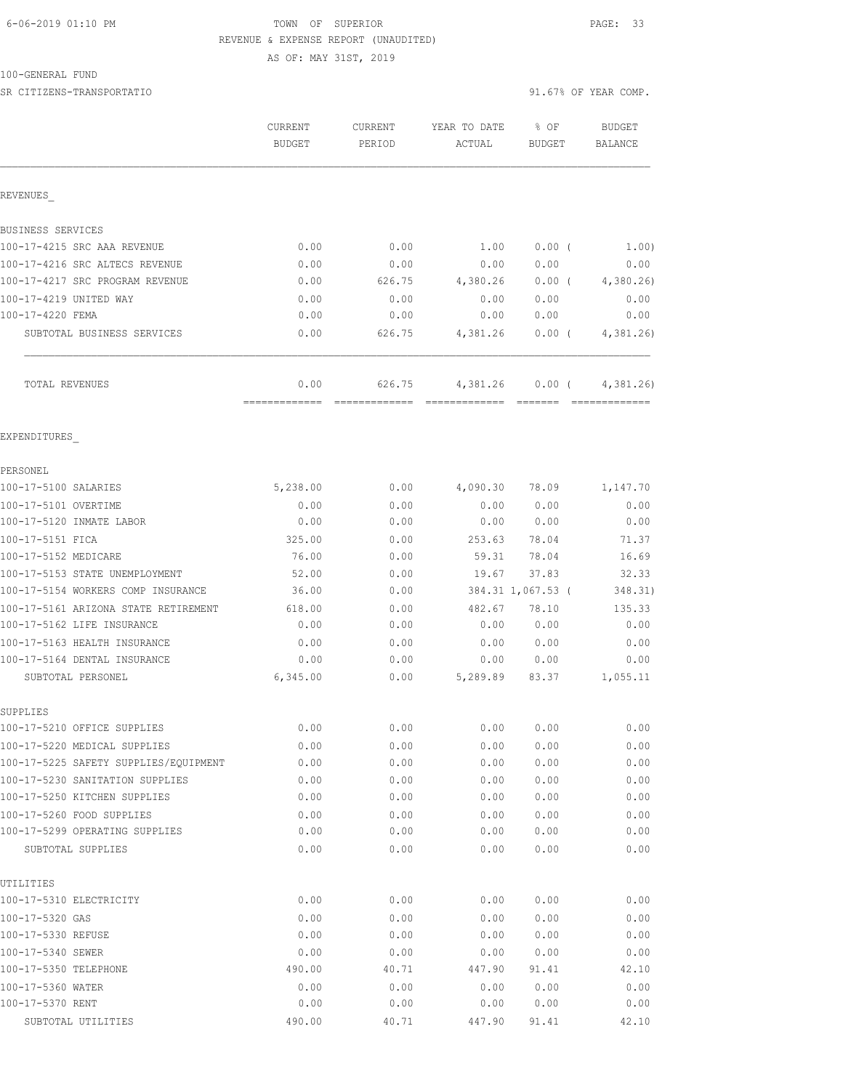## 6-06-2019 01:10 PM TOWN OF SUPERIOR PAGE: 33 REVENUE & EXPENSE REPORT (UNAUDITED)

AS OF: MAY 31ST, 2019

## 100-GENERAL FUND

|                                                                 | <b>CURRENT</b><br><b>BUDGET</b> | CURRENT<br>PERIOD | YEAR TO DATE<br>ACTUAL | % OF<br><b>BUDGET</b> | <b>BUDGET</b><br><b>BALANCE</b> |
|-----------------------------------------------------------------|---------------------------------|-------------------|------------------------|-----------------------|---------------------------------|
| REVENUES                                                        |                                 |                   |                        |                       |                                 |
| <b>BUSINESS SERVICES</b>                                        |                                 |                   |                        |                       |                                 |
| 100-17-4215 SRC AAA REVENUE                                     | 0.00                            | 0.00              | 1.00                   | $0.00$ (              | 1.00)                           |
| 100-17-4216 SRC ALTECS REVENUE                                  | 0.00                            | 0.00              | 0.00                   | 0.00                  | 0.00                            |
| 100-17-4217 SRC PROGRAM REVENUE                                 | 0.00                            | 626.75            | 4,380.26               | $0.00$ (              | 4,380.26                        |
| 100-17-4219 UNITED WAY                                          | 0.00                            | 0.00              | 0.00                   | 0.00                  | 0.00                            |
| 100-17-4220 FEMA                                                | 0.00                            | 0.00              | 0.00                   | 0.00                  | 0.00                            |
| SUBTOTAL BUSINESS SERVICES                                      | 0.00                            | 626.75            | 4,381.26               | $0.00$ (              | 4,381.26                        |
| TOTAL REVENUES                                                  | 0.00<br>=============           | 626.75            | 4,381.26               | $0.00$ (              | 4,381,26                        |
| EXPENDITURES                                                    |                                 |                   |                        |                       |                                 |
| PERSONEL                                                        |                                 |                   |                        |                       |                                 |
| 100-17-5100 SALARIES                                            | 5,238.00                        | 0.00              | 4,090.30               | 78.09                 | 1,147.70                        |
| 100-17-5101 OVERTIME                                            | 0.00                            | 0.00              |                        | 0.00 0.00             | 0.00                            |
| 100-17-5120 INMATE LABOR                                        | 0.00                            | 0.00              |                        | 0.00 0.00             | 0.00                            |
| 100-17-5151 FICA                                                | 325.00                          | 0.00              | 253.63                 | 78.04                 | 71.37                           |
| 100-17-5152 MEDICARE                                            | 76.00                           | 0.00              | 59.31                  | 78.04                 | 16.69                           |
| 100-17-5153 STATE UNEMPLOYMENT                                  | 52.00                           | 0.00              | 19.67                  | 37.83                 | 32.33                           |
| 100-17-5154 WORKERS COMP INSURANCE                              | 36.00                           | 0.00              |                        | 384.31 1,067.53 (     | 348.31)                         |
| 100-17-5161 ARIZONA STATE RETIREMENT                            | 618.00                          | 0.00              | 482.67                 | 78.10                 | 135.33                          |
| 100-17-5162 LIFE INSURANCE                                      | 0.00                            | 0.00              | 0.00                   | 0.00                  | 0.00                            |
| 100-17-5163 HEALTH INSURANCE                                    | 0.00                            | 0.00              | 0.00                   | 0.00                  | 0.00                            |
| 100-17-5164 DENTAL INSURANCE                                    | 0.00                            | 0.00              | 0.00                   | 0.00                  | 0.00                            |
| SUBTOTAL PERSONEL                                               | 6,345.00                        | 0.00              | 5,289.89               | 83.37                 | 1,055.11                        |
| SUPPLIES                                                        |                                 |                   |                        |                       |                                 |
| 100-17-5210 OFFICE SUPPLIES                                     | 0.00                            | 0.00              |                        | 0.00000.00            | 0.00                            |
| 100-17-5220 MEDICAL SUPPLIES                                    | 0.00                            | 0.00              | 0.00                   | 0.00                  | 0.00                            |
| 100-17-5225 SAFETY SUPPLIES/EQUIPMENT                           | 0.00                            | 0.00              | 0.00                   | 0.00                  | 0.00                            |
| 100-17-5230 SANITATION SUPPLIES<br>100-17-5250 KITCHEN SUPPLIES | 0.00<br>0.00                    | 0.00              | 0.00<br>0.00           | 0.00                  | 0.00                            |
| 100-17-5260 FOOD SUPPLIES                                       |                                 | 0.00              |                        | 0.00                  | 0.00                            |
| 100-17-5299 OPERATING SUPPLIES                                  | 0.00<br>0.00                    | 0.00<br>0.00      | 0.00<br>0.00           | 0.00<br>0.00          | 0.00<br>0.00                    |
| SUBTOTAL SUPPLIES                                               | 0.00                            | 0.00              | 0.00                   | 0.00                  | 0.00                            |
| UTILITIES                                                       |                                 |                   |                        |                       |                                 |
| 100-17-5310 ELECTRICITY                                         | 0.00                            | 0.00              | 0.00                   | 0.00                  | 0.00                            |
| 100-17-5320 GAS                                                 | 0.00                            | 0.00              | 0.00                   | 0.00                  | 0.00                            |
| 100-17-5330 REFUSE                                              | 0.00                            | 0.00              | 0.00                   | 0.00                  | 0.00                            |
| 100-17-5340 SEWER                                               | 0.00                            | 0.00              | 0.00                   | 0.00                  | 0.00                            |
| 100-17-5350 TELEPHONE                                           | 490.00                          | 40.71             | 447.90                 | 91.41                 | 42.10                           |
| 100-17-5360 WATER                                               | 0.00                            | 0.00              | 0.00                   | 0.00                  | 0.00                            |
| 100-17-5370 RENT                                                | 0.00                            | 0.00              | 0.00                   | 0.00                  | 0.00                            |
| SUBTOTAL UTILITIES                                              | 490.00                          | 40.71             | 447.90                 | 91.41                 | 42.10                           |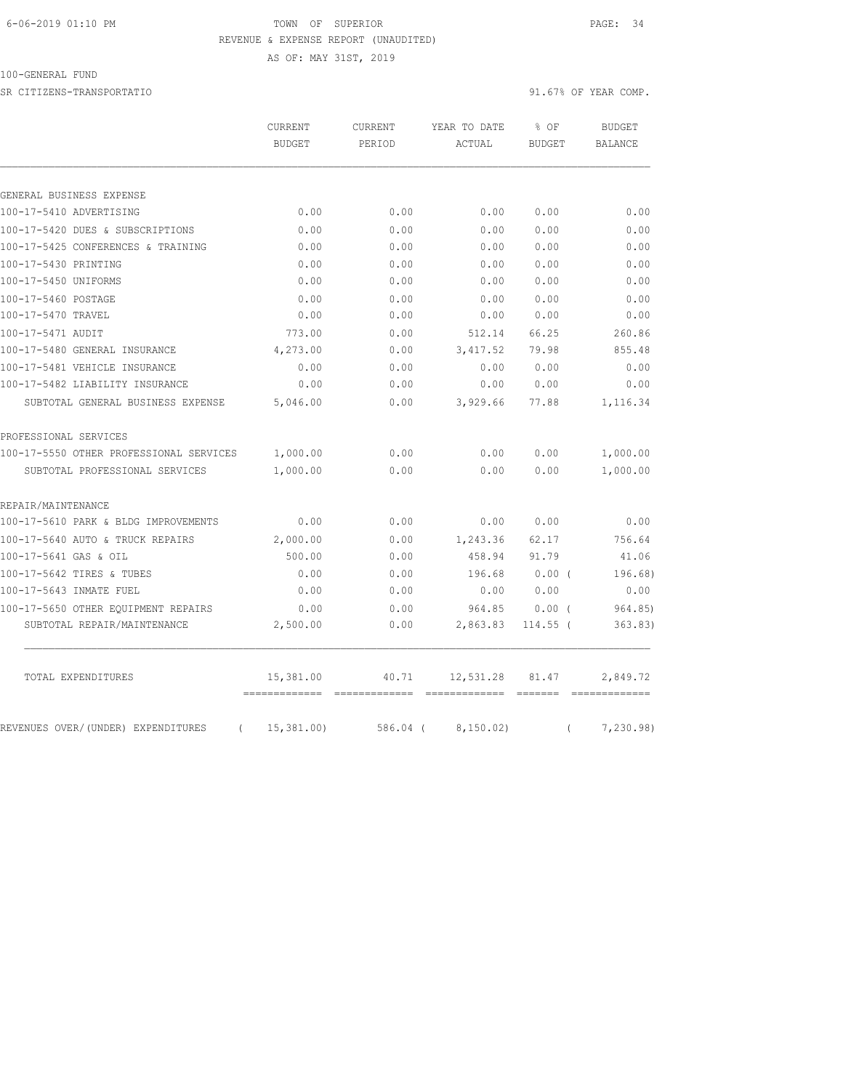## 6-06-2019 01:10 PM TOWN OF SUPERIOR PAGE: 34 REVENUE & EXPENSE REPORT (UNAUDITED)

AS OF: MAY 31ST, 2019

| $\sim$ |  |  | 100-GENERAL | FUND |
|--------|--|--|-------------|------|
|--------|--|--|-------------|------|

SR CITIZENS-TRANSPORTATIO SERVERS OF YEAR COMP.

|                                                | <b>CURRENT</b><br><b>BUDGET</b> | <b>CURRENT</b><br>PERIOD | YEAR TO DATE<br>ACTUAL | % OF<br><b>BUDGET</b> | <b>BUDGET</b><br><b>BALANCE</b> |
|------------------------------------------------|---------------------------------|--------------------------|------------------------|-----------------------|---------------------------------|
|                                                |                                 |                          |                        |                       |                                 |
| GENERAL BUSINESS EXPENSE                       |                                 |                          |                        |                       |                                 |
| 100-17-5410 ADVERTISING                        | 0.00                            | 0.00                     | 0.00                   | 0.00                  | 0.00                            |
| 100-17-5420 DUES & SUBSCRIPTIONS               | 0.00                            | 0.00                     | 0.00                   | 0.00                  | 0.00                            |
| 100-17-5425 CONFERENCES & TRAINING             | 0.00                            | 0.00                     | 0.00                   | 0.00                  | 0.00                            |
| 100-17-5430 PRINTING                           | 0.00                            | 0.00                     | 0.00                   | 0.00                  | 0.00                            |
| 100-17-5450 UNIFORMS                           | 0.00                            | 0.00                     | 0.00                   | 0.00                  | 0.00                            |
| 100-17-5460 POSTAGE                            | 0.00                            | 0.00                     | 0.00                   | 0.00                  | 0.00                            |
| 100-17-5470 TRAVEL                             | 0.00                            | 0.00                     | 0.00                   | 0.00                  | 0.00                            |
| 100-17-5471 AUDIT                              | 773.00                          | 0.00                     | 512.14                 | 66.25                 | 260.86                          |
| 100-17-5480 GENERAL INSURANCE                  | 4,273.00                        | 0.00                     | 3, 417.52              | 79.98                 | 855.48                          |
| 100-17-5481 VEHICLE INSURANCE                  | 0.00                            | 0.00                     | 0.00                   | 0.00                  | 0.00                            |
| 100-17-5482 LIABILITY INSURANCE                | 0.00                            | 0.00                     | 0.00                   | 0.00                  | 0.00                            |
| SUBTOTAL GENERAL BUSINESS EXPENSE              | 5,046.00                        | 0.00                     | 3,929.66               | 77.88                 | 1,116.34                        |
| PROFESSIONAL SERVICES                          |                                 |                          |                        |                       |                                 |
| 100-17-5550 OTHER PROFESSIONAL SERVICES        | 1,000.00                        | 0.00                     | 0.00                   | 0.00                  | 1,000.00                        |
| SUBTOTAL PROFESSIONAL SERVICES                 | 1,000.00                        | 0.00                     | 0.00                   | 0.00                  | 1,000.00                        |
| REPAIR/MAINTENANCE                             |                                 |                          |                        |                       |                                 |
| 100-17-5610 PARK & BLDG IMPROVEMENTS           | 0.00                            | 0.00                     | 0.00                   | 0.00                  | 0.00                            |
| 100-17-5640 AUTO & TRUCK REPAIRS               | 2,000.00                        | 0.00                     | 1,243.36               | 62.17                 | 756.64                          |
| 100-17-5641 GAS & OIL                          | 500.00                          | 0.00                     | 458.94                 | 91.79                 | 41.06                           |
| 100-17-5642 TIRES & TUBES                      | 0.00                            | 0.00                     | 196.68                 | $0.00$ (              | 196.68)                         |
| 100-17-5643 INMATE FUEL                        | 0.00                            | 0.00                     | 0.00                   | 0.00                  | 0.00                            |
| 100-17-5650 OTHER EOUIPMENT REPAIRS            | 0.00                            | 0.00                     | 964.85                 | 0.00(                 | 964.85                          |
| SUBTOTAL REPAIR/MAINTENANCE                    | 2,500.00                        | 0.00                     | 2,863.83               | $114.55$ (            | 363.83)                         |
| TOTAL EXPENDITURES                             | 15,381.00<br>------------       | 40.71                    | 12,531.28              | 81.47                 | 2,849.72                        |
| REVENUES OVER/(UNDER) EXPENDITURES<br>$\left($ | 15,381.00                       | 586.04 (                 | 8, 150.02)             | $\left($              | 7,230.98)                       |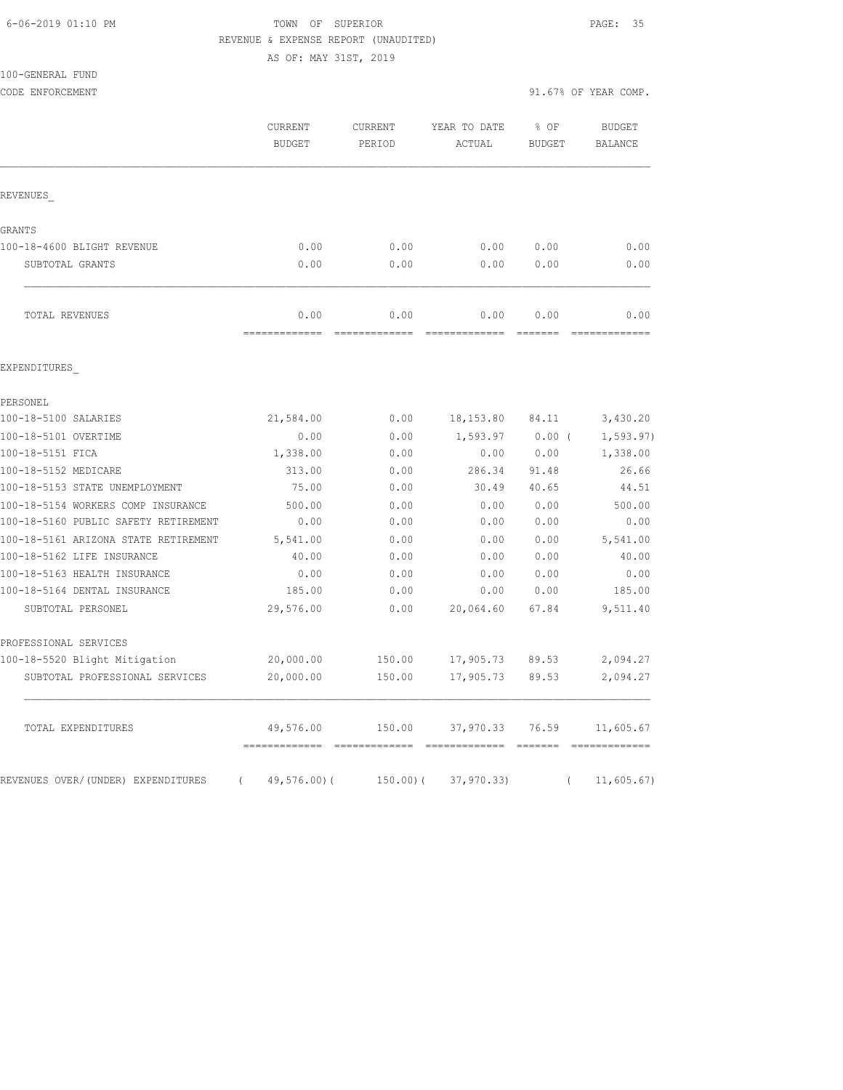## 6-06-2019 01:10 PM TOWN OF SUPERIOR PAGE: 35 REVENUE & EXPENSE REPORT (UNAUDITED)

AS OF: MAY 31ST, 2019

|                  | AS OF: M      |
|------------------|---------------|
| 100-GENERAL FUND |               |
| CODE ENFORCEMENT |               |
|                  | CURRENT       |
|                  | <b>BUDGET</b> |
|                  |               |
| REVENUES         |               |

|                                | _____________ |      |      |      |      |
|--------------------------------|---------------|------|------|------|------|
| TOTAL REVENUES                 | 0.00          | 0.00 | 0.00 | 0.00 | 0.00 |
|                                |               |      |      |      |      |
| SUBTOTAL GRANTS                | 0.00          | 0.00 | 0.00 | 0.00 | 0.00 |
| 100-18-4600 BLIGHT REVENUE     | 0.00          | 0.00 | 0.00 | 0.00 | 0.00 |
| GRANTS                         |               |      |      |      |      |
|                                |               |      |      |      |      |
| __<br>$\overline{\phantom{0}}$ |               |      |      |      |      |

#### EXPENDITURES\_

| PERSONEL                             |          |               |        |                          |       |            |
|--------------------------------------|----------|---------------|--------|--------------------------|-------|------------|
| 100-18-5100 SALARIES                 |          | 21,584.00     | 0.00   | 18,153.80                | 84.11 | 3,430.20   |
| 100-18-5101 OVERTIME                 |          | 0.00          | 0.00   | 1,593.97                 | 0.00( | 1, 593.97) |
| 100-18-5151 FICA                     |          | 1,338.00      | 0.00   | 0.00                     | 0.00  | 1,338.00   |
| 100-18-5152 MEDICARE                 |          | 313.00        | 0.00   | 286.34                   | 91.48 | 26.66      |
| 100-18-5153 STATE UNEMPLOYMENT       |          | 75.00         | 0.00   | 30.49                    | 40.65 | 44.51      |
| 100-18-5154 WORKERS COMP INSURANCE   |          | 500.00        | 0.00   | 0.00                     | 0.00  | 500.00     |
| 100-18-5160 PUBLIC SAFETY RETIREMENT |          | 0.00          | 0.00   | 0.00                     | 0.00  | 0.00       |
| 100-18-5161 ARIZONA STATE RETIREMENT |          | 5,541.00      | 0.00   | 0.00                     | 0.00  | 5,541.00   |
| 100-18-5162 LIFE INSURANCE           |          | 40.00         | 0.00   | 0.00                     | 0.00  | 40.00      |
| 100-18-5163 HEALTH INSURANCE         |          | 0.00          | 0.00   | 0.00                     | 0.00  | 0.00       |
| 100-18-5164 DENTAL INSURANCE         |          | 185.00        | 0.00   | 0.00                     | 0.00  | 185.00     |
| SUBTOTAL PERSONEL                    |          | 29,576.00     | 0.00   | 20,064.60                | 67.84 | 9,511.40   |
| PROFESSIONAL SERVICES                |          |               |        |                          |       |            |
| 100-18-5520 Blight Mitigation        |          | 20,000.00     | 150.00 | 17,905.73                | 89.53 | 2,094.27   |
| SUBTOTAL PROFESSIONAL SERVICES       |          | 20,000.00     | 150.00 | 17,905.73                | 89.53 | 2,094.27   |
|                                      |          |               |        |                          |       |            |
| TOTAL EXPENDITURES                   |          | 49,576.00     | 150.00 | 37,970.33                | 76.59 | 11,605.67  |
| REVENUES OVER/(UNDER) EXPENDITURES   | $\left($ | $49,576.00$ ( |        | $150.00$ ( $37,970.33$ ) |       | 11,605.67  |

91.67% OF YEAR COMP.

CURRENT YEAR TO DATE % OF BUDGET PERIOD ACTUAL BUDGET BALANCE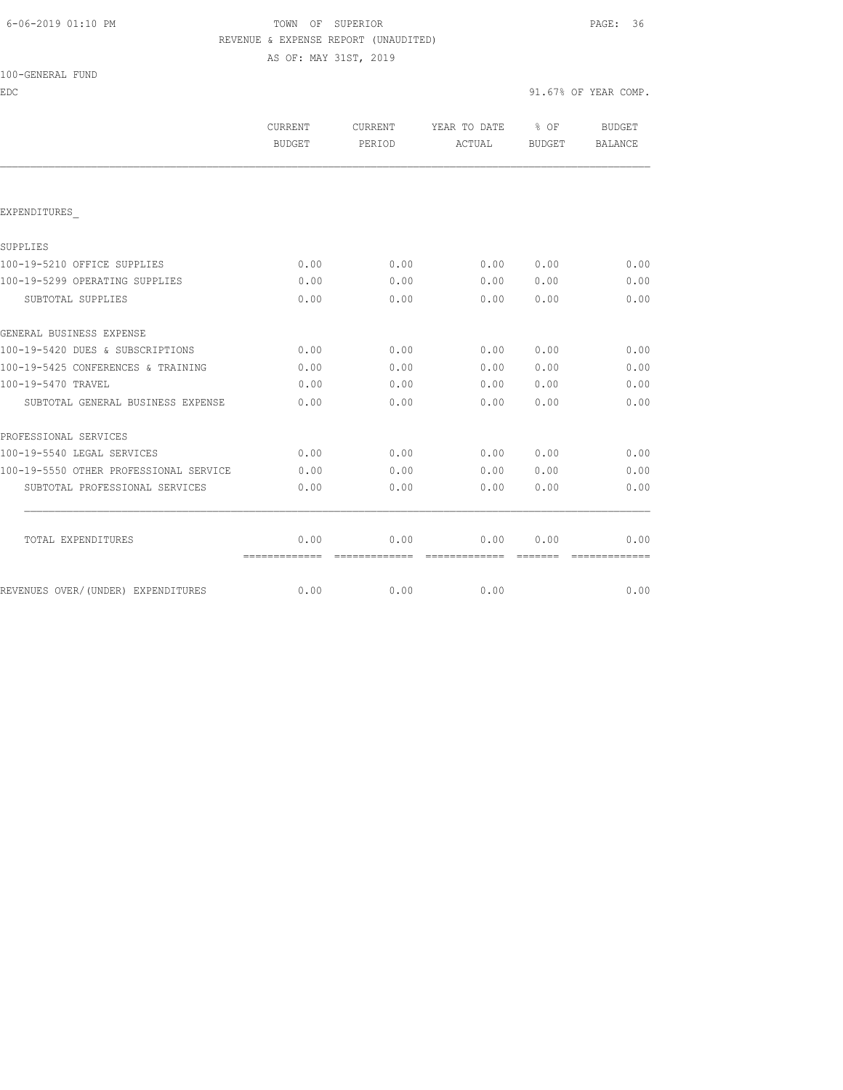## 6-06-2019 01:10 PM TOWN OF SUPERIOR PAGE: 36 REVENUE & EXPENSE REPORT (UNAUDITED)

AS OF: MAY 31ST, 2019

| 100-GENERAL FUND |  |
|------------------|--|
|------------------|--|

EDC 91.67% OF YEAR COMP.

|                                        | <b>CURRENT</b><br>BUDGET | <b>CURRENT</b><br>PERIOD | YEAR TO DATE<br>ACTUAL | $\frac{8}{3}$ OF<br>BUDGET | BUDGET<br>BALANCE |
|----------------------------------------|--------------------------|--------------------------|------------------------|----------------------------|-------------------|
|                                        |                          |                          |                        |                            |                   |
| EXPENDITURES                           |                          |                          |                        |                            |                   |
| SUPPLIES                               |                          |                          |                        |                            |                   |
| 100-19-5210 OFFICE SUPPLIES            | 0.00                     | 0.00                     | 0.00                   | 0.00                       | 0.00              |
| 100-19-5299 OPERATING SUPPLIES         | 0.00                     | 0.00                     | 0.00                   | 0.00                       | 0.00              |
| SUBTOTAL SUPPLIES                      | 0.00                     | 0.00                     | 0.00                   | 0.00                       | 0.00              |
| GENERAL BUSINESS EXPENSE               |                          |                          |                        |                            |                   |
| 100-19-5420 DUES & SUBSCRIPTIONS       | 0.00                     | 0.00                     | 0.00                   | 0.00                       | 0.00              |
| 100-19-5425 CONFERENCES & TRAINING     | 0.00                     | 0.00                     | 0.00                   | 0.00                       | 0.00              |
| 100-19-5470 TRAVEL                     | 0.00                     | 0.00                     | 0.00                   | 0.00                       | 0.00              |
| SUBTOTAL GENERAL BUSINESS EXPENSE      | 0.00                     | 0.00                     | 0.00                   | 0.00                       | 0.00              |
| PROFESSIONAL SERVICES                  |                          |                          |                        |                            |                   |
| 100-19-5540 LEGAL SERVICES             | 0.00                     | 0.00                     | 0.00                   | 0.00                       | 0.00              |
| 100-19-5550 OTHER PROFESSIONAL SERVICE | 0.00                     | 0.00                     | 0.00                   | 0.00                       | 0.00              |
| SUBTOTAL PROFESSIONAL SERVICES         | 0.00                     | 0.00                     | 0.00                   | 0.00                       | 0.00              |
| TOTAL EXPENDITURES                     | 0.00                     | 0.00                     | 0.00                   | 0.00                       | 0.00              |
|                                        | =============            | =============            | - cooccooccooc         | --------                   | -------------     |
| REVENUES OVER/(UNDER) EXPENDITURES     | 0.00                     | 0.00                     | 0.00                   |                            | 0.00              |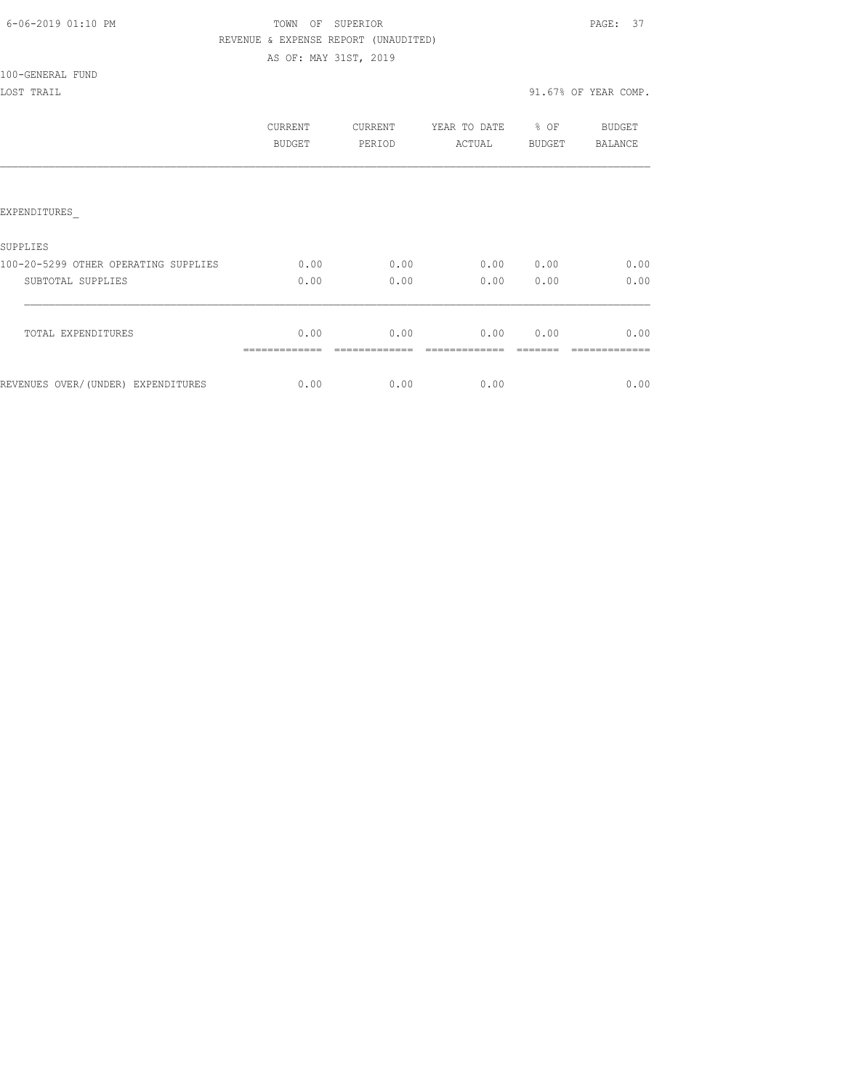|  | 6-06-2019 01:10 PM |  |
|--|--------------------|--|
|  |                    |  |

# TOWN OF SUPERIOR **Example 2019** PAGE: 37 REVENUE & EXPENSE REPORT (UNAUDITED) AS OF: MAY 31ST, 2019

100-GENERAL FUND

|                                      | CURRENT<br><b>BUDGET</b> | CURRENT<br>PERIOD | YEAR TO DATE<br>ACTUAL | % OF<br><b>BUDGET</b> | <b>BUDGET</b><br><b>BALANCE</b> |
|--------------------------------------|--------------------------|-------------------|------------------------|-----------------------|---------------------------------|
|                                      |                          |                   |                        |                       |                                 |
| EXPENDITURES                         |                          |                   |                        |                       |                                 |
| SUPPLIES                             |                          |                   |                        |                       |                                 |
| 100-20-5299 OTHER OPERATING SUPPLIES | 0.00                     | 0.00              | 0.00                   | 0.00                  | 0.00                            |
| SUBTOTAL SUPPLIES                    | 0.00                     | 0.00              | 0.00                   | 0.00                  | 0.00                            |
| TOTAL EXPENDITURES                   | 0.00                     | 0.00              | 0.00                   | 0.00                  | 0.00                            |
| REVENUES OVER/(UNDER) EXPENDITURES   | 0.00                     | 0.00              | 0.00                   |                       | 0.00                            |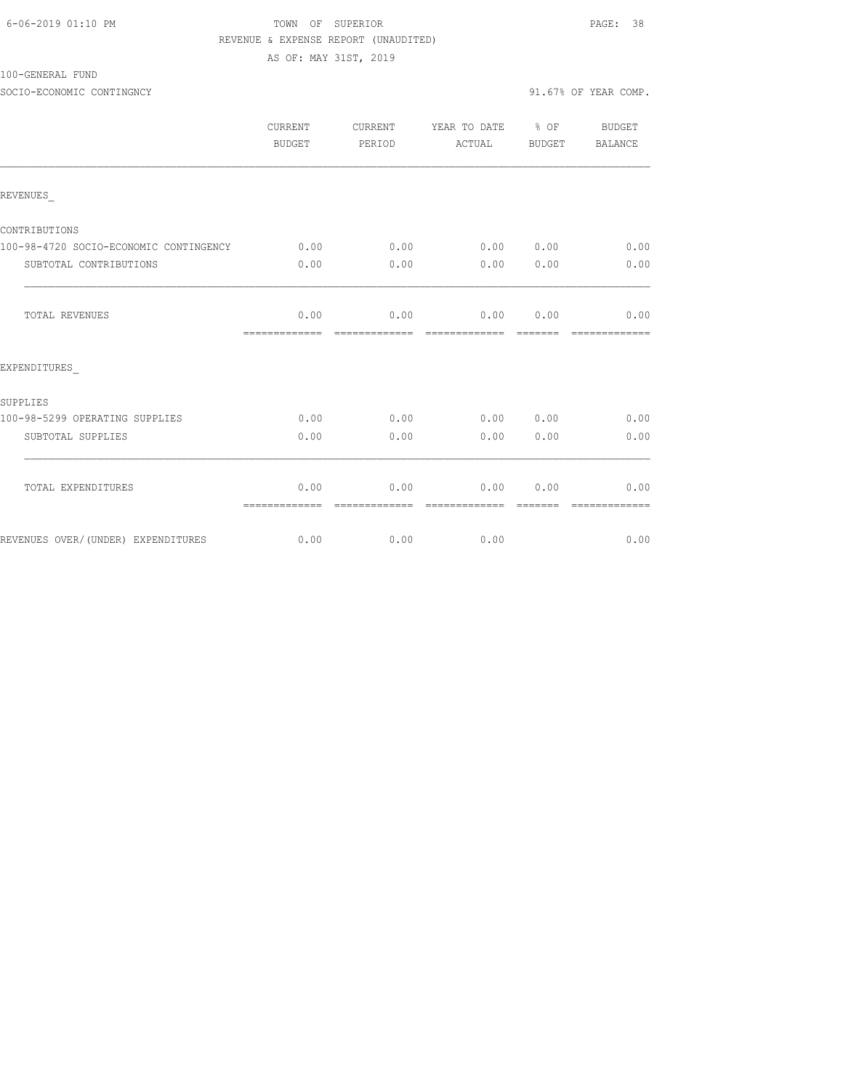| 6-06-2019 01:10 PM |  |
|--------------------|--|
|                    |  |

# TOWN OF SUPERIOR **Example 2019** PAGE: 38 REVENUE & EXPENSE REPORT (UNAUDITED)

AS OF: MAY 31ST, 2019

100-GENERAL FUND

SOCIO-ECONOMIC CONTINGNCY 91.67% OF YEAR COMP.

|                                        | CURRENT<br>BUDGET     | CURRENT<br>PERIOD     | YEAR TO DATE % OF<br>ACTUAL | BUDGET        | BUDGET<br>BALANCE     |
|----------------------------------------|-----------------------|-----------------------|-----------------------------|---------------|-----------------------|
| REVENUES                               |                       |                       |                             |               |                       |
| CONTRIBUTIONS                          |                       |                       |                             |               |                       |
| 100-98-4720 SOCIO-ECONOMIC CONTINGENCY | 0.00                  | 0.00                  |                             | 0.00 0.00     | 0.00                  |
| SUBTOTAL CONTRIBUTIONS                 | 0.00                  | 0.00                  | 0.00                        | 0.00          | 0.00                  |
| TOTAL REVENUES                         | 0.00                  | 0.00                  | 0.00                        | 0.00          | 0.00                  |
| EXPENDITURES                           |                       |                       |                             |               |                       |
| <b>SUPPLIES</b>                        |                       |                       |                             |               |                       |
| 100-98-5299 OPERATING SUPPLIES         | 0.00                  | 0.00                  |                             | $0.00$ $0.00$ | 0.00                  |
| SUBTOTAL SUPPLIES                      | 0.00                  | 0.00                  | 0.00                        | 0.00          | 0.00                  |
| TOTAL EXPENDITURES                     | 0.00<br>============= | 0.00<br>============= | 0.00<br>=============       | 0.00          | 0.00<br>============= |
| REVENUES OVER/(UNDER) EXPENDITURES     | 0.00                  | 0.00                  | 0.00                        |               | 0.00                  |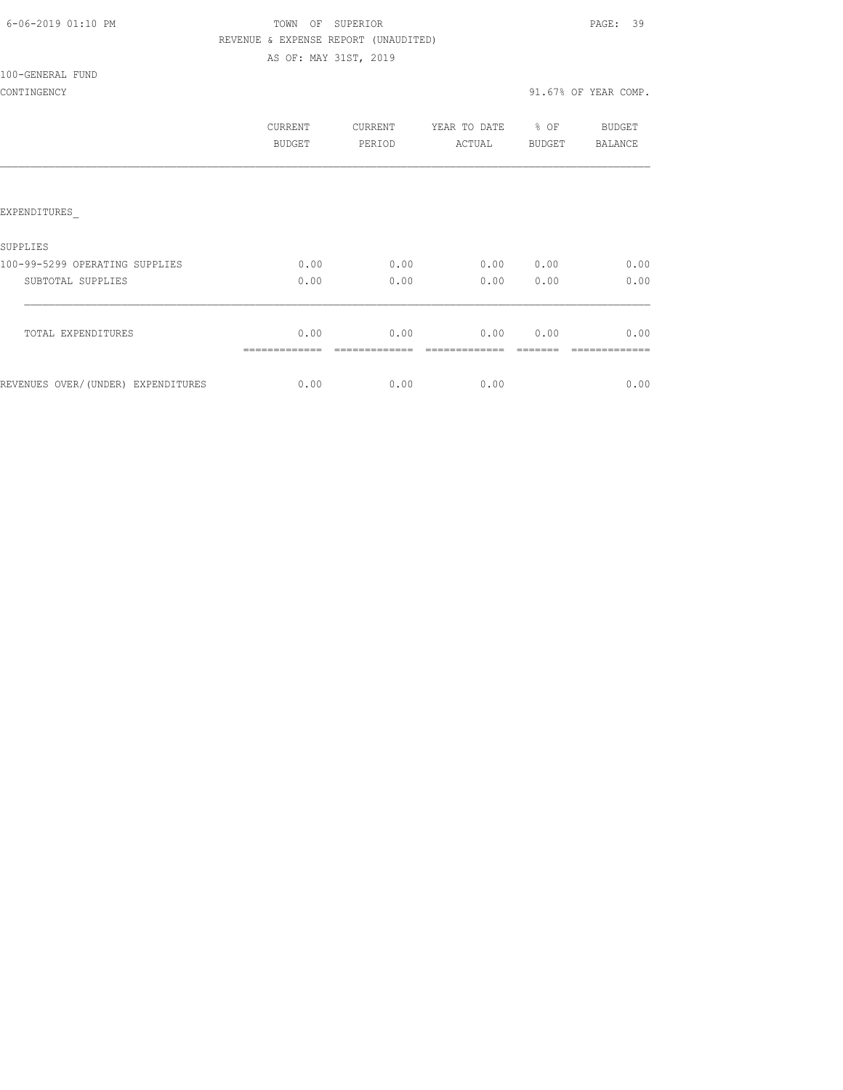|  | 6-06-2019 01:10 PM |  |
|--|--------------------|--|
|  |                    |  |

# TOWN OF SUPERIOR **Example 2019** PAGE: 39 REVENUE & EXPENSE REPORT (UNAUDITED)

AS OF: MAY 31ST, 2019

### 100-GENERAL FUND

|                                    | CURRENT<br><b>BUDGET</b> | CURRENT<br>PERIOD | YEAR TO DATE<br>ACTUAL | % OF<br><b>BUDGET</b> | BUDGET<br>BALANCE |
|------------------------------------|--------------------------|-------------------|------------------------|-----------------------|-------------------|
|                                    |                          |                   |                        |                       |                   |
| EXPENDITURES                       |                          |                   |                        |                       |                   |
| SUPPLIES                           |                          |                   |                        |                       |                   |
| 100-99-5299 OPERATING SUPPLIES     | 0.00                     | 0.00              | 0.00                   | 0.00                  | 0.00              |
| SUBTOTAL SUPPLIES                  | 0.00                     | 0.00              | 0.00                   | 0.00                  | 0.00              |
| TOTAL EXPENDITURES                 | 0.00                     | 0.00              | 0.00                   | 0.00                  | 0.00              |
| REVENUES OVER/(UNDER) EXPENDITURES | 0.00                     | 0.00              | 0.00                   |                       | 0.00              |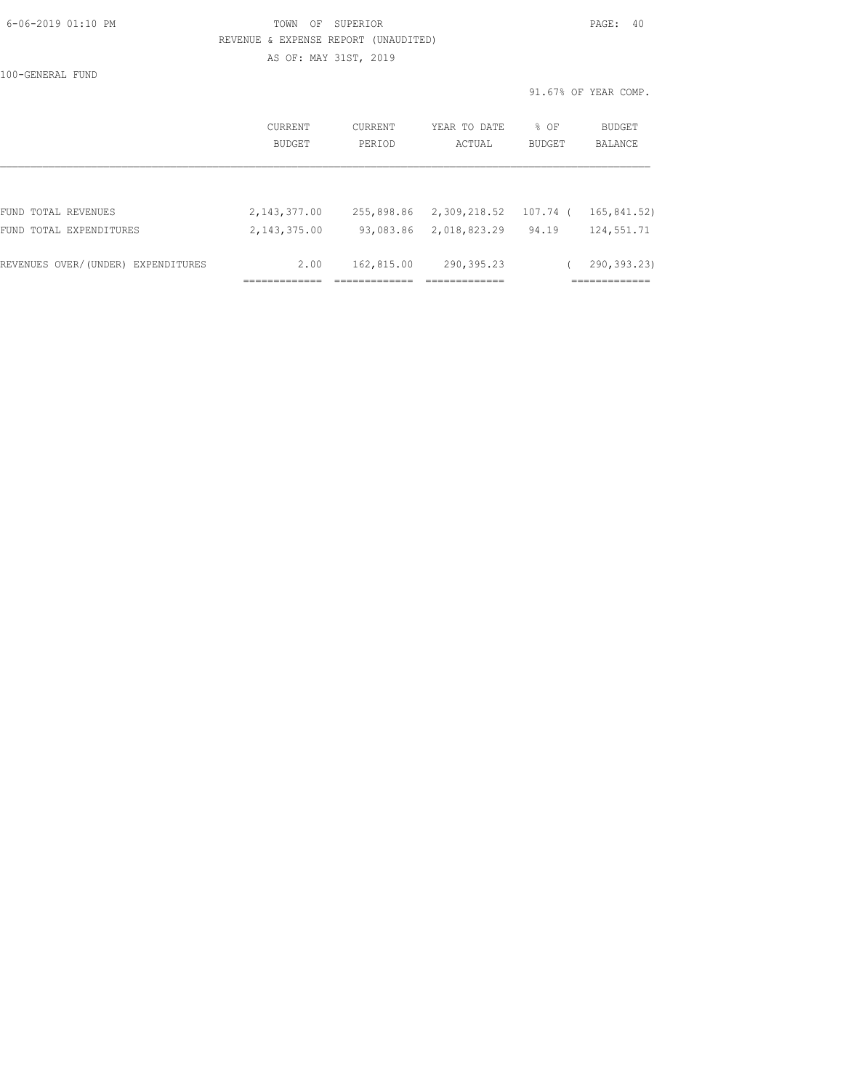| 6-06-2019 01:10 PM |  |
|--------------------|--|
|                    |  |

# TOWN OF SUPERIOR **Example 2019** PAGE: 40 REVENUE & EXPENSE REPORT (UNAUDITED) AS OF: MAY 31ST, 2019

100-GENERAL FUND

|                                    | CURRENT<br>BUDGET | <b>CURRENT</b><br>PERIOD | YEAR TO DATE<br>ACTUAL | $8$ OF<br><b>BUDGET</b> | BUDGET<br>BALANCE |
|------------------------------------|-------------------|--------------------------|------------------------|-------------------------|-------------------|
|                                    |                   |                          |                        |                         |                   |
| FUND TOTAL REVENUES                | 2, 143, 377.00    | 255,898.86               | 2,309,218.52           | 107.74 (                | 165,841.52)       |
| FUND TOTAL EXPENDITURES            | 2,143,375.00      | 93,083.86                | 2,018,823.29           | 94.19                   | 124,551.71        |
| REVENUES OVER/(UNDER) EXPENDITURES | 2.00              | 162,815.00               | 290, 395.23            |                         | 290,393.23)       |
|                                    |                   |                          |                        |                         |                   |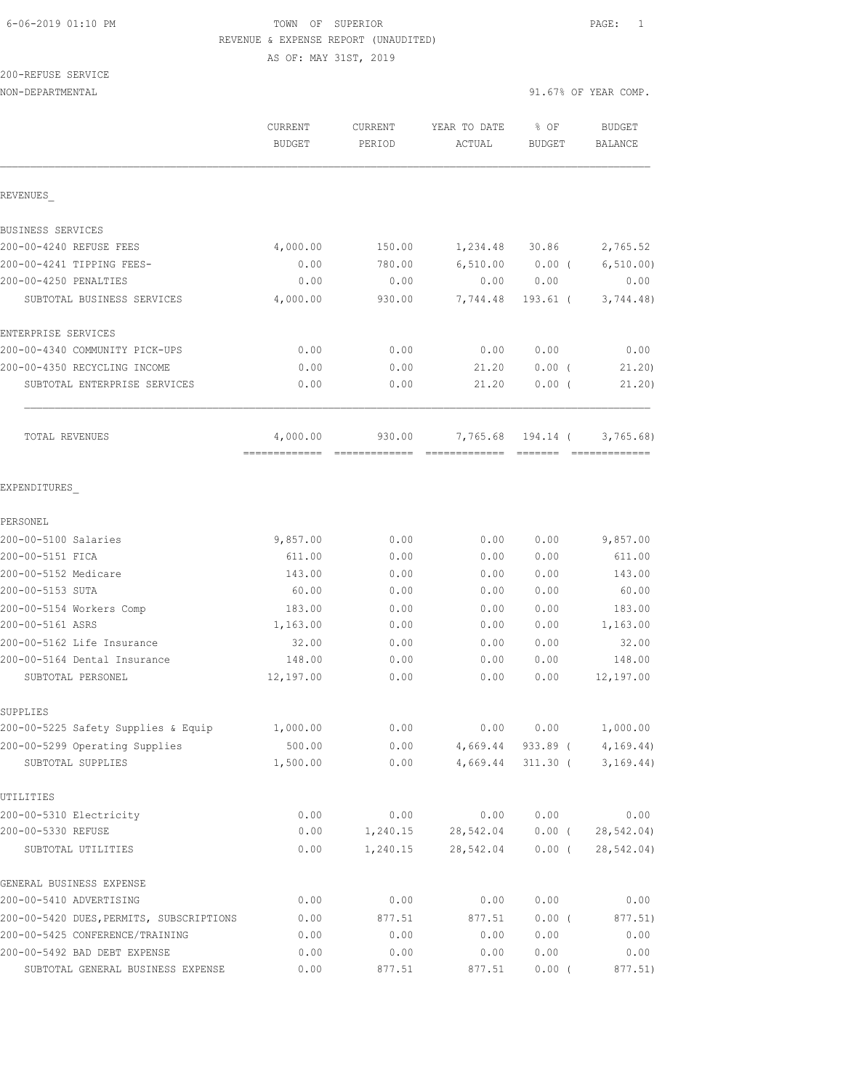AS OF: MAY 31ST, 2019

# 200-REFUSE SERVICE

NON-DEPARTMENTAL 91.67% OF YEAR COMP.

|                                                     | CURRENT<br><b>BUDGET</b> | <b>CURRENT</b><br>PERIOD | YEAR TO DATE<br>ACTUAL | % OF<br>BUDGET         | <b>BUDGET</b><br>BALANCE |
|-----------------------------------------------------|--------------------------|--------------------------|------------------------|------------------------|--------------------------|
| REVENUES                                            |                          |                          |                        |                        |                          |
| BUSINESS SERVICES                                   |                          |                          |                        |                        |                          |
| 200-00-4240 REFUSE FEES                             | 4,000.00                 | 150.00                   | 1,234.48               | 30.86                  | 2,765.52                 |
| 200-00-4241 TIPPING FEES-                           | 0.00                     | 780.00                   | 6,510.00               | $0.00$ (               | 6, 510.00                |
| 200-00-4250 PENALTIES                               | 0.00                     | 0.00                     | 0.00                   | 0.00                   | 0.00                     |
| SUBTOTAL BUSINESS SERVICES                          | 4,000.00                 | 930.00                   | 7,744.48               | $193.61$ (             | 3,744.48)                |
| ENTERPRISE SERVICES                                 |                          |                          |                        |                        |                          |
| 200-00-4340 COMMUNITY PICK-UPS                      | 0.00                     | 0.00                     | 0.00                   | 0.00                   | 0.00                     |
| 200-00-4350 RECYCLING INCOME                        | 0.00                     | 0.00                     | 21.20                  | 0.00(                  | 21.20                    |
| SUBTOTAL ENTERPRISE SERVICES                        | 0.00                     | 0.00                     | 21.20                  | $0.00$ (               | 21.20)                   |
| TOTAL REVENUES                                      | 4,000.00                 | 930.00                   | 7,765.68               | 194.14 (               | 3,765.68                 |
| EXPENDITURES                                        |                          |                          |                        |                        |                          |
| PERSONEL                                            |                          |                          |                        |                        |                          |
| 200-00-5100 Salaries                                | 9,857.00                 | 0.00                     | 0.00                   | 0.00                   | 9,857.00                 |
| 200-00-5151 FICA                                    | 611.00                   | 0.00                     | 0.00                   | 0.00                   | 611.00                   |
| 200-00-5152 Medicare                                | 143.00                   | 0.00                     | 0.00                   | 0.00                   | 143.00                   |
| 200-00-5153 SUTA                                    | 60.00                    | 0.00                     | 0.00                   | 0.00                   | 60.00                    |
| 200-00-5154 Workers Comp                            | 183.00                   | 0.00                     | 0.00                   | 0.00                   | 183.00                   |
| 200-00-5161 ASRS                                    | 1,163.00                 | 0.00                     | 0.00                   | 0.00                   | 1,163.00                 |
| 200-00-5162 Life Insurance                          | 32.00                    | 0.00                     | 0.00                   | 0.00                   | 32.00                    |
| 200-00-5164 Dental Insurance                        | 148.00                   | 0.00                     | 0.00                   | 0.00                   | 148.00                   |
| SUBTOTAL PERSONEL                                   | 12,197.00                | 0.00                     | 0.00                   | 0.00                   | 12,197.00                |
| SUPPLIES                                            |                          |                          |                        |                        |                          |
| 200-00-5225 Safety Supplies & Equip                 | 1,000.00                 | 0.00                     | 0.00                   | 0.00                   | 1,000.00                 |
| 200-00-5299 Operating Supplies<br>SUBTOTAL SUPPLIES | 500.00<br>1,500.00       | 0.00<br>0.00             | 4,669.44<br>4,669.44   | 933.89 (<br>$311.30$ ( | 4, 169.44)<br>3, 169.44) |
| UTILITIES                                           |                          |                          |                        |                        |                          |
| 200-00-5310 Electricity                             | 0.00                     | 0.00                     | 0.00                   | 0.00                   | 0.00                     |
| 200-00-5330 REFUSE                                  | 0.00                     | 1,240.15                 | 28,542.04              | $0.00$ (               | 28,542.04)               |
| SUBTOTAL UTILITIES                                  | 0.00                     | 1,240.15                 | 28,542.04              | $0.00$ (               | 28,542.04)               |
| GENERAL BUSINESS EXPENSE                            |                          |                          |                        |                        |                          |
| 200-00-5410 ADVERTISING                             | 0.00                     | 0.00                     | 0.00                   | 0.00                   | 0.00                     |
| 200-00-5420 DUES, PERMITS, SUBSCRIPTIONS            | 0.00                     | 877.51                   | 877.51                 | $0.00$ (               | 877.51)                  |
| 200-00-5425 CONFERENCE/TRAINING                     | 0.00                     | 0.00                     | 0.00                   | 0.00                   | 0.00                     |
| 200-00-5492 BAD DEBT EXPENSE                        | 0.00                     | 0.00                     | 0.00                   | 0.00                   | 0.00                     |

SUBTOTAL GENERAL BUSINESS EXPENSE  $0.00$  877.51 877.51 0.00 (877.51)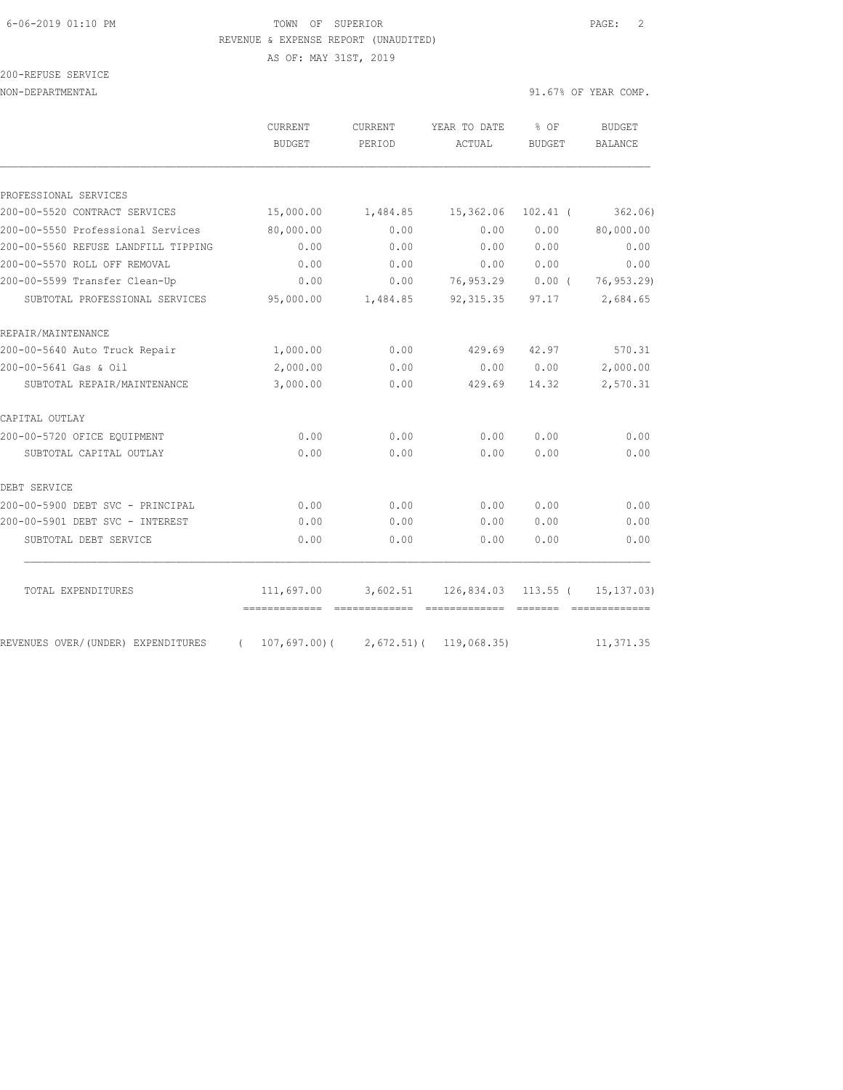AS OF: MAY 31ST, 2019

| 200-REFUSE SERVICE |  |
|--------------------|--|
|                    |  |

NON-DEPARTMENTAL 91.67% OF YEAR COMP.

|                                     | CURRENT<br><b>BUDGET</b> | CURRENT<br>PERIOD                      | YEAR TO DATE<br>ACTUAL       | % OF<br><b>BUDGET</b> | <b>BUDGET</b><br><b>BALANCE</b> |
|-------------------------------------|--------------------------|----------------------------------------|------------------------------|-----------------------|---------------------------------|
|                                     |                          |                                        |                              |                       |                                 |
| PROFESSIONAL SERVICES               |                          |                                        |                              |                       |                                 |
| 200-00-5520 CONTRACT SERVICES       | 15,000.00                | 1,484.85                               | 15,362.06                    | $102.41$ (            | 362.06                          |
| 200-00-5550 Professional Services   | 80,000.00                | 0.00                                   | 0.00                         | 0.00                  | 80,000.00                       |
| 200-00-5560 REFUSE LANDFILL TIPPING | 0.00                     | 0.00                                   | 0.00                         | 0.00                  | 0.00                            |
| 200-00-5570 ROLL OFF REMOVAL        | 0.00                     | 0.00                                   | 0.00                         | 0.00                  | 0.00                            |
| 200-00-5599 Transfer Clean-Up       | 0.00                     | 0.00                                   | 76,953.29                    | $0.00$ (              | 76, 953.29)                     |
| SUBTOTAL PROFESSIONAL SERVICES      | 95,000.00                | 1,484.85                               | 92, 315.35                   | 97.17                 | 2,684.65                        |
| REPAIR/MAINTENANCE                  |                          |                                        |                              |                       |                                 |
| 200-00-5640 Auto Truck Repair       | 1,000.00                 | 0.00                                   | 429.69                       | 42.97                 | 570.31                          |
| 200-00-5641 Gas & Oil               | 2,000.00                 | 0.00                                   | 0.00                         | 0.00                  | 2,000.00                        |
| SUBTOTAL REPAIR/MAINTENANCE         | 3,000.00                 | 0.00                                   | 429.69                       | 14.32                 | 2,570.31                        |
| CAPITAL OUTLAY                      |                          |                                        |                              |                       |                                 |
| 200-00-5720 OFICE EQUIPMENT         | 0.00                     | 0.00                                   | 0.00                         | 0.00                  | 0.00                            |
| SUBTOTAL CAPITAL OUTLAY             | 0.00                     | 0.00                                   | 0.00                         | 0.00                  | 0.00                            |
| DEBT SERVICE                        |                          |                                        |                              |                       |                                 |
| 200-00-5900 DEBT SVC - PRINCIPAL    | 0.00                     | 0.00                                   | 0.00                         | 0.00                  | 0.00                            |
| 200-00-5901 DEBT SVC - INTEREST     | 0.00                     | 0.00                                   | 0.00                         | 0.00                  | 0.00                            |
| SUBTOTAL DEBT SERVICE               | 0.00                     | 0.00                                   | 0.00                         | 0.00                  | 0.00                            |
| TOTAL EXPENDITURES                  | 111,697.00               |                                        | 3,602.51 126,834.03 113.55 ( |                       | 15, 137, 03)                    |
| REVENUES OVER/(UNDER) EXPENDITURES  | $\sqrt{2}$               | $107,697.00$ ( 2,672.51) ( 119,068.35) |                              |                       | 11,371.35                       |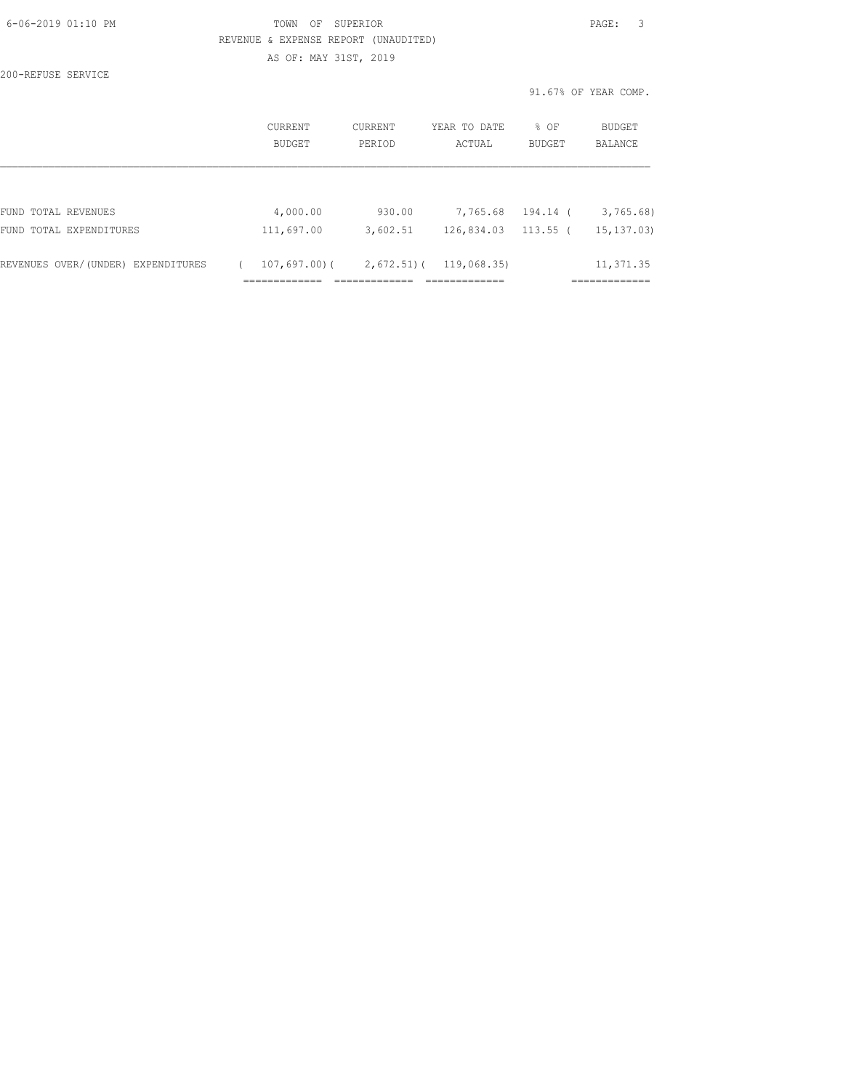| 6-06-2019 01:10 PM |  |
|--------------------|--|
|                    |  |

# FOWN OF SUPERIOR **Example 2019** PAGE: 3 REVENUE & EXPENSE REPORT (UNAUDITED) AS OF: MAY 31ST, 2019

200-REFUSE SERVICE

|                                    | <b>CURRENT</b><br>BUDGET | CURRENT<br>PERIOD | YEAR TO DATE<br>ACTUAL | % OF<br>BUDGET | <b>BUDGET</b><br>BALANCE |  |
|------------------------------------|--------------------------|-------------------|------------------------|----------------|--------------------------|--|
|                                    |                          |                   |                        |                |                          |  |
| FUND TOTAL REVENUES                | 4,000.00                 | 930.00            | 7,765.68               | 194.14 (       | 3,765.68                 |  |
| FUND TOTAL EXPENDITURES            | 111,697.00               | 3,602.51          | 126,834.03             | $113.55$ (     | 15, 137, 03              |  |
| REVENUES OVER/(UNDER) EXPENDITURES | 107,697.00)(             | $2,672.51$ (      | 119,068.35)            |                | 11,371.35                |  |
|                                    |                          |                   |                        |                |                          |  |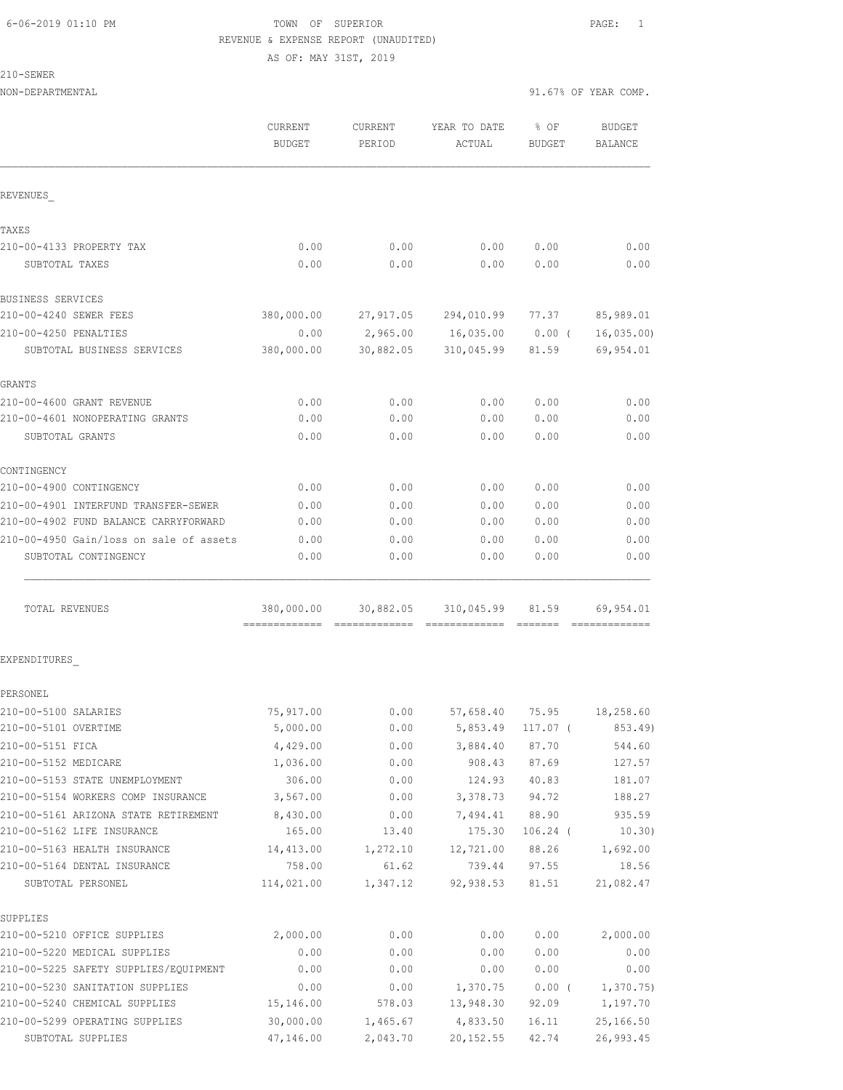AS OF: MAY 31ST, 2019

210-SEWER

| NON-DEPARTMENTAL                        |                          |                          | 91.67% OF YEAR COMP.   |                       |                          |
|-----------------------------------------|--------------------------|--------------------------|------------------------|-----------------------|--------------------------|
|                                         | CURRENT<br><b>BUDGET</b> | <b>CURRENT</b><br>PERIOD | YEAR TO DATE<br>ACTUAL | % OF<br><b>BUDGET</b> | <b>BUDGET</b><br>BALANCE |
| REVENUES                                |                          |                          |                        |                       |                          |
| TAXES                                   |                          |                          |                        |                       |                          |
| 210-00-4133 PROPERTY TAX                | 0.00                     | 0.00                     | 0.00                   | 0.00                  | 0.00                     |
| SUBTOTAL TAXES                          | 0.00                     | 0.00                     | 0.00                   | 0.00                  | 0.00                     |
| BUSINESS SERVICES                       |                          |                          |                        |                       |                          |
| 210-00-4240 SEWER FEES                  | 380,000.00               |                          | 27,917.05 294,010.99   | 77.37                 | 85,989.01                |
| 210-00-4250 PENALTIES                   | 0.00                     |                          | 2,965.00 16,035.00     | $0.00$ (              | 16,035.00                |
| SUBTOTAL BUSINESS SERVICES              | 380,000.00               | 30,882.05                | 310,045.99             | 81.59                 | 69,954.01                |
| GRANTS                                  |                          |                          |                        |                       |                          |
| 210-00-4600 GRANT REVENUE               | 0.00                     | 0.00                     | 0.00                   | 0.00                  | 0.00                     |
| 210-00-4601 NONOPERATING GRANTS         | 0.00                     | 0.00                     | 0.00                   | 0.00                  | 0.00                     |
| SUBTOTAL GRANTS                         | 0.00                     | 0.00                     | 0.00                   | 0.00                  | 0.00                     |
| CONTINGENCY                             |                          |                          |                        |                       |                          |
| 210-00-4900 CONTINGENCY                 | 0.00                     | 0.00                     | 0.00                   | 0.00                  | 0.00                     |
| 210-00-4901 INTERFUND TRANSFER-SEWER    | 0.00                     | 0.00                     | 0.00                   | 0.00                  | 0.00                     |
| 210-00-4902 FUND BALANCE CARRYFORWARD   | 0.00                     | 0.00                     | 0.00                   | 0.00                  | 0.00                     |
| 210-00-4950 Gain/loss on sale of assets | 0.00                     | 0.00                     | 0.00                   | 0.00                  | 0.00                     |
| SUBTOTAL CONTINGENCY                    | 0.00                     | 0.00                     | 0.00                   | 0.00                  | 0.00                     |
| TOTAL REVENUES                          | 380,000.00               | 30,882.05                | 310,045.99             | 81.59                 | 69,954.01                |
| EXPENDITURES                            |                          |                          |                        |                       |                          |
| PERSONEL                                |                          |                          |                        |                       |                          |
| 210-00-5100 SALARIES                    | 75,917.00                | 0.00                     | 57,658.40              | 75.95                 | 18,258.60                |
| 210-00-5101 OVERTIME                    | 5,000.00                 | 0.00                     | 5,853.49               | 117.07 (              | 853.49)                  |
| 210-00-5151 FICA                        | 4,429.00                 | 0.00                     | 3,884.40               | 87.70                 | 544.60                   |
| 210-00-5152 MEDICARE                    | 1,036.00                 | 0.00                     | 908.43                 | 87.69                 | 127.57                   |
| 210-00-5153 STATE UNEMPLOYMENT          | 306.00                   | 0.00                     | 124.93                 | 40.83                 | 181.07                   |
| 210-00-5154 WORKERS COMP INSURANCE      | 3,567.00                 | 0.00                     | 3,378.73               | 94.72                 | 188.27                   |
| 210-00-5161 ARIZONA STATE RETIREMENT    | 8,430.00                 | 0.00                     | 7,494.41               | 88.90                 | 935.59                   |
| 210-00-5162 LIFE INSURANCE              | 165.00                   | 13.40                    | 175.30                 | $106.24$ (            | 10.30)                   |
| 210-00-5163 HEALTH INSURANCE            | 14,413.00                | 1,272.10                 | 12,721.00              | 88.26                 | 1,692.00                 |
| 210-00-5164 DENTAL INSURANCE            | 758.00                   | 61.62                    | 739.44                 | 97.55                 | 18.56                    |
| SUBTOTAL PERSONEL                       | 114,021.00               | 1,347.12                 | 92,938.53              | 81.51                 | 21,082.47                |
| SUPPLIES                                |                          |                          |                        |                       |                          |
| 210-00-5210 OFFICE SUPPLIES             | 2,000.00                 | 0.00                     | 0.00                   | 0.00                  | 2,000.00                 |
| 210-00-5220 MEDICAL SUPPLIES            | 0.00                     | 0.00                     | 0.00                   | 0.00                  | 0.00                     |
| 210-00-5225 SAFETY SUPPLIES/EQUIPMENT   | 0.00                     | 0.00                     | 0.00                   | 0.00                  | 0.00                     |
| 210-00-5230 SANITATION SUPPLIES         | 0.00                     | 0.00                     | 1,370.75               | $0.00$ (              | 1,370.75)                |
| 210-00-5240 CHEMICAL SUPPLIES           | 15,146.00                | 578.03                   | 13,948.30              | 92.09                 | 1,197.70                 |

210-00-5299 OPERATING SUPPLIES 30,000.00 1,465.67 4,833.50 16.11 25,166.50 SUBTOTAL SUPPLIES 47,146.00 2,043.70 20,152.55 42.74 26,993.45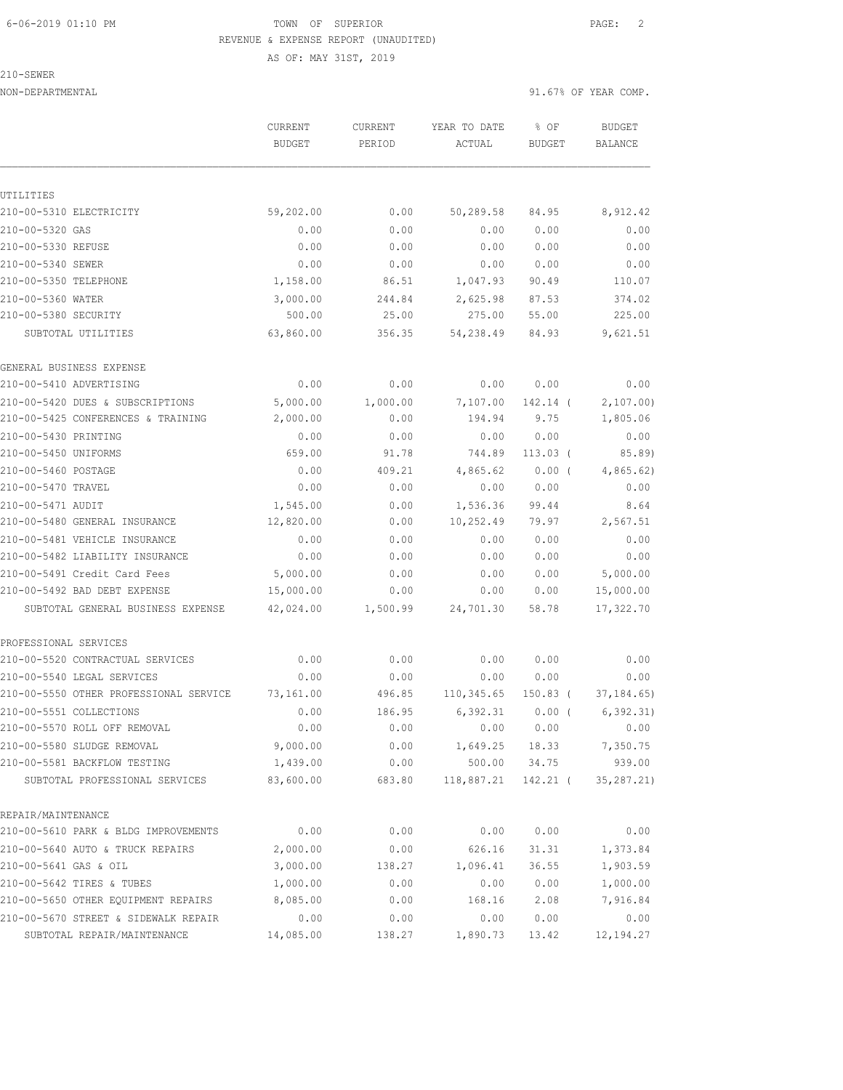AS OF: MAY 31ST, 2019

210-SEWER

NON-DEPARTMENTAL 91.67% OF YEAR COMP.

|                                            | CURRENT<br><b>BUDGET</b> | CURRENT<br>PERIOD | YEAR TO DATE<br>ACTUAL     | % OF<br><b>BUDGET</b> | <b>BUDGET</b><br>BALANCE |
|--------------------------------------------|--------------------------|-------------------|----------------------------|-----------------------|--------------------------|
|                                            |                          |                   |                            |                       |                          |
| UTILITIES                                  |                          |                   |                            |                       |                          |
| 210-00-5310 ELECTRICITY                    | 59,202.00                | 0.00              | 50,289.58                  | 84.95                 | 8,912.42                 |
| 210-00-5320 GAS                            | 0.00                     | 0.00              | 0.00                       | 0.00                  | 0.00                     |
| 210-00-5330 REFUSE                         | 0.00                     | 0.00              | 0.00                       | 0.00                  | 0.00                     |
| 210-00-5340 SEWER                          | 0.00<br>1,158.00         | 0.00              | 0.00                       | 0.00                  | 0.00                     |
| 210-00-5350 TELEPHONE                      |                          | 86.51             | 1,047.93                   | 90.49                 | 110.07                   |
| 210-00-5360 WATER                          | 3,000.00                 | 244.84            | 2,625.98                   | 87.53                 | 374.02                   |
| 210-00-5380 SECURITY<br>SUBTOTAL UTILITIES | 500.00<br>63,860.00      | 25.00<br>356.35   | 275.00<br>54,238.49        | 55.00<br>84.93        | 225.00<br>9,621.51       |
| GENERAL BUSINESS EXPENSE                   |                          |                   |                            |                       |                          |
| 210-00-5410 ADVERTISING                    | 0.00                     | 0.00              | 0.00                       | 0.00                  | 0.00                     |
| 210-00-5420 DUES & SUBSCRIPTIONS           | 5,000.00                 | 1,000.00          | 7,107.00                   | 142.14 (              | 2,107.00                 |
| 210-00-5425 CONFERENCES & TRAINING         | 2,000.00                 | 0.00              | 194.94                     | 9.75                  | 1,805.06                 |
| 210-00-5430 PRINTING                       | 0.00                     | 0.00              | 0.00                       | 0.00                  | 0.00                     |
| 210-00-5450 UNIFORMS                       | 659.00                   | 91.78             | 744.89                     | $113.03$ (            | 85.89)                   |
| 210-00-5460 POSTAGE                        | 0.00                     | 409.21            | 4,865.62                   | $0.00$ (              | 4,865.62)                |
| 210-00-5470 TRAVEL                         | 0.00                     | 0.00              | 0.00                       | 0.00                  | 0.00                     |
| 210-00-5471 AUDIT                          | 1,545.00                 | 0.00              | 1,536.36                   | 99.44                 | 8.64                     |
| 210-00-5480 GENERAL INSURANCE              | 12,820.00                | 0.00              | 10,252.49                  | 79.97                 | 2,567.51                 |
| 210-00-5481 VEHICLE INSURANCE              | 0.00                     | 0.00              | 0.00                       | 0.00                  | 0.00                     |
| 210-00-5482 LIABILITY INSURANCE            | 0.00                     | 0.00              | 0.00                       | 0.00                  | 0.00                     |
| 210-00-5491 Credit Card Fees               | 5,000.00                 | 0.00              | 0.00                       | 0.00                  | 5,000.00                 |
| 210-00-5492 BAD DEBT EXPENSE               | 15,000.00                | 0.00              | 0.00                       | 0.00                  | 15,000.00                |
| SUBTOTAL GENERAL BUSINESS EXPENSE          | 42,024.00                | 1,500.99          | 24,701.30                  | 58.78                 | 17,322.70                |
| PROFESSIONAL SERVICES                      |                          |                   |                            |                       |                          |
| 210-00-5520 CONTRACTUAL SERVICES           | 0.00                     | 0.00              | 0.00                       | 0.00                  | 0.00                     |
| 210-00-5540 LEGAL SERVICES                 | 0.00                     | 0.00              | 0.00                       | 0.00                  | 0.00                     |
| 210-00-5550 OTHER PROFESSIONAL SERVICE     | 73,161.00                | 496.85            | 110,345.65                 | 150.83 (              | 37, 184.65               |
| 210-00-5551 COLLECTIONS                    | 0.00                     | 186.95            | 6,392.31                   | $0.00$ (              | 6, 392.31)               |
| 210-00-5570 ROLL OFF REMOVAL               | 0.00                     | 0.00              |                            | 0.00 0.00             | 0.00                     |
| 210-00-5580 SLUDGE REMOVAL                 | 9,000.00                 |                   | $0.00$ 1,649.25 18.33      |                       | 7,350.75                 |
| 210-00-5581 BACKFLOW TESTING               | 1,439.00                 | 0.00              |                            | 500.00 34.75          | 939.00                   |
| SUBTOTAL PROFESSIONAL SERVICES             | 83,600.00                |                   | 683.80 118,887.21 142.21 ( |                       | 35, 287.21)              |
| REPAIR/MAINTENANCE                         |                          |                   |                            |                       |                          |
| 210-00-5610 PARK & BLDG IMPROVEMENTS       | 0.00                     | 0.00              | 0.00                       | 0.00                  | 0.00                     |
| 210-00-5640 AUTO & TRUCK REPAIRS           | 2,000.00                 | 0.00              | 626.16                     | 31.31                 | 1,373.84                 |
| 210-00-5641 GAS & OIL                      | 3,000.00                 | 138.27            | 1,096.41                   | 36.55                 | 1,903.59                 |
| 210-00-5642 TIRES & TUBES                  | 1,000.00                 | 0.00              | 0.00                       | 0.00                  | 1,000.00                 |
| 210-00-5650 OTHER EQUIPMENT REPAIRS        | 8,085.00                 | 0.00              | 168.16                     | 2.08                  | 7,916.84                 |
| 210-00-5670 STREET & SIDEWALK REPAIR       | 0.00                     | 0.00              | 0.00                       | 0.00                  | 0.00                     |
| SUBTOTAL REPAIR/MAINTENANCE                | 14,085.00                | 138.27            | 1,890.73                   | 13.42                 | 12, 194.27               |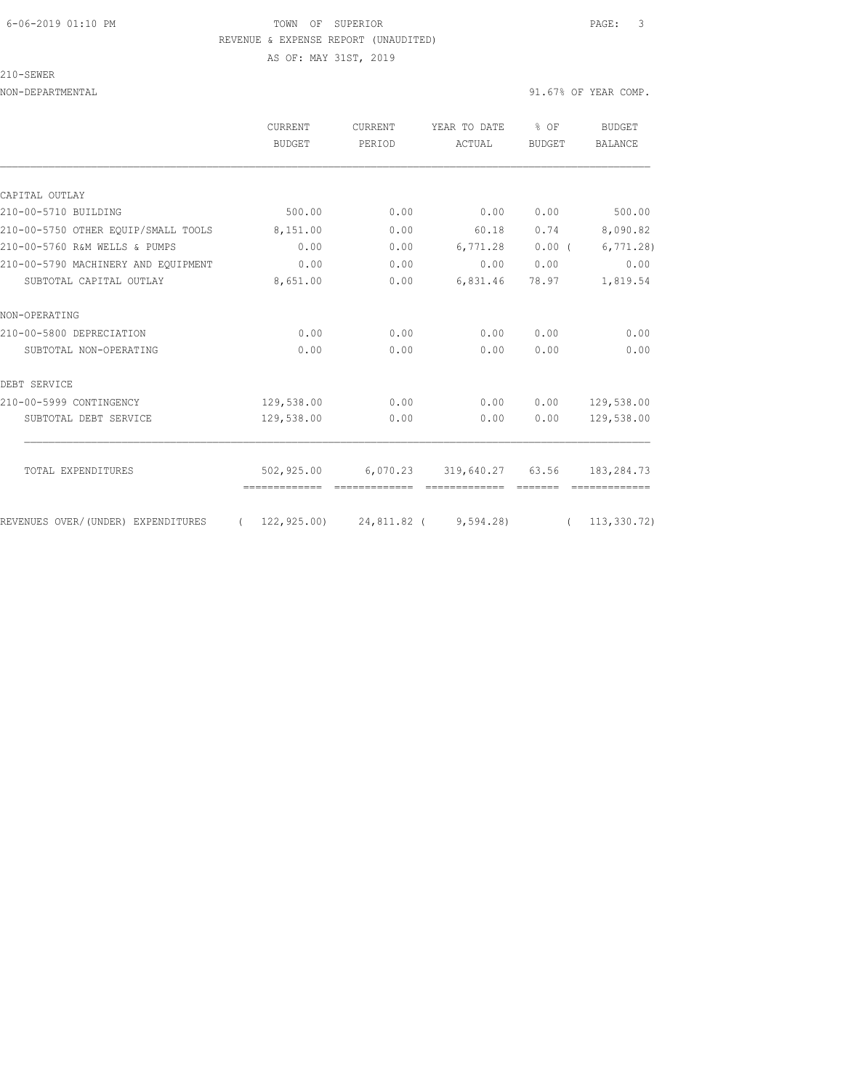# 6-06-2019 01:10 PM TOWN OF SUPERIOR PAGE: 3 REVENUE & EXPENSE REPORT (UNAUDITED) AS OF: MAY 31ST, 2019

210-SEWER

|                                     | CURRENT<br><b>BUDGET</b> | CURRENT<br>PERIOD         | YEAR TO DATE<br>ACTUAL | % OF<br><b>BUDGET</b> | BUDGET<br><b>BALANCE</b> |
|-------------------------------------|--------------------------|---------------------------|------------------------|-----------------------|--------------------------|
|                                     |                          |                           |                        |                       |                          |
| CAPITAL OUTLAY                      |                          |                           |                        |                       |                          |
| 210-00-5710 BUILDING                | 500.00                   | 0.00                      | 0.00                   | 0.00                  | 500.00                   |
| 210-00-5750 OTHER EOUIP/SMALL TOOLS | 8,151.00                 | 0.00                      | 60.18                  | 0.74                  | 8,090.82                 |
| 210-00-5760 R&M WELLS & PUMPS       | 0.00                     | 0.00                      | 6,771.28               | $0.00$ (              | 6,771.28                 |
| 210-00-5790 MACHINERY AND EOUIPMENT | 0.00                     | 0.00                      | 0.00                   | 0.00                  | 0.00                     |
| SUBTOTAL CAPITAL OUTLAY             | 8,651.00                 | 0.00                      | 6,831.46               | 78.97                 | 1,819.54                 |
| NON-OPERATING                       |                          |                           |                        |                       |                          |
| 210-00-5800 DEPRECIATION            | 0.00                     | 0.00                      | 0.00                   | 0.00                  | 0.00                     |
| SUBTOTAL NON-OPERATING              | 0.00                     | 0.00                      | 0.00                   | 0.00                  | 0.00                     |
| DEBT SERVICE                        |                          |                           |                        |                       |                          |
| 210-00-5999 CONTINGENCY             | 129,538.00               | 0.00                      | 0.00                   | 0.00                  | 129,538.00               |
| SUBTOTAL DEBT SERVICE               | 129,538.00               | 0.00                      | 0.00                   | 0.00                  | 129,538.00               |
| TOTAL EXPENDITURES                  | 502,925.00               | 6,070.23 319,640.27 63.56 |                        |                       | 183,284.73               |
|                                     |                          |                           |                        |                       |                          |
| REVENUES OVER/(UNDER) EXPENDITURES  | (122, 925, 00)           |                           | 24,811.82 ( 9,594.28)  |                       | (113, 330, 72)           |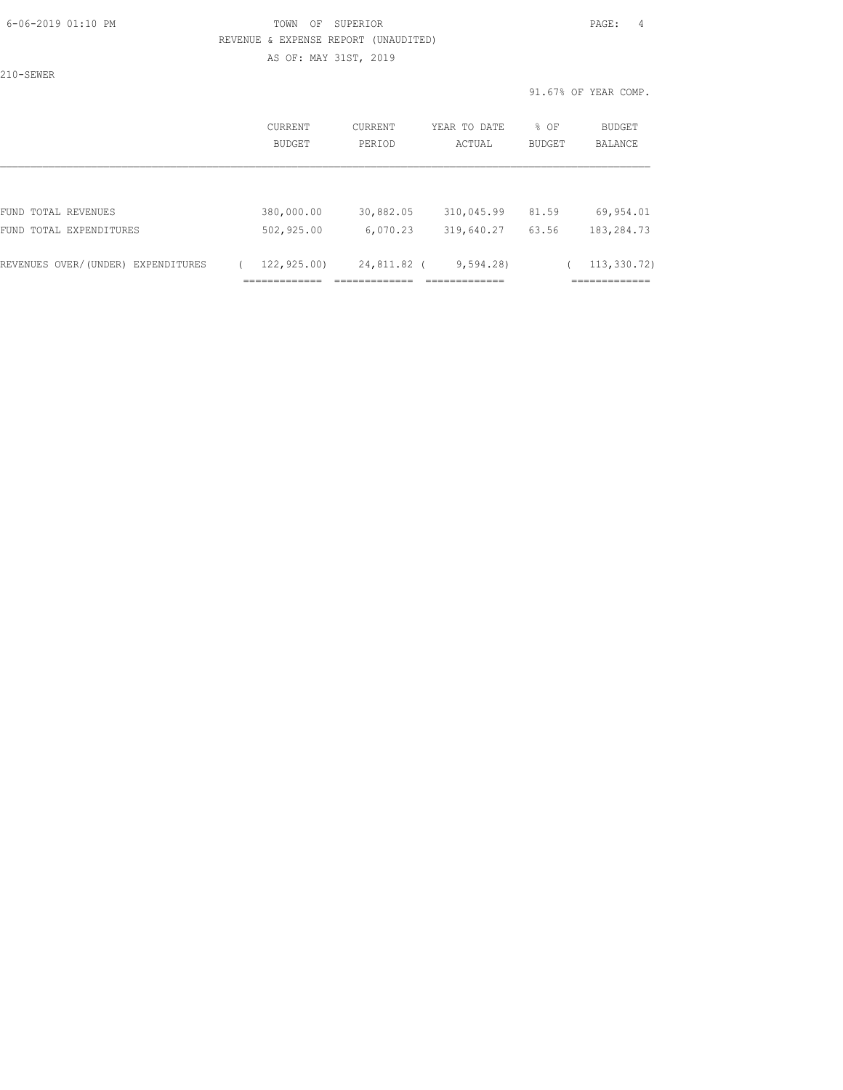### 6-06-2019 01:10 PM TOWN OF SUPERIOR PAGE: 4 REVENUE & EXPENSE REPORT (UNAUDITED) AS OF: MAY 31ST, 2019

210-SEWER

|                                                               | <b>CURRENT</b><br><b>BUDGET</b> | CURRENT<br>PERIOD       | YEAR TO DATE<br>ACTUAL | % OF<br><b>BUDGET</b> | BUDGET<br><b>BALANCE</b>      |
|---------------------------------------------------------------|---------------------------------|-------------------------|------------------------|-----------------------|-------------------------------|
| FUND TOTAL REVENUES                                           | 380,000.00                      | 30,882.05               | 310,045.99             | 81.59                 | 69,954.01                     |
| FUND TOTAL EXPENDITURES<br>REVENUES OVER/(UNDER) EXPENDITURES | 502,925.00<br>122,925.00)       | 6,070.23<br>24,811.82 ( | 319,640.27<br>9,594.28 | 63.56                 | 183,284.73<br>113,330.72)     |
|                                                               | ____________                    |                         | __________             |                       | ------------<br>------------- |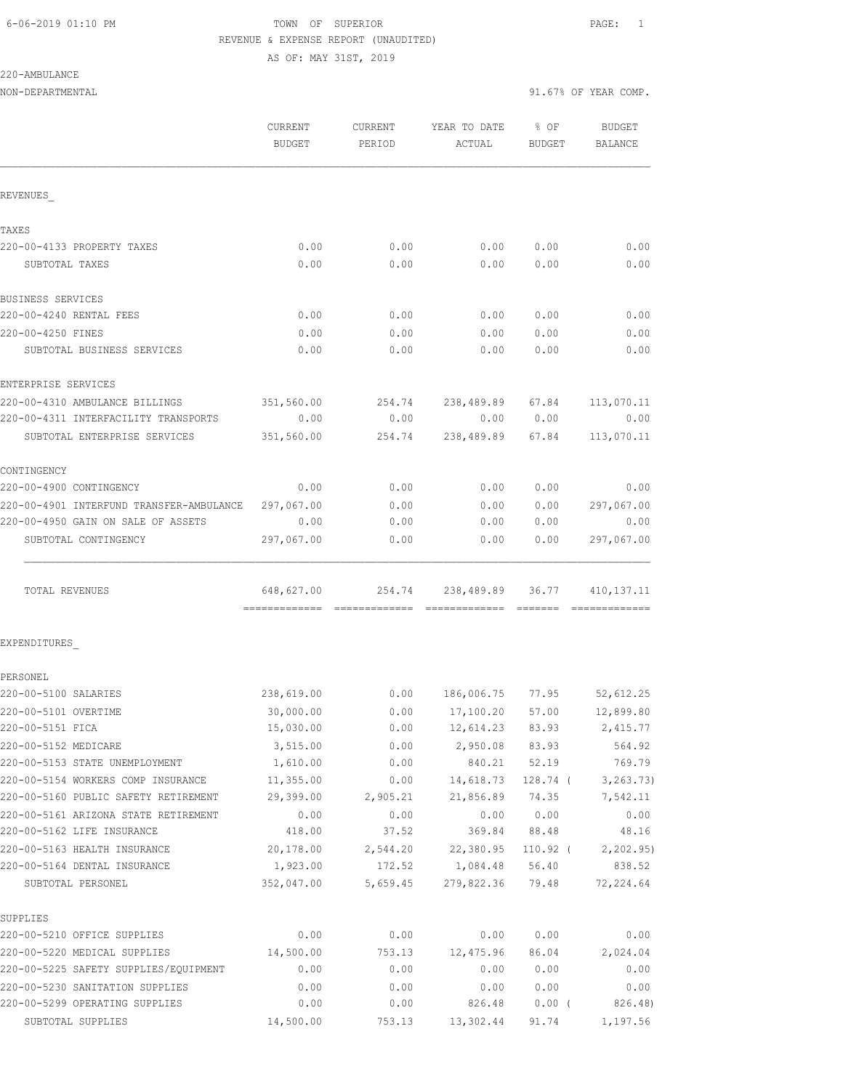AS OF: MAY 31ST, 2019

220-AMBULANCE

| NON-DEPARTMENTAL                                  |                        |                    | 91.67% OF YEAR COMP.    |                |                                |  |
|---------------------------------------------------|------------------------|--------------------|-------------------------|----------------|--------------------------------|--|
|                                                   | CURRENT                | CURRENT            | YEAR TO DATE            | $8$ OF         | BUDGET                         |  |
|                                                   | BUDGET                 | PERIOD             | ACTUAL                  | BUDGET         | BALANCE                        |  |
| REVENUES                                          |                        |                    |                         |                |                                |  |
| TAXES                                             |                        |                    |                         |                |                                |  |
| 220-00-4133 PROPERTY TAXES                        | 0.00                   | 0.00               | 0.00                    | 0.00           | 0.00                           |  |
| SUBTOTAL TAXES                                    | 0.00                   | 0.00               | 0.00                    | 0.00           | 0.00                           |  |
| BUSINESS SERVICES                                 |                        |                    |                         |                |                                |  |
| 220-00-4240 RENTAL FEES                           | 0.00                   | 0.00               | 0.00                    | 0.00           | 0.00                           |  |
| 220-00-4250 FINES                                 | 0.00                   | 0.00               | 0.00                    | 0.00           | 0.00                           |  |
| SUBTOTAL BUSINESS SERVICES                        | 0.00                   | 0.00               | 0.00                    | 0.00           | 0.00                           |  |
| ENTERPRISE SERVICES                               |                        |                    |                         |                |                                |  |
| 220-00-4310 AMBULANCE BILLINGS                    | 351,560.00             |                    | 254.74 238,489.89 67.84 |                | 113,070.11                     |  |
| 220-00-4311 INTERFACILITY TRANSPORTS              | 0.00                   | 0.00               |                         | 0.00 0.00      | 0.00                           |  |
| SUBTOTAL ENTERPRISE SERVICES                      | 351,560.00             | 254.74             | 238,489.89 67.84        |                | 113,070.11                     |  |
| CONTINGENCY                                       |                        |                    |                         |                |                                |  |
| 220-00-4900 CONTINGENCY                           | 0.00                   | 0.00               | 0.00                    | 0.00           | 0.00                           |  |
| 220-00-4901 INTERFUND TRANSFER-AMBULANCE          | 297,067.00             | 0.00               | 0.00                    | 0.00           | 297,067.00                     |  |
| 220-00-4950 GAIN ON SALE OF ASSETS                | 0.00                   | 0.00               | 0.00                    | 0.00           | 0.00                           |  |
| SUBTOTAL CONTINGENCY                              | 297,067.00             | 0.00               | 0.00                    | 0.00           | 297,067.00                     |  |
| TOTAL REVENUES                                    | 648,627.00             |                    | 254.74 238,489.89 36.77 |                | 410, 137. 11<br>-------------- |  |
| EXPENDITURES                                      |                        |                    |                         |                |                                |  |
| PERSONEL                                          |                        |                    |                         |                |                                |  |
| 220-00-5100 SALARIES                              | 238,619.00             |                    | $0.00$ 186,006.75 77.95 |                | 52,612.25                      |  |
| 220-00-5101 OVERTIME                              | 30,000.00              | 0.00               | 17,100.20               | 57.00          | 12,899.80                      |  |
| 220-00-5151 FICA                                  | 15,030.00              | 0.00               | 12,614.23               | 83.93          | 2,415.77                       |  |
| 220-00-5152 MEDICARE                              | 3,515.00               | 0.00               | 2,950.08                | 83.93          | 564.92                         |  |
| 220-00-5153 STATE UNEMPLOYMENT                    | 1,610.00               | 0.00               | 840.21                  | 52.19          | 769.79                         |  |
| 220-00-5154 WORKERS COMP INSURANCE                | 11,355.00              | 0.00               | 14,618.73               | 128.74 (       | 3, 263.73)                     |  |
| 220-00-5160 PUBLIC SAFETY RETIREMENT              | 29,399.00              | 2,905.21           | 21,856.89               | 74.35          | 7,542.11                       |  |
| 220-00-5161 ARIZONA STATE RETIREMENT              | 0.00                   | 0.00               | 0.00                    | 0.00           | 0.00                           |  |
| 220-00-5162 LIFE INSURANCE                        | 418.00                 | 37.52              | 369.84                  | 88.48          | 48.16                          |  |
| 220-00-5163 HEALTH INSURANCE                      | 20,178.00              | 2,544.20           | 22,380.95               | 110.92 (       | 2, 202.95                      |  |
| 220-00-5164 DENTAL INSURANCE<br>SUBTOTAL PERSONEL | 1,923.00<br>352,047.00 | 172.52<br>5,659.45 | 1,084.48<br>279,822.36  | 56.40<br>79.48 | 838.52<br>72,224.64            |  |
|                                                   |                        |                    |                         |                |                                |  |
| SUPPLIES<br>220-00-5210 OFFICE SUPPLIES           | 0.00                   | 0.00               | 0.00                    | 0.00           | 0.00                           |  |
| 220-00-5220 MEDICAL SUPPLIES                      | 14,500.00              | 753.13             | 12,475.96               | 86.04          | 2,024.04                       |  |
| 220-00-5225 SAFETY SUPPLIES/EQUIPMENT             | 0.00                   | 0.00               | 0.00                    | 0.00           | 0.00                           |  |
| 220-00-5230 SANITATION SUPPLIES                   | 0.00                   | 0.00               | 0.00                    | 0.00           | 0.00                           |  |

220-00-5299 OPERATING SUPPLIES 0.00 0.00 826.48 0.00 ( 826.48) SUBTOTAL SUPPLIES 14,500.00 753.13 13,302.44 91.74 1,197.56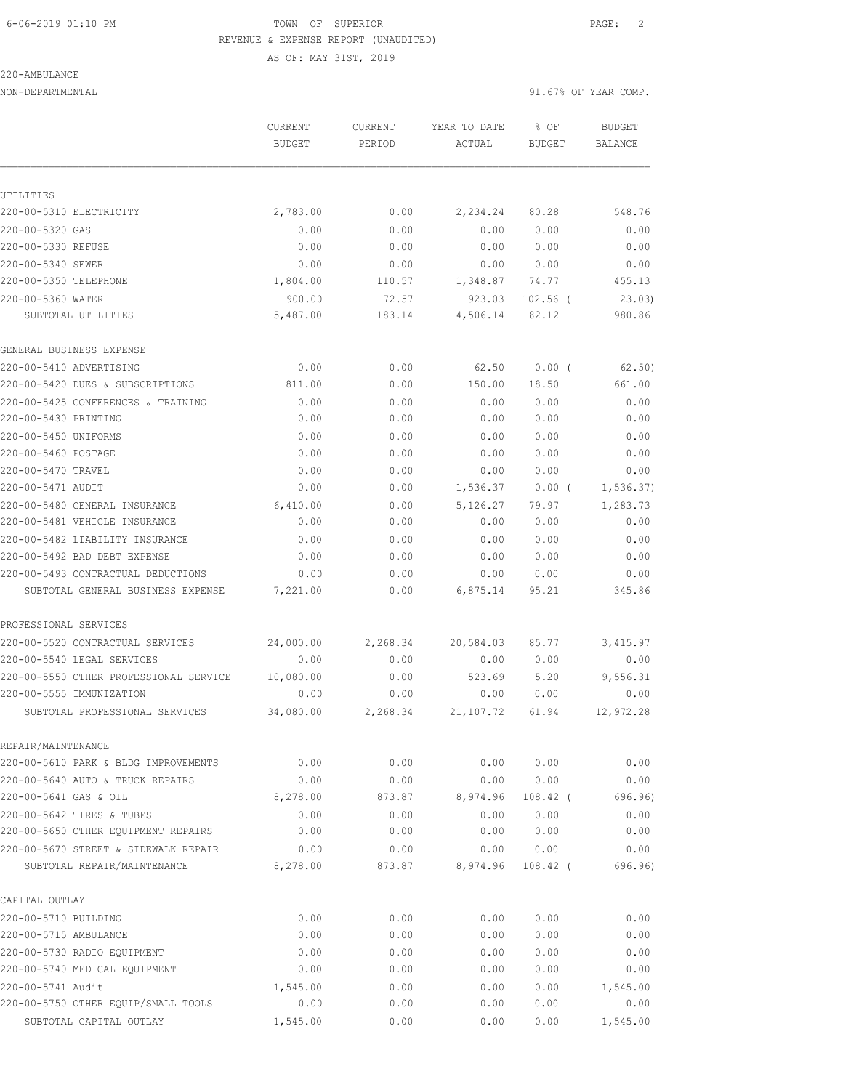AS OF: MAY 31ST, 2019

### 220-AMBULANCE

NON-DEPARTMENTAL 91.67% OF YEAR COMP.

|                                        | <b>CURRENT</b><br><b>BUDGET</b> | <b>CURRENT</b><br>PERIOD | YEAR TO DATE<br>ACTUAL | % OF<br><b>BUDGET</b> | <b>BUDGET</b><br><b>BALANCE</b> |
|----------------------------------------|---------------------------------|--------------------------|------------------------|-----------------------|---------------------------------|
|                                        |                                 |                          |                        |                       |                                 |
| UTILITIES                              |                                 |                          |                        |                       |                                 |
| 220-00-5310 ELECTRICITY                | 2,783.00                        | 0.00                     | 2,234.24               | 80.28                 | 548.76                          |
| 220-00-5320 GAS                        | 0.00                            | 0.00                     | 0.00                   | 0.00                  | 0.00                            |
| 220-00-5330 REFUSE                     | 0.00                            | 0.00                     | 0.00                   | 0.00                  | 0.00                            |
| 220-00-5340 SEWER                      | 0.00                            | 0.00                     | 0.00                   | 0.00                  | 0.00                            |
| 220-00-5350 TELEPHONE                  | 1,804.00                        | 110.57                   | 1,348.87               | 74.77                 | 455.13                          |
| 220-00-5360 WATER                      | 900.00                          | 72.57                    | 923.03                 | $102.56$ (            | 23.03)                          |
| SUBTOTAL UTILITIES                     | 5,487.00                        | 183.14                   | 4,506.14               | 82.12                 | 980.86                          |
| GENERAL BUSINESS EXPENSE               |                                 |                          |                        |                       |                                 |
| 220-00-5410 ADVERTISING                | 0.00                            | 0.00                     | 62.50                  | $0.00$ (              | 62.50)                          |
| 220-00-5420 DUES & SUBSCRIPTIONS       | 811.00                          | 0.00                     | 150.00                 | 18.50                 | 661.00                          |
| 220-00-5425 CONFERENCES & TRAINING     | 0.00                            | 0.00                     | 0.00                   | 0.00                  | 0.00                            |
| 220-00-5430 PRINTING                   | 0.00                            | 0.00                     | 0.00                   | 0.00                  | 0.00                            |
| 220-00-5450 UNIFORMS                   | 0.00                            | 0.00                     | 0.00                   | 0.00                  | 0.00                            |
| 220-00-5460 POSTAGE                    | 0.00                            | 0.00                     | 0.00                   | 0.00                  | 0.00                            |
| 220-00-5470 TRAVEL                     | 0.00                            | 0.00                     | 0.00                   | 0.00                  | 0.00                            |
| 220-00-5471 AUDIT                      | 0.00                            | 0.00                     | 1,536.37               | 0.00(                 | 1, 536.37                       |
| 220-00-5480 GENERAL INSURANCE          | 6,410.00                        | 0.00                     | 5,126.27               | 79.97                 | 1,283.73                        |
| 220-00-5481 VEHICLE INSURANCE          | 0.00                            | 0.00                     | 0.00                   | 0.00                  | 0.00                            |
| 220-00-5482 LIABILITY INSURANCE        | 0.00                            | 0.00                     | 0.00                   | 0.00                  | 0.00                            |
| 220-00-5492 BAD DEBT EXPENSE           | 0.00                            | 0.00                     | 0.00                   | 0.00                  | 0.00                            |
| 220-00-5493 CONTRACTUAL DEDUCTIONS     | 0.00                            | 0.00                     | 0.00                   | 0.00                  | 0.00                            |
| SUBTOTAL GENERAL BUSINESS EXPENSE      | 7,221.00                        | 0.00                     | 6,875.14               | 95.21                 | 345.86                          |
| PROFESSIONAL SERVICES                  |                                 |                          |                        |                       |                                 |
| 220-00-5520 CONTRACTUAL SERVICES       | 24,000.00                       | 2,268.34                 | 20,584.03              | 85.77                 | 3,415.97                        |
| 220-00-5540 LEGAL SERVICES             | 0.00                            | 0.00                     | 0.00                   | 0.00                  | 0.00                            |
| 220-00-5550 OTHER PROFESSIONAL SERVICE | 10,080.00                       | 0.00                     | 523.69                 | 5.20                  | 9,556.31                        |
| 220-00-5555 IMMUNIZATION               | 0.00                            | 0.00                     | 0.00                   | 0.00                  | 0.00                            |
| SUBTOTAL PROFESSIONAL SERVICES         | 34,080.00                       | 2,268.34                 | 21, 107.72             | 61.94                 | 12,972.28                       |
| REPAIR/MAINTENANCE                     |                                 |                          |                        |                       |                                 |
| 220-00-5610 PARK & BLDG IMPROVEMENTS   | 0.00                            | 0.00                     | 0.00                   | 0.00                  | 0.00                            |
| 220-00-5640 AUTO & TRUCK REPAIRS       | 0.00                            | 0.00                     | 0.00                   | 0.00                  | 0.00                            |
| 220-00-5641 GAS & OIL                  | 8,278.00                        | 873.87                   | 8,974.96               | $108.42$ (            | 696.96)                         |
| 220-00-5642 TIRES & TUBES              | 0.00                            | 0.00                     | 0.00                   | 0.00                  | 0.00                            |
| 220-00-5650 OTHER EQUIPMENT REPAIRS    | 0.00                            | 0.00                     | 0.00                   | 0.00                  | 0.00                            |
| 220-00-5670 STREET & SIDEWALK REPAIR   | 0.00                            | 0.00                     | 0.00                   | 0.00                  | 0.00                            |
| SUBTOTAL REPAIR/MAINTENANCE            | 8,278.00                        | 873.87                   | 8,974.96               | $108.42$ (            | 696.96)                         |
| CAPITAL OUTLAY                         |                                 |                          |                        |                       |                                 |
| 220-00-5710 BUILDING                   | 0.00                            | 0.00                     | 0.00                   | 0.00                  | 0.00                            |
| 220-00-5715 AMBULANCE                  | 0.00                            | 0.00                     | 0.00                   | 0.00                  | 0.00                            |
| 220-00-5730 RADIO EQUIPMENT            | 0.00                            | 0.00                     | 0.00                   | 0.00                  | 0.00                            |
| 220-00-5740 MEDICAL EQUIPMENT          | 0.00                            | 0.00                     | 0.00                   | 0.00                  | 0.00                            |
| 220-00-5741 Audit                      | 1,545.00                        | 0.00                     | 0.00                   | 0.00                  | 1,545.00                        |
| 220-00-5750 OTHER EQUIP/SMALL TOOLS    | 0.00                            | 0.00                     | 0.00                   | 0.00                  | 0.00                            |
| SUBTOTAL CAPITAL OUTLAY                | 1,545.00                        | 0.00                     | 0.00                   | 0.00                  | 1,545.00                        |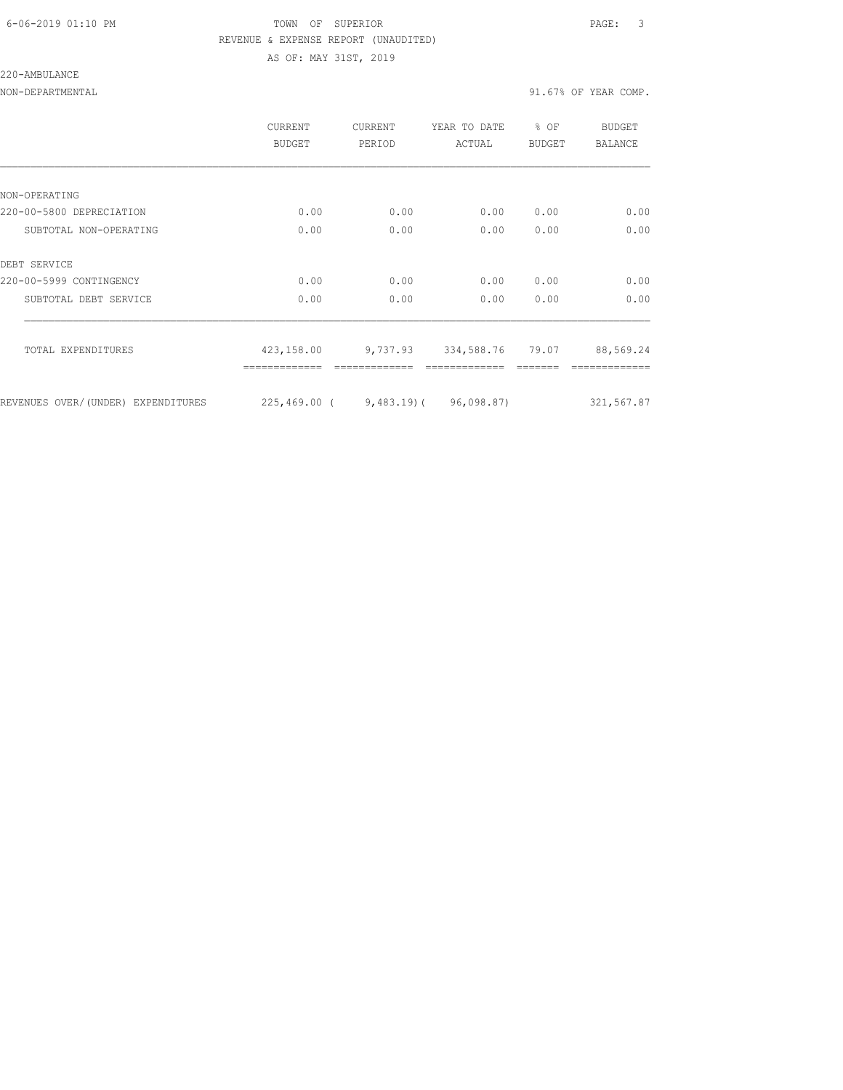### 6-06-2019 01:10 PM TOWN OF SUPERIOR PAGE: 3 REVENUE & EXPENSE REPORT (UNAUDITED) AS OF: MAY 31ST, 2019

#### 220-AMBULANCE

NON-DEPARTMENTAL 91.67% OF YEAR COMP.

|                                    | <b>CURRENT</b><br><b>BUDGET</b>     | CURRENT<br>PERIOD | YEAR TO DATE<br>ACTUAL    | % OF<br>BUDGET | <b>BUDGET</b><br><b>BALANCE</b> |
|------------------------------------|-------------------------------------|-------------------|---------------------------|----------------|---------------------------------|
|                                    |                                     |                   |                           |                |                                 |
| NON-OPERATING                      |                                     |                   |                           |                |                                 |
| 220-00-5800 DEPRECIATION           | 0.00                                | 0.00              | 0.00                      | 0.00           | 0.00                            |
| SUBTOTAL NON-OPERATING             | 0.00                                | 0.00              | 0.00                      | 0.00           | 0.00                            |
| DEBT SERVICE                       |                                     |                   |                           |                |                                 |
| 220-00-5999 CONTINGENCY            | 0.00                                | 0.00              | 0.00                      | 0.00           | 0.00                            |
| SUBTOTAL DEBT SERVICE              | 0.00                                | 0.00              | 0.00                      | 0.00           | 0.00                            |
| TOTAL EXPENDITURES                 | 423,158.00                          |                   | 9,737.93 334,588.76 79.07 |                | 88,569.24                       |
|                                    |                                     |                   |                           |                |                                 |
| REVENUES OVER/(UNDER) EXPENDITURES | $225,469.00$ (9,483.19) (96,098.87) |                   |                           |                | 321,567.87                      |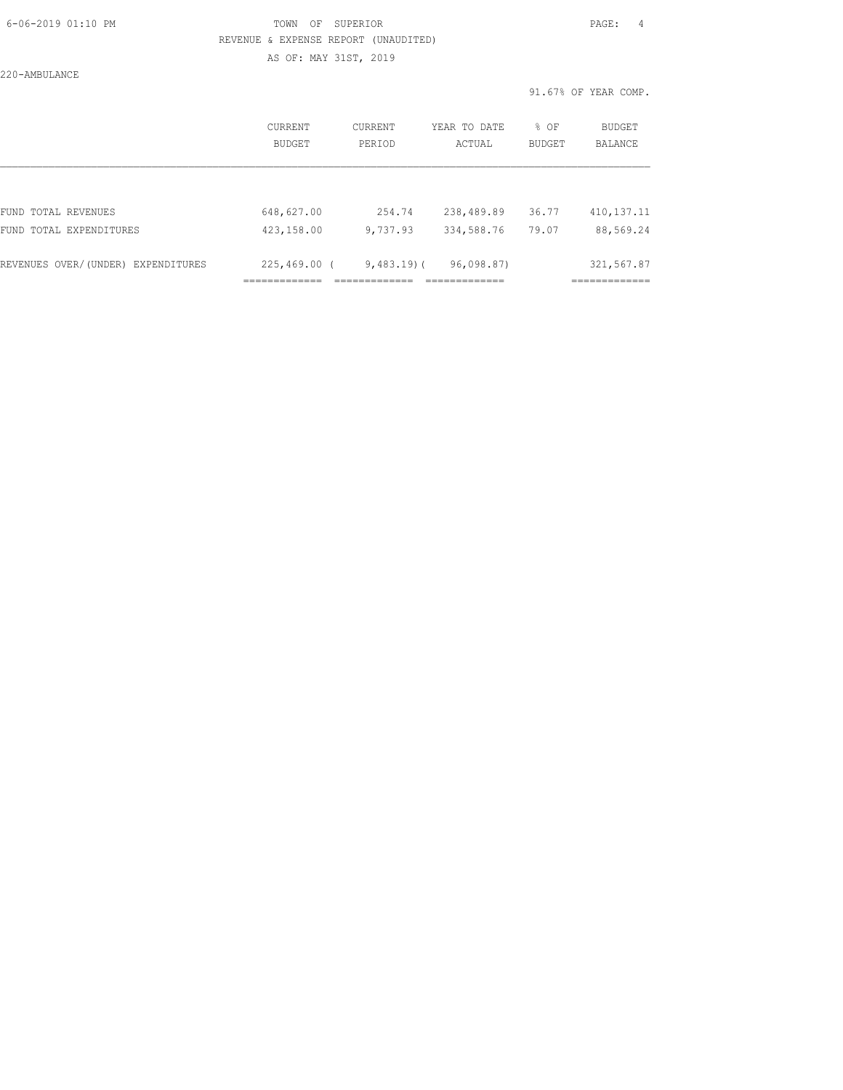### 6-06-2019 01:10 PM TOWN OF SUPERIOR PAGE: 4 REVENUE & EXPENSE REPORT (UNAUDITED) AS OF: MAY 31ST, 2019

220-AMBULANCE

|                                    | CURRENT<br>BUDGET | CURRENT<br>PERIOD | YEAR TO DATE<br>ACTUAL | % OF<br>BUDGET | <b>BUDGET</b><br>BALANCE |
|------------------------------------|-------------------|-------------------|------------------------|----------------|--------------------------|
|                                    |                   |                   |                        |                |                          |
| FUND TOTAL REVENUES                | 648,627.00        | 254.74            | 238,489.89             | 36.77          | 410, 137. 11             |
| FUND TOTAL EXPENDITURES            | 423,158.00        | 9,737.93          | 334,588.76             | 79.07          | 88,569.24                |
|                                    |                   |                   |                        |                |                          |
| REVENUES OVER/(UNDER) EXPENDITURES | $225,469.00$ (    | $9,483.19$ (      | 96,098.87)             |                | 321,567.87               |
|                                    | ___________       |                   | --------------         |                | -------------            |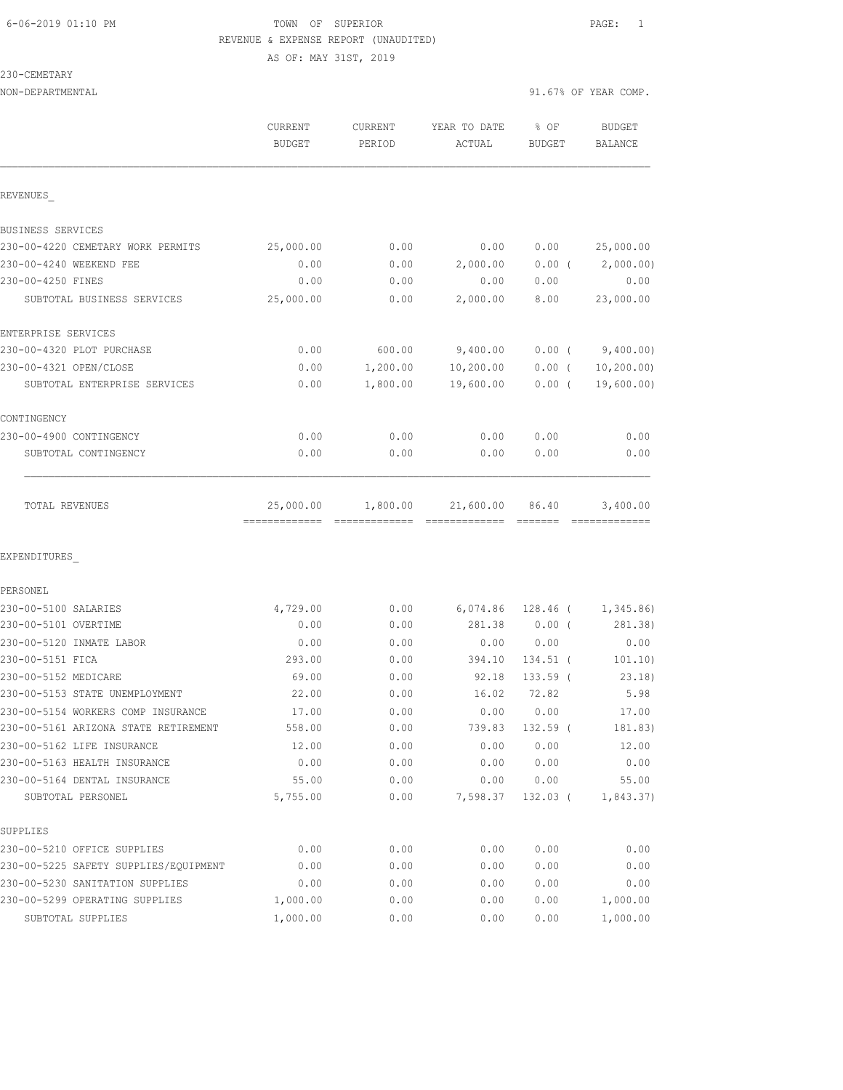230-CEMETARY

NON-DEPARTMENTAL 91.67% OF YEAR COMP.

AS OF: MAY 31ST, 2019

| JI.V/G VI ILAN VUNI |  |  |
|---------------------|--|--|
|                     |  |  |
|                     |  |  |
|                     |  |  |

|                                       | CURRENT<br><b>BUDGET</b> | CURRENT<br>PERIOD | YEAR TO DATE<br>ACTUAL | % OF<br><b>BUDGET</b> | <b>BUDGET</b><br><b>BALANCE</b> |
|---------------------------------------|--------------------------|-------------------|------------------------|-----------------------|---------------------------------|
| REVENUES                              |                          |                   |                        |                       |                                 |
| BUSINESS SERVICES                     |                          |                   |                        |                       |                                 |
| 230-00-4220 CEMETARY WORK PERMITS     | 25,000.00                | 0.00              | 0.00                   | 0.00                  | 25,000.00                       |
| 230-00-4240 WEEKEND FEE               | 0.00                     | 0.00              | 2,000.00               | $0.00$ (              | 2,000.00)                       |
| 230-00-4250 FINES                     | 0.00                     | 0.00              | 0.00                   | 0.00                  | 0.00                            |
| SUBTOTAL BUSINESS SERVICES            | 25,000.00                | 0.00              | 2,000.00               | 8.00                  | 23,000.00                       |
| ENTERPRISE SERVICES                   |                          |                   |                        |                       |                                 |
| 230-00-4320 PLOT PURCHASE             | 0.00                     | 600.00            | 9,400.00               | $0.00$ (              | 9,400.00)                       |
| 230-00-4321 OPEN/CLOSE                | 0.00                     | 1,200.00          | 10, 200.00             | $0.00$ (              | 10, 200.00                      |
| SUBTOTAL ENTERPRISE SERVICES          | 0.00                     | 1,800.00          | 19,600.00              | $0.00$ (              | 19,600.00)                      |
| CONTINGENCY                           |                          |                   |                        |                       |                                 |
| 230-00-4900 CONTINGENCY               | 0.00                     | 0.00              | 0.00                   | 0.00                  | 0.00                            |
| SUBTOTAL CONTINGENCY                  | 0.00                     | 0.00              | 0.00                   | 0.00                  | 0.00                            |
| TOTAL REVENUES                        | 25,000.00                | 1,800.00          | 21,600.00              | 86.40                 | 3,400.00                        |
| EXPENDITURES                          |                          |                   |                        |                       |                                 |
| PERSONEL                              |                          |                   |                        |                       |                                 |
| 230-00-5100 SALARIES                  | 4,729.00                 | 0.00              | 6,074.86               | 128.46 (              | 1,345.86                        |
| 230-00-5101 OVERTIME                  | 0.00                     | 0.00              | 281.38                 | $0.00$ (              | 281.38)                         |
| 230-00-5120 INMATE LABOR              | 0.00                     | 0.00              | 0.00                   | 0.00                  | 0.00                            |
| 230-00-5151 FICA                      | 293.00                   | 0.00              | 394.10                 | $134.51$ (            | 101.10)                         |
| 230-00-5152 MEDICARE                  | 69.00                    | 0.00              | 92.18                  | $133.59$ (            | 23.18)                          |
| 230-00-5153 STATE UNEMPLOYMENT        | 22.00                    | 0.00              | 16.02                  | 72.82                 | 5.98                            |
| 230-00-5154 WORKERS COMP INSURANCE    | 17.00                    | 0.00              | 0.00                   | 0.00                  | 17.00                           |
| 230-00-5161 ARIZONA STATE RETIREMENT  | 558.00                   | 0.00              | 739.83                 | 132.59 (              | 181.83)                         |
| 230-00-5162 LIFE INSURANCE            | 12.00                    | 0.00              | 0.00                   | 0.00                  | 12.00                           |
| 230-00-5163 HEALTH INSURANCE          | 0.00                     | 0.00              | 0.00                   | 0.00                  | 0.00                            |
| 230-00-5164 DENTAL INSURANCE          | 55.00                    | 0.00              | 0.00                   | 0.00                  | 55.00                           |
| SUBTOTAL PERSONEL                     | 5,755.00                 | 0.00              | 7,598.37               | $132.03$ (            | 1,843.37)                       |
| SUPPLIES                              |                          |                   |                        |                       |                                 |
| 230-00-5210 OFFICE SUPPLIES           | 0.00                     | 0.00              | 0.00                   | 0.00                  | 0.00                            |
| 230-00-5225 SAFETY SUPPLIES/EQUIPMENT | 0.00                     | 0.00              | 0.00                   | 0.00                  | 0.00                            |
| 230-00-5230 SANITATION SUPPLIES       | 0.00                     | 0.00              | 0.00                   | 0.00                  | 0.00                            |
| 230-00-5299 OPERATING SUPPLIES        | 1,000.00                 | 0.00              | 0.00                   | 0.00                  | 1,000.00                        |
| SUBTOTAL SUPPLIES                     | 1,000.00                 | 0.00              | 0.00                   | 0.00                  | 1,000.00                        |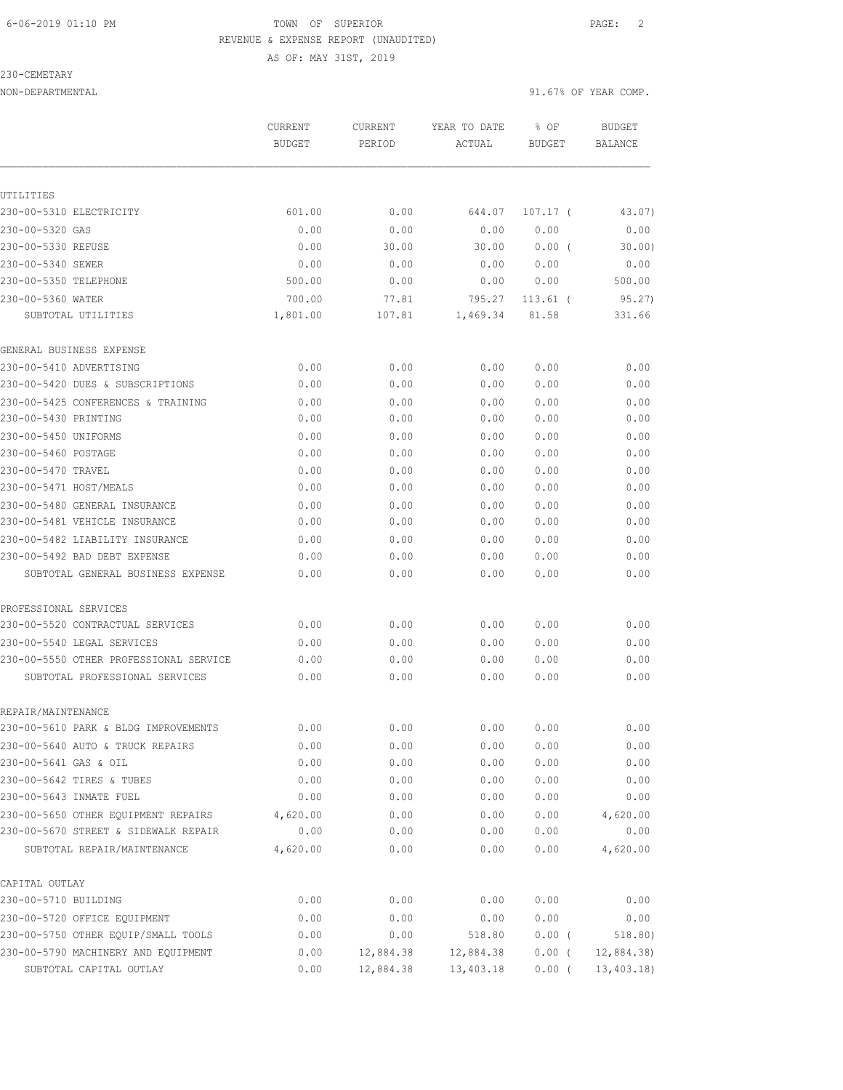AS OF: MAY 31ST, 2019

#### 230-CEMETARY

|                                                                     | CURRENT<br><b>BUDGET</b> | CURRENT<br>PERIOD        | YEAR TO DATE<br>ACTUAL | % OF<br><b>BUDGET</b> | <b>BUDGET</b><br>BALANCE |
|---------------------------------------------------------------------|--------------------------|--------------------------|------------------------|-----------------------|--------------------------|
|                                                                     |                          |                          |                        |                       |                          |
| UTILITIES<br>230-00-5310 ELECTRICITY                                | 601.00                   |                          |                        | $107.17$ (            |                          |
|                                                                     |                          | 0.00                     | 644.07                 |                       | 43.07)                   |
| 230-00-5320 GAS<br>230-00-5330 REFUSE                               | 0.00<br>0.00             | 0.00<br>30.00            | 0.00<br>30.00          | 0.00<br>$0.00$ (      | 0.00<br>30.00            |
|                                                                     | 0.00                     |                          | 0.00                   | 0.00                  | 0.00                     |
| 230-00-5340 SEWER<br>230-00-5350 TELEPHONE                          | 500.00                   | 0.00<br>0.00             | 0.00                   | 0.00                  | 500.00                   |
| 230-00-5360 WATER                                                   | 700.00                   |                          | 795.27                 |                       | 95.27)                   |
| SUBTOTAL UTILITIES                                                  | 1,801.00                 | 77.81<br>107.81          | 1,469.34               | $113.61$ (<br>81.58   | 331.66                   |
| GENERAL BUSINESS EXPENSE                                            |                          |                          |                        |                       |                          |
| 230-00-5410 ADVERTISING                                             | 0.00                     | 0.00                     | 0.00                   | 0.00                  | 0.00                     |
| 230-00-5420 DUES & SUBSCRIPTIONS                                    | 0.00                     | 0.00                     | 0.00                   | 0.00                  | 0.00                     |
| 230-00-5425 CONFERENCES & TRAINING                                  | 0.00                     | 0.00                     | 0.00                   | 0.00                  | 0.00                     |
| 230-00-5430 PRINTING                                                | 0.00                     | 0.00                     | 0.00                   | 0.00                  | 0.00                     |
| 230-00-5450 UNIFORMS                                                | 0.00                     | 0.00                     | 0.00                   | 0.00                  | 0.00                     |
| 230-00-5460 POSTAGE                                                 | 0.00                     | 0.00                     | 0.00                   | 0.00                  | 0.00                     |
| 230-00-5470 TRAVEL                                                  | 0.00                     | 0.00                     | 0.00                   | 0.00                  | 0.00                     |
| 230-00-5471 HOST/MEALS                                              | 0.00                     | 0.00                     | 0.00                   | 0.00                  | 0.00                     |
| 230-00-5480 GENERAL INSURANCE                                       | 0.00                     | 0.00                     | 0.00                   | 0.00                  | 0.00                     |
| 230-00-5481 VEHICLE INSURANCE                                       | 0.00                     | 0.00                     | 0.00                   | 0.00                  | 0.00                     |
| 230-00-5482 LIABILITY INSURANCE                                     | 0.00                     | 0.00                     | 0.00                   | 0.00                  | 0.00                     |
| 230-00-5492 BAD DEBT EXPENSE                                        | 0.00                     | 0.00                     | 0.00                   | 0.00                  | 0.00                     |
| SUBTOTAL GENERAL BUSINESS EXPENSE                                   | 0.00                     | 0.00                     | 0.00                   | 0.00                  | 0.00                     |
| PROFESSIONAL SERVICES                                               |                          |                          |                        |                       |                          |
| 230-00-5520 CONTRACTUAL SERVICES                                    | 0.00                     | 0.00                     | 0.00                   | 0.00                  | 0.00                     |
| 230-00-5540 LEGAL SERVICES                                          | 0.00                     | 0.00                     | 0.00                   | 0.00                  | 0.00                     |
| 230-00-5550 OTHER PROFESSIONAL SERVICE                              | 0.00                     | 0.00                     | 0.00                   | 0.00                  | 0.00                     |
| SUBTOTAL PROFESSIONAL SERVICES                                      | 0.00                     | 0.00                     | 0.00                   | 0.00                  | 0.00                     |
| REPAIR/MAINTENANCE                                                  |                          |                          |                        |                       |                          |
| 230-00-5610 PARK & BLDG IMPROVEMENTS                                | 0.00                     | 0.00                     | 0.00                   | 0.00                  | 0.00                     |
| 230-00-5640 AUTO & TRUCK REPAIRS                                    | 0.00                     | 0.00                     | 0.00                   | 0.00                  | 0.00                     |
| 230-00-5641 GAS & OIL                                               | 0.00                     | 0.00                     | 0.00                   | 0.00                  | 0.00                     |
| 230-00-5642 TIRES & TUBES                                           | 0.00                     | 0.00                     | 0.00                   | 0.00                  | 0.00                     |
| 230-00-5643 INMATE FUEL                                             | 0.00                     | 0.00                     | 0.00                   | 0.00                  | 0.00                     |
| 230-00-5650 OTHER EQUIPMENT REPAIRS                                 | 4,620.00                 | 0.00                     | 0.00                   | 0.00                  | 4,620.00                 |
| 230-00-5670 STREET & SIDEWALK REPAIR                                | 0.00                     | 0.00                     | 0.00                   | 0.00                  | 0.00                     |
| SUBTOTAL REPAIR/MAINTENANCE                                         | 4,620.00                 | 0.00                     | 0.00                   | 0.00                  | 4,620.00                 |
| CAPITAL OUTLAY<br>230-00-5710 BUILDING                              |                          |                          |                        |                       |                          |
|                                                                     | 0.00                     | 0.00                     | 0.00                   | 0.00                  | 0.00                     |
| 230-00-5720 OFFICE EQUIPMENT<br>230-00-5750 OTHER EQUIP/SMALL TOOLS | 0.00<br>0.00             | 0.00                     | 0.00                   | 0.00<br>$0.00$ (      | 0.00                     |
| 230-00-5790 MACHINERY AND EQUIPMENT                                 |                          | 0.00<br>$0.00$ 12,884.38 | 518.80<br>12,884.38    | $0.00$ (              | 518.80)<br>12,884.38     |
| SUBTOTAL CAPITAL OUTLAY                                             | 0.00                     | 12,884.38                | 13,403.18              | $0.00$ (              | 13,403.18                |
|                                                                     |                          |                          |                        |                       |                          |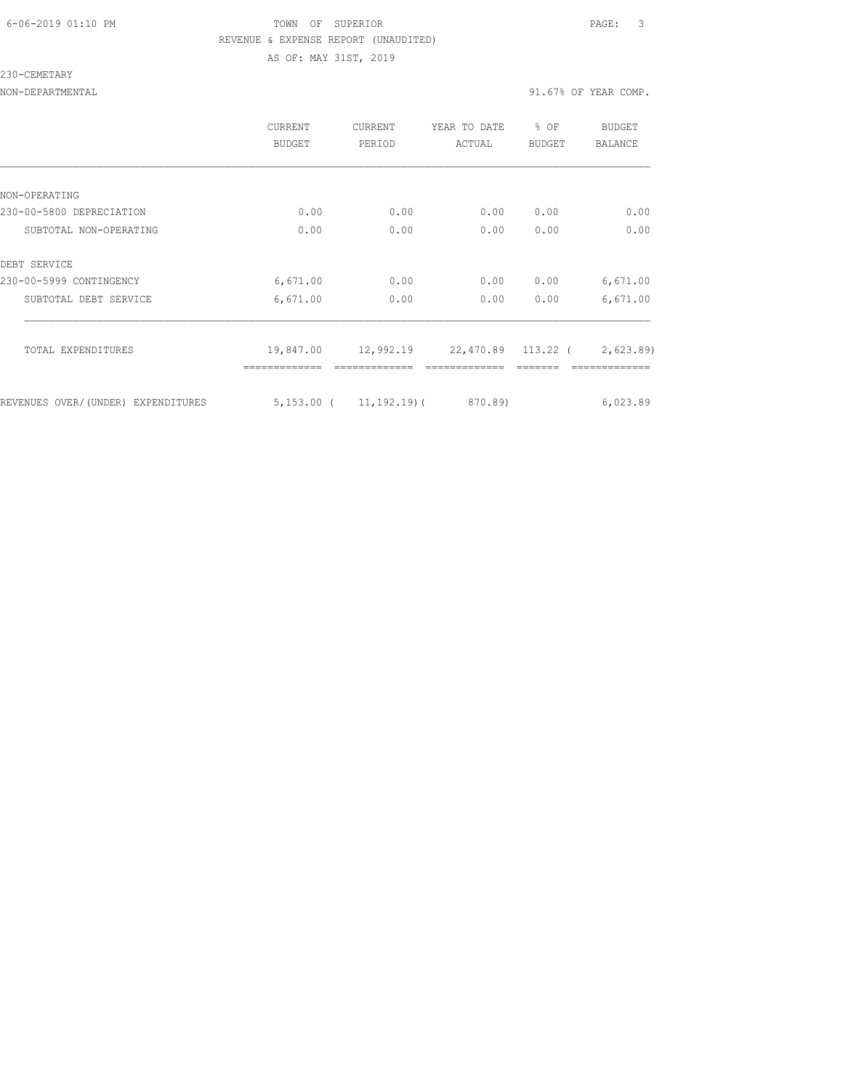### 6-06-2019 01:10 PM TOWN OF SUPERIOR PAGE: 3 REVENUE & EXPENSE REPORT (UNAUDITED) AS OF: MAY 31ST, 2019

#### 230-CEMETARY

|                                    | <b>CURRENT</b><br>BUDGET | <b>CURRENT</b><br>PERIOD     | YEAR TO DATE<br>ACTUAL | % OF<br><b>BUDGET</b> | BUDGET<br><b>BALANCE</b> |
|------------------------------------|--------------------------|------------------------------|------------------------|-----------------------|--------------------------|
|                                    |                          |                              |                        |                       |                          |
| NON-OPERATING                      |                          |                              |                        |                       |                          |
| 230-00-5800 DEPRECIATION           | 0.00                     | 0.00                         | 0.00                   | 0.00                  | 0.00                     |
| SUBTOTAL NON-OPERATING             | 0.00                     | 0.00                         | 0.00                   | 0.00                  | 0.00                     |
| DEBT SERVICE                       |                          |                              |                        |                       |                          |
| 230-00-5999 CONTINGENCY            | 6,671.00                 | 0.00                         | 0.00                   | 0.00                  | 6,671.00                 |
| SUBTOTAL DEBT SERVICE              | 6,671.00                 | 0.00                         | 0.00                   | 0.00                  | 6,671.00                 |
| TOTAL EXPENDITURES                 | 19,847.00                | 12,992.19                    | 22,470.89 113.22 (     |                       | 2,623.89)                |
| REVENUES OVER/(UNDER) EXPENDITURES |                          | $5,153.00$ ( $11,192.19$ ) ( | 870.89)                |                       | 6,023.89                 |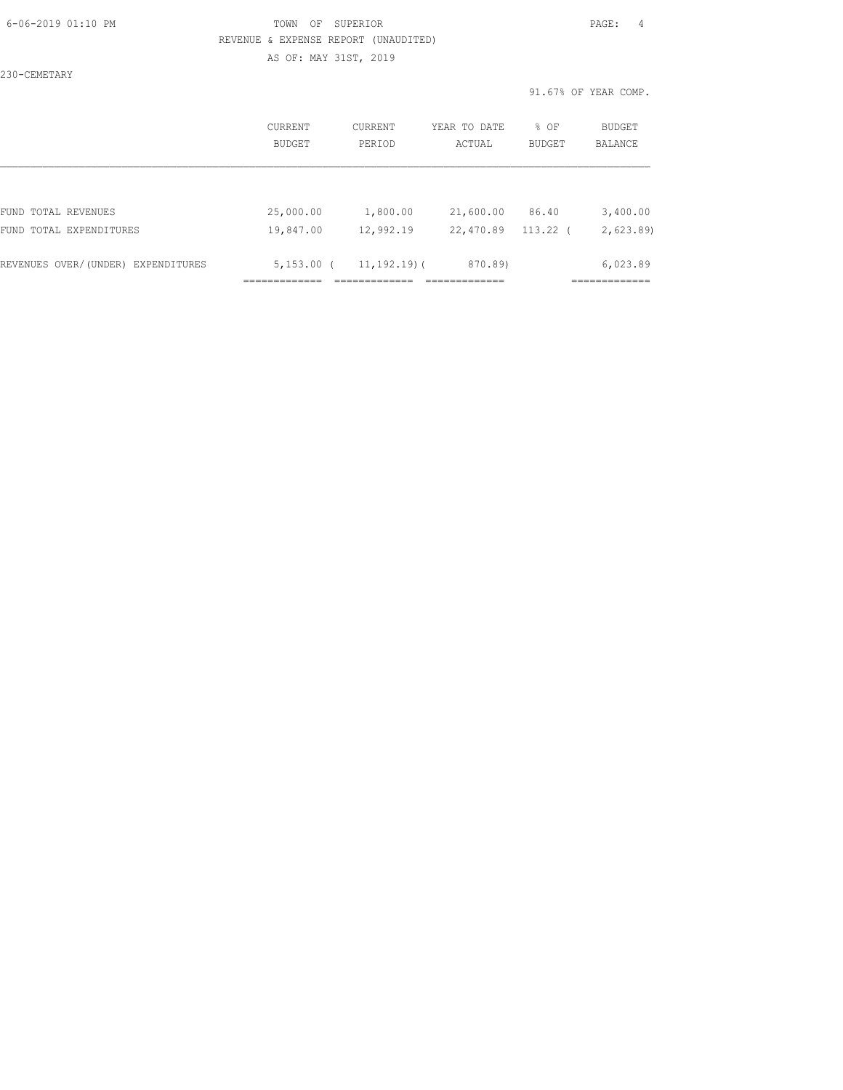### 6-06-2019 01:10 PM TOWN OF SUPERIOR PAGE: 4 REVENUE & EXPENSE REPORT (UNAUDITED) AS OF: MAY 31ST, 2019

230-CEMETARY

|                                    | CURRENT<br><b>BUDGET</b> | CURRENT<br>PERIOD | YEAR TO DATE<br>ACTUAL | % OF<br>BUDGET | BUDGET<br><b>BALANCE</b> |
|------------------------------------|--------------------------|-------------------|------------------------|----------------|--------------------------|
|                                    |                          |                   |                        |                |                          |
| FUND TOTAL REVENUES                | 25,000.00                | 1,800.00          | 21,600.00              | 86.40          | 3,400.00                 |
| FUND TOTAL EXPENDITURES            | 19,847.00                | 12,992.19         | 22,470.89              | 113.22         | 2,623.89                 |
| REVENUES OVER/(UNDER) EXPENDITURES | $5,153.00$ (             | $11, 192, 19)$ (  | 870.89)                |                | 6,023.89                 |
|                                    |                          |                   |                        |                |                          |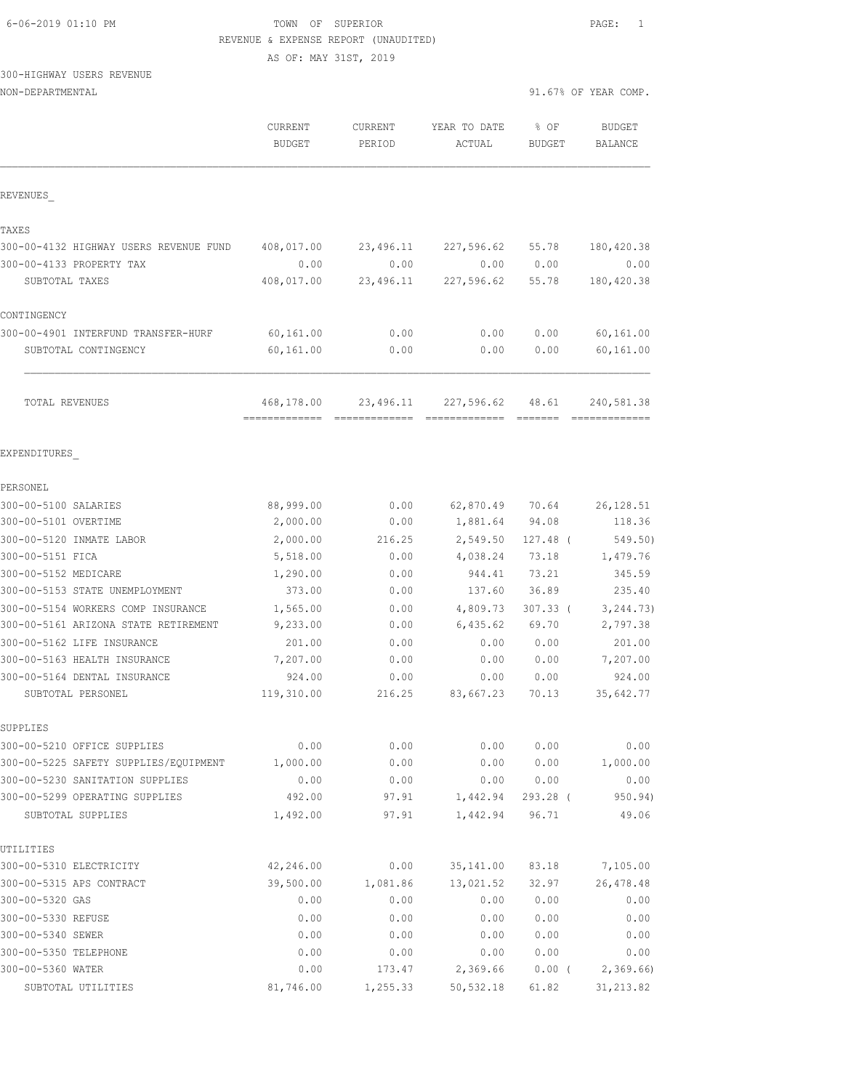# 300-HIGHWAY

| 6-06-2019 01:10 PM                     | TOWN OF SUPERIOR<br>REVENUE & EXPENSE REPORT (UNAUDITED) |                   |                        |                | PAGE:<br>1                                                                                                                                                                                                                                                                                                                                                                                                                                                                                           |  |
|----------------------------------------|----------------------------------------------------------|-------------------|------------------------|----------------|------------------------------------------------------------------------------------------------------------------------------------------------------------------------------------------------------------------------------------------------------------------------------------------------------------------------------------------------------------------------------------------------------------------------------------------------------------------------------------------------------|--|
|                                        | AS OF: MAY 31ST, 2019                                    |                   |                        |                |                                                                                                                                                                                                                                                                                                                                                                                                                                                                                                      |  |
| 300-HIGHWAY USERS REVENUE              |                                                          |                   |                        |                |                                                                                                                                                                                                                                                                                                                                                                                                                                                                                                      |  |
| NON-DEPARTMENTAL                       |                                                          |                   |                        |                | 91.67% OF YEAR COMP.                                                                                                                                                                                                                                                                                                                                                                                                                                                                                 |  |
|                                        | <b>CURRENT</b><br><b>BUDGET</b>                          | CURRENT<br>PERIOD | YEAR TO DATE<br>ACTUAL | % OF<br>BUDGET | <b>BUDGET</b><br><b>BALANCE</b>                                                                                                                                                                                                                                                                                                                                                                                                                                                                      |  |
| REVENUES                               |                                                          |                   |                        |                |                                                                                                                                                                                                                                                                                                                                                                                                                                                                                                      |  |
| TAXES                                  |                                                          |                   |                        |                |                                                                                                                                                                                                                                                                                                                                                                                                                                                                                                      |  |
| 300-00-4132 HIGHWAY USERS REVENUE FUND | 408,017.00                                               | 23,496.11         | 227,596.62             | 55.78          | 180, 420.38                                                                                                                                                                                                                                                                                                                                                                                                                                                                                          |  |
| 300-00-4133 PROPERTY TAX               | 0.00                                                     | 0.00              | 0.00                   | 0.00           | 0.00                                                                                                                                                                                                                                                                                                                                                                                                                                                                                                 |  |
| SUBTOTAL TAXES                         | 408,017.00                                               | 23,496.11         | 227,596.62             | 55.78          | 180, 420.38                                                                                                                                                                                                                                                                                                                                                                                                                                                                                          |  |
| CONTINGENCY                            |                                                          |                   |                        |                |                                                                                                                                                                                                                                                                                                                                                                                                                                                                                                      |  |
| 300-00-4901 INTERFUND TRANSFER-HURF    | 60, 161.00                                               | 0.00              | 0.00                   | 0.00           | 60, 161.00                                                                                                                                                                                                                                                                                                                                                                                                                                                                                           |  |
| SUBTOTAL CONTINGENCY                   | 60,161.00                                                | 0.00              | 0.00                   | 0.00           | 60,161.00                                                                                                                                                                                                                                                                                                                                                                                                                                                                                            |  |
| TOTAL REVENUES                         | 468,178.00                                               | 23,496.11         | 227,596.62             | 48.61          | 240,581.38<br>$\begin{array}{cccccccccccccc} \multicolumn{2}{c}{} & \multicolumn{2}{c}{} & \multicolumn{2}{c}{} & \multicolumn{2}{c}{} & \multicolumn{2}{c}{} & \multicolumn{2}{c}{} & \multicolumn{2}{c}{} & \multicolumn{2}{c}{} & \multicolumn{2}{c}{} & \multicolumn{2}{c}{} & \multicolumn{2}{c}{} & \multicolumn{2}{c}{} & \multicolumn{2}{c}{} & \multicolumn{2}{c}{} & \multicolumn{2}{c}{} & \multicolumn{2}{c}{} & \multicolumn{2}{c}{} & \multicolumn{2}{c}{} & \multicolumn{2}{c}{} & \$ |  |
| EXPENDITURES                           |                                                          |                   |                        |                |                                                                                                                                                                                                                                                                                                                                                                                                                                                                                                      |  |
| PERSONEL                               |                                                          |                   |                        |                |                                                                                                                                                                                                                                                                                                                                                                                                                                                                                                      |  |
| 300-00-5100 SALARIES                   | 88,999.00                                                | 0.00              | 62,870.49              | 70.64          | 26, 128.51                                                                                                                                                                                                                                                                                                                                                                                                                                                                                           |  |
| 300-00-5101 OVERTIME                   | 2,000.00                                                 | 0.00              | 1,881.64               | 94.08          | 118.36                                                                                                                                                                                                                                                                                                                                                                                                                                                                                               |  |
| 300-00-5120 INMATE LABOR               | 2,000.00                                                 | 216.25            | 2,549.50               | $127.48$ (     | 549.50)                                                                                                                                                                                                                                                                                                                                                                                                                                                                                              |  |
| 300-00-5151 FICA                       | 5,518.00                                                 | 0.00              | 4,038.24               | 73.18          | 1,479.76                                                                                                                                                                                                                                                                                                                                                                                                                                                                                             |  |
| 300-00-5152 MEDICARE                   | 1,290.00                                                 | 0.00              | 944.41                 | 73.21          | 345.59                                                                                                                                                                                                                                                                                                                                                                                                                                                                                               |  |
| 300-00-5153 STATE UNEMPLOYMENT         | 373.00                                                   | 0.00              | 137.60                 | 36.89          | 235.40                                                                                                                                                                                                                                                                                                                                                                                                                                                                                               |  |
| 300-00-5154 WORKERS COMP INSURANCE     | 1,565.00                                                 | 0.00              | 4,809.73               | $307.33$ (     | 3, 244.73)                                                                                                                                                                                                                                                                                                                                                                                                                                                                                           |  |
| 300-00-5161 ARIZONA STATE RETIREMENT   | 9,233.00                                                 | 0.00              | 6,435.62               | 69.70          | 2,797.38                                                                                                                                                                                                                                                                                                                                                                                                                                                                                             |  |
| 300-00-5162 LIFE INSURANCE             | 201.00                                                   | 0.00              | 0.00                   | 0.00           | 201.00                                                                                                                                                                                                                                                                                                                                                                                                                                                                                               |  |
| 300-00-5163 HEALTH INSURANCE           | 7,207.00                                                 | 0.00              | 0.00                   | 0.00           | 7,207.00                                                                                                                                                                                                                                                                                                                                                                                                                                                                                             |  |
| 300-00-5164 DENTAL INSURANCE           | 924.00                                                   | 0.00              | 0.00                   | 0.00           | 924.00                                                                                                                                                                                                                                                                                                                                                                                                                                                                                               |  |
| SUBTOTAL PERSONEL                      | 119,310.00                                               | 216.25            | 83,667.23              | 70.13          | 35,642.77                                                                                                                                                                                                                                                                                                                                                                                                                                                                                            |  |
| SUPPLIES                               |                                                          |                   |                        |                |                                                                                                                                                                                                                                                                                                                                                                                                                                                                                                      |  |
| 300-00-5210 OFFICE SUPPLIES            | 0.00                                                     | 0.00              | 0.00                   | 0.00           | 0.00                                                                                                                                                                                                                                                                                                                                                                                                                                                                                                 |  |
| 300-00-5225 SAFETY SUPPLIES/EQUIPMENT  | 1,000.00                                                 | 0.00              | 0.00                   | 0.00           | 1,000.00                                                                                                                                                                                                                                                                                                                                                                                                                                                                                             |  |
| 300-00-5230 SANITATION SUPPLIES        | 0.00                                                     | 0.00              | 0.00                   | 0.00           | 0.00                                                                                                                                                                                                                                                                                                                                                                                                                                                                                                 |  |
| 300-00-5299 OPERATING SUPPLIES         | 492.00                                                   | 97.91             | 1,442.94               | 293.28 (       | 950.94)                                                                                                                                                                                                                                                                                                                                                                                                                                                                                              |  |
| SUBTOTAL SUPPLIES                      | 1,492.00                                                 | 97.91             | 1,442.94               | 96.71          | 49.06                                                                                                                                                                                                                                                                                                                                                                                                                                                                                                |  |

| UTILITIES                |           |          |            |       |            |
|--------------------------|-----------|----------|------------|-------|------------|
| 300-00-5310 ELECTRICITY  | 42,246.00 | 0.00     | 35, 141.00 | 83.18 | 7,105.00   |
| 300-00-5315 APS CONTRACT | 39,500.00 | 1,081.86 | 13,021.52  | 32.97 | 26,478.48  |
| 300-00-5320 GAS          | 0.00      | 0.00     | 0.00       | 0.00  | 0.00       |
| 300-00-5330 REFUSE       | 0.00      | 0.00     | 0.00       | 0.00  | 0.00       |
| 300-00-5340 SEWER        | 0.00      | 0.00     | 0.00       | 0.00  | 0.00       |
| 300-00-5350 TELEPHONE    | 0.00      | 0.00     | 0.00       | 0.00  | 0.00       |
| 300-00-5360 WATER        | 0.00      | 173.47   | 2,369.66   | 0.00( | 2,369.66   |
| SUBTOTAL UTILITIES       | 81,746.00 | 1,255.33 | 50,532.18  | 61.82 | 31, 213.82 |
|                          |           |          |            |       |            |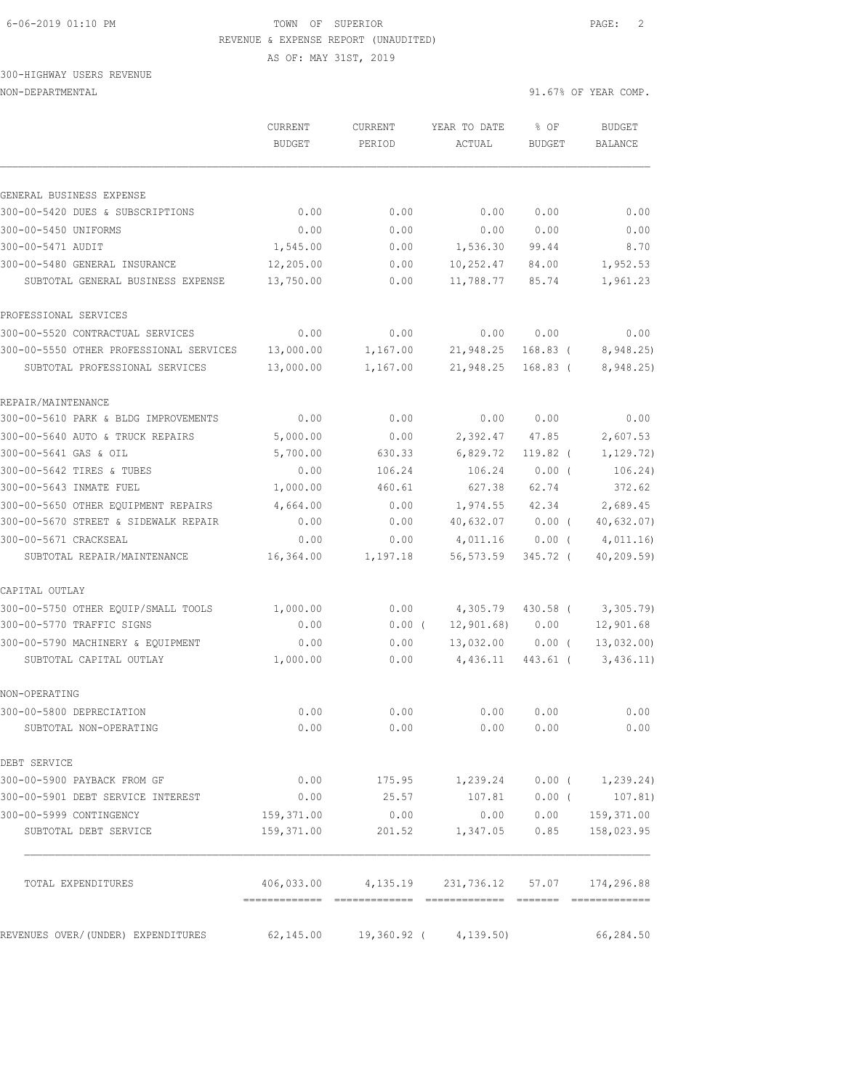AS OF: MAY 31ST, 2019

### 300-HIGHWAY USERS REVENUE NON-DEPARTMENTAL 91.67% OF YEAR COMP.

|                                                              | CURRENT<br><b>BUDGET</b> | CURRENT<br>PERIOD | YEAR TO DATE<br>ACTUAL                          | % OF<br><b>BUDGET</b> | <b>BUDGET</b><br><b>BALANCE</b> |
|--------------------------------------------------------------|--------------------------|-------------------|-------------------------------------------------|-----------------------|---------------------------------|
|                                                              |                          |                   |                                                 |                       |                                 |
| GENERAL BUSINESS EXPENSE<br>300-00-5420 DUES & SUBSCRIPTIONS |                          |                   |                                                 | 0.00                  |                                 |
|                                                              | 0.00                     | 0.00              | 0.00                                            |                       | 0.00                            |
| 300-00-5450 UNIFORMS<br>300-00-5471 AUDIT                    | 0.00<br>1,545.00         | 0.00<br>0.00      | 0.00<br>1,536.30                                | 0.00<br>99.44         | 0.00<br>8.70                    |
| 300-00-5480 GENERAL INSURANCE                                |                          |                   |                                                 |                       |                                 |
| SUBTOTAL GENERAL BUSINESS EXPENSE                            | 12,205.00<br>13,750.00   | 0.00<br>0.00      | 10,252.47<br>11,788.77                          | 84.00<br>85.74        | 1,952.53<br>1,961.23            |
| PROFESSIONAL SERVICES                                        |                          |                   |                                                 |                       |                                 |
| 300-00-5520 CONTRACTUAL SERVICES                             | 0.00                     | 0.00              | 0.00                                            | 0.00                  | 0.00                            |
| 300-00-5550 OTHER PROFESSIONAL SERVICES                      | 13,000.00                | 1,167.00          | 21,948.25                                       | $168.83$ (            | 8,948.25                        |
| SUBTOTAL PROFESSIONAL SERVICES                               | 13,000.00                | 1,167.00          | 21,948.25                                       | $168.83$ (            | 8,948.25)                       |
| REPAIR/MAINTENANCE                                           |                          |                   |                                                 |                       |                                 |
| 300-00-5610 PARK & BLDG IMPROVEMENTS                         | 0.00                     | 0.00              | 0.00                                            | 0.00                  | 0.00                            |
| 300-00-5640 AUTO & TRUCK REPAIRS                             | 5,000.00                 | 0.00              | 2,392.47                                        | 47.85                 | 2,607.53                        |
| 300-00-5641 GAS & OIL                                        | 5,700.00                 | 630.33            | 6,829.72                                        | 119.82 (              | 1, 129.72)                      |
| 300-00-5642 TIRES & TUBES                                    | 0.00                     | 106.24            | 106.24                                          | $0.00$ (              | 106.24)                         |
| 300-00-5643 INMATE FUEL                                      | 1,000.00                 | 460.61            | 627.38                                          | 62.74                 | 372.62                          |
| 300-00-5650 OTHER EQUIPMENT REPAIRS                          | 4,664.00                 | 0.00              | 1,974.55                                        | 42.34                 | 2,689.45                        |
| 300-00-5670 STREET & SIDEWALK REPAIR                         | 0.00                     | 0.00              | 40,632.07                                       | $0.00$ (              | 40,632.07)                      |
| 300-00-5671 CRACKSEAL                                        | 0.00                     | 0.00              | 4,011.16                                        | $0.00$ (              | 4,011.16                        |
| SUBTOTAL REPAIR/MAINTENANCE                                  | 16,364.00                | 1,197.18          | 56,573.59                                       | 345.72 (              | 40, 209.59                      |
| CAPITAL OUTLAY                                               |                          |                   |                                                 |                       |                                 |
| 300-00-5750 OTHER EQUIP/SMALL TOOLS                          | 1,000.00                 | 0.00              | 4,305.79                                        | 430.58 (              | 3,305.79                        |
| 300-00-5770 TRAFFIC SIGNS                                    | 0.00                     | $0.00$ (          | 12,901.68)                                      | 0.00                  | 12,901.68                       |
| 300-00-5790 MACHINERY & EQUIPMENT                            | 0.00                     | 0.00              | 13,032.00                                       | $0.00$ (              | 13,032.00                       |
| SUBTOTAL CAPITAL OUTLAY                                      | 1,000.00                 | 0.00              | 4,436.11                                        | 443.61 (              | 3,436.11)                       |
| NON-OPERATING                                                |                          |                   |                                                 |                       |                                 |
| 300-00-5800 DEPRECIATION                                     | 0.00                     | 0.00              | 0.00                                            | 0.00                  | 0.00                            |
| SUBTOTAL NON-OPERATING                                       | 0.00                     | 0.00              | 0.00                                            | 0.00                  | 0.00                            |
| DEBT SERVICE                                                 |                          |                   |                                                 |                       |                                 |
| 300-00-5900 PAYBACK FROM GF                                  |                          |                   | $0.00$ 175.95 1,239.24 0.00 ( 1,239.24)         |                       |                                 |
| 300-00-5901 DEBT SERVICE INTEREST                            | 0.00                     | 25.57             | 107.81 0.00 (                                   |                       | 107.81)                         |
| 300-00-5999 CONTINGENCY                                      | 159,371.00               | 0.00              | 0.00                                            | 0.00                  | 159,371.00                      |
| SUBTOTAL DEBT SERVICE                                        | 159,371.00               | 201.52            | 1,347.05                                        | 0.85                  | 158,023.95                      |
| TOTAL EXPENDITURES                                           |                          |                   | 406,033.00 4,135.19 231,736.12 57.07 174,296.88 |                       |                                 |
| REVENUES OVER/(UNDER) EXPENDITURES                           | 62, 145.00               |                   | $19,360.92$ ( $4,139.50$ )                      |                       | 66,284.50                       |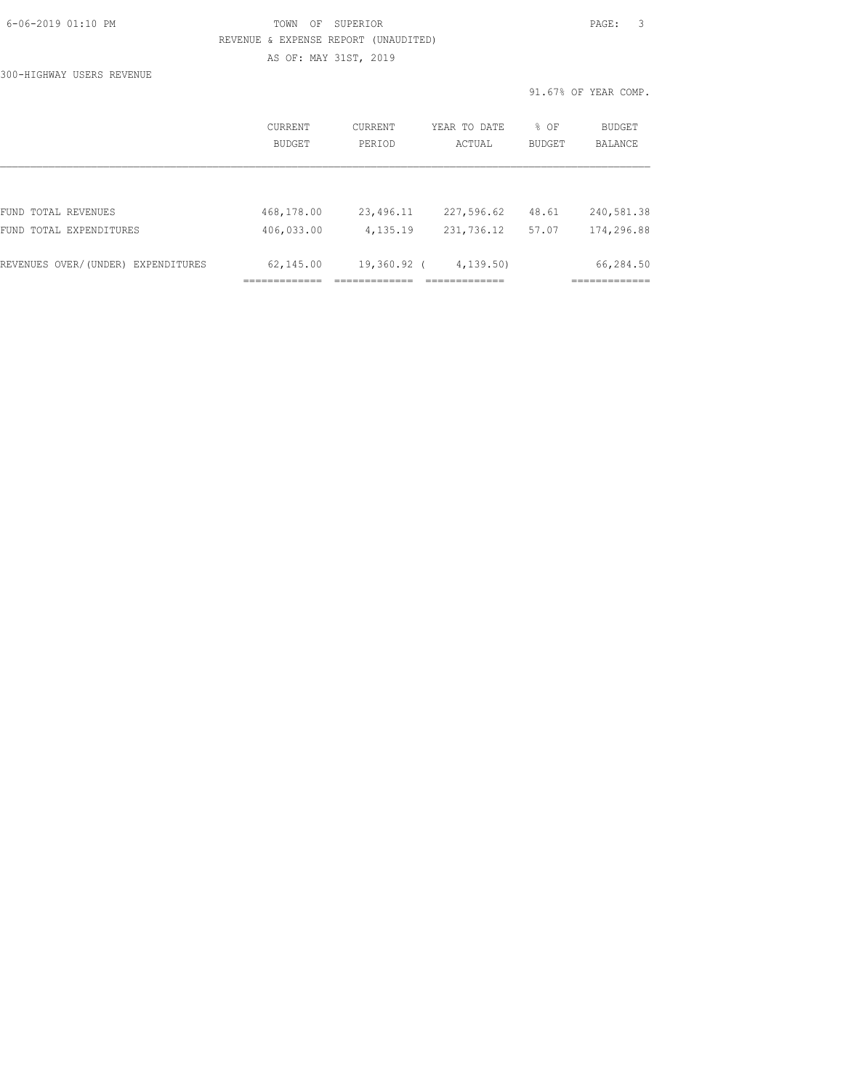| 6-06-2019 01:10 PM |  |
|--------------------|--|
|                    |  |

# FOWN OF SUPERIOR **Example 2019** PAGE: 3 REVENUE & EXPENSE REPORT (UNAUDITED) AS OF: MAY 31ST, 2019

300-HIGHWAY USERS REVENUE

|                                    | CURRENT<br><b>BUDGET</b> | CURRENT<br>PERIOD | YEAR TO DATE<br>ACTUAL | % OF<br><b>BUDGET</b> | <b>BUDGET</b><br><b>BALANCE</b> |
|------------------------------------|--------------------------|-------------------|------------------------|-----------------------|---------------------------------|
|                                    |                          |                   |                        |                       |                                 |
| FUND TOTAL REVENUES                | 468,178.00               | 23,496.11         | 227,596.62             | 48.61                 | 240,581.38                      |
| FUND TOTAL EXPENDITURES            | 406,033.00               | 4,135.19          | 231,736.12             | 57.07                 | 174,296.88                      |
|                                    |                          |                   |                        |                       |                                 |
| REVENUES OVER/(UNDER) EXPENDITURES | 62,145.00                | 19,360.92 (       | 4, 139.50              |                       | 66,284.50                       |
|                                    |                          |                   |                        |                       |                                 |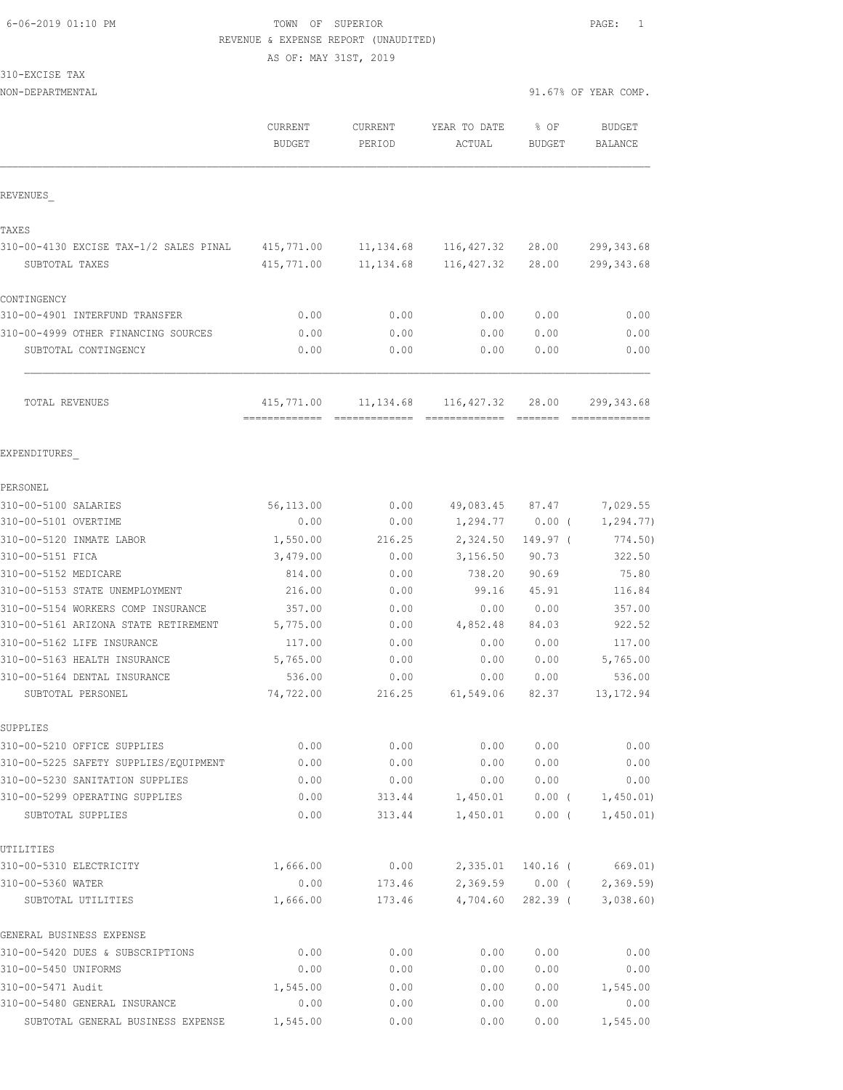AS OF: MAY 31ST, 2019

|  | 310-EXCISE |  | TAX |
|--|------------|--|-----|
|  |            |  |     |

| NON-DEPARTMENTAL                                                           |                          |                   |                        |                       | 91.67% OF YEAR COMP.            |
|----------------------------------------------------------------------------|--------------------------|-------------------|------------------------|-----------------------|---------------------------------|
|                                                                            | CURRENT<br><b>BUDGET</b> | CURRENT<br>PERIOD | YEAR TO DATE<br>ACTUAL | % OF<br><b>BUDGET</b> | <b>BUDGET</b><br><b>BALANCE</b> |
| REVENUES                                                                   |                          |                   |                        |                       |                                 |
| TAXES                                                                      |                          |                   |                        |                       |                                 |
| 310-00-4130 EXCISE TAX-1/2 SALES PINAL                                     | 415,771.00               | 11, 134.68        | 116,427.32             | 28.00                 | 299, 343.68                     |
| SUBTOTAL TAXES                                                             | 415,771.00               | 11, 134.68        | 116,427.32             | 28.00                 | 299, 343.68                     |
| CONTINGENCY                                                                |                          |                   |                        |                       |                                 |
| 310-00-4901 INTERFUND TRANSFER                                             | 0.00                     | 0.00              | 0.00                   | 0.00                  | 0.00                            |
| 310-00-4999 OTHER FINANCING SOURCES                                        | 0.00                     | 0.00              | 0.00                   | 0.00                  | 0.00                            |
| SUBTOTAL CONTINGENCY                                                       | 0.00                     | 0.00              | 0.00                   | 0.00                  | 0.00                            |
| TOTAL REVENUES                                                             | 415,771.00               | 11, 134.68        | 116,427.32             | 28.00                 | 299, 343.68                     |
|                                                                            |                          |                   |                        | --------              |                                 |
| EXPENDITURES                                                               |                          |                   |                        |                       |                                 |
| PERSONEL                                                                   |                          |                   |                        |                       |                                 |
| 310-00-5100 SALARIES                                                       | 56,113.00                | 0.00              | 49,083.45              | 87.47                 | 7,029.55                        |
| 310-00-5101 OVERTIME                                                       | 0.00                     | 0.00              | 1,294.77               | 0.00(                 | 1,294.77)                       |
| 310-00-5120 INMATE LABOR                                                   | 1,550.00                 | 216.25            | 2,324.50               | 149.97 (              | 774.50)                         |
| 310-00-5151 FICA                                                           | 3,479.00                 | 0.00              | 3,156.50               | 90.73                 | 322.50                          |
| 310-00-5152 MEDICARE                                                       | 814.00                   | 0.00              | 738.20                 | 90.69                 | 75.80                           |
| 310-00-5153 STATE UNEMPLOYMENT                                             | 216.00                   | 0.00              | 99.16                  | 45.91                 | 116.84                          |
| 310-00-5154 WORKERS COMP INSURANCE<br>310-00-5161 ARIZONA STATE RETIREMENT | 357.00<br>5,775.00       | 0.00<br>0.00      | 0.00<br>4,852.48       | 0.00<br>84.03         | 357.00<br>922.52                |
| 310-00-5162 LIFE INSURANCE                                                 | 117.00                   | 0.00              | 0.00                   | 0.00                  | 117.00                          |
| 310-00-5163 HEALTH INSURANCE                                               | 5,765.00                 | 0.00              | 0.00                   | 0.00                  | 5,765.00                        |
| 310-00-5164 DENTAL INSURANCE                                               | 536.00                   | 0.00              | 0.00                   | 0.00                  | 536.00                          |
| SUBTOTAL PERSONEL                                                          | 74,722.00                | 216.25            | 61,549.06              | 82.37                 | 13, 172.94                      |
| SUPPLIES                                                                   |                          |                   |                        |                       |                                 |
| 310-00-5210 OFFICE SUPPLIES                                                | 0.00                     | 0.00              | 0.00                   | 0.00                  | 0.00                            |
| 310-00-5225 SAFETY SUPPLIES/EQUIPMENT                                      | 0.00                     | 0.00              | 0.00                   | 0.00                  | 0.00                            |
| 310-00-5230 SANITATION SUPPLIES                                            | 0.00                     | 0.00              | 0.00                   | 0.00                  | 0.00                            |
| 310-00-5299 OPERATING SUPPLIES                                             | 0.00                     | 313.44            | 1,450.01               | $0.00$ (              | 1,450.01)                       |
| SUBTOTAL SUPPLIES                                                          | 0.00                     | 313.44            | 1,450.01               | $0.00$ (              | 1,450.01)                       |
| UTILITIES                                                                  |                          |                   |                        |                       |                                 |
| 310-00-5310 ELECTRICITY                                                    | 1,666.00                 | 0.00              | 2,335.01               | 140.16 (              | 669.01)                         |
| 310-00-5360 WATER                                                          | 0.00                     | 173.46            |                        | $2,369.59$ 0.00 (     | 2,369.59)                       |
| SUBTOTAL UTILITIES                                                         | 1,666.00                 | 173.46            | 4,704.60               | 282.39 (              | 3,038.60                        |
| GENERAL BUSINESS EXPENSE                                                   |                          |                   |                        |                       |                                 |
| 310-00-5420 DUES & SUBSCRIPTIONS                                           | 0.00                     | 0.00              | 0.00                   | 0.00                  | 0.00                            |
| 310-00-5450 UNIFORMS                                                       | 0.00                     | 0.00              | 0.00                   | 0.00                  | 0.00                            |
| 310-00-5471 Audit                                                          | 1,545.00                 | 0.00              | 0.00                   | 0.00                  | 1,545.00                        |
| 310-00-5480 GENERAL INSURANCE                                              | 0.00                     | 0.00              | 0.00                   | 0.00                  | 0.00                            |
| SUBTOTAL GENERAL BUSINESS EXPENSE                                          | 1,545.00                 | 0.00              | 0.00                   | 0.00                  | 1,545.00                        |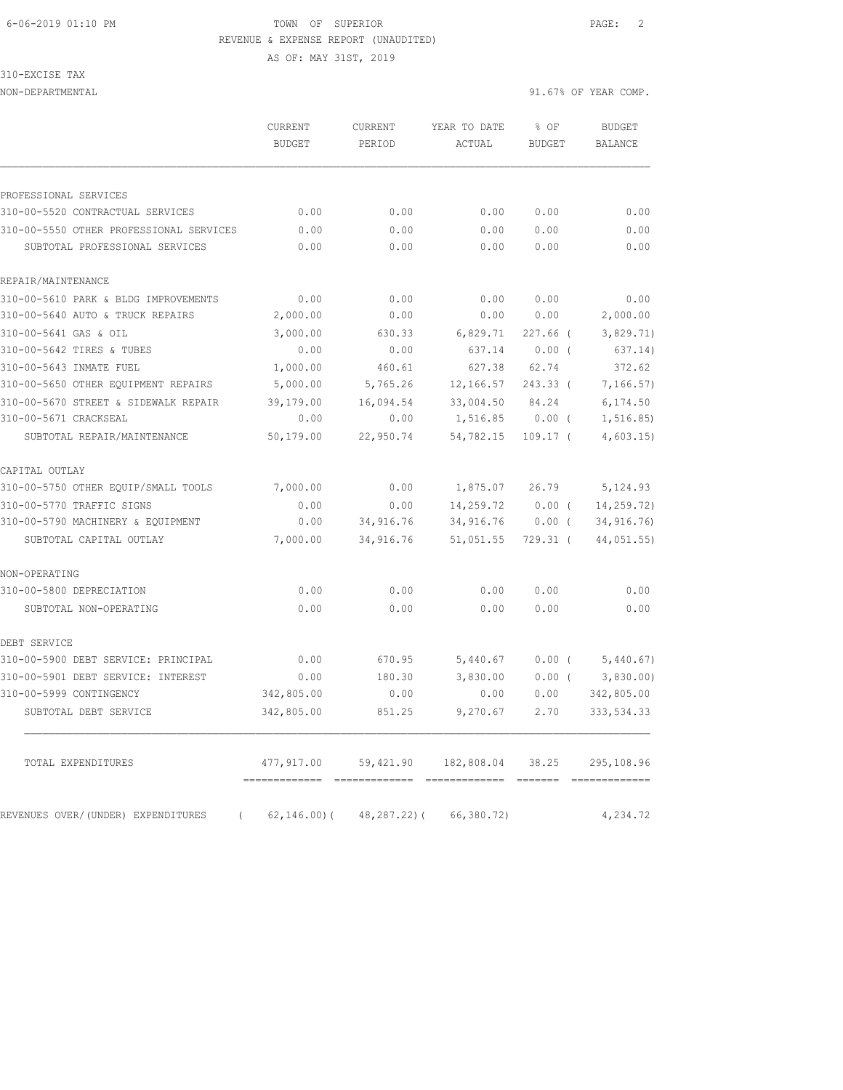AS OF: MAY 31ST, 2019

### 310-EXCISE TAX

|                                                | CURRENT<br><b>BUDGET</b> | CURRENT<br>PERIOD | YEAR TO DATE<br>ACTUAL | % OF<br><b>BUDGET</b> | <b>BUDGET</b><br><b>BALANCE</b> |
|------------------------------------------------|--------------------------|-------------------|------------------------|-----------------------|---------------------------------|
| PROFESSIONAL SERVICES                          |                          |                   |                        |                       |                                 |
| 310-00-5520 CONTRACTUAL SERVICES               | 0.00                     | 0.00              | 0.00                   | 0.00                  | 0.00                            |
| 310-00-5550 OTHER PROFESSIONAL SERVICES        | 0.00                     | 0.00              | 0.00                   | 0.00                  | 0.00                            |
| SUBTOTAL PROFESSIONAL SERVICES                 | 0.00                     | 0.00              | 0.00                   | 0.00                  | 0.00                            |
| REPAIR/MAINTENANCE                             |                          |                   |                        |                       |                                 |
| 310-00-5610 PARK & BLDG IMPROVEMENTS           | 0.00                     | 0.00              | 0.00                   | 0.00                  | 0.00                            |
| 310-00-5640 AUTO & TRUCK REPAIRS               | 2,000.00                 | 0.00              | 0.00                   | 0.00                  | 2,000.00                        |
| 310-00-5641 GAS & OIL                          | 3,000.00                 | 630.33            | 6,829.71               | $227.66$ (            | 3,829.71)                       |
| 310-00-5642 TIRES & TUBES                      | 0.00                     | 0.00              | 637.14                 | $0.00$ (              | 637.14)                         |
| 310-00-5643 INMATE FUEL                        | 1,000.00                 | 460.61            | 627.38                 | 62.74                 | 372.62                          |
| 310-00-5650 OTHER EQUIPMENT REPAIRS            | 5,000.00                 | 5,765.26          | 12,166.57              | 243.33 (              | 7, 166.57)                      |
| 310-00-5670 STREET & SIDEWALK REPAIR           | 39,179.00                | 16,094.54         | 33,004.50              | 84.24                 | 6, 174.50                       |
| 310-00-5671 CRACKSEAL                          | 0.00                     | 0.00              | 1,516.85               | $0.00$ (              | 1,516.85)                       |
| SUBTOTAL REPAIR/MAINTENANCE                    | 50,179.00                | 22,950.74         | 54,782.15              | $109.17$ (            | 4,603.15                        |
| CAPITAL OUTLAY                                 |                          |                   |                        |                       |                                 |
| 310-00-5750 OTHER EQUIP/SMALL TOOLS            | 7,000.00                 | 0.00              | 1,875.07               | 26.79                 | 5, 124.93                       |
| 310-00-5770 TRAFFIC SIGNS                      | 0.00                     | 0.00              | 14,259.72              | $0.00$ (              | 14,259.72)                      |
| 310-00-5790 MACHINERY & EQUIPMENT              | 0.00                     | 34,916.76         | 34,916.76              | $0.00$ (              | 34, 916.76)                     |
| SUBTOTAL CAPITAL OUTLAY                        | 7,000.00                 | 34,916.76         | 51,051.55              | $729.31$ (            | 44,051.55)                      |
| NON-OPERATING                                  |                          |                   |                        |                       |                                 |
| 310-00-5800 DEPRECIATION                       | 0.00                     | 0.00              | 0.00                   | 0.00                  | 0.00                            |
| SUBTOTAL NON-OPERATING                         | 0.00                     | 0.00              | 0.00                   | 0.00                  | 0.00                            |
| DEBT SERVICE                                   |                          |                   |                        |                       |                                 |
| 310-00-5900 DEBT SERVICE: PRINCIPAL            | 0.00                     | 670.95            | 5,440.67               | $0.00$ (              | 5,440.67)                       |
| 310-00-5901 DEBT SERVICE: INTEREST             | 0.00                     | 180.30            | 3,830.00               | $0.00$ (              | 3,830.00                        |
| 310-00-5999 CONTINGENCY                        | 342,805.00               | 0.00              | 0.00                   | 0.00                  | 342,805.00                      |
| SUBTOTAL DEBT SERVICE                          | 342,805.00               | 851.25            | 9,270.67               | 2.70                  | 333, 534.33                     |
| TOTAL EXPENDITURES                             | 477,917.00               | 59,421.90         | 182,808.04             | 38.25                 | 295,108.96                      |
| REVENUES OVER/(UNDER) EXPENDITURES<br>$\left($ | $62, 146.00$ (           | $48, 287.22$ ) (  | 66,380.72)             |                       | 4,234.72                        |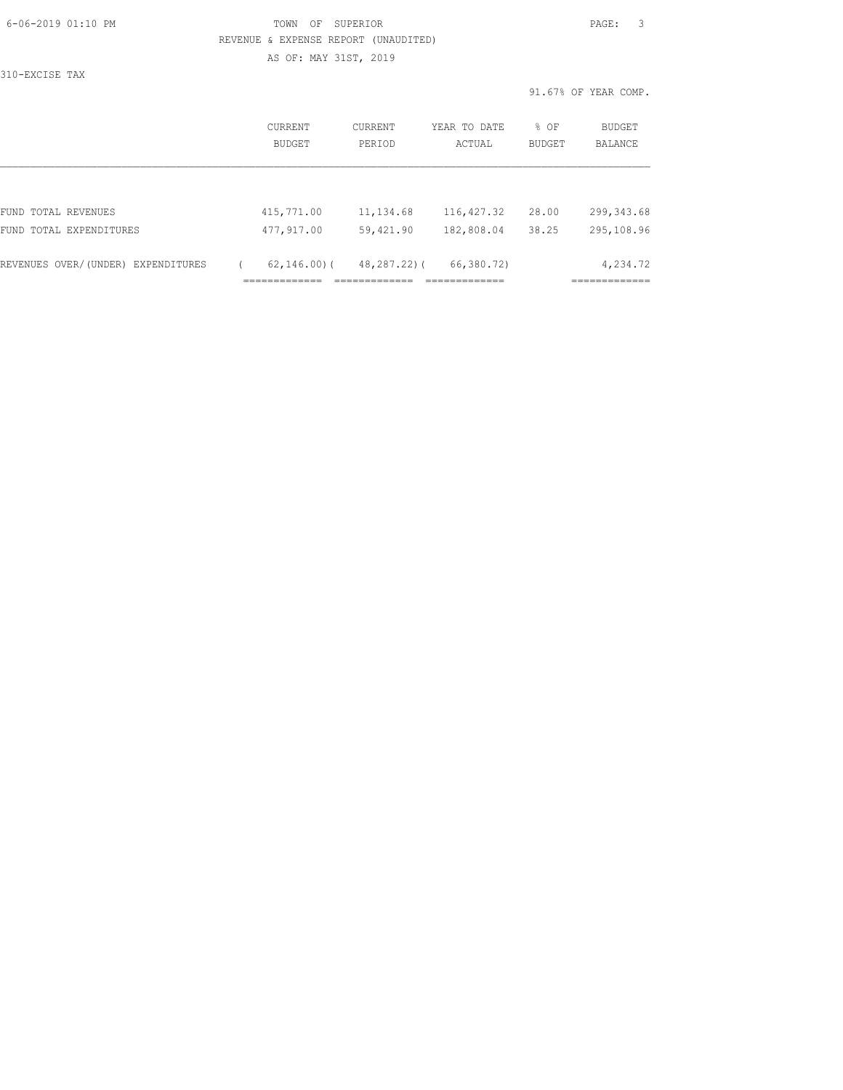| 6-06-2019 01:10 PM |  |
|--------------------|--|
|                    |  |

# FOWN OF SUPERIOR **Example 2019** PAGE: 3 REVENUE & EXPENSE REPORT (UNAUDITED) AS OF: MAY 31ST, 2019

310-EXCISE TAX

|                                    | CURRENT<br>BUDGET | CURRENT<br>PERIOD | YEAR TO DATE<br>ACTUAL | % OF<br><b>BUDGET</b> | BUDGET<br><b>BALANCE</b> |
|------------------------------------|-------------------|-------------------|------------------------|-----------------------|--------------------------|
|                                    |                   |                   |                        |                       |                          |
| FUND TOTAL REVENUES                | 415,771.00        | 11,134.68         | 116, 427.32            | 28.00                 | 299, 343.68              |
| FUND TOTAL EXPENDITURES            | 477,917.00        | 59,421.90         | 182,808.04             | 38.25                 | 295,108.96               |
| REVENUES OVER/(UNDER) EXPENDITURES | $62, 146, 00)$ (  | 48,287.22)(       | 66,380.72)             |                       | 4,234.72                 |
|                                    |                   |                   |                        |                       |                          |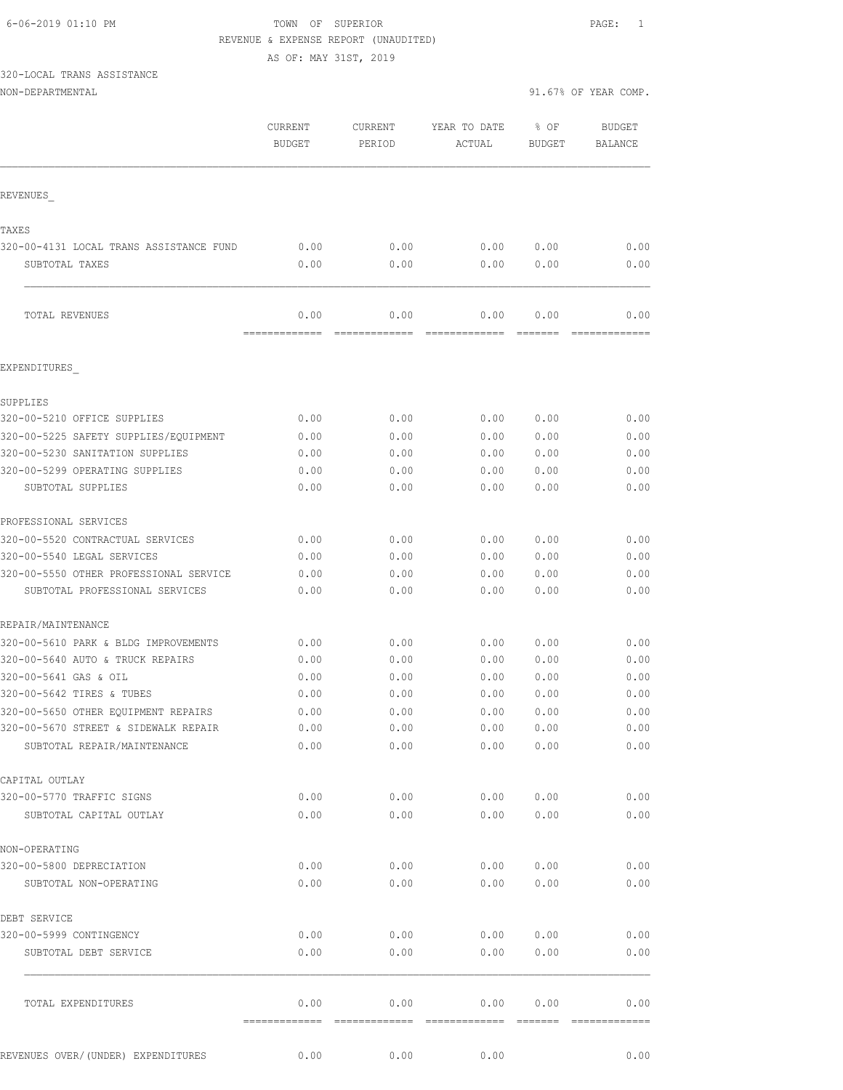AS OF: MAY 31ST, 2019

# 320-LOCAL TRANS ASSISTANCE

| 91.67% OF YEAR COMP.<br>NON-DEPARTMENTAL |  |  |
|------------------------------------------|--|--|
|------------------------------------------|--|--|

| 01.67% OF YEAR COMP. |  |
|----------------------|--|
|                      |  |

|                                                  | CURRENT<br><b>BUDGET</b> | CURRENT<br>PERIOD     | YEAR TO DATE<br>ACTUAL | % OF<br><b>BUDGET</b> | <b>BUDGET</b><br>BALANCE |
|--------------------------------------------------|--------------------------|-----------------------|------------------------|-----------------------|--------------------------|
| REVENUES                                         |                          |                       |                        |                       |                          |
|                                                  |                          |                       |                        |                       |                          |
| TAXES<br>320-00-4131 LOCAL TRANS ASSISTANCE FUND | 0.00                     | 0.00                  | 0.00                   | 0.00                  | 0.00                     |
| SUBTOTAL TAXES                                   | 0.00                     | 0.00                  | 0.00                   | 0.00                  | 0.00                     |
| TOTAL REVENUES                                   | 0.00<br>=============    | 0.00<br>============= | 0.00                   | 0.00                  | 0.00                     |
| EXPENDITURES                                     |                          |                       |                        |                       |                          |
| SUPPLIES                                         |                          |                       |                        |                       |                          |
| 320-00-5210 OFFICE SUPPLIES                      | 0.00                     | 0.00                  | 0.00                   | 0.00                  | 0.00                     |
| 320-00-5225 SAFETY SUPPLIES/EQUIPMENT            | 0.00                     | 0.00                  | 0.00                   | 0.00                  | 0.00                     |
| 320-00-5230 SANITATION SUPPLIES                  | 0.00                     | 0.00                  | 0.00                   | 0.00                  | 0.00                     |
| 320-00-5299 OPERATING SUPPLIES                   | 0.00                     | 0.00                  | 0.00                   | 0.00                  | 0.00                     |
| SUBTOTAL SUPPLIES                                | 0.00                     | 0.00                  | 0.00                   | 0.00                  | 0.00                     |
| PROFESSIONAL SERVICES                            |                          |                       |                        |                       |                          |
| 320-00-5520 CONTRACTUAL SERVICES                 | 0.00                     | 0.00                  | 0.00                   | 0.00                  | 0.00                     |
| 320-00-5540 LEGAL SERVICES                       | 0.00                     | 0.00                  | 0.00                   | 0.00                  | 0.00                     |
| 320-00-5550 OTHER PROFESSIONAL SERVICE           | 0.00                     | 0.00                  | 0.00                   | 0.00                  | 0.00                     |
| SUBTOTAL PROFESSIONAL SERVICES                   | 0.00                     | 0.00                  | 0.00                   | 0.00                  | 0.00                     |
| REPAIR/MAINTENANCE                               |                          |                       |                        |                       |                          |
| 320-00-5610 PARK & BLDG IMPROVEMENTS             | 0.00                     | 0.00                  | 0.00                   | 0.00                  | 0.00                     |
| 320-00-5640 AUTO & TRUCK REPAIRS                 | 0.00                     | 0.00                  | 0.00                   | 0.00                  | 0.00                     |
| 320-00-5641 GAS & OIL                            | 0.00                     | 0.00                  | 0.00                   | 0.00                  | 0.00                     |
| 320-00-5642 TIRES & TUBES                        | 0.00                     | 0.00                  | 0.00                   | 0.00                  | 0.00                     |
| 320-00-5650 OTHER EQUIPMENT REPAIRS              | 0.00                     | 0.00                  | 0.00                   | 0.00                  | 0.00                     |
| 320-00-5670 STREET & SIDEWALK REPAIR             | 0.00                     | 0.00                  |                        | 0.00 0.00             | 0.00                     |
| SUBTOTAL REPAIR/MAINTENANCE                      | 0.00                     | 0.00                  | 0.00                   | 0.00                  | 0.00                     |
| CAPITAL OUTLAY                                   |                          |                       |                        |                       |                          |
| 320-00-5770 TRAFFIC SIGNS                        | 0.00                     | 0.00                  | 0.00                   | 0.00                  | 0.00                     |
| SUBTOTAL CAPITAL OUTLAY                          | 0.00                     | 0.00                  | 0.00                   | 0.00                  | 0.00                     |
| NON-OPERATING                                    |                          |                       |                        |                       |                          |
| 320-00-5800 DEPRECIATION                         | 0.00                     | 0.00                  | 0.00                   | 0.00                  | 0.00                     |
| SUBTOTAL NON-OPERATING                           | 0.00                     | 0.00                  | 0.00                   | 0.00                  | 0.00                     |
| DEBT SERVICE                                     |                          |                       |                        |                       |                          |
| 320-00-5999 CONTINGENCY                          | 0.00                     | 0.00                  |                        | 0.00 0.00             | 0.00                     |
| SUBTOTAL DEBT SERVICE                            | 0.00                     | 0.00                  | 0.00                   | 0.00                  | 0.00                     |
| TOTAL EXPENDITURES                               | 0.00                     | 0.00                  | 0.00                   | 0.00                  | 0.00                     |
| REVENUES OVER/ (UNDER) EXPENDITURES              | 0.00                     | 0.00                  | 0.00                   |                       | 0.00                     |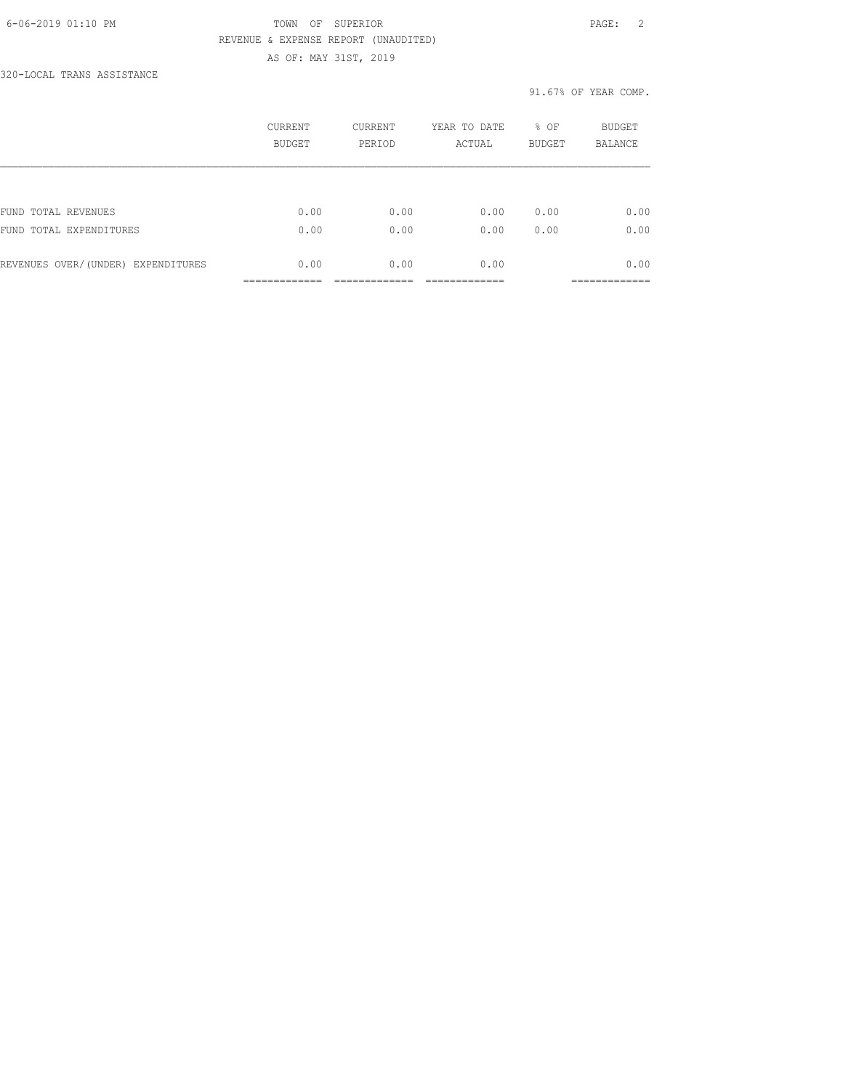### 6-06-2019 01:10 PM TOWN OF SUPERIOR PAGE: 2 REVENUE & EXPENSE REPORT (UNAUDITED) AS OF: MAY 31ST, 2019

320-LOCAL TRANS ASSISTANCE

|                                    | CURRENT<br><b>BUDGET</b> | <b>CURRENT</b><br>PERIOD | YEAR TO DATE<br>ACTUAL | % OF<br><b>BUDGET</b> | <b>BUDGET</b><br><b>BALANCE</b> |
|------------------------------------|--------------------------|--------------------------|------------------------|-----------------------|---------------------------------|
|                                    |                          |                          |                        |                       |                                 |
| FUND TOTAL REVENUES                | 0.00                     | 0.00                     | 0.00                   | 0.00                  | 0.00                            |
| FUND TOTAL EXPENDITURES            | 0.00                     | 0.00                     | 0.00                   | 0.00                  | 0.00                            |
| REVENUES OVER/(UNDER) EXPENDITURES | 0.00                     | 0.00                     | 0.00                   |                       | 0.00                            |
|                                    |                          |                          |                        |                       |                                 |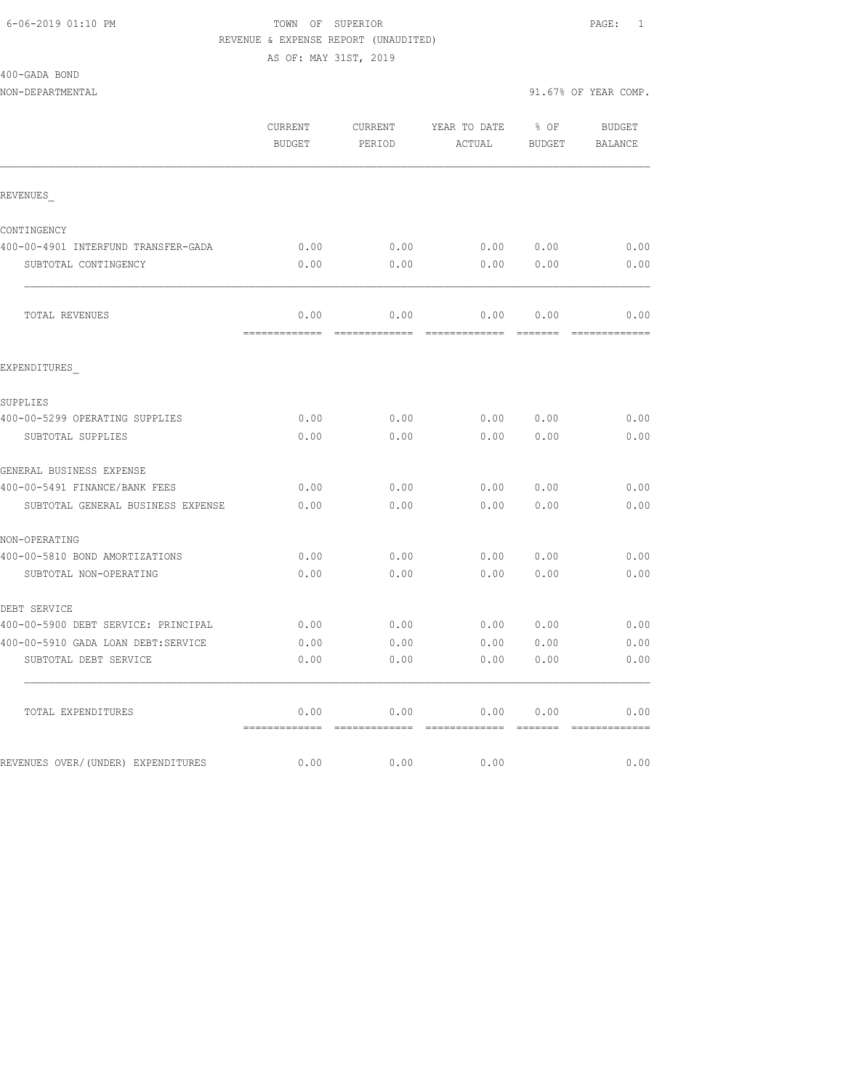| 400-GADA BOND |  |
|---------------|--|
|               |  |

NON-DEPARTMENTAL 31.67% OF YEAR COMP.

|                                     | CURRENT<br><b>BUDGET</b>             | CURRENT<br>PERIOD | YEAR TO DATE<br>ACTUAL | $8$ OF<br>BUDGET | BUDGET<br>BALANCE |
|-------------------------------------|--------------------------------------|-------------------|------------------------|------------------|-------------------|
| REVENUES                            |                                      |                   |                        |                  |                   |
| CONTINGENCY                         |                                      |                   |                        |                  |                   |
| 400-00-4901 INTERFUND TRANSFER-GADA | 0.00                                 | 0.00              | 0.00 0.00              |                  | 0.00              |
| SUBTOTAL CONTINGENCY                | 0.00                                 | 0.00              | 0.00                   | 0.00             | 0.00              |
| TOTAL REVENUES                      | 0.00                                 | 0.00              | 0.00                   | 0.00             | 0.00              |
| EXPENDITURES                        |                                      |                   |                        |                  | =============     |
| SUPPLIES                            |                                      |                   |                        |                  |                   |
| 400-00-5299 OPERATING SUPPLIES      | 0.00                                 | 0.00              |                        | 0.00 0.00        | 0.00              |
| SUBTOTAL SUPPLIES                   | 0.00                                 | 0.00              | 0.00                   | 0.00             | 0.00              |
| GENERAL BUSINESS EXPENSE            |                                      |                   |                        |                  |                   |
| 400-00-5491 FINANCE/BANK FEES       | 0.00                                 | 0.00              | 0.00                   | 0.00             | 0.00              |
| SUBTOTAL GENERAL BUSINESS EXPENSE   | 0.00                                 | 0.00              | 0.00                   | 0.00             | 0.00              |
| NON-OPERATING                       |                                      |                   |                        |                  |                   |
| 400-00-5810 BOND AMORTIZATIONS      | 0.00                                 | 0.00              |                        | 0.00 0.00        | 0.00              |
| SUBTOTAL NON-OPERATING              | 0.00                                 | 0.00              | 0.00                   | 0.00             | 0.00              |
| DEBT SERVICE                        |                                      |                   |                        |                  |                   |
| 400-00-5900 DEBT SERVICE: PRINCIPAL | 0.00                                 | 0.00              | 0.00 0.00              |                  | 0.00              |
| 400-00-5910 GADA LOAN DEBT:SERVICE  | 0.00                                 | 0.00              | 0.00                   | 0.00             | 0.00              |
| SUBTOTAL DEBT SERVICE               | 0.00                                 | 0.00              | 0.00                   | 0.00             | 0.00              |
| TOTAL EXPENDITURES                  | 0.00                                 | 0.00              | 0.00                   | 0.00             | 0.00              |
| REVENUES OVER/(UNDER) EXPENDITURES  | -------------- -------------<br>0.00 | 0.00              | 0.00                   |                  | 0.00              |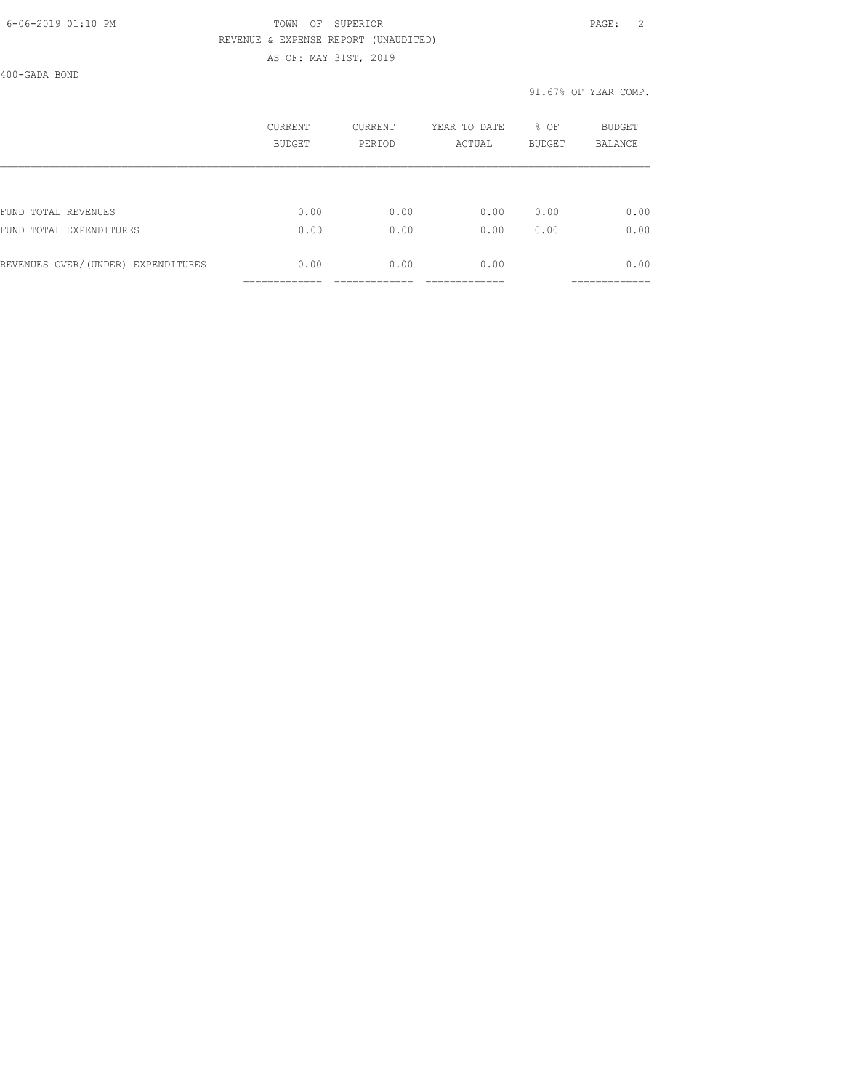### 6-06-2019 01:10 PM TOWN OF SUPERIOR PAGE: 2 REVENUE & EXPENSE REPORT (UNAUDITED) AS OF: MAY 31ST, 2019

400-GADA BOND

|                                    | CURRENT<br><b>BUDGET</b> | <b>CURRENT</b><br>PERIOD | YEAR TO DATE<br>ACTUAL | % OF<br><b>BUDGET</b> | <b>BUDGET</b><br><b>BALANCE</b> |
|------------------------------------|--------------------------|--------------------------|------------------------|-----------------------|---------------------------------|
|                                    |                          |                          |                        |                       |                                 |
| FUND TOTAL REVENUES                | 0.00                     | 0.00                     | 0.00                   | 0.00                  | 0.00                            |
| FUND TOTAL EXPENDITURES            | 0.00                     | 0.00                     | 0.00                   | 0.00                  | 0.00                            |
| REVENUES OVER/(UNDER) EXPENDITURES | 0.00                     | 0.00                     | 0.00                   |                       | 0.00                            |
|                                    |                          |                          |                        |                       |                                 |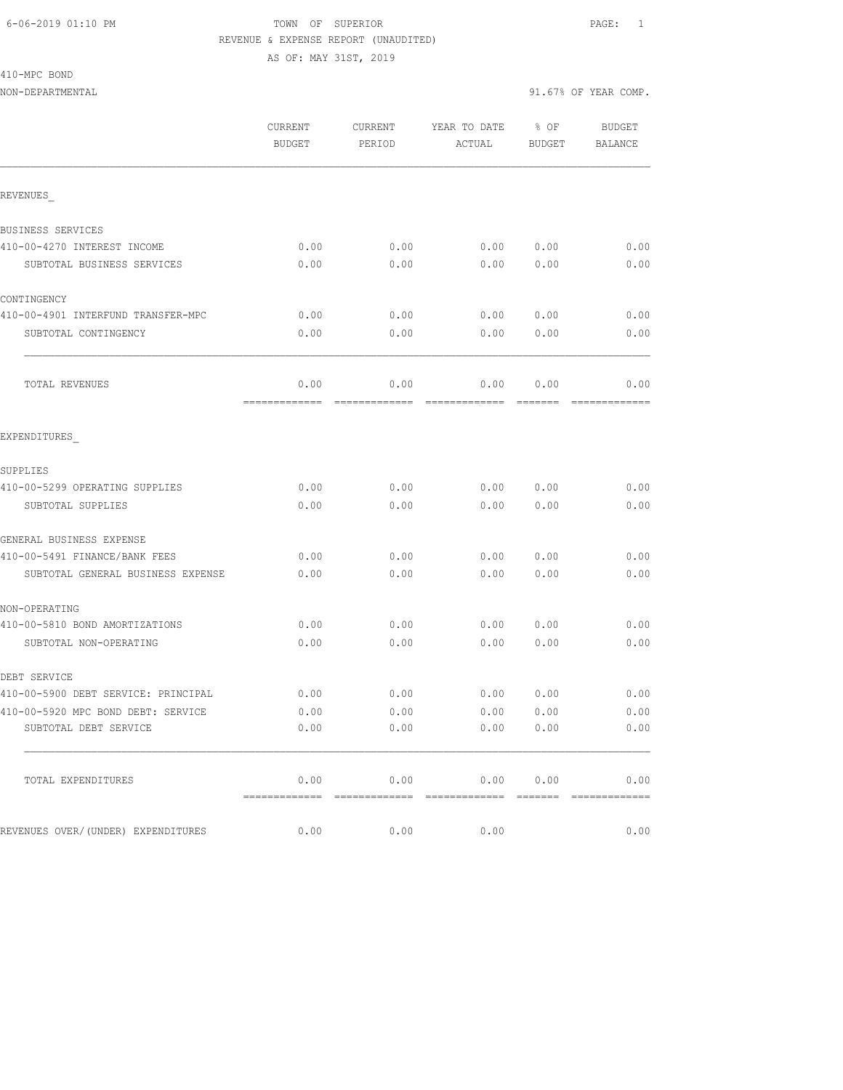410-MPC BOND

NON-DEPARTMENTAL 91.67% OF YEAR COMP.

|                                     | CURRENT<br><b>BUDGET</b> | CURRENT<br>PERIOD | YEAR TO DATE<br>ACTUAL | % OF<br><b>BUDGET</b> | <b>BUDGET</b><br>BALANCE |
|-------------------------------------|--------------------------|-------------------|------------------------|-----------------------|--------------------------|
| REVENUES                            |                          |                   |                        |                       |                          |
| BUSINESS SERVICES                   |                          |                   |                        |                       |                          |
| 410-00-4270 INTEREST INCOME         | 0.00                     | 0.00              | 0.00                   | 0.00                  | 0.00                     |
| SUBTOTAL BUSINESS SERVICES          | 0.00                     | 0.00              | 0.00                   | 0.00                  | 0.00                     |
| CONTINGENCY                         |                          |                   |                        |                       |                          |
| 410-00-4901 INTERFUND TRANSFER-MPC  | 0.00                     | 0.00              | 0.00                   | 0.00                  | 0.00                     |
| SUBTOTAL CONTINGENCY                | 0.00                     | 0.00              | 0.00                   | 0.00                  | 0.00                     |
| TOTAL REVENUES                      | 0.00                     | 0.00              | 0.00                   | 0.00                  | 0.00                     |
| EXPENDITURES                        |                          |                   |                        |                       |                          |
| SUPPLIES                            |                          |                   |                        |                       |                          |
| 410-00-5299 OPERATING SUPPLIES      | 0.00                     | 0.00              | 0.00                   | 0.00                  | 0.00                     |
| SUBTOTAL SUPPLIES                   | 0.00                     | 0.00              | 0.00                   | 0.00                  | 0.00                     |
| GENERAL BUSINESS EXPENSE            |                          |                   |                        |                       |                          |
| 410-00-5491 FINANCE/BANK FEES       | 0.00                     | 0.00              | 0.00                   | 0.00                  | 0.00                     |
| SUBTOTAL GENERAL BUSINESS EXPENSE   | 0.00                     | 0.00              | 0.00                   | 0.00                  | 0.00                     |
| NON-OPERATING                       |                          |                   |                        |                       |                          |
| 410-00-5810 BOND AMORTIZATIONS      | 0.00                     | 0.00              | 0.00                   | 0.00                  | 0.00                     |
| SUBTOTAL NON-OPERATING              | 0.00                     | 0.00              | 0.00                   | 0.00                  | 0.00                     |
| DEBT SERVICE                        |                          |                   |                        |                       |                          |
| 410-00-5900 DEBT SERVICE: PRINCIPAL | 0.00                     | 0.00              | 0.00                   | 0.00                  | 0.00                     |
| 410-00-5920 MPC BOND DEBT: SERVICE  | 0.00                     | 0.00              | 0.00                   | 0.00                  | 0.00                     |
| SUBTOTAL DEBT SERVICE               | 0.00                     | 0.00              | 0.00                   | 0.00                  | 0.00                     |
| TOTAL EXPENDITURES                  | 0.00                     | 0.00              | 0.00                   | 0.00                  | 0.00                     |
| REVENUES OVER/(UNDER) EXPENDITURES  | 0.00                     | 0.00              | 0.00                   |                       | 0.00                     |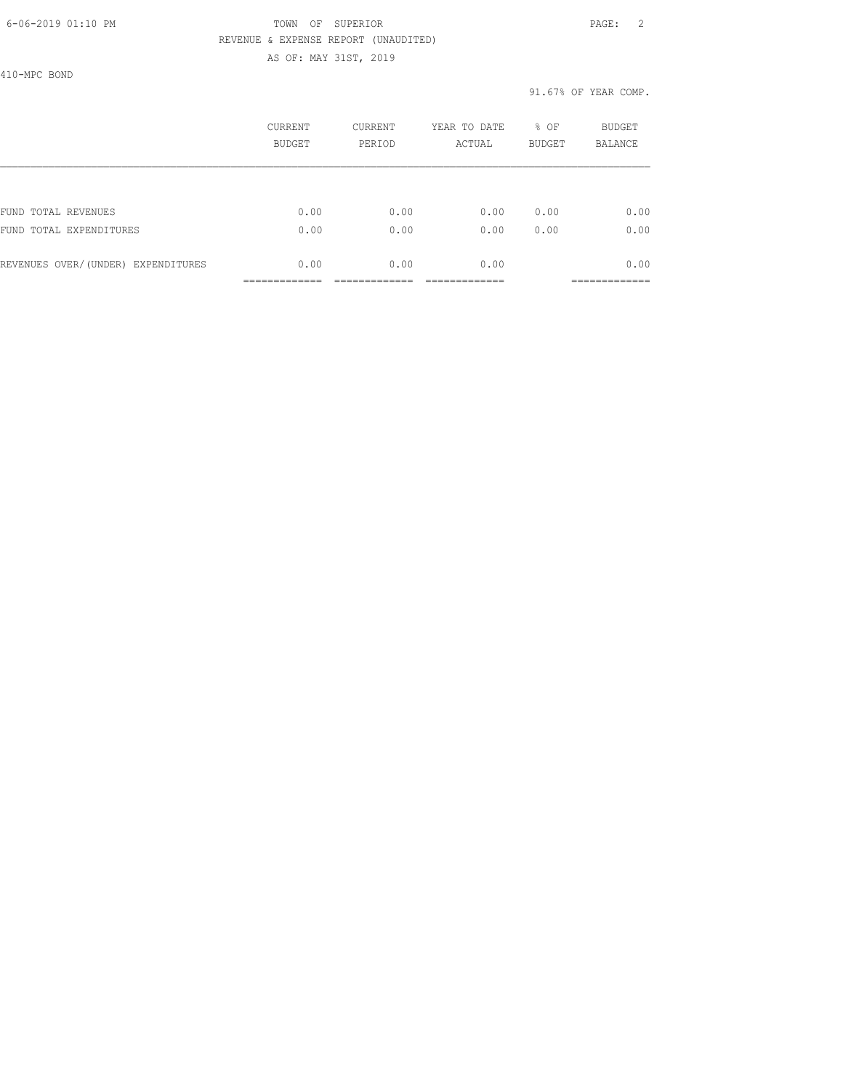AS OF: MAY 31ST, 2019

410-MPC BOND

|                                    | CURRENT<br>BUDGET | CURRENT<br>PERIOD | YEAR TO DATE<br>ACTUAL | % OF<br><b>BUDGET</b> | <b>BUDGET</b><br><b>BALANCE</b> |
|------------------------------------|-------------------|-------------------|------------------------|-----------------------|---------------------------------|
|                                    |                   |                   |                        |                       |                                 |
| FUND TOTAL REVENUES                | 0.00              | 0.00              | 0.00                   | 0.00                  | 0.00                            |
| FUND TOTAL EXPENDITURES            | 0.00              | 0.00              | 0.00                   | 0.00                  | 0.00                            |
| REVENUES OVER/(UNDER) EXPENDITURES | 0.00              | 0.00              | 0.00                   |                       | 0.00                            |
|                                    |                   |                   |                        |                       |                                 |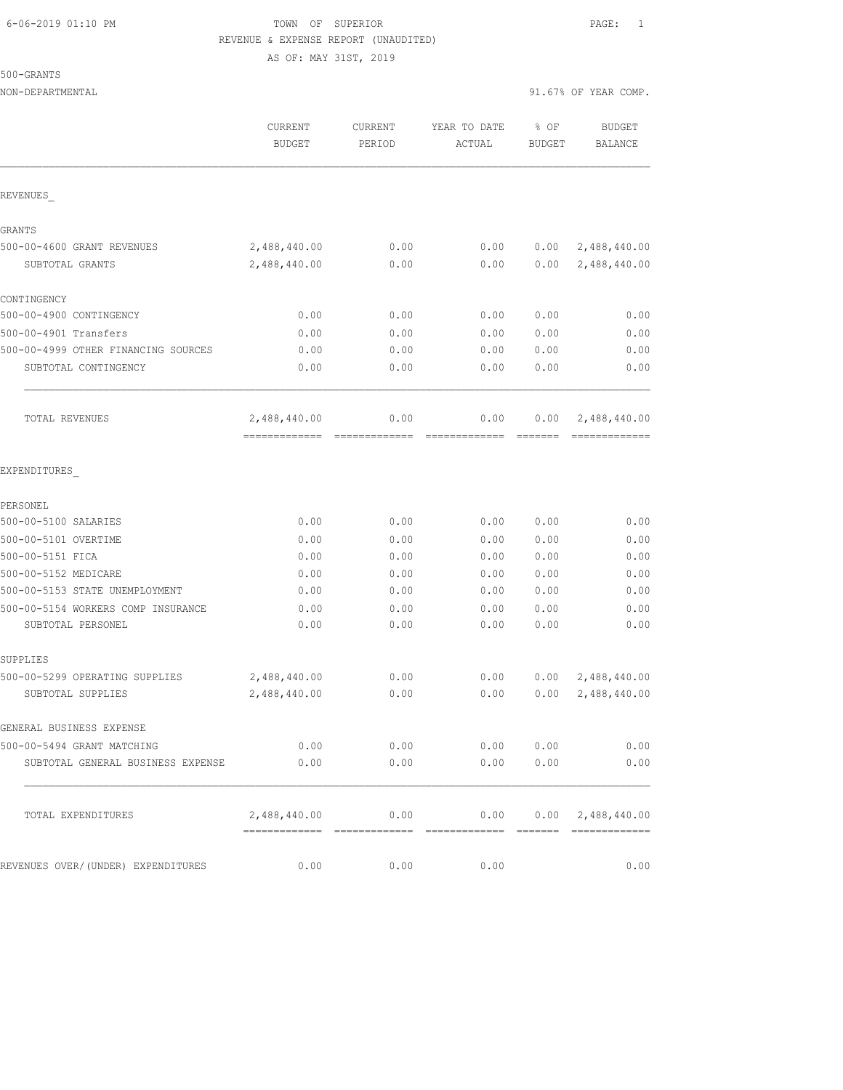AS OF: MAY 31ST, 2019

500-GRANTS

NON-DEPARTMENTAL 91.67% OF YEAR COMP.

|                                                         | CURRENT<br><b>BUDGET</b>                      | CURRENT<br>PERIOD | YEAR TO DATE<br>ACTUAL | % OF<br><b>BUDGET</b> | <b>BUDGET</b><br>BALANCE  |
|---------------------------------------------------------|-----------------------------------------------|-------------------|------------------------|-----------------------|---------------------------|
| REVENUES                                                |                                               |                   |                        |                       |                           |
| GRANTS                                                  |                                               |                   |                        |                       |                           |
| 500-00-4600 GRANT REVENUES                              | 2,488,440.00                                  | 0.00              | 0.00                   | 0.00                  | 2,488,440.00              |
| SUBTOTAL GRANTS                                         | 2,488,440.00                                  | 0.00              | 0.00                   | 0.00                  | 2,488,440.00              |
| CONTINGENCY                                             |                                               |                   |                        |                       |                           |
| 500-00-4900 CONTINGENCY                                 | 0.00                                          | 0.00              | 0.00                   | 0.00                  | 0.00                      |
| 500-00-4901 Transfers                                   | 0.00                                          | 0.00              | 0.00                   | 0.00                  | 0.00                      |
| 500-00-4999 OTHER FINANCING SOURCES                     | 0.00                                          | 0.00              | 0.00                   | 0.00                  | 0.00                      |
| SUBTOTAL CONTINGENCY                                    | 0.00                                          | 0.00              | 0.00                   | 0.00                  | 0.00                      |
| TOTAL REVENUES                                          | 2,488,440.00<br>-------------                 | 0.00              | 0.00                   | 0.00                  | 2,488,440.00              |
| EXPENDITURES                                            |                                               |                   |                        |                       |                           |
| PERSONEL                                                |                                               |                   |                        |                       |                           |
| 500-00-5100 SALARIES                                    | 0.00                                          | 0.00              | 0.00                   | 0.00                  | 0.00                      |
| 500-00-5101 OVERTIME                                    | 0.00                                          | 0.00              | 0.00                   | 0.00                  | 0.00                      |
| 500-00-5151 FICA                                        | 0.00                                          | 0.00              | 0.00                   | 0.00                  | 0.00                      |
| 500-00-5152 MEDICARE                                    | 0.00                                          | 0.00              | 0.00                   | 0.00                  | 0.00                      |
| 500-00-5153 STATE UNEMPLOYMENT                          | 0.00                                          | 0.00              | 0.00                   | 0.00                  | 0.00                      |
| 500-00-5154 WORKERS COMP INSURANCE<br>SUBTOTAL PERSONEL | 0.00<br>0.00                                  | 0.00<br>0.00      | 0.00<br>0.00           | 0.00<br>0.00          | 0.00<br>0.00              |
| SUPPLIES                                                |                                               |                   |                        |                       |                           |
| 500-00-5299 OPERATING SUPPLIES                          | 2,488,440.00                                  | 0.00              | 0.00                   | 0.00                  | 2,488,440.00              |
| SUBTOTAL SUPPLIES                                       | 2,488,440.00                                  | 0.00              | 0.00                   | 0.00                  | 2,488,440.00              |
| GENERAL BUSINESS EXPENSE                                |                                               |                   |                        |                       |                           |
| 500-00-5494 GRANT MATCHING                              | 0.00                                          | 0.00              | 0.00                   | 0.00                  | 0.00                      |
| SUBTOTAL GENERAL BUSINESS EXPENSE                       | 0.00                                          | 0.00              | 0.00                   | 0.00                  | 0.00                      |
| TOTAL EXPENDITURES                                      | 2,488,440.00<br>============================= | 0.00              | 0.00<br>=============  |                       | $0.00 \quad 2,488,440.00$ |
| REVENUES OVER/(UNDER) EXPENDITURES                      | 0.00                                          | 0.00              | 0.00                   |                       | 0.00                      |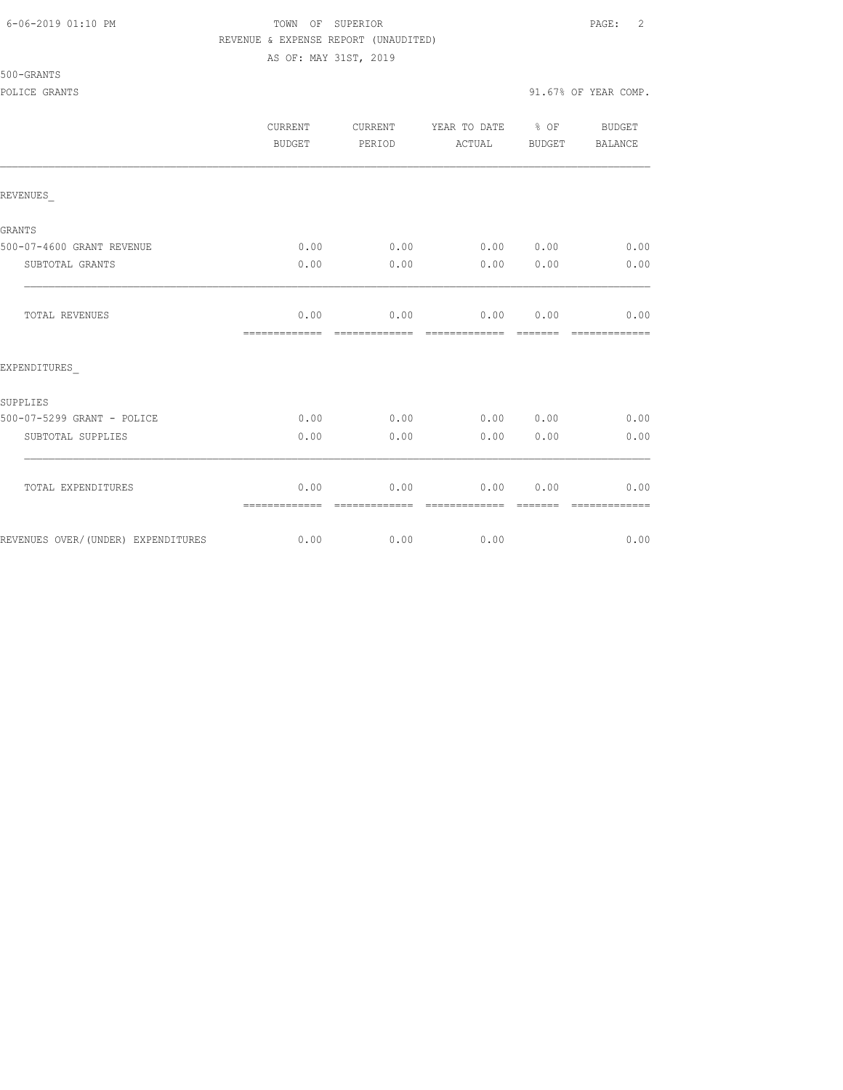### 6-06-2019 01:10 PM TOWN OF SUPERIOR PAGE: 2 REVENUE & EXPENSE REPORT (UNAUDITED) AS OF: MAY 31ST, 2019

# 500-GRANTS

|                                    | <b>CURRENT</b><br>BUDGET | <b>CURRENT</b><br>PERIOD | YEAR TO DATE<br>ACTUAL | % OF<br>BUDGET  | BUDGET<br><b>BALANCE</b> |
|------------------------------------|--------------------------|--------------------------|------------------------|-----------------|--------------------------|
| REVENUES                           |                          |                          |                        |                 |                          |
| GRANTS                             |                          |                          |                        |                 |                          |
| 500-07-4600 GRANT REVENUE          | 0.00                     | 0.00                     | 0.00 0.00              |                 | 0.00                     |
| SUBTOTAL GRANTS                    | 0.00                     | 0.00                     | 0.00                   | 0.00            | 0.00                     |
| TOTAL REVENUES                     | 0.00<br>=============    | 0.00<br>=============    | 0.00<br>=============  | 0.00<br>------- | 0.00<br>=============    |
| EXPENDITURES                       |                          |                          |                        |                 |                          |
| SUPPLIES                           |                          |                          |                        |                 |                          |
| 500-07-5299 GRANT - POLICE         | 0.00                     | 0.00                     | 0.00 0.00              |                 | 0.00                     |
| SUBTOTAL SUPPLIES                  | 0.00                     | 0.00                     | 0.00                   | 0.00            | 0.00                     |
| TOTAL EXPENDITURES                 | 0.00<br>=============    | 0.00                     | 0.00                   | 0.00            | 0.00                     |
| REVENUES OVER/(UNDER) EXPENDITURES | 0.00                     | 0.00                     | 0.00                   |                 | 0.00                     |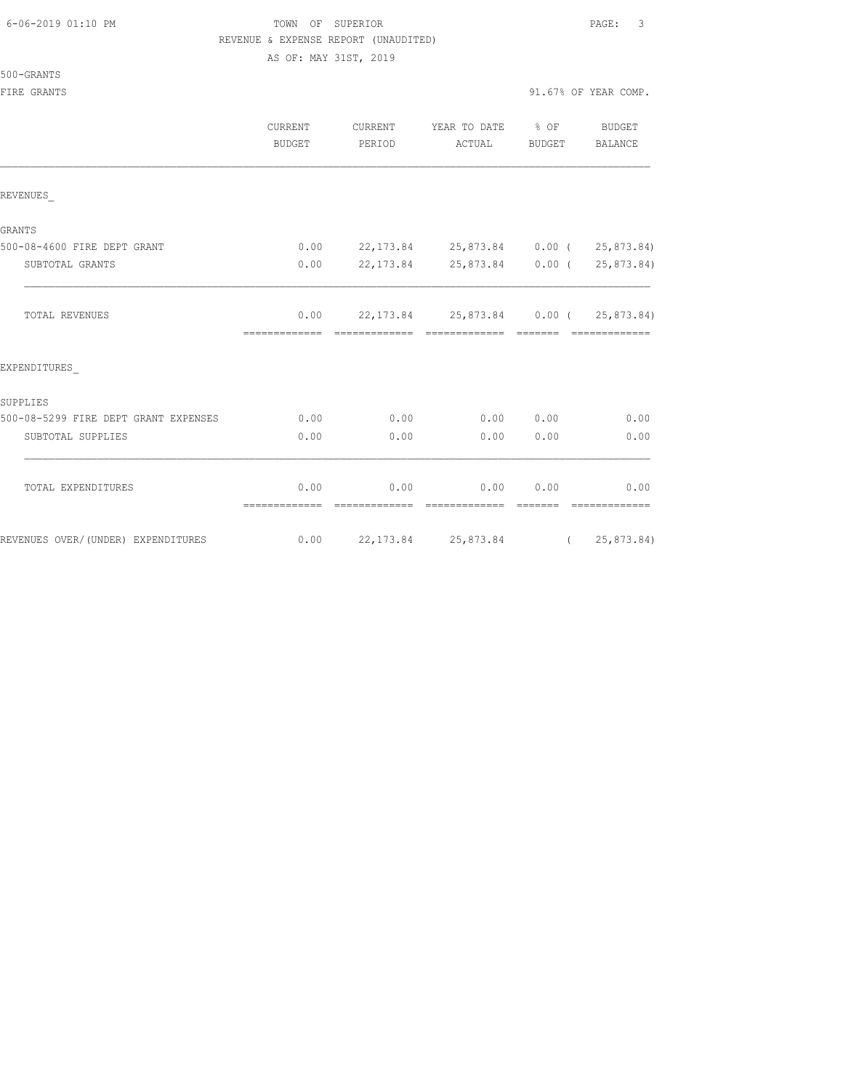# FOWN OF SUPERIOR **Example 2019** PAGE: 3 REVENUE & EXPENSE REPORT (UNAUDITED)

AS OF: MAY 31ST, 2019

500-GRANTS

|                                      | CURRENT<br><b>BUDGET</b> | CURRENT<br>PERIOD | YEAR TO DATE % OF<br>ACTUAL             | BUDGET          | BUDGET<br>BALANCE     |
|--------------------------------------|--------------------------|-------------------|-----------------------------------------|-----------------|-----------------------|
| REVENUES                             |                          |                   |                                         |                 |                       |
| <b>GRANTS</b>                        |                          |                   |                                         |                 |                       |
| 500-08-4600 FIRE DEPT GRANT          | 0.00                     |                   | 22,173.84 25,873.84 0.00 ( 25,873.84)   |                 |                       |
| SUBTOTAL GRANTS                      | 0.00                     |                   | 22,173.84 25,873.84 0.00 ( 25,873.84)   |                 |                       |
| <b>TOTAL REVENUES</b>                | 0.00                     |                   | 22,173.84  25,873.84  0.00   25,873.84) | --------        | =============         |
| EXPENDITURES                         |                          |                   |                                         |                 |                       |
| SUPPLIES                             |                          |                   |                                         |                 |                       |
| 500-08-5299 FIRE DEPT GRANT EXPENSES | 0.00                     | 0.00              |                                         | 0.00 0.00       | 0.00                  |
| SUBTOTAL SUPPLIES                    | 0.00                     | 0.00              | 0.00                                    | 0.00            | 0.00                  |
| TOTAL EXPENDITURES                   | 0.00<br>=============    | 0.00              | 0.00<br>=============                   | 0.00<br>======= | 0.00<br>============= |
| REVENUES OVER/(UNDER) EXPENDITURES   | 0.00                     |                   | 22,173.84 25,873.84 (25,873.84)         |                 |                       |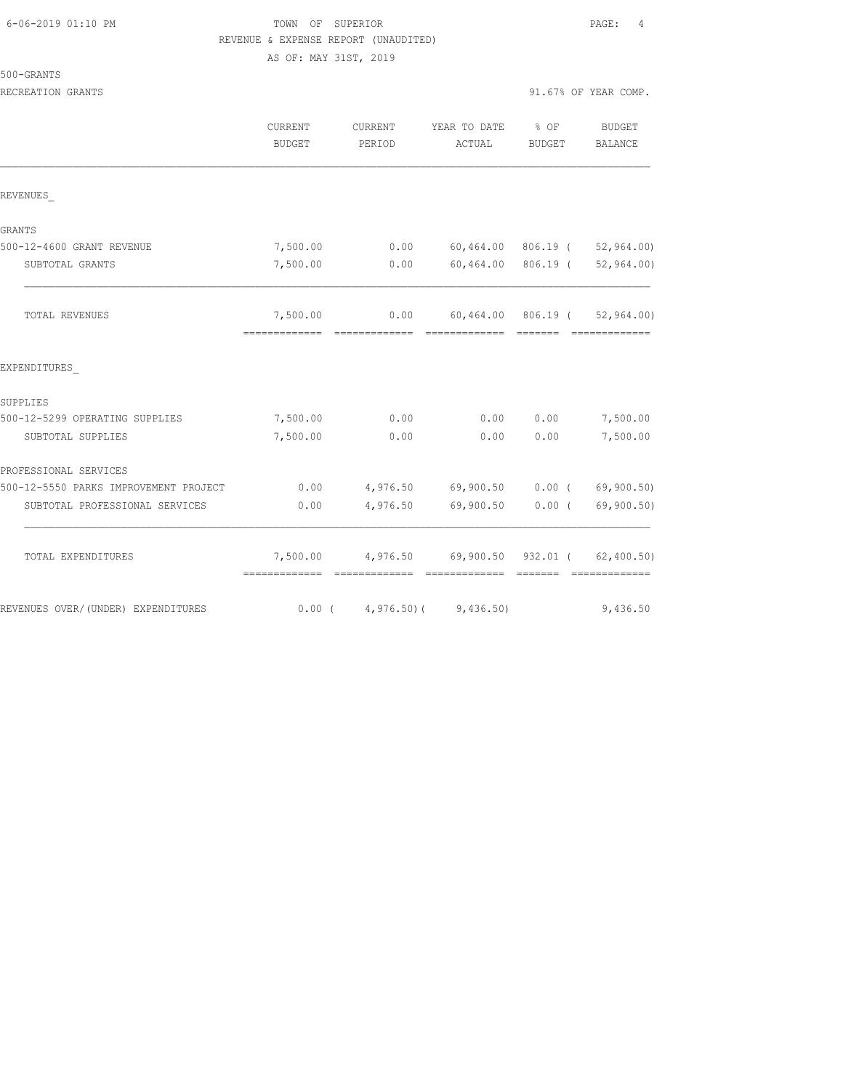# TOWN OF SUPERIOR **PAGE:** 4 REVENUE & EXPENSE REPORT (UNAUDITED)

AS OF: MAY 31ST, 2019

500-GRANTS

RECREATION GRANTS 91.67% OF YEAR COMP.

|                                       | CURRENT<br><b>BUDGET</b>                  | CURRENT<br>PERIOD       | YEAR TO DATE<br>ACTUAL                                       | $\frac{8}{2}$ OF<br><b>BUDGET</b> | <b>BUDGET</b><br>BALANCE |
|---------------------------------------|-------------------------------------------|-------------------------|--------------------------------------------------------------|-----------------------------------|--------------------------|
| REVENUES                              |                                           |                         |                                                              |                                   |                          |
| GRANTS                                |                                           |                         |                                                              |                                   |                          |
| 500-12-4600 GRANT REVENUE             | 7,500.00                                  | 0.00                    | 60,464.00 806.19 (                                           |                                   | 52, 964.00               |
| SUBTOTAL GRANTS                       | 7,500.00                                  | 0.00                    | 60,464.00 806.19 (                                           |                                   | 52, 964.00               |
| TOTAL REVENUES                        | 7,500.00<br>-------------- -------------- | 0.00                    | 60,464.00 806.19 (<br>====================================== |                                   | 52, 964, 00)             |
| EXPENDITURES                          |                                           |                         |                                                              |                                   |                          |
| SUPPLIES                              |                                           |                         |                                                              |                                   |                          |
| 500-12-5299 OPERATING SUPPLIES        | 7,500.00                                  | 0.00                    | 0.00                                                         | 0.00                              | 7,500.00                 |
| SUBTOTAL SUPPLIES                     | 7,500.00                                  | 0.00                    | 0.00                                                         | 0.00                              | 7,500.00                 |
| PROFESSIONAL SERVICES                 |                                           |                         |                                                              |                                   |                          |
| 500-12-5550 PARKS IMPROVEMENT PROJECT | 0.00                                      |                         | 4,976.50 69,900.50 0.00 (                                    |                                   | 69,900.50)               |
| SUBTOTAL PROFESSIONAL SERVICES        | 0.00                                      | 4,976.50                | 69,900.50                                                    | 0.00(                             | 69,900.50)               |
| TOTAL EXPENDITURES                    | 7,500.00<br>-------------- -------------  |                         | 4,976.50 69,900.50 932.01 ( 62,400.50)<br>=============      | --------                          | --------------           |
| REVENUES OVER/(UNDER) EXPENDITURES    |                                           | $0.00$ ( $4,976.50$ ) ( | 9,436.50)                                                    |                                   | 9,436.50                 |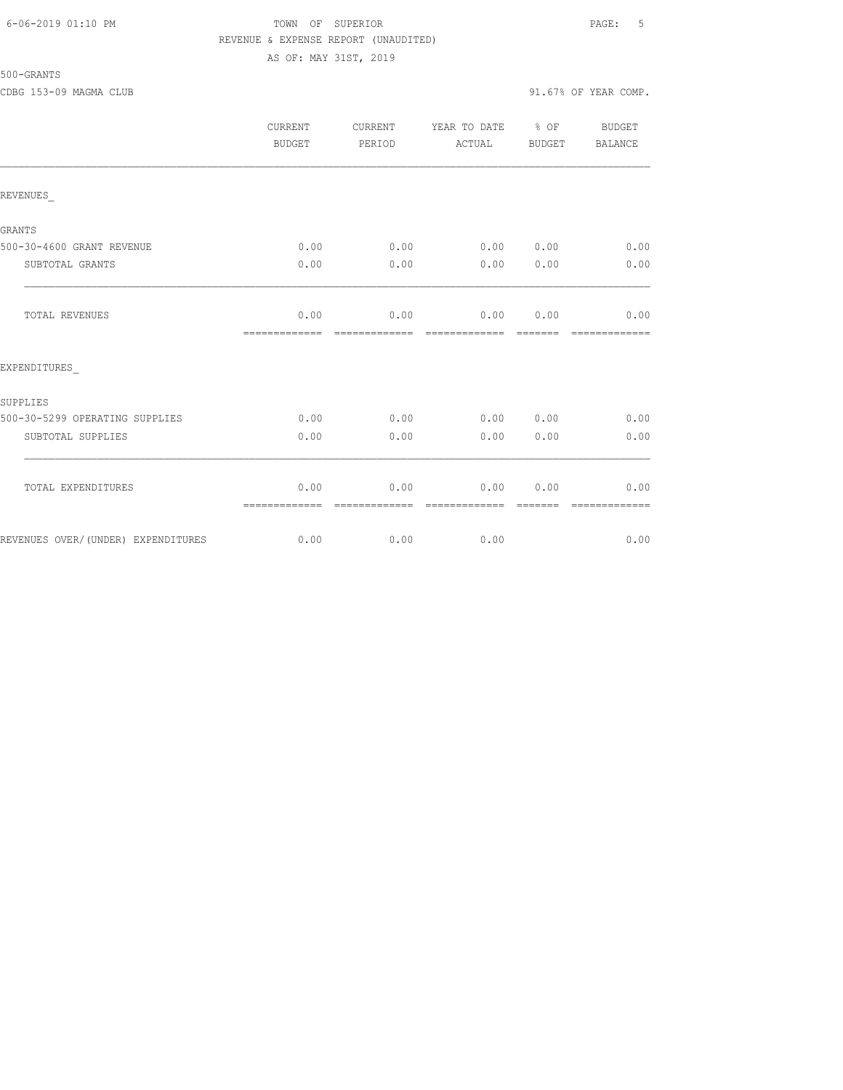# 500-GRANTS

CDBG 153-09 MAGMA CLUB 91.67% OF YEAR COMP.

AS OF: MAY 31ST, 2019

|                                    | <b>CURRENT</b><br>BUDGET | <b>CURRENT</b><br>PERIOD | YEAR TO DATE<br>ACTUAL | $8$ OF<br>BUDGET | <b>BUDGET</b><br>BALANCE |
|------------------------------------|--------------------------|--------------------------|------------------------|------------------|--------------------------|
| REVENUES                           |                          |                          |                        |                  |                          |
| GRANTS                             |                          |                          |                        |                  |                          |
| 500-30-4600 GRANT REVENUE          | 0.00                     | 0.00                     | 0.00 0.00              |                  | 0.00                     |
| SUBTOTAL GRANTS                    | 0.00                     | 0.00                     | 0.00                   | 0.00             | 0.00                     |
| <b>TOTAL REVENUES</b>              | 0.00<br>=============    | 0.00                     | $0.00$ $0.00$          |                  | 0.00<br>=======          |
| EXPENDITURES                       |                          |                          |                        |                  |                          |
| SUPPLIES                           |                          |                          |                        |                  |                          |
| 500-30-5299 OPERATING SUPPLIES     | 0.00                     | 0.00                     | 0.00 0.00              |                  | 0.00                     |
| SUBTOTAL SUPPLIES                  | 0.00                     | 0.00                     | 0.00                   | 0.00             | 0.00                     |
| TOTAL EXPENDITURES                 | 0.00<br>=============    | 0.00                     | 0.00                   | 0.00             | 0.00                     |
| REVENUES OVER/(UNDER) EXPENDITURES | 0.00                     | 0.00                     | 0.00                   |                  | 0.00                     |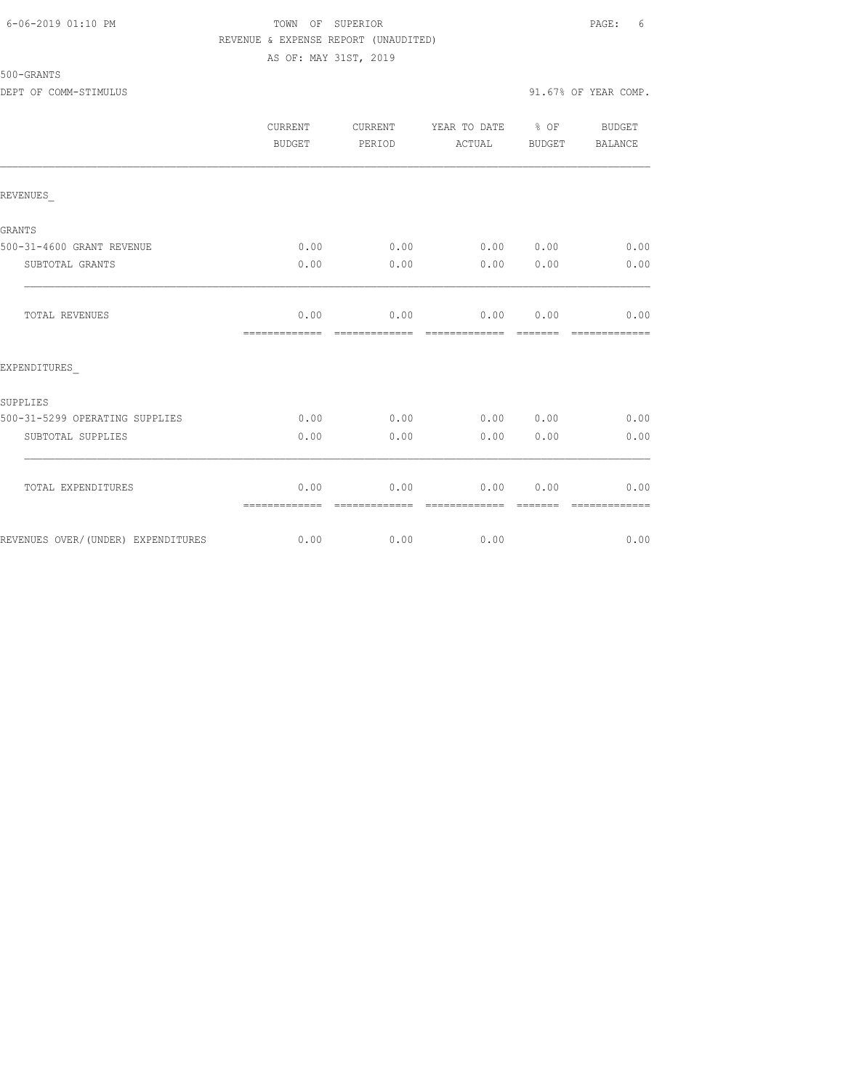#### 6-06-2019 01:10 PM TOWN OF SUPERIOR PAGE: 6 REVENUE & EXPENSE REPORT (UNAUDITED) AS OF: MAY 31ST, 2019

|                                    | CURRENT<br>BUDGET     | CURRENT<br>PERIOD      | YEAR TO DATE % OF<br>ACTUAL | BUDGET                | BUDGET<br>BALANCE      |
|------------------------------------|-----------------------|------------------------|-----------------------------|-----------------------|------------------------|
| REVENUES                           |                       |                        |                             |                       |                        |
| <b>GRANTS</b>                      |                       |                        |                             |                       |                        |
| 500-31-4600 GRANT REVENUE          | 0.00                  | 0.00                   | 0.00 0.00                   |                       | 0.00                   |
| SUBTOTAL GRANTS                    | 0.00                  | 0.00                   | 0.00                        | 0.00                  | 0.00                   |
| TOTAL REVENUES                     | 0.00<br>============= | 0.00<br>=============  | 0.00<br>=============       | 0.00<br><b>BEBEER</b> | 0.00<br>=============  |
| EXPENDITURES                       |                       |                        |                             |                       |                        |
| SUPPLIES                           |                       |                        |                             |                       |                        |
| 500-31-5299 OPERATING SUPPLIES     | 0.00                  | 0.00                   | 0.00 0.00                   |                       | 0.00                   |
| SUBTOTAL SUPPLIES                  | 0.00                  | 0.00                   | 0.00                        | 0.00                  | 0.00                   |
| TOTAL EXPENDITURES                 | 0.00<br>============= | 0.00<br>-------------- | 0.00<br>--------------      | 0.00                  | 0.00<br>-------------- |
| REVENUES OVER/(UNDER) EXPENDITURES | 0.00                  | 0.00                   | 0.00                        |                       | 0.00                   |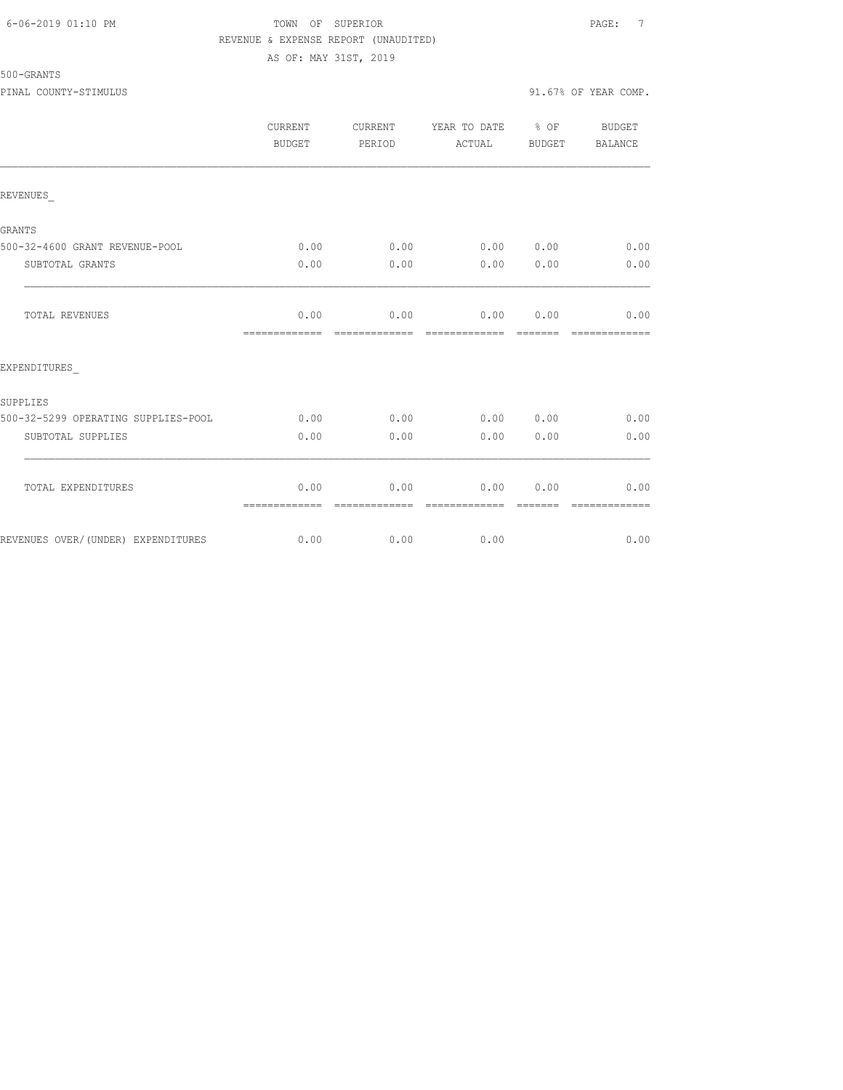#### 6-06-2019 01:10 PM TOWN OF SUPERIOR PAGE: 7 REVENUE & EXPENSE REPORT (UNAUDITED) AS OF: MAY 31ST, 2019

# 500-GRANTS

|                                     | <b>CURRENT</b><br>BUDGET | <b>CURRENT</b><br>PERIOD | YEAR TO DATE % OF<br>ACTUAL | BUDGET | BUDGET<br><b>BALANCE</b> |
|-------------------------------------|--------------------------|--------------------------|-----------------------------|--------|--------------------------|
| REVENUES                            |                          |                          |                             |        |                          |
| GRANTS                              |                          |                          |                             |        |                          |
| 500-32-4600 GRANT REVENUE-POOL      | 0.00                     | 0.00                     | 0.00000000                  |        | 0.00                     |
| SUBTOTAL GRANTS                     | 0.00                     | 0.00                     | 0.00                        | 0.00   | 0.00                     |
| TOTAL REVENUES                      | 0.00<br>=============    | 0.00                     | 0.00<br>-------------       | 0.00   | 0.00                     |
| EXPENDITURES                        |                          |                          |                             |        |                          |
| SUPPLIES                            |                          |                          |                             |        |                          |
| 500-32-5299 OPERATING SUPPLIES-POOL | 0.00                     | 0.00                     | 0.00 0.00                   |        | 0.00                     |
| SUBTOTAL SUPPLIES                   | 0.00                     | 0.00                     | 0.00                        | 0.00   | 0.00                     |
| TOTAL EXPENDITURES                  | 0.00                     | 0.00                     | 0.00                        | 0.00   | 0.00                     |
|                                     | =============            |                          |                             |        | =============            |

REVENUES OVER/(UNDER) EXPENDITURES 0.00 0.00 0.00 0.00 0.00 0.00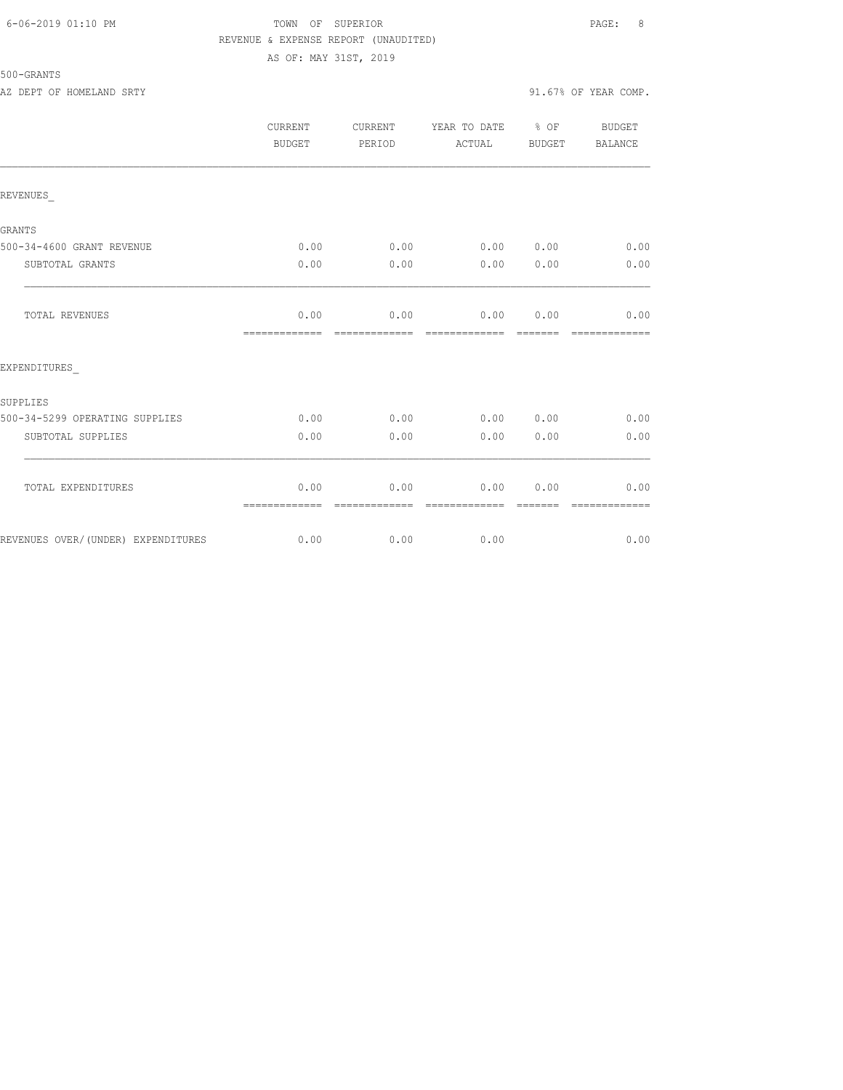## 6-06-2019 01:10 PM TOWN OF SUPERIOR PAGE: 8 REVENUE & EXPENSE REPORT (UNAUDITED) AS OF: MAY 31ST, 2019

| 500-GRANTS |                     |  |
|------------|---------------------|--|
|            | as pope on Hountain |  |

AZ DEPT OF HOMELAND SRTY SALL SALL SOME SALL SOME SERVICE SERVICE SERVICE SERVICE SERVICE SERVICE SERVICE SERVICE SERVICE SERVICE SERVICE SERVICE SERVICE SERVICE SERVICE SERVICE SERVICE SERVICE SERVICE SERVICE SERVICE SERV

|                                    | CURRENT<br><b>BUDGET</b> | CURRENT<br>PERIOD     | YEAR TO DATE % OF<br>ACTUAL                                                                                                                                                                                                                                                                                                                                                                                                                                                                    | BUDGET                                                                                                                                                                                                                                                                                                                                                                                                                                                                                         | BUDGET<br><b>BALANCE</b> |
|------------------------------------|--------------------------|-----------------------|------------------------------------------------------------------------------------------------------------------------------------------------------------------------------------------------------------------------------------------------------------------------------------------------------------------------------------------------------------------------------------------------------------------------------------------------------------------------------------------------|------------------------------------------------------------------------------------------------------------------------------------------------------------------------------------------------------------------------------------------------------------------------------------------------------------------------------------------------------------------------------------------------------------------------------------------------------------------------------------------------|--------------------------|
| REVENUES                           |                          |                       |                                                                                                                                                                                                                                                                                                                                                                                                                                                                                                |                                                                                                                                                                                                                                                                                                                                                                                                                                                                                                |                          |
| <b>GRANTS</b>                      |                          |                       |                                                                                                                                                                                                                                                                                                                                                                                                                                                                                                |                                                                                                                                                                                                                                                                                                                                                                                                                                                                                                |                          |
| 500-34-4600 GRANT REVENUE          | 0.00                     | 0.00                  | 0.00 0.00                                                                                                                                                                                                                                                                                                                                                                                                                                                                                      |                                                                                                                                                                                                                                                                                                                                                                                                                                                                                                | 0.00                     |
| SUBTOTAL GRANTS                    | 0.00                     | 0.00                  | 0.00                                                                                                                                                                                                                                                                                                                                                                                                                                                                                           | 0.00                                                                                                                                                                                                                                                                                                                                                                                                                                                                                           | 0.00                     |
| TOTAL REVENUES                     | 0.00<br>-------------    | 0.00<br>------------- | 0.00                                                                                                                                                                                                                                                                                                                                                                                                                                                                                           | 0.00<br>$\begin{array}{cccccccccc} \multicolumn{2}{c}{} & \multicolumn{2}{c}{} & \multicolumn{2}{c}{} & \multicolumn{2}{c}{} & \multicolumn{2}{c}{} & \multicolumn{2}{c}{} & \multicolumn{2}{c}{} & \multicolumn{2}{c}{} & \multicolumn{2}{c}{} & \multicolumn{2}{c}{} & \multicolumn{2}{c}{} & \multicolumn{2}{c}{} & \multicolumn{2}{c}{} & \multicolumn{2}{c}{} & \multicolumn{2}{c}{} & \multicolumn{2}{c}{} & \multicolumn{2}{c}{} & \multicolumn{2}{c}{} & \multicolumn{2}{c}{} & \mult$ | 0.00<br>=============    |
| EXPENDITURES                       |                          |                       |                                                                                                                                                                                                                                                                                                                                                                                                                                                                                                |                                                                                                                                                                                                                                                                                                                                                                                                                                                                                                |                          |
| SUPPLIES                           |                          |                       |                                                                                                                                                                                                                                                                                                                                                                                                                                                                                                |                                                                                                                                                                                                                                                                                                                                                                                                                                                                                                |                          |
| 500-34-5299 OPERATING SUPPLIES     | 0.00                     | 0.00                  | 0.00 0.00                                                                                                                                                                                                                                                                                                                                                                                                                                                                                      |                                                                                                                                                                                                                                                                                                                                                                                                                                                                                                | 0.00                     |
| SUBTOTAL SUPPLIES                  | 0.00                     | 0.00                  | 0.00                                                                                                                                                                                                                                                                                                                                                                                                                                                                                           | 0.00                                                                                                                                                                                                                                                                                                                                                                                                                                                                                           | 0.00                     |
| TOTAL EXPENDITURES                 | 0.00<br>=============    | 0.00<br>============= | 0.00<br>$\begin{array}{cccccccccc} \multicolumn{2}{c}{} & \multicolumn{2}{c}{} & \multicolumn{2}{c}{} & \multicolumn{2}{c}{} & \multicolumn{2}{c}{} & \multicolumn{2}{c}{} & \multicolumn{2}{c}{} & \multicolumn{2}{c}{} & \multicolumn{2}{c}{} & \multicolumn{2}{c}{} & \multicolumn{2}{c}{} & \multicolumn{2}{c}{} & \multicolumn{2}{c}{} & \multicolumn{2}{c}{} & \multicolumn{2}{c}{} & \multicolumn{2}{c}{} & \multicolumn{2}{c}{} & \multicolumn{2}{c}{} & \multicolumn{2}{c}{} & \mult$ | 0.00<br>$\begin{array}{cccccc} \multicolumn{2}{c}{} & \multicolumn{2}{c}{} & \multicolumn{2}{c}{} & \multicolumn{2}{c}{} & \multicolumn{2}{c}{} & \multicolumn{2}{c}{} & \multicolumn{2}{c}{} & \multicolumn{2}{c}{} & \multicolumn{2}{c}{} & \multicolumn{2}{c}{} & \multicolumn{2}{c}{} & \multicolumn{2}{c}{} & \multicolumn{2}{c}{} & \multicolumn{2}{c}{} & \multicolumn{2}{c}{} & \multicolumn{2}{c}{} & \multicolumn{2}{c}{} & \multicolumn{2}{c}{} & \multicolumn{2}{c}{} & \multic$   | 0.00<br>=============    |
| REVENUES OVER/(UNDER) EXPENDITURES | 0.00                     | 0.00                  | 0.00                                                                                                                                                                                                                                                                                                                                                                                                                                                                                           |                                                                                                                                                                                                                                                                                                                                                                                                                                                                                                | 0.00                     |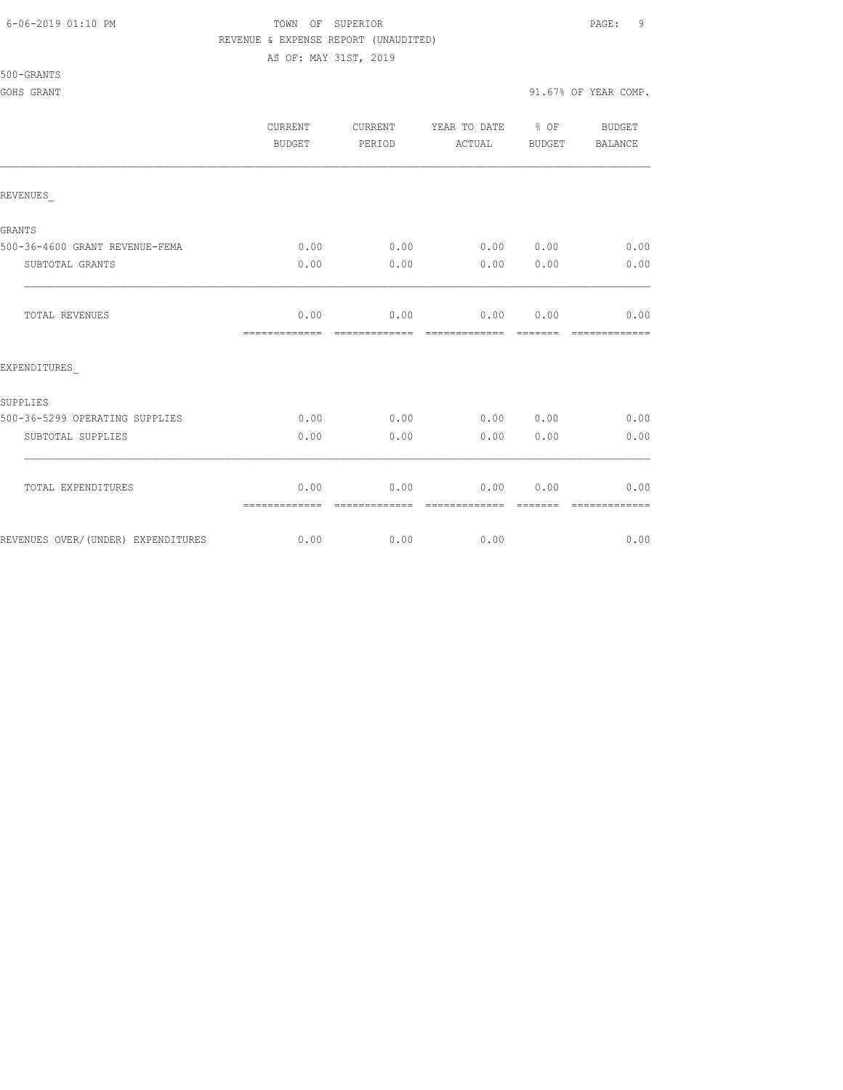#### 6-06-2019 01:10 PM TOWN OF SUPERIOR PAGE: 9 REVENUE & EXPENSE REPORT (UNAUDITED)

AS OF: MAY 31ST, 2019

#### 500-GRANTS

#### GOHS GRANT 91.67% OF YEAR COMP.

|                                    | CURRENT<br>BUDGET     | CURRENT<br>PERIOD     | YEAR TO DATE % OF<br>ACTUAL | <b>BUDGET</b>   | <b>BUDGET</b><br>BALANCE |
|------------------------------------|-----------------------|-----------------------|-----------------------------|-----------------|--------------------------|
| REVENUES                           |                       |                       |                             |                 |                          |
| GRANTS                             |                       |                       |                             |                 |                          |
| 500-36-4600 GRANT REVENUE-FEMA     | 0.00                  | 0.00                  | 0.00 0.00                   |                 | 0.00                     |
| SUBTOTAL GRANTS                    | 0.00                  | 0.00                  |                             | 0.00 0.00       | 0.00                     |
| TOTAL REVENUES                     | 0.00<br>============= | 0.00<br>============= | 0.00 0.00<br>=============  | =======         | 0.00<br>=============    |
| EXPENDITURES                       |                       |                       |                             |                 |                          |
| SUPPLIES                           |                       |                       |                             |                 |                          |
| 500-36-5299 OPERATING SUPPLIES     | 0.00                  | 0.00                  |                             | 0.00 0.00       | 0.00                     |
| SUBTOTAL SUPPLIES                  | 0.00                  | 0.00                  | 0.00                        | 0.00            | 0.00                     |
| TOTAL EXPENDITURES                 | 0.00<br>============= | 0.00<br>============= | 0.00<br>=============       | 0.00<br>======= | 0.00<br>=============    |
| REVENUES OVER/(UNDER) EXPENDITURES | 0.00                  | 0.00                  | 0.00                        |                 | 0.00                     |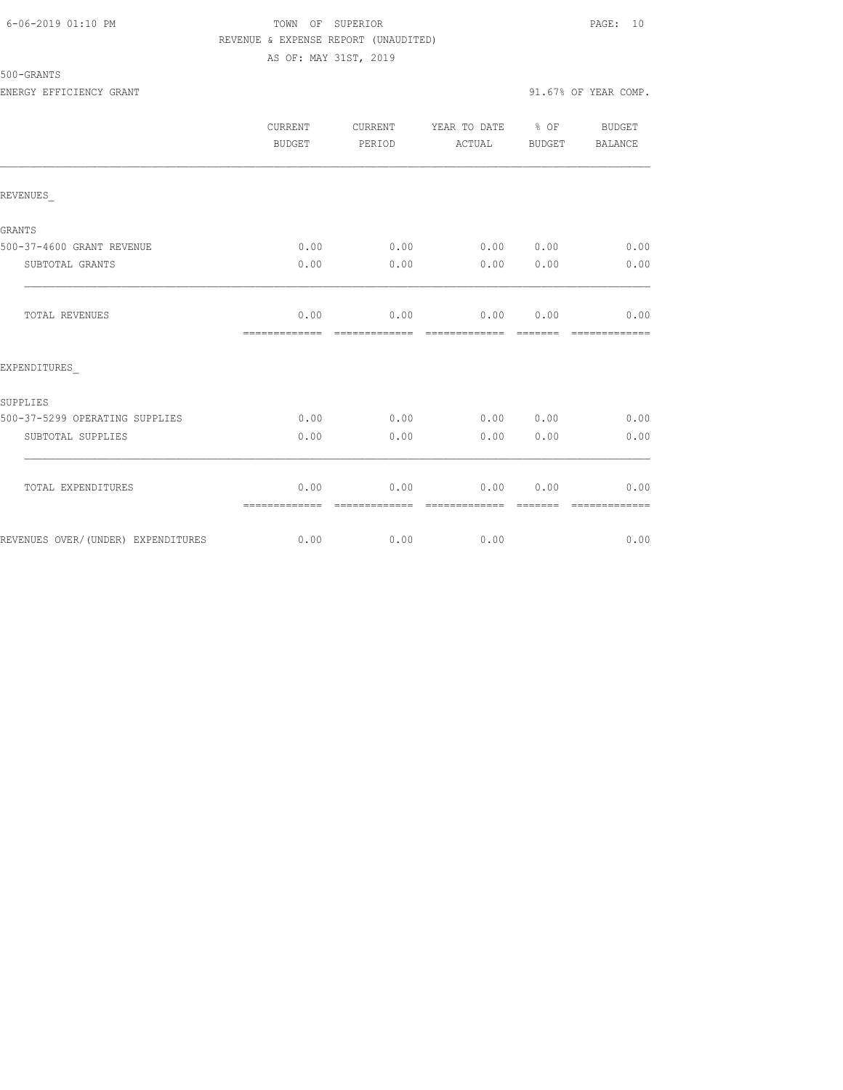## 6-06-2019 01:10 PM TOWN OF SUPERIOR PAGE: 10 REVENUE & EXPENSE REPORT (UNAUDITED) AS OF: MAY 31ST, 2019

# 500-GRANTS

ENERGY EFFICIENCY GRANT 91.67% OF YEAR COMP.

|                                    | <b>CURRENT</b><br>BUDGET | CURRENT<br>PERIOD     | YEAR TO DATE % OF<br>ACTUAL | <b>BUDGET</b>   | BUDGET<br><b>BALANCE</b>                                                                                                                                                                                                                                                                                                                                                                                                                                                                       |
|------------------------------------|--------------------------|-----------------------|-----------------------------|-----------------|------------------------------------------------------------------------------------------------------------------------------------------------------------------------------------------------------------------------------------------------------------------------------------------------------------------------------------------------------------------------------------------------------------------------------------------------------------------------------------------------|
| REVENUES                           |                          |                       |                             |                 |                                                                                                                                                                                                                                                                                                                                                                                                                                                                                                |
| <b>GRANTS</b>                      |                          |                       |                             |                 |                                                                                                                                                                                                                                                                                                                                                                                                                                                                                                |
| 500-37-4600 GRANT REVENUE          | 0.00                     | 0.00                  | 0.00                        | 0.00            | 0.00                                                                                                                                                                                                                                                                                                                                                                                                                                                                                           |
| SUBTOTAL GRANTS                    | 0.00                     | 0.00                  | 0.00                        | 0.00            | 0.00                                                                                                                                                                                                                                                                                                                                                                                                                                                                                           |
| TOTAL REVENUES                     | 0.00                     | 0.00<br>============= | 0.00                        | 0.00            | 0.00<br>$\begin{array}{cccccccccc} \multicolumn{2}{c}{} & \multicolumn{2}{c}{} & \multicolumn{2}{c}{} & \multicolumn{2}{c}{} & \multicolumn{2}{c}{} & \multicolumn{2}{c}{} & \multicolumn{2}{c}{} & \multicolumn{2}{c}{} & \multicolumn{2}{c}{} & \multicolumn{2}{c}{} & \multicolumn{2}{c}{} & \multicolumn{2}{c}{} & \multicolumn{2}{c}{} & \multicolumn{2}{c}{} & \multicolumn{2}{c}{} & \multicolumn{2}{c}{} & \multicolumn{2}{c}{} & \multicolumn{2}{c}{} & \multicolumn{2}{c}{} & \mult$ |
| EXPENDITURES                       |                          |                       |                             |                 |                                                                                                                                                                                                                                                                                                                                                                                                                                                                                                |
| SUPPLIES                           |                          |                       |                             |                 |                                                                                                                                                                                                                                                                                                                                                                                                                                                                                                |
| 500-37-5299 OPERATING SUPPLIES     | 0.00                     | 0.00                  | 0.00                        | 0.00            | 0.00                                                                                                                                                                                                                                                                                                                                                                                                                                                                                           |
| SUBTOTAL SUPPLIES                  | 0.00                     | 0.00                  | 0.00                        | 0.00            | 0.00                                                                                                                                                                                                                                                                                                                                                                                                                                                                                           |
| TOTAL EXPENDITURES                 | 0.00<br>=============    | 0.00<br>============= | 0.00<br>=============       | 0.00<br>======= | 0.00<br>=============                                                                                                                                                                                                                                                                                                                                                                                                                                                                          |
| REVENUES OVER/(UNDER) EXPENDITURES | 0.00                     | 0.00                  | 0.00                        |                 | 0.00                                                                                                                                                                                                                                                                                                                                                                                                                                                                                           |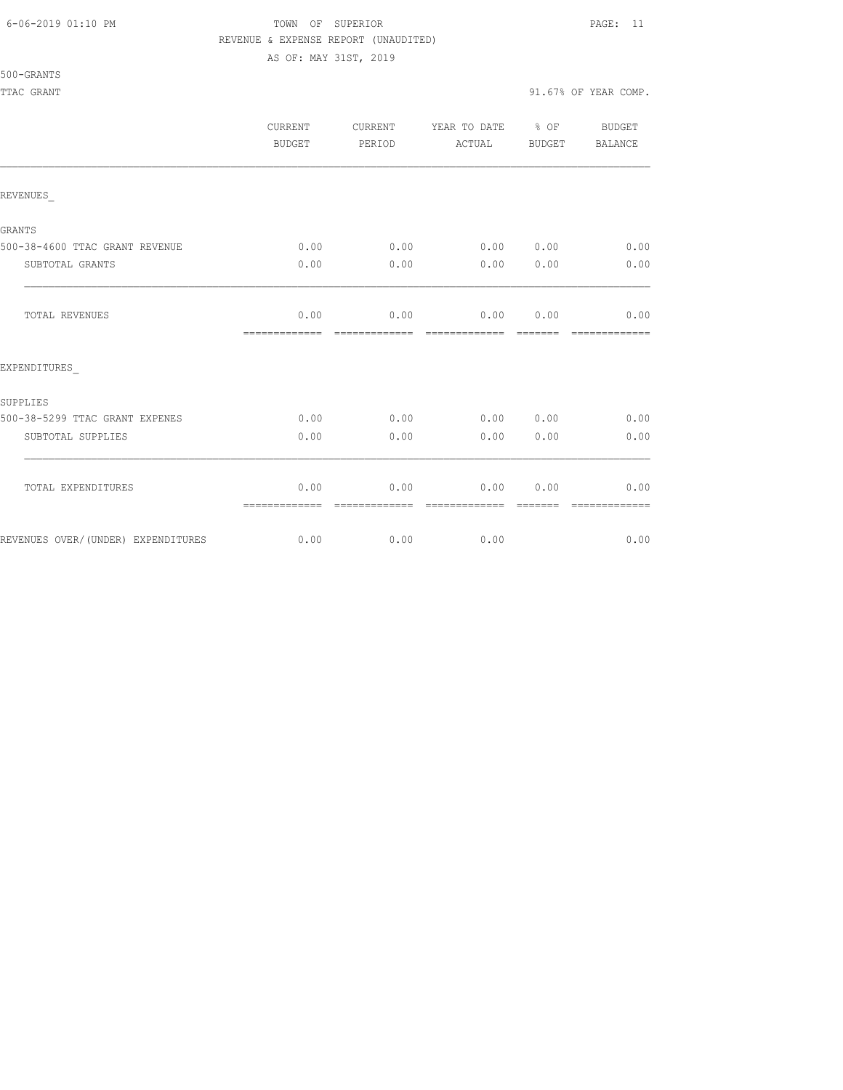#### 6-06-2019 01:10 PM TOWN OF SUPERIOR PAGE: 11 REVENUE & EXPENSE REPORT (UNAUDITED)

AS OF: MAY 31ST, 2019

|                                    | <b>CURRENT</b><br>BUDGET | CURRENT<br>PERIOD | YEAR TO DATE % OF<br>ACTUAL | BUDGET | <b>BUDGET</b><br>BALANCE |
|------------------------------------|--------------------------|-------------------|-----------------------------|--------|--------------------------|
| REVENUES                           |                          |                   |                             |        |                          |
| <b>GRANTS</b>                      |                          |                   |                             |        |                          |
| 500-38-4600 TTAC GRANT REVENUE     | 0.00                     | 0.00              | 0.00 0.00                   |        | 0.00                     |
| SUBTOTAL GRANTS                    | 0.00                     | 0.00              | 0.00                        | 0.00   | 0.00                     |
| TOTAL REVENUES                     | 0.00<br>=============    | 0.00              | 0.00<br>-------------       | 0.00   | 0.00                     |
| EXPENDITURES                       |                          |                   |                             |        |                          |
| SUPPLIES                           |                          |                   |                             |        |                          |
| 500-38-5299 TTAC GRANT EXPENES     | 0.00                     | 0.00              | 0.00 0.00                   |        | 0.00                     |
| SUBTOTAL SUPPLIES                  | 0.00                     | 0.00              | 0.00                        | 0.00   | 0.00                     |
| TOTAL EXPENDITURES                 | 0.00<br>=============    | 0.00              | 0.00                        | 0.00   | 0.00                     |
| REVENUES OVER/(UNDER) EXPENDITURES | 0.00                     | 0.00              | 0.00                        |        | 0.00                     |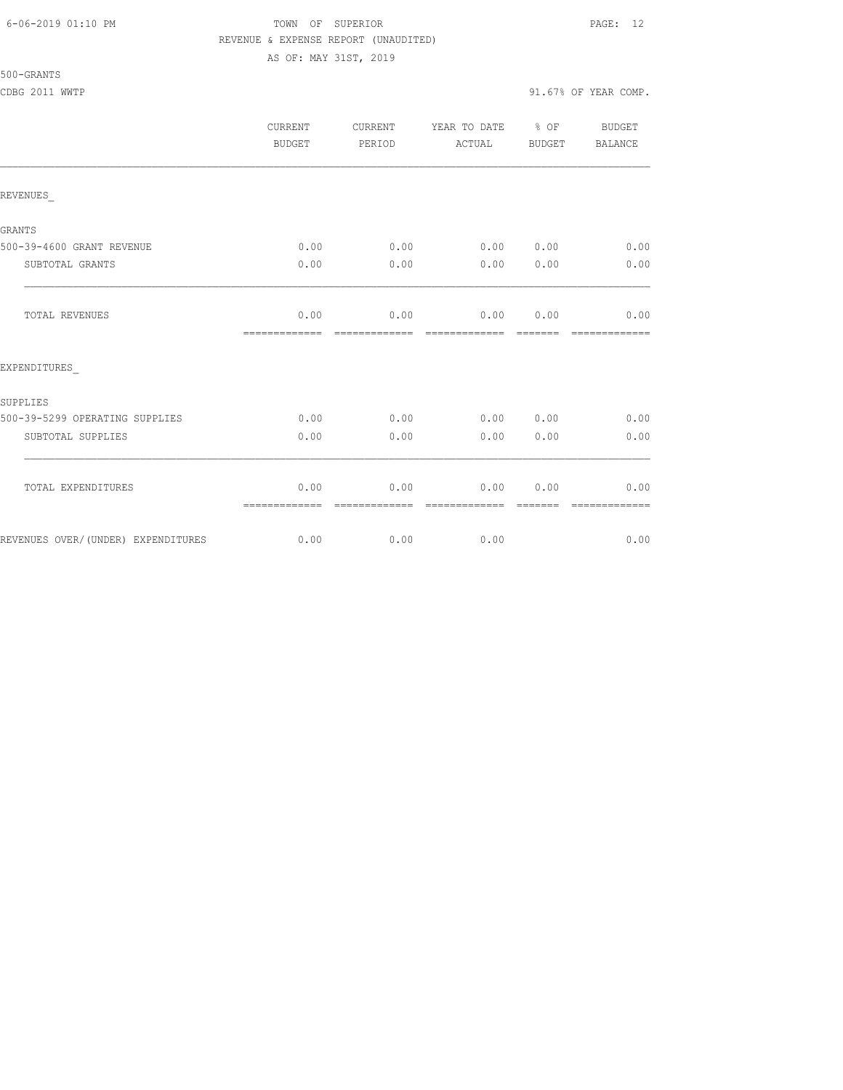#### 6-06-2019 01:10 PM TOWN OF SUPERIOR PAGE: 12 REVENUE & EXPENSE REPORT (UNAUDITED) AS OF: MAY 31ST, 2019

|                                    | <b>CURRENT</b><br>BUDGET | CURRENT<br>PERIOD     | YEAR TO DATE % OF<br>ACTUAL | BUDGET | BUDGET<br>BALANCE |
|------------------------------------|--------------------------|-----------------------|-----------------------------|--------|-------------------|
| REVENUES                           |                          |                       |                             |        |                   |
| <b>GRANTS</b>                      |                          |                       |                             |        |                   |
| 500-39-4600 GRANT REVENUE          | 0.00                     | 0.00                  | 0.00 0.00                   |        | 0.00              |
| SUBTOTAL GRANTS                    | 0.00                     | 0.00                  | 0.00                        | 0.00   | 0.00              |
| TOTAL REVENUES                     | 0.00<br>=============    | 0.00                  | 0.00 0.00<br>=============  |        | 0.00              |
| EXPENDITURES                       |                          |                       |                             |        |                   |
| SUPPLIES                           |                          |                       |                             |        |                   |
| 500-39-5299 OPERATING SUPPLIES     | 0.00                     | 0.00                  | 0.00 0.00                   |        | 0.00              |
| SUBTOTAL SUPPLIES                  | 0.00                     | 0.00                  | 0.00                        | 0.00   | 0.00              |
| TOTAL EXPENDITURES                 | 0.00<br>=============    | 0.00<br>------------- | 0.00<br>--------------      | 0.00   | 0.00              |
| REVENUES OVER/(UNDER) EXPENDITURES | 0.00                     | 0.00                  | 0.00                        |        | 0.00              |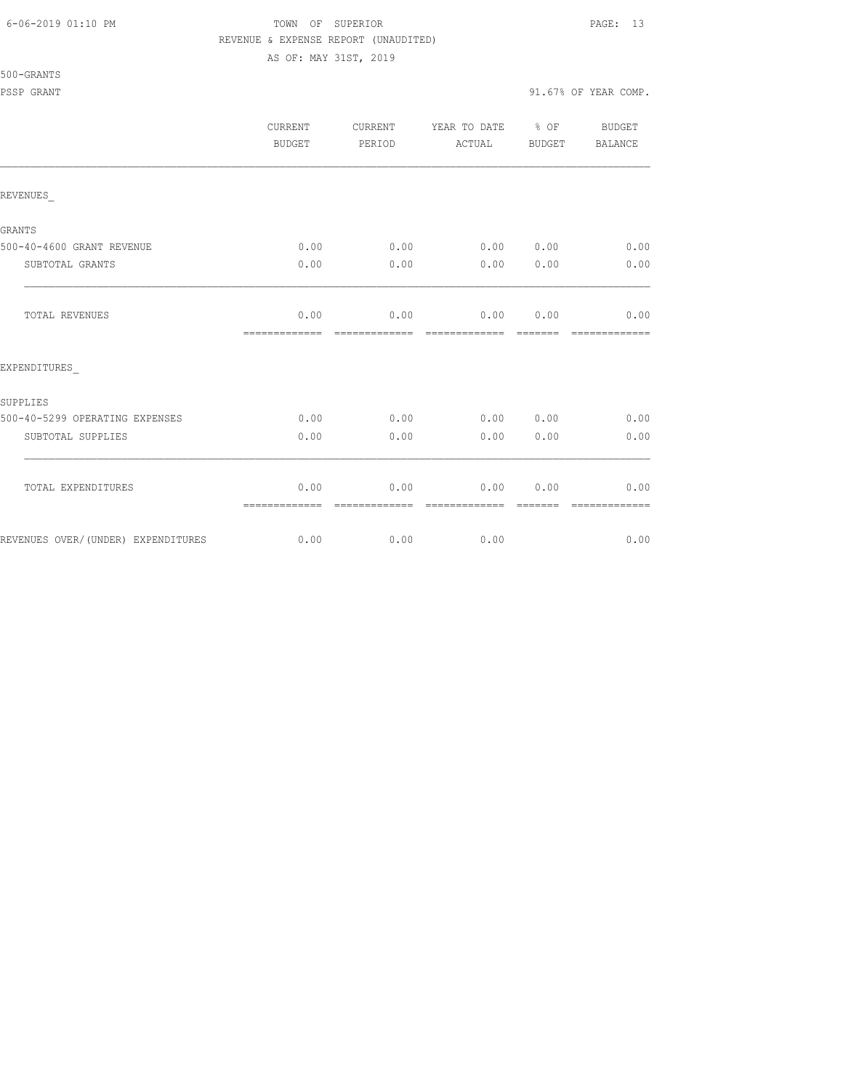#### 6-06-2019 01:10 PM TOWN OF SUPERIOR PAGE: 13 REVENUE & EXPENSE REPORT (UNAUDITED)

AS OF: MAY 31ST, 2019

|                                    | <b>CURRENT</b><br>BUDGET | <b>CURRENT</b><br>PERIOD | YEAR TO DATE<br>ACTUAL | $8$ OF<br>BUDGET | <b>BUDGET</b><br><b>BALANCE</b> |
|------------------------------------|--------------------------|--------------------------|------------------------|------------------|---------------------------------|
| REVENUES                           |                          |                          |                        |                  |                                 |
| <b>GRANTS</b>                      |                          |                          |                        |                  |                                 |
| 500-40-4600 GRANT REVENUE          | 0.00                     | 0.00                     | 0.000000               |                  | 0.00                            |
| SUBTOTAL GRANTS                    | 0.00                     | 0.00                     | 0.00                   | 0.00             | 0.00                            |
| TOTAL REVENUES                     | 0.00<br>-------------    | 0.00                     | 0.00<br>-------------- | 0.00<br>-------  | 0.00<br>-------------           |
| EXPENDITURES                       |                          |                          |                        |                  |                                 |
| SUPPLIES                           |                          |                          |                        |                  |                                 |
| 500-40-5299 OPERATING EXPENSES     | 0.00                     | 0.00                     | 0.00 0.00              |                  | 0.00                            |
| SUBTOTAL SUPPLIES                  | 0.00                     | 0.00                     | 0.00                   | 0.00             | 0.00                            |
| TOTAL EXPENDITURES                 | 0.00<br>=============    | 0.00                     | 0.00                   | 0.00             | 0.00                            |
| REVENUES OVER/(UNDER) EXPENDITURES | 0.00                     | 0.00                     | 0.00                   |                  | 0.00                            |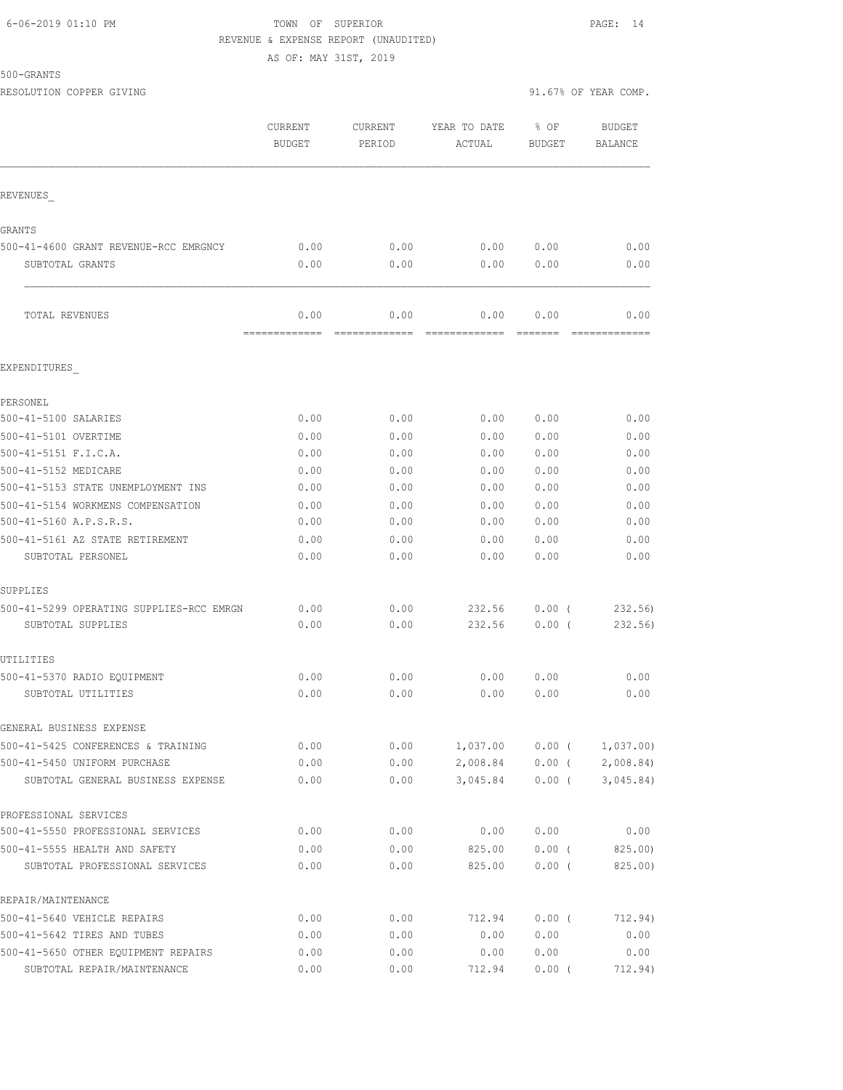#### 6-06-2019 01:10 PM TOWN OF SUPERIOR PAGE: 14 REVENUE & EXPENSE REPORT (UNAUDITED)

AS OF: MAY 31ST, 2019

|                                                                   | <b>CURRENT</b><br><b>BUDGET</b> | CURRENT<br>PERIOD     | YEAR TO DATE<br>ACTUAL | % OF<br><b>BUDGET</b> | <b>BUDGET</b><br>BALANCE |
|-------------------------------------------------------------------|---------------------------------|-----------------------|------------------------|-----------------------|--------------------------|
| REVENUES                                                          |                                 |                       |                        |                       |                          |
| GRANTS                                                            |                                 |                       |                        |                       |                          |
| 500-41-4600 GRANT REVENUE-RCC EMRGNCY                             | 0.00                            | 0.00                  | 0.00                   | 0.00                  | 0.00                     |
| SUBTOTAL GRANTS                                                   | 0.00                            | 0.00                  | 0.00                   | 0.00                  | 0.00                     |
| TOTAL REVENUES                                                    | 0.00<br>=============           | 0.00<br>------------- | 0.00<br>=============  | 0.00                  | 0.00<br>-------------    |
| EXPENDITURES                                                      |                                 |                       |                        |                       |                          |
| PERSONEL                                                          |                                 |                       |                        |                       |                          |
| 500-41-5100 SALARIES                                              | 0.00                            | 0.00                  | 0.00                   | 0.00                  | 0.00                     |
| 500-41-5101 OVERTIME                                              | 0.00                            | 0.00                  | 0.00                   | 0.00                  | 0.00                     |
| 500-41-5151 F.I.C.A.                                              | 0.00                            | 0.00                  | 0.00                   | 0.00                  | 0.00                     |
| 500-41-5152 MEDICARE                                              | 0.00                            | 0.00                  | 0.00                   | 0.00                  | 0.00                     |
| 500-41-5153 STATE UNEMPLOYMENT INS                                | 0.00                            | 0.00                  | 0.00                   | 0.00                  | 0.00                     |
| 500-41-5154 WORKMENS COMPENSATION                                 | 0.00                            | 0.00                  | 0.00                   | 0.00                  | 0.00                     |
| 500-41-5160 A.P.S.R.S.                                            | 0.00                            | 0.00                  | 0.00                   | 0.00                  | 0.00                     |
| 500-41-5161 AZ STATE RETIREMENT                                   | 0.00                            | 0.00                  | 0.00                   | 0.00                  | 0.00                     |
| SUBTOTAL PERSONEL                                                 | 0.00                            | 0.00                  | 0.00                   | 0.00                  | 0.00                     |
| SUPPLIES                                                          |                                 |                       |                        |                       |                          |
| 500-41-5299 OPERATING SUPPLIES-RCC EMRGN                          | 0.00                            | 0.00                  | 232.56                 | 0.00(                 | 232.56)                  |
| SUBTOTAL SUPPLIES                                                 | 0.00                            | 0.00                  | 232.56                 | 0.00(                 | 232.56)                  |
| UTILITIES                                                         |                                 |                       |                        |                       |                          |
| 500-41-5370 RADIO EQUIPMENT                                       | 0.00                            | 0.00                  | 0.00                   | 0.00                  | 0.00                     |
| SUBTOTAL UTILITIES                                                | 0.00                            | 0.00                  | 0.00                   | 0.00                  | 0.00                     |
| GENERAL BUSINESS EXPENSE                                          |                                 |                       |                        |                       |                          |
| 500-41-5425 CONFERENCES & TRAINING                                | 0.00                            | 0.00                  | 1,037.00               | $0.00$ (              | 1,037.00                 |
| 500-41-5450 UNIFORM PURCHASE<br>SUBTOTAL GENERAL BUSINESS EXPENSE | 0.00<br>0.00                    | 0.00<br>0.00          | 2,008.84<br>3,045.84   | $0.00$ (<br>$0.00$ (  | 2,008.84<br>3,045.84)    |
|                                                                   |                                 |                       |                        |                       |                          |
| PROFESSIONAL SERVICES<br>500-41-5550 PROFESSIONAL SERVICES        | 0.00                            | 0.00                  | 0.00                   | 0.00                  | 0.00                     |
| 500-41-5555 HEALTH AND SAFETY                                     | 0.00                            | 0.00                  | 825.00                 | $0.00$ (              | 825.00)                  |
| SUBTOTAL PROFESSIONAL SERVICES                                    | 0.00                            | 0.00                  | 825.00                 | 0.00(                 | 825.00)                  |
| REPAIR/MAINTENANCE                                                |                                 |                       |                        |                       |                          |
| 500-41-5640 VEHICLE REPAIRS                                       | 0.00                            | 0.00                  | 712.94                 | $0.00$ (              | 712.94)                  |
| 500-41-5642 TIRES AND TUBES                                       | 0.00                            | 0.00                  | 0.00                   | 0.00                  | 0.00                     |
| 500-41-5650 OTHER EQUIPMENT REPAIRS                               | 0.00                            | 0.00                  | 0.00                   | 0.00                  | 0.00                     |
| SUBTOTAL REPAIR/MAINTENANCE                                       | 0.00                            | 0.00                  | 712.94                 | $0.00$ (              | 712.94)                  |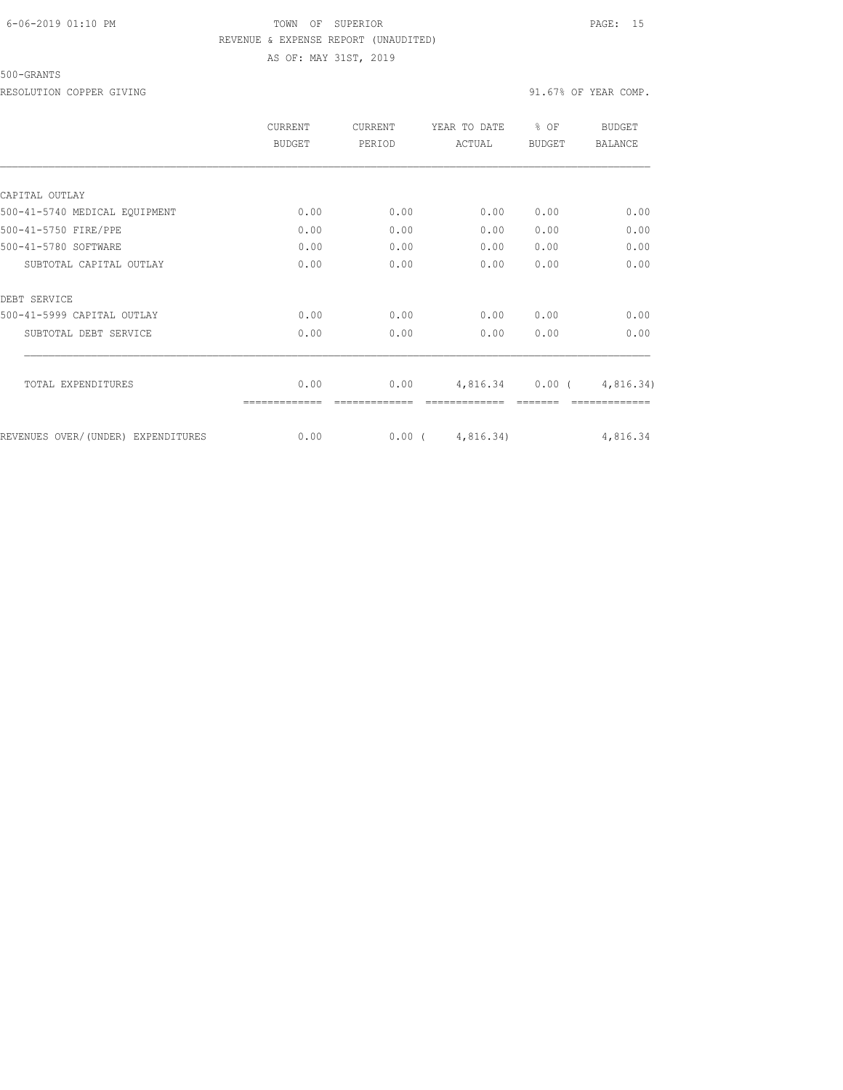# 6-06-2019 01:10 PM TOWN OF SUPERIOR PAGE: 15 REVENUE & EXPENSE REPORT (UNAUDITED) AS OF: MAY 31ST, 2019

#### 500-GRANTS

RESOLUTION COPPER GIVING  $91.67\%$  OF YEAR COMP.

|                                    | CURRENT<br>BUDGET | CURRENT<br>PERIOD | YEAR TO DATE<br>ACTUAL | % OF<br><b>BUDGET</b> | BUDGET<br><b>BALANCE</b> |
|------------------------------------|-------------------|-------------------|------------------------|-----------------------|--------------------------|
|                                    |                   |                   |                        |                       |                          |
| CAPITAL OUTLAY                     |                   |                   |                        |                       |                          |
| 500-41-5740 MEDICAL EQUIPMENT      | 0.00              | 0.00              | 0.00                   | 0.00                  | 0.00                     |
| 500-41-5750 FIRE/PPE               | 0.00              | 0.00              | 0.00                   | 0.00                  | 0.00                     |
| 500-41-5780 SOFTWARE               | 0.00              | 0.00              | 0.00                   | 0.00                  | 0.00                     |
| SUBTOTAL CAPITAL OUTLAY            | 0.00              | 0.00              | 0.00                   | 0.00                  | 0.00                     |
| DEBT SERVICE                       |                   |                   |                        |                       |                          |
| 500-41-5999 CAPITAL OUTLAY         | 0.00              | 0.00              | 0.00                   | 0.00                  | 0.00                     |
| SUBTOTAL DEBT SERVICE              | 0.00              | 0.00              | 0.00                   | 0.00                  | 0.00                     |
| TOTAL EXPENDITURES                 | 0.00              | 0.00              | 4,816.34               | $0.00$ (              | 4,816.34)                |
|                                    |                   |                   |                        |                       |                          |
| REVENUES OVER/(UNDER) EXPENDITURES | 0.00              | $0.00$ (          | 4,816.34)              |                       | 4,816.34                 |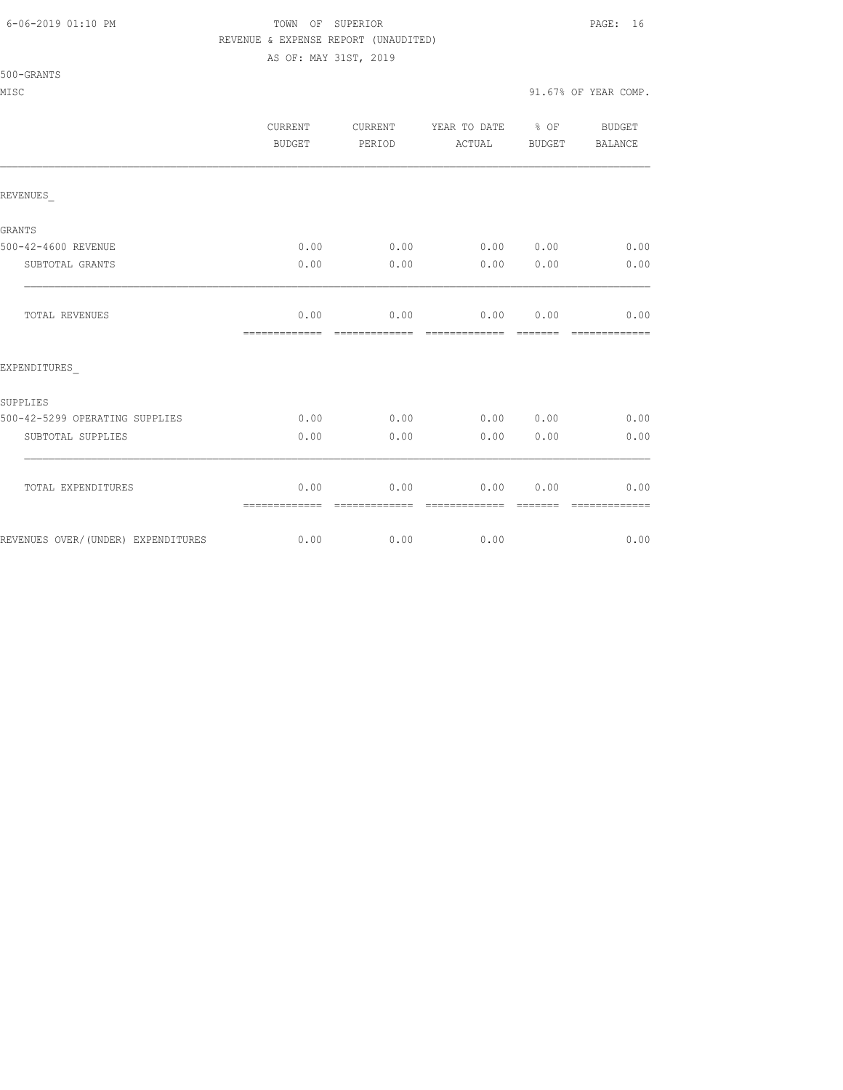#### 6-06-2019 01:10 PM TOWN OF SUPERIOR PAGE: 16 REVENUE & EXPENSE REPORT (UNAUDITED)

AS OF: MAY 31ST, 2019

|                                    | CURRENT<br>BUDGET     | CURRENT<br>PERIOD     | YEAR TO DATE % OF<br>ACTUAL | BUDGET           | BUDGET<br>BALANCE     |
|------------------------------------|-----------------------|-----------------------|-----------------------------|------------------|-----------------------|
| REVENUES                           |                       |                       |                             |                  |                       |
| <b>GRANTS</b>                      |                       |                       |                             |                  |                       |
| 500-42-4600 REVENUE                | 0.00                  | 0.00                  | $0.00$ $0.00$               |                  | 0.00                  |
| SUBTOTAL GRANTS                    | 0.00                  | 0.00                  | 0.00                        | 0.00             | 0.00                  |
| TOTAL REVENUES                     | 0.00<br>============= | 0.00                  | 0.00 0.00                   |                  | 0.00<br>============= |
| EXPENDITURES                       |                       |                       |                             |                  |                       |
| SUPPLIES                           |                       |                       |                             |                  |                       |
| 500-42-5299 OPERATING SUPPLIES     | 0.00                  | 0.00                  | 0.00 0.00                   |                  | 0.00                  |
| SUBTOTAL SUPPLIES                  | 0.00                  | 0.00                  | 0.00                        | 0.00             | 0.00                  |
| TOTAL EXPENDITURES                 | 0.00<br>============= | 0.00<br>============= | 0.00<br>=============       | 0.00<br>-------- | 0.00<br>============= |
| REVENUES OVER/(UNDER) EXPENDITURES | 0.00                  | 0.00                  | 0.00                        |                  | 0.00                  |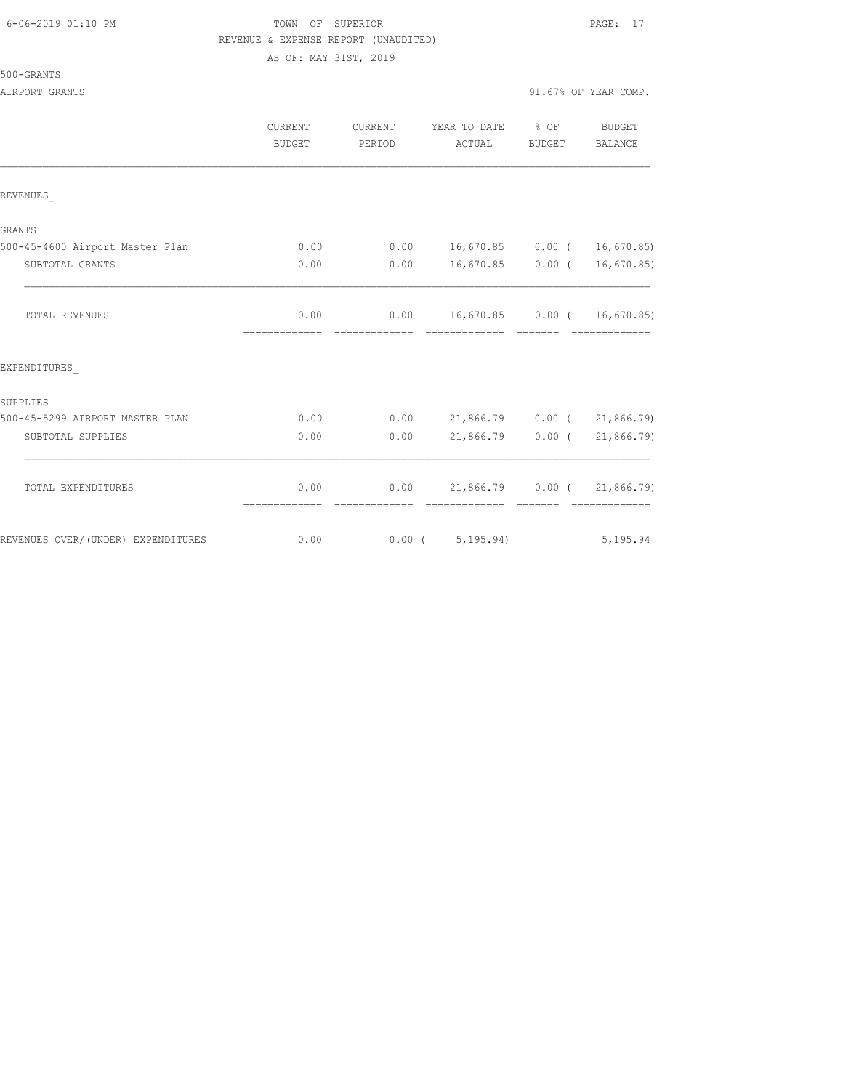#### 6-06-2019 01:10 PM TOWN OF SUPERIOR PAGE: 17 REVENUE & EXPENSE REPORT (UNAUDITED) AS OF: MAY 31ST, 2019

| 500-GRANTS |  |
|------------|--|
|------------|--|

AIRPORT GRANTS 30 ALL AND SERVICE OF THE SERVICE OF THE SERVICE OF THE SERVICE OF THE SERVICE OF THE SERVICE OF THE SERVICE OF THE SERVICE OF THE SERVICE OF THE SERVICE OF THE SERVICE OF THE SERVICE OF THE SERVICE OF THE S

|                                    | CURRENT<br><b>BUDGET</b> | <b>CURRENT</b><br>PERIOD | YEAR TO DATE<br>ACTUAL      | % OF<br><b>BUDGET</b>                                                                                                                                                                                                                                                                                                                                                                                                                                                                  | <b>BUDGET</b><br>BALANCE                                                                                                                                                                                                                                                                                                                                                                                                                                                                                             |
|------------------------------------|--------------------------|--------------------------|-----------------------------|----------------------------------------------------------------------------------------------------------------------------------------------------------------------------------------------------------------------------------------------------------------------------------------------------------------------------------------------------------------------------------------------------------------------------------------------------------------------------------------|----------------------------------------------------------------------------------------------------------------------------------------------------------------------------------------------------------------------------------------------------------------------------------------------------------------------------------------------------------------------------------------------------------------------------------------------------------------------------------------------------------------------|
| REVENUES                           |                          |                          |                             |                                                                                                                                                                                                                                                                                                                                                                                                                                                                                        |                                                                                                                                                                                                                                                                                                                                                                                                                                                                                                                      |
| <b>GRANTS</b>                      |                          |                          |                             |                                                                                                                                                                                                                                                                                                                                                                                                                                                                                        |                                                                                                                                                                                                                                                                                                                                                                                                                                                                                                                      |
| 500-45-4600 Airport Master Plan    | 0.00                     | 0.00                     | 16,670.85 0.00 ( 16,670.85) |                                                                                                                                                                                                                                                                                                                                                                                                                                                                                        |                                                                                                                                                                                                                                                                                                                                                                                                                                                                                                                      |
| SUBTOTAL GRANTS                    | 0.00                     | 0.00                     |                             |                                                                                                                                                                                                                                                                                                                                                                                                                                                                                        | 16,670.85 0.00 ( 16,670.85)                                                                                                                                                                                                                                                                                                                                                                                                                                                                                          |
| TOTAL REVENUES                     | 0.00<br>-------------    | 0.00<br>=============    | 16,670.85 0.00 ( 16,670.85) | $\begin{array}{cccccccccc} \multicolumn{2}{c}{} & \multicolumn{2}{c}{} & \multicolumn{2}{c}{} & \multicolumn{2}{c}{} & \multicolumn{2}{c}{} & \multicolumn{2}{c}{} & \multicolumn{2}{c}{} & \multicolumn{2}{c}{} & \multicolumn{2}{c}{} & \multicolumn{2}{c}{} & \multicolumn{2}{c}{} & \multicolumn{2}{c}{} & \multicolumn{2}{c}{} & \multicolumn{2}{c}{} & \multicolumn{2}{c}{} & \multicolumn{2}{c}{} & \multicolumn{2}{c}{} & \multicolumn{2}{c}{} & \multicolumn{2}{c}{} & \mult$ | -------------                                                                                                                                                                                                                                                                                                                                                                                                                                                                                                        |
| EXPENDITURES                       |                          |                          |                             |                                                                                                                                                                                                                                                                                                                                                                                                                                                                                        |                                                                                                                                                                                                                                                                                                                                                                                                                                                                                                                      |
| SUPPLIES                           |                          |                          |                             |                                                                                                                                                                                                                                                                                                                                                                                                                                                                                        |                                                                                                                                                                                                                                                                                                                                                                                                                                                                                                                      |
| 500-45-5299 AIRPORT MASTER PLAN    | 0.00                     | 0.00                     | 21,866.79 0.00 (21,866.79)  |                                                                                                                                                                                                                                                                                                                                                                                                                                                                                        |                                                                                                                                                                                                                                                                                                                                                                                                                                                                                                                      |
| SUBTOTAL SUPPLIES                  | 0.00                     | 0.00                     | 21,866.79                   | $0.00$ (                                                                                                                                                                                                                                                                                                                                                                                                                                                                               | 21,866.79)                                                                                                                                                                                                                                                                                                                                                                                                                                                                                                           |
| TOTAL EXPENDITURES                 | 0.00<br>=============    | 0.00<br>essessessesse    | ============== =======      |                                                                                                                                                                                                                                                                                                                                                                                                                                                                                        | 21,866.79 0.00 (21,866.79)<br>$\begin{array}{cccccccccc} \multicolumn{2}{c}{} & \multicolumn{2}{c}{} & \multicolumn{2}{c}{} & \multicolumn{2}{c}{} & \multicolumn{2}{c}{} & \multicolumn{2}{c}{} & \multicolumn{2}{c}{} & \multicolumn{2}{c}{} & \multicolumn{2}{c}{} & \multicolumn{2}{c}{} & \multicolumn{2}{c}{} & \multicolumn{2}{c}{} & \multicolumn{2}{c}{} & \multicolumn{2}{c}{} & \multicolumn{2}{c}{} & \multicolumn{2}{c}{} & \multicolumn{2}{c}{} & \multicolumn{2}{c}{} & \multicolumn{2}{c}{} & \mult$ |
| REVENUES OVER/(UNDER) EXPENDITURES | 0.00                     |                          | 5, 195.94)<br>$0.00$ (      |                                                                                                                                                                                                                                                                                                                                                                                                                                                                                        | 5,195.94                                                                                                                                                                                                                                                                                                                                                                                                                                                                                                             |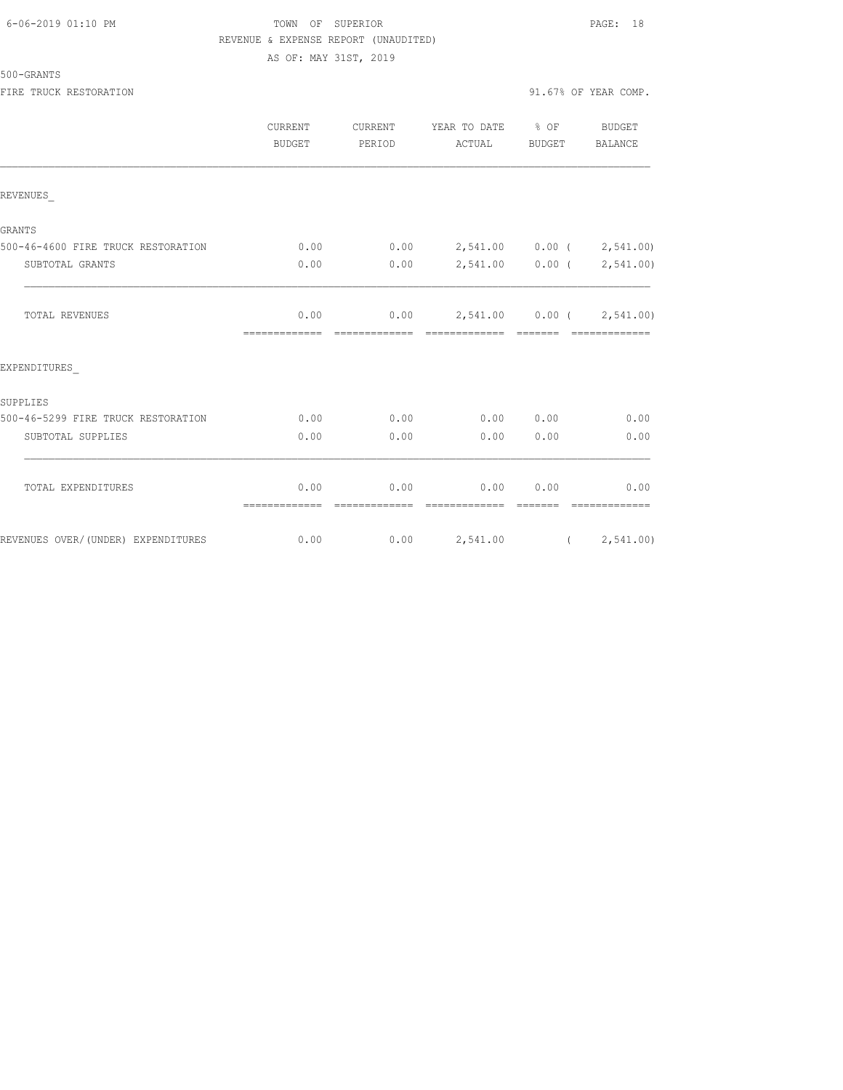| 6-06-2019 01:10 PM |
|--------------------|
|--------------------|

# TOWN OF SUPERIOR **Example 2019** PAGE: 18 REVENUE & EXPENSE REPORT (UNAUDITED) AS OF: MAY 31ST, 2019

|                                    | <b>CURRENT</b><br><b>BUDGET</b> | CURRENT<br>PERIOD     | YEAR TO DATE % OF<br>ACTUAL                       | BUDGET | BUDGET<br>BALANCE          |
|------------------------------------|---------------------------------|-----------------------|---------------------------------------------------|--------|----------------------------|
| REVENUES                           |                                 |                       |                                                   |        |                            |
| GRANTS                             |                                 |                       |                                                   |        |                            |
| 500-46-4600 FIRE TRUCK RESTORATION | 0.00                            |                       | $0.00$ 2,541.00 0.00 ( 2,541.00)                  |        |                            |
| SUBTOTAL GRANTS                    | 0.00                            | 0.00                  |                                                   |        | 2,541.00  0.00  (2,541.00) |
| <b>TOTAL REVENUES</b>              | 0.00<br>=============           | --------------        | $0.00$ 2,541.00 0.00 ( 2,541.00)<br>============= |        |                            |
| EXPENDITURES                       |                                 |                       |                                                   |        |                            |
| SUPPLIES                           |                                 |                       |                                                   |        |                            |
| 500-46-5299 FIRE TRUCK RESTORATION | 0.00                            | 0.00                  | 0.00 0.00                                         |        | 0.00                       |
| SUBTOTAL SUPPLIES                  | 0.00                            | 0.00                  | 0.00                                              | 0.00   | 0.00                       |
| TOTAL EXPENDITURES                 | 0.00<br>=============           | 0.00<br>------------- | 0.00<br>--------------                            | 0.00   | 0.00<br>--------------     |
| REVENUES OVER/(UNDER) EXPENDITURES | 0.00                            |                       | $0.00$ 2,541.00 ( 2,541.00)                       |        |                            |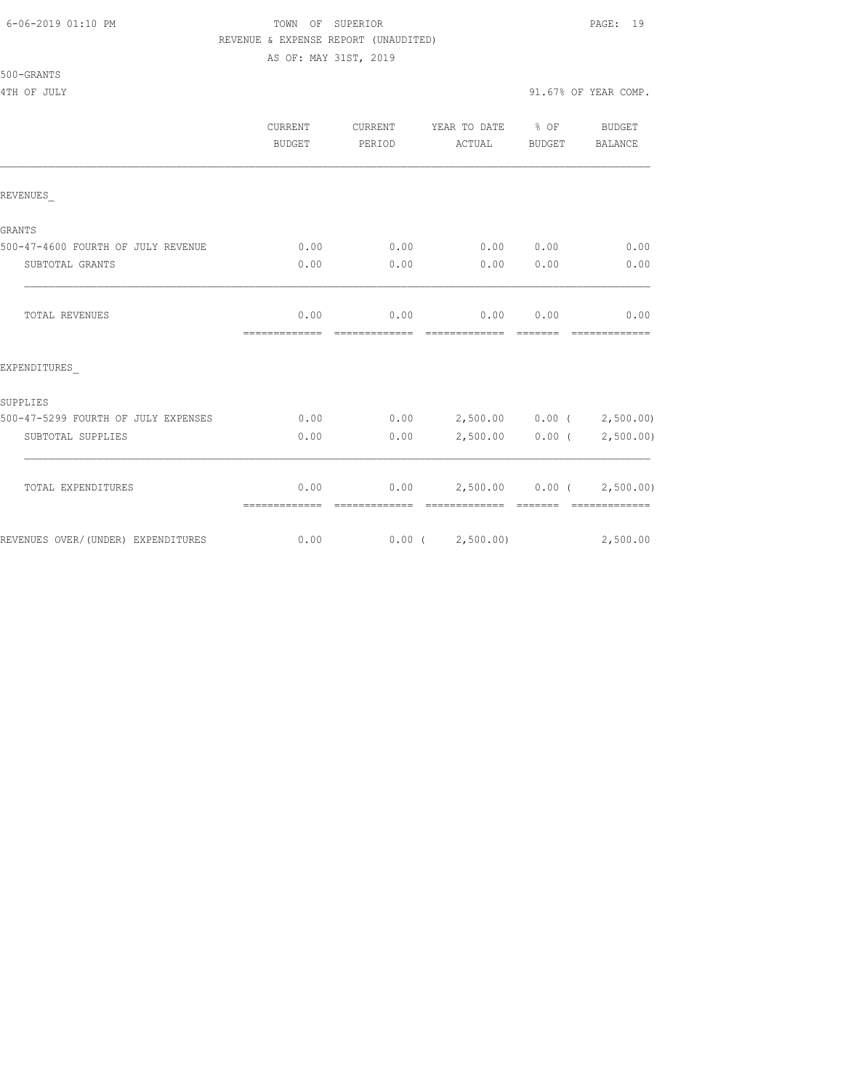#### 6-06-2019 01:10 PM TOWN OF SUPERIOR PAGE: 19 REVENUE & EXPENSE REPORT (UNAUDITED)

AS OF: MAY 31ST, 2019

# 500-GRANTS

4TH OF JULY 91.67% OF YEAR COMP.

|                                     | <b>CURRENT</b><br>BUDGET | CURRENT<br>PERIOD     | YEAR TO DATE % OF<br>ACTUAL                        | BUDGET | <b>BUDGET</b><br>BALANCE    |
|-------------------------------------|--------------------------|-----------------------|----------------------------------------------------|--------|-----------------------------|
| REVENUES                            |                          |                       |                                                    |        |                             |
| GRANTS                              |                          |                       |                                                    |        |                             |
| 500-47-4600 FOURTH OF JULY REVENUE  | 0.00                     | 0.00                  | 0.00 0.00                                          |        | 0.00                        |
| SUBTOTAL GRANTS                     | 0.00                     | 0.00                  | 0.00                                               | 0.00   | 0.00                        |
| <b>TOTAL REVENUES</b>               | 0.00<br>=============    | 0.00<br>============= | 0.00<br>-------------- ------                      | 0.00   | 0.00<br>=============       |
| EXPENDITURES                        |                          |                       |                                                    |        |                             |
| SUPPLIES                            |                          |                       |                                                    |        |                             |
| 500-47-5299 FOURTH OF JULY EXPENSES | 0.00                     |                       | $0.00$ 2,500.00 0.00 ( 2,500.00)                   |        |                             |
| SUBTOTAL SUPPLIES                   | 0.00                     | 0.00                  |                                                    |        | $2,500.00$ 0.00 ( 2,500.00) |
| TOTAL EXPENDITURES                  | 0.00<br>=============    |                       | $0.00$ 2,500.00 0.00 ( 2,500.00)<br>-------------- |        | -------------               |
| REVENUES OVER/ (UNDER) EXPENDITURES | 0.00                     |                       | $0.00$ ( $2,500.00$ )                              |        | 2,500.00                    |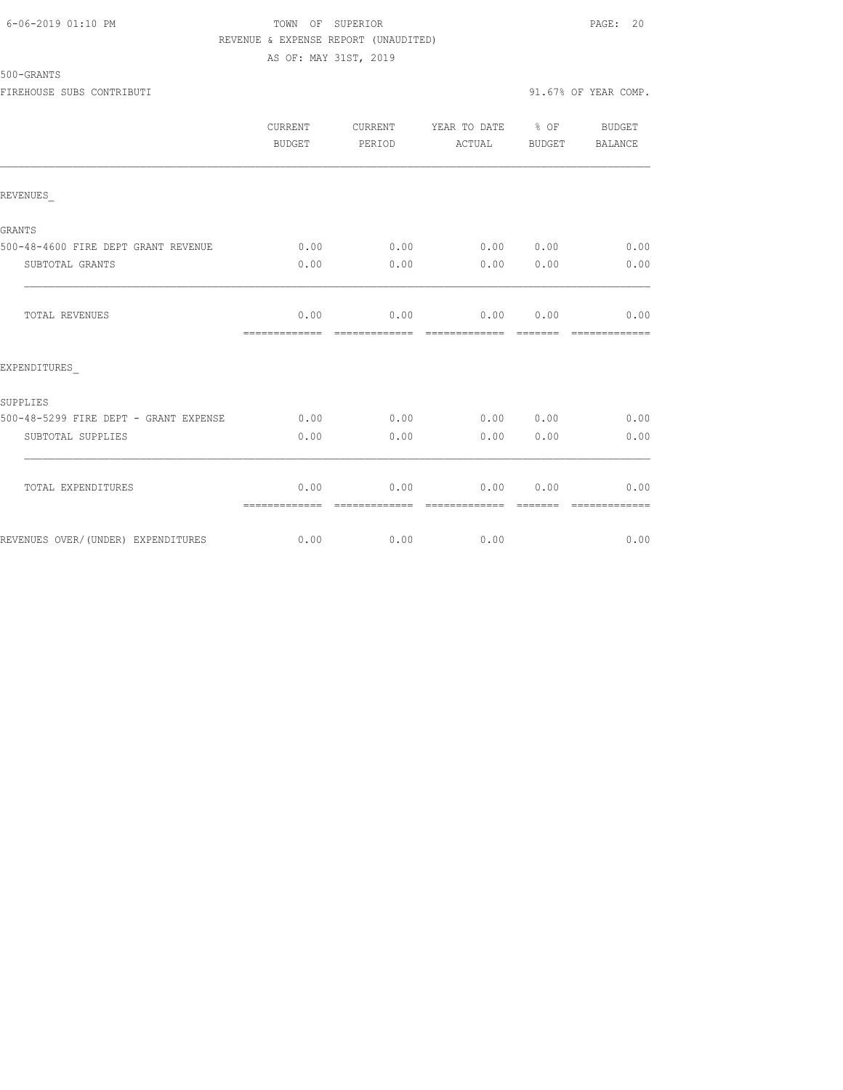# 6-06-2019 01:10 PM TOWN OF SUPERIOR PAGE: 20 REVENUE & EXPENSE REPORT (UNAUDITED) AS OF: MAY 31ST, 2019

| 500-GRANTS |  |
|------------|--|
|------------|--|

|                                       | CURRENT<br>BUDGET     | CURRENT<br>PERIOD     | YEAR TO DATE % OF<br>ACTUAL                                                                                                                                                                                                                                                                                                                                                                                                                                                                    | BUDGET           | BUDGET<br>BALANCE     |
|---------------------------------------|-----------------------|-----------------------|------------------------------------------------------------------------------------------------------------------------------------------------------------------------------------------------------------------------------------------------------------------------------------------------------------------------------------------------------------------------------------------------------------------------------------------------------------------------------------------------|------------------|-----------------------|
| REVENUES                              |                       |                       |                                                                                                                                                                                                                                                                                                                                                                                                                                                                                                |                  |                       |
| <b>GRANTS</b>                         |                       |                       |                                                                                                                                                                                                                                                                                                                                                                                                                                                                                                |                  |                       |
| 500-48-4600 FIRE DEPT GRANT REVENUE   | 0.00                  | 0.00                  | 0.00 0.00                                                                                                                                                                                                                                                                                                                                                                                                                                                                                      |                  | 0.00                  |
| SUBTOTAL GRANTS                       | 0.00                  | 0.00                  | 0.00                                                                                                                                                                                                                                                                                                                                                                                                                                                                                           | 0.00             | 0.00                  |
| TOTAL REVENUES                        | 0.00<br>============= | =============         | $0.00$ 0.00 0.00<br>========================                                                                                                                                                                                                                                                                                                                                                                                                                                                   |                  | 0.00<br>============= |
| EXPENDITURES                          |                       |                       |                                                                                                                                                                                                                                                                                                                                                                                                                                                                                                |                  |                       |
| SUPPLIES                              |                       |                       |                                                                                                                                                                                                                                                                                                                                                                                                                                                                                                |                  |                       |
| 500-48-5299 FIRE DEPT - GRANT EXPENSE | 0.00                  | 0.00                  | 0.00 0.00                                                                                                                                                                                                                                                                                                                                                                                                                                                                                      |                  | 0.00                  |
| SUBTOTAL SUPPLIES                     | 0.00                  | 0.00                  | 0.00                                                                                                                                                                                                                                                                                                                                                                                                                                                                                           | 0.00             | 0.00                  |
| TOTAL EXPENDITURES                    | 0.00<br>============= | 0.00<br>============= | 0.00<br>$\begin{array}{cccccccccccccc} \multicolumn{2}{c}{} & \multicolumn{2}{c}{} & \multicolumn{2}{c}{} & \multicolumn{2}{c}{} & \multicolumn{2}{c}{} & \multicolumn{2}{c}{} & \multicolumn{2}{c}{} & \multicolumn{2}{c}{} & \multicolumn{2}{c}{} & \multicolumn{2}{c}{} & \multicolumn{2}{c}{} & \multicolumn{2}{c}{} & \multicolumn{2}{c}{} & \multicolumn{2}{c}{} & \multicolumn{2}{c}{} & \multicolumn{2}{c}{} & \multicolumn{2}{c}{} & \multicolumn{2}{c}{} & \multicolumn{2}{c}{} & \$ | 0.00<br>-------- | 0.00<br>============= |
| REVENUES OVER/(UNDER) EXPENDITURES    | 0.00                  | 0.00                  | 0.00                                                                                                                                                                                                                                                                                                                                                                                                                                                                                           |                  | 0.00                  |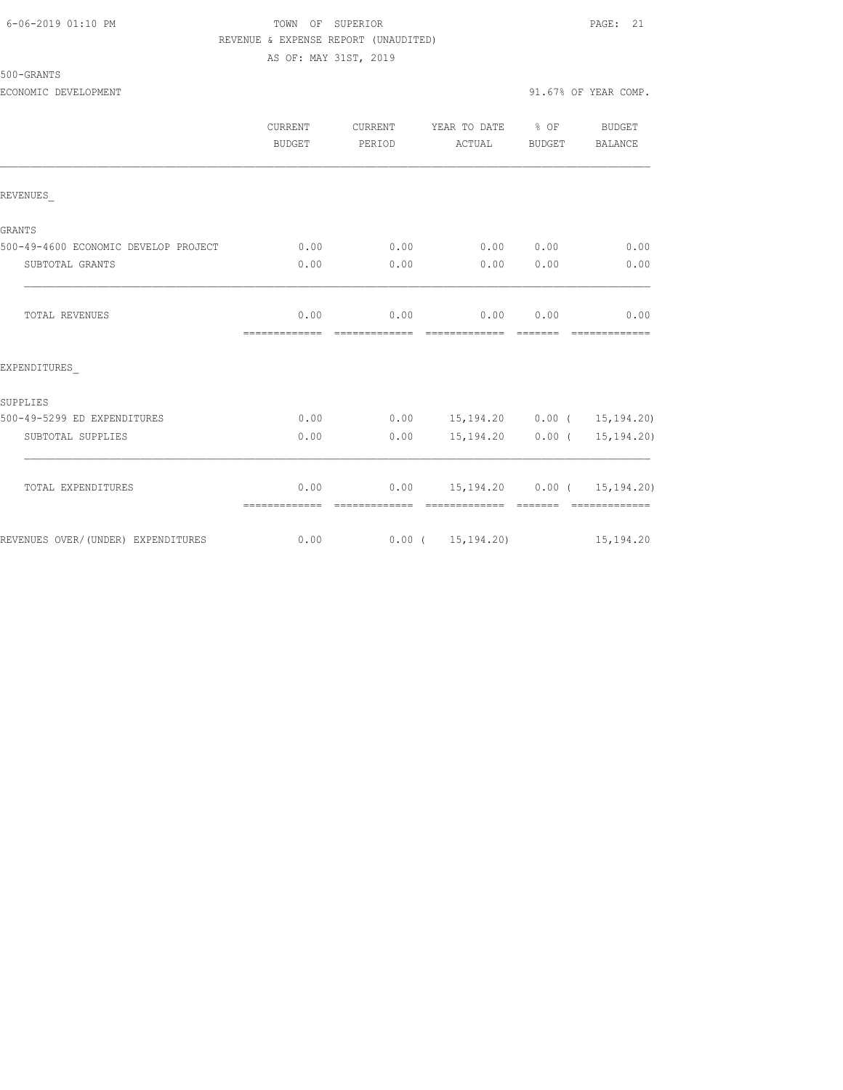# 6-06-2019 01:10 PM TOWN OF SUPERIOR PAGE: 21 REVENUE & EXPENSE REPORT (UNAUDITED)

AS OF: MAY 31ST, 2019

500-GRANTS

ECONOMIC DEVELOPMENT 91.67% OF YEAR COMP.

|         |        |                           | .      | ____          |
|---------|--------|---------------------------|--------|---------------|
|         |        |                           |        |               |
| CURRENT |        | CURRENT YEAR TO DATE % OF |        | <b>BUDGET</b> |
| BUDGET  | PERTOD | ACTUAL                    | BUDGET | BALANCE       |

|                                      | BUDGET                | PERIOD        | ACTUAL                                                | BUDGET   | BALANCE       |
|--------------------------------------|-----------------------|---------------|-------------------------------------------------------|----------|---------------|
|                                      |                       |               |                                                       |          |               |
| REVENUES                             |                       |               |                                                       |          |               |
| <b>GRANTS</b>                        |                       |               |                                                       |          |               |
| 500-49-4600 ECONOMIC DEVELOP PROJECT | 0.00                  | 0.00          | 0.00 0.00                                             |          | 0.00          |
| SUBTOTAL GRANTS                      | 0.00                  | 0.00          | $0.00$ $0.00$                                         |          | 0.00          |
| <b>TOTAL REVENUES</b>                | 0.00                  | 0.00          | 0.00<br>-------------                                 | 0.00     | 0.00          |
| EXPENDITURES                         |                       |               |                                                       |          |               |
| SUPPLIES                             |                       |               |                                                       |          |               |
| 500-49-5299 ED EXPENDITURES          | 0.00                  |               | $0.00$ 15,194.20 0.00 ( 15,194.20)                    |          |               |
| SUBTOTAL SUPPLIES                    | 0.00                  | 0.00          | 15, 194. 20  0.00 ( 15, 194. 20)                      |          |               |
| TOTAL EXPENDITURES                   | 0.00<br>============= | ------------- | $0.00$ 15, 194.20 0.00 ( 15, 194.20)<br>------------- | -------- | ------------- |
| REVENUES OVER/ (UNDER) EXPENDITURES  | 0.00                  |               | $0.00$ ( $15,194.20$ )                                |          | 15, 194.20    |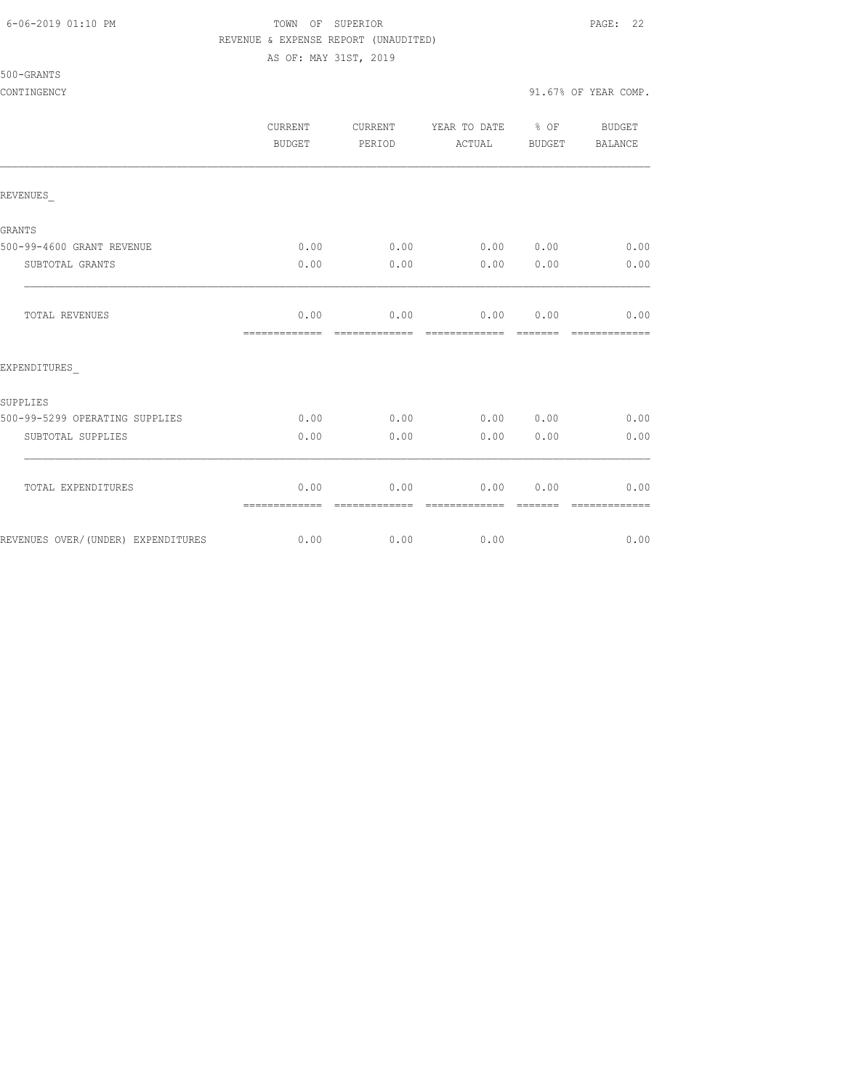#### 6-06-2019 01:10 PM TOWN OF SUPERIOR PAGE: 22 REVENUE & EXPENSE REPORT (UNAUDITED)

AS OF: MAY 31ST, 2019

500-GRANTS

CONTINGENCY 91.67% OF YEAR COMP.

|                                    | <b>CURRENT</b><br><b>BUDGET</b> | CURRENT<br>PERIOD | YEAR TO DATE % OF<br>ACTUAL | BUDGET | <b>BUDGET</b><br>BALANCE |
|------------------------------------|---------------------------------|-------------------|-----------------------------|--------|--------------------------|
| REVENUES                           |                                 |                   |                             |        |                          |
| <b>GRANTS</b>                      |                                 |                   |                             |        |                          |
| 500-99-4600 GRANT REVENUE          | 0.00                            | 0.00              | 0.00 0.00                   |        | 0.00                     |
| SUBTOTAL GRANTS                    | 0.00                            | 0.00              | 0.00                        | 0.00   | 0.00                     |
| TOTAL REVENUES                     | 0.00                            | 0.00              | 0.00                        | 0.00   | 0.00<br>--------------   |
| EXPENDITURES                       |                                 |                   |                             |        |                          |
| SUPPLIES                           |                                 |                   |                             |        |                          |
| 500-99-5299 OPERATING SUPPLIES     | 0.00                            | 0.00              | 0.00                        | 0.00   | 0.00                     |
| SUBTOTAL SUPPLIES                  | 0.00                            | 0.00              | 0.00                        | 0.00   | 0.00                     |
| TOTAL EXPENDITURES                 | 0.00                            | 0.00              | 0.00                        | 0.00   | 0.00                     |
|                                    | =============                   | =============     | =============               |        | =============            |
| REVENUES OVER/(UNDER) EXPENDITURES | 0.00                            | 0.00              | 0.00                        |        | 0.00                     |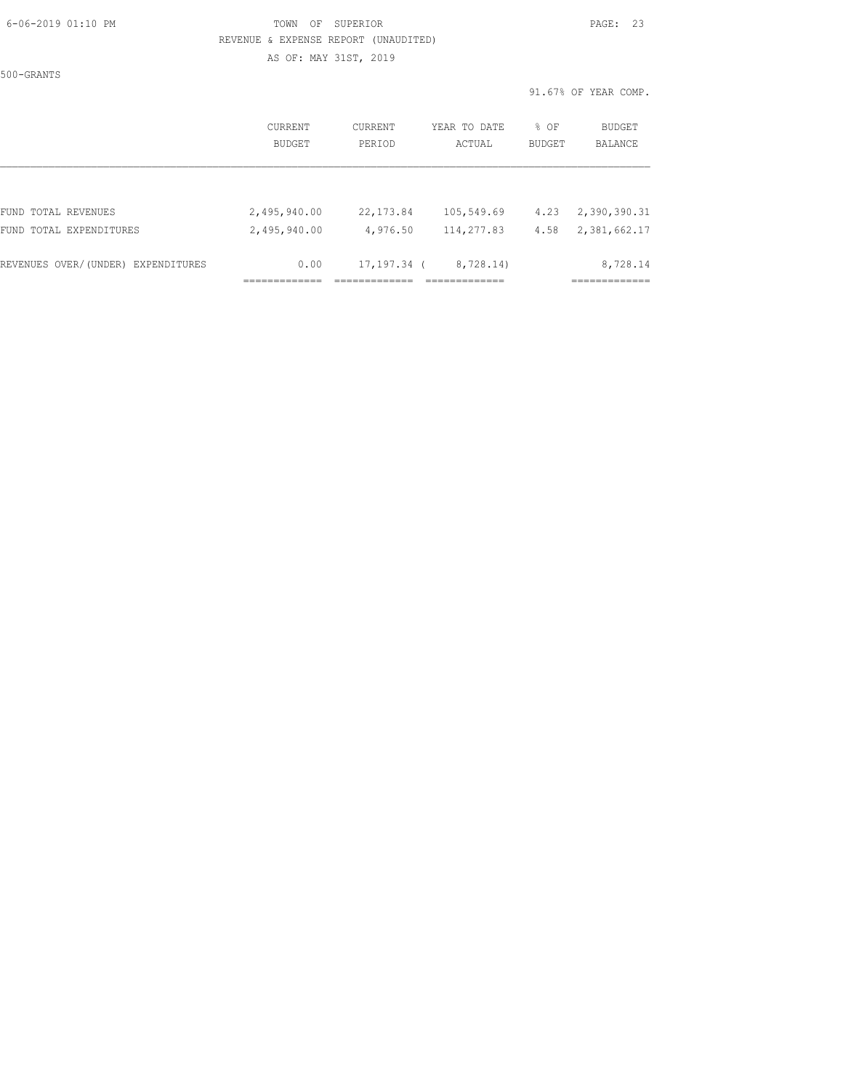#### 6-06-2019 01:10 PM TOWN OF SUPERIOR PAGE: 23 REVENUE & EXPENSE REPORT (UNAUDITED) AS OF: MAY 31ST, 2019

500-GRANTS

91.67% OF YEAR COMP.

|                                    | CURRENT<br>BUDGET | CURRENT<br>PERIOD | YEAR TO DATE<br>ACTUAL | % OF<br><b>BUDGET</b> | BUDGET<br>BALANCE |
|------------------------------------|-------------------|-------------------|------------------------|-----------------------|-------------------|
| FUND TOTAL REVENUES                | 2,495,940.00      | 22, 173.84        | 105,549.69             | 4.23                  | 2,390,390.31      |
| FUND TOTAL EXPENDITURES            | 2,495,940.00      | 4,976.50          | 114,277.83             | 4.58                  | 2,381,662.17      |
| REVENUES OVER/(UNDER) EXPENDITURES | 0.00              | $17, 197, 34$ (   | 8,728.14)              |                       | 8,728.14          |
|                                    |                   |                   |                        |                       |                   |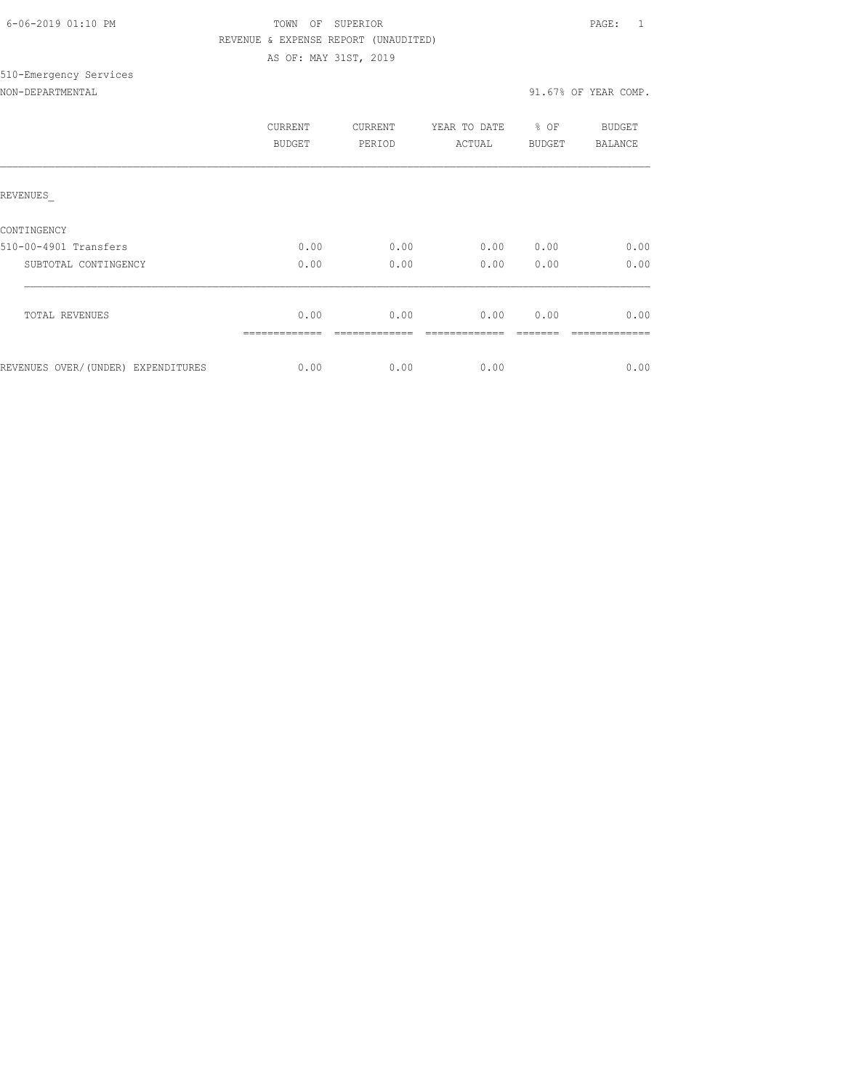| 6-06-2019 01:10 PM |  |
|--------------------|--|

# TOWN OF SUPERIOR **Example 2019** PAGE: 1 REVENUE & EXPENSE REPORT (UNAUDITED) AS OF: MAY 31ST, 2019

#### NON-DEPARTMENTAL 31.67% OF YEAR COMP.

510-Emergency Services

|                                    | CURRENT<br>BUDGET | CURRENT<br>PERIOD | YEAR TO DATE<br>ACTUAL | % OF<br><b>BUDGET</b> | <b>BUDGET</b><br>BALANCE |
|------------------------------------|-------------------|-------------------|------------------------|-----------------------|--------------------------|
| REVENUES                           |                   |                   |                        |                       |                          |
| CONTINGENCY                        |                   |                   |                        |                       |                          |
| 510-00-4901 Transfers              | 0.00              | 0.00              | 0.00                   | 0.00                  | 0.00                     |
| SUBTOTAL CONTINGENCY               | 0.00              | 0.00              | 0.00                   | 0.00                  | 0.00                     |
| <b>TOTAL REVENUES</b>              | 0.00              | 0.00              | 0.00                   | 0.00                  | 0.00                     |
| REVENUES OVER/(UNDER) EXPENDITURES | 0.00              | 0.00              | 0.00                   |                       | 0.00                     |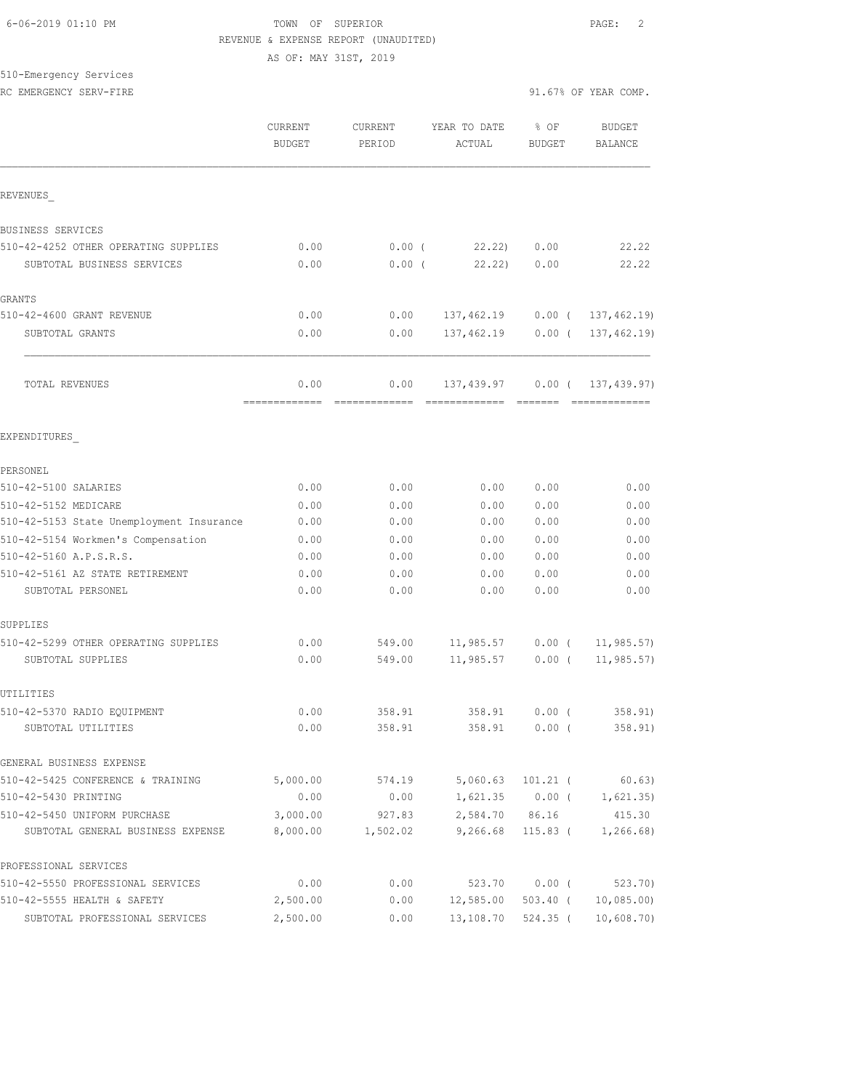# 6-06-2019 01:10 PM TOWN OF SUPERIOR PAGE: 2 REVENUE & EXPENSE REPORT (UNAUDITED) AS OF: MAY 31ST, 2019

510-Emergency Services

|                                                                  | <b>CURRENT</b><br><b>BUDGET</b> | CURRENT<br>PERIOD | YEAR TO DATE<br>ACTUAL | % OF<br><b>BUDGET</b> | <b>BUDGET</b><br>BALANCE |
|------------------------------------------------------------------|---------------------------------|-------------------|------------------------|-----------------------|--------------------------|
| REVENUES                                                         |                                 |                   |                        |                       |                          |
| BUSINESS SERVICES                                                |                                 |                   |                        |                       |                          |
| 510-42-4252 OTHER OPERATING SUPPLIES                             | 0.00                            | $0.00$ (          | 22.22)                 | 0.00                  | 22.22                    |
| SUBTOTAL BUSINESS SERVICES                                       | 0.00                            | 0.00(             | 22.22)                 | 0.00                  | 22.22                    |
| <b>GRANTS</b>                                                    |                                 |                   |                        |                       |                          |
| 510-42-4600 GRANT REVENUE                                        | 0.00                            | 0.00              | 137,462.19             |                       | $0.00$ ( 137, 462.19)    |
| SUBTOTAL GRANTS                                                  | 0.00                            | 0.00              | 137,462.19             | $0.00$ (              | 137, 462.19)             |
| TOTAL REVENUES                                                   | 0.00<br>-------------           | 0.00              | 137,439.97             | $0.00$ (              | 137, 439.97)             |
| EXPENDITURES                                                     |                                 |                   |                        |                       |                          |
| PERSONEL                                                         |                                 |                   |                        |                       |                          |
| 510-42-5100 SALARIES                                             | 0.00                            | 0.00              | 0.00                   | 0.00                  | 0.00                     |
| 510-42-5152 MEDICARE<br>510-42-5153 State Unemployment Insurance | 0.00<br>0.00                    | 0.00<br>0.00      | 0.00<br>0.00           | 0.00<br>0.00          | 0.00<br>0.00             |
| 510-42-5154 Workmen's Compensation                               | 0.00                            | 0.00              | 0.00                   | 0.00                  | 0.00                     |
| 510-42-5160 A.P.S.R.S.                                           | 0.00                            | 0.00              | 0.00                   | 0.00                  | 0.00                     |
| 510-42-5161 AZ STATE RETIREMENT                                  | 0.00                            | 0.00              | 0.00                   | 0.00                  | 0.00                     |
| SUBTOTAL PERSONEL                                                | 0.00                            | 0.00              | 0.00                   | 0.00                  | 0.00                     |
| SUPPLIES                                                         |                                 |                   |                        |                       |                          |
| 510-42-5299 OTHER OPERATING SUPPLIES                             | 0.00                            | 549.00            | 11,985.57              | $0.00$ (              | 11, 985.57               |
| SUBTOTAL SUPPLIES                                                | 0.00                            | 549.00            | 11,985.57              | $0.00$ (              | 11, 985.57)              |
| UTILITIES                                                        |                                 |                   |                        |                       |                          |
| 510-42-5370 RADIO EQUIPMENT                                      | 0.00                            | 358.91            | 358.91                 | $0.00$ (              | 358.91                   |
| SUBTOTAL UTILITIES                                               | 0.00                            | 358.91            |                        | 358.91 0.00 (         | 358.91)                  |
| GENERAL BUSINESS EXPENSE                                         |                                 |                   |                        |                       |                          |
| 510-42-5425 CONFERENCE & TRAINING                                | 5,000.00                        | 574.19            | 5,060.63               | 101.21 (              | 60.63)                   |
| 510-42-5430 PRINTING                                             | 0.00                            | 0.00              | 1,621.35               | $0.00$ (              | 1,621.35)                |
| 510-42-5450 UNIFORM PURCHASE                                     | 3,000.00                        | 927.83            | 2,584.70               | 86.16                 | 415.30                   |
| SUBTOTAL GENERAL BUSINESS EXPENSE                                | 8,000.00                        | 1,502.02          | 9,266.68               | 115.83 (              | 1, 266.68                |
| PROFESSIONAL SERVICES                                            |                                 |                   |                        |                       |                          |
| 510-42-5550 PROFESSIONAL SERVICES                                | 0.00                            | 0.00              | 523.70                 | $0.00$ (              | 523.70                   |
| 510-42-5555 HEALTH & SAFETY                                      | 2,500.00                        | 0.00              | 12,585.00              | 503.40 (              | 10,085.00                |
| SUBTOTAL PROFESSIONAL SERVICES                                   | 2,500.00                        | 0.00              | 13,108.70              | 524.35 (              | 10,608.70                |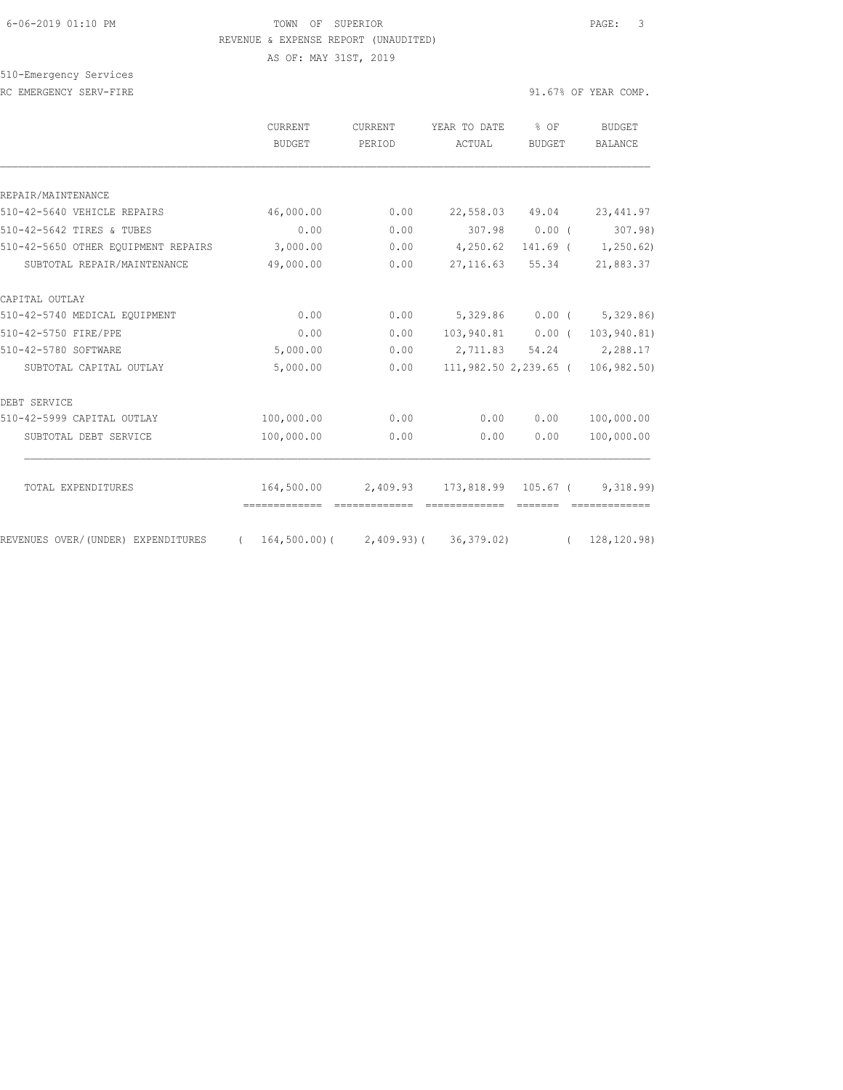#### 6-06-2019 01:10 PM TOWN OF SUPERIOR PAGE: 3 REVENUE & EXPENSE REPORT (UNAUDITED)

AS OF: MAY 31ST, 2019

510-Emergency Services RC EMERGENCY SERV-FIRE **First** extending the series of the series of the series of the series of the series of the series of the series of the series of the series of the series of the series of the series of the series of

|                                     | CURRENT<br><b>BUDGET</b> | <b>CURRENT</b><br>PERIOD | YEAR TO DATE<br>ACTUAL     | % OF<br><b>BUDGET</b> | <b>BUDGET</b><br><b>BALANCE</b> |
|-------------------------------------|--------------------------|--------------------------|----------------------------|-----------------------|---------------------------------|
|                                     |                          |                          |                            |                       |                                 |
| REPAIR/MAINTENANCE                  |                          |                          |                            |                       |                                 |
| 510-42-5640 VEHICLE REPAIRS         | 46,000.00                | 0.00                     |                            | 22,558.03 49.04       | 23, 441.97                      |
| 510-42-5642 TIRES & TUBES           | 0.00                     | 0.00                     | 307.98                     | 0.00(                 | 307.98                          |
| 510-42-5650 OTHER EOUIPMENT REPAIRS | 3,000.00                 | 0.00                     | 4,250.62                   |                       | $141.69$ ( $1,250.62$ )         |
| SUBTOTAL REPAIR/MAINTENANCE         | 49,000.00                | 0.00                     | 27,116.63                  | 55.34                 | 21,883.37                       |
| CAPITAL OUTLAY                      |                          |                          |                            |                       |                                 |
| 510-42-5740 MEDICAL EQUIPMENT       | 0.00                     | 0.00                     | 5,329.86                   |                       | $0.00$ ( 5,329.86)              |
| 510-42-5750 FIRE/PPE                | 0.00                     | 0.00                     | 103,940.81 0.00 (          |                       | 103,940.81)                     |
| 510-42-5780 SOFTWARE                | 5,000.00                 | 0.00                     | 2,711.83                   |                       | 54.24 2,288.17                  |
| SUBTOTAL CAPITAL OUTLAY             | 5,000.00                 | 0.00                     | 111,982.50 2,239.65 (      |                       | 106,982.50)                     |
| DEBT SERVICE                        |                          |                          |                            |                       |                                 |
| 510-42-5999 CAPITAL OUTLAY          | 100,000.00               | 0.00                     | 0.00                       | 0.00                  | 100,000.00                      |
| SUBTOTAL DEBT SERVICE               | 100,000.00               | 0.00                     | 0.00                       | 0.00                  | 100,000.00                      |
| TOTAL EXPENDITURES                  | 164,500.00               |                          | 2,409.93 173,818.99        | 105.67 (              | 9,318.99                        |
| REVENUES OVER/(UNDER) EXPENDITURES  | $164,500.00$ ) (         |                          | $2,409.93$ ( $36,379.02$ ) | $\sqrt{2}$            | 128, 120.98)                    |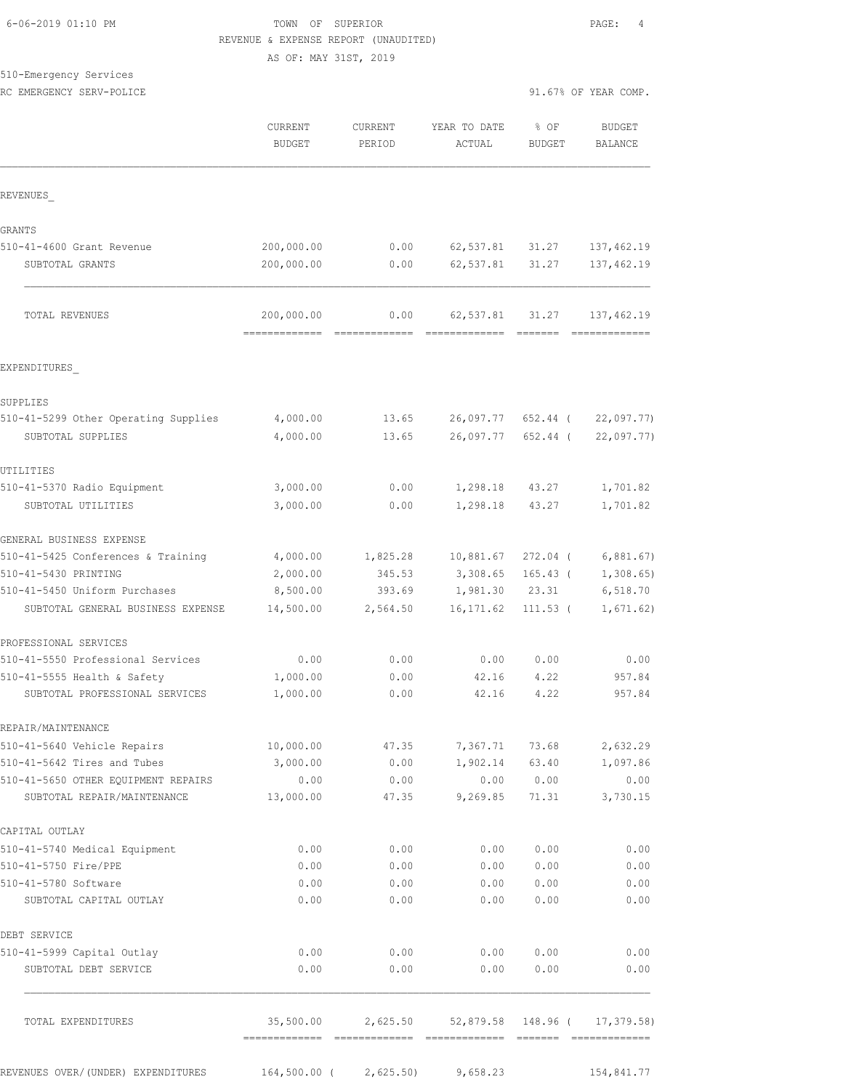# TOWN OF SUPERIOR **Example 2019** PAGE: 4 REVENUE & EXPENSE REPORT (UNAUDITED)

AS OF: MAY 31ST, 2019

# 510-Emergency Services

RC EMERGENCY SERV-POLICE **EXECUTE:** The series of the series of the series of the series of the series of the series of the series of the series of the series of the series of the series of the series of the series of the

|                                                               | CURRENT<br><b>BUDGET</b>     | <b>CURRENT</b><br>PERIOD | YEAR TO DATE<br>ACTUAL            | % OF<br><b>BUDGET</b> | <b>BUDGET</b><br>BALANCE |
|---------------------------------------------------------------|------------------------------|--------------------------|-----------------------------------|-----------------------|--------------------------|
| REVENUES                                                      |                              |                          |                                   |                       |                          |
| GRANTS                                                        |                              |                          |                                   |                       |                          |
| 510-41-4600 Grant Revenue                                     | 200,000.00                   | 0.00                     | 62,537.81                         | 31.27                 | 137, 462.19              |
| SUBTOTAL GRANTS                                               | 200,000.00                   | 0.00                     | 62,537.81                         | 31.27                 | 137, 462.19              |
| TOTAL REVENUES                                                | 200,000.00<br>-------------- | 0.00                     | 62,537.81                         | 31.27                 | 137,462.19               |
| EXPENDITURES                                                  |                              |                          |                                   |                       |                          |
| SUPPLIES                                                      |                              |                          |                                   |                       |                          |
| 510-41-5299 Other Operating Supplies                          | 4,000.00                     | 13.65                    | 26,097.77                         | 652.44 (              | 22,097.77                |
| SUBTOTAL SUPPLIES                                             | 4,000.00                     | 13.65                    | 26,097.77                         | 652.44 (              | 22,097.77)               |
| UTILITIES                                                     |                              |                          |                                   |                       |                          |
| 510-41-5370 Radio Equipment                                   | 3,000.00                     | 0.00                     | 1,298.18                          | 43.27                 | 1,701.82                 |
| SUBTOTAL UTILITIES                                            | 3,000.00                     | 0.00                     | 1,298.18                          | 43.27                 | 1,701.82                 |
| GENERAL BUSINESS EXPENSE                                      |                              |                          |                                   |                       |                          |
| 510-41-5425 Conferences & Training                            | 4,000.00                     | 1,825.28                 | 10,881.67                         | 272.04 (              | 6,881.67)                |
| 510-41-5430 PRINTING                                          | 2,000.00                     | 345.53                   | 3,308.65                          | $165.43$ (            | 1,308.65                 |
| 510-41-5450 Uniform Purchases                                 | 8,500.00                     | 393.69                   | 1,981.30                          | 23.31                 | 6,518.70                 |
| SUBTOTAL GENERAL BUSINESS EXPENSE                             | 14,500.00                    | 2,564.50                 | 16, 171.62                        | $111.53$ (            | 1,671.62)                |
| PROFESSIONAL SERVICES                                         |                              |                          |                                   |                       |                          |
| 510-41-5550 Professional Services                             | 0.00                         | 0.00                     | 0.00                              | 0.00                  | 0.00                     |
| 510-41-5555 Health & Safety<br>SUBTOTAL PROFESSIONAL SERVICES | 1,000.00<br>1,000.00         | 0.00<br>0.00             | 42.16<br>42.16                    | 4.22<br>4.22          | 957.84<br>957.84         |
| REPAIR/MAINTENANCE                                            |                              |                          |                                   |                       |                          |
| 510-41-5640 Vehicle Repairs                                   | 10,000.00                    | 47.35                    |                                   | 7,367.71 73.68        | 2,632.29                 |
| 510-41-5642 Tires and Tubes                                   | 3,000.00                     | 0.00                     |                                   | 1,902.14 63.40        | 1,097.86                 |
| 510-41-5650 OTHER EQUIPMENT REPAIRS                           | 0.00                         | 0.00                     |                                   | 0.00 0.00             | 0.00                     |
| SUBTOTAL REPAIR/MAINTENANCE                                   | 13,000.00                    | 47.35                    | 9,269.85                          | 71.31                 | 3,730.15                 |
| CAPITAL OUTLAY                                                |                              |                          |                                   |                       |                          |
| 510-41-5740 Medical Equipment                                 | 0.00                         | 0.00                     | 0.00                              | 0.00                  | 0.00                     |
| 510-41-5750 Fire/PPE                                          | 0.00                         | 0.00                     | 0.00                              | 0.00                  | 0.00                     |
| 510-41-5780 Software<br>SUBTOTAL CAPITAL OUTLAY               | 0.00<br>0.00                 | 0.00<br>0.00             | 0.00<br>0.00                      | 0.00<br>0.00          | 0.00<br>0.00             |
| DEBT SERVICE                                                  |                              |                          |                                   |                       |                          |
| 510-41-5999 Capital Outlay                                    | 0.00                         | 0.00                     | 0.00                              | 0.00                  | 0.00                     |
| SUBTOTAL DEBT SERVICE                                         | 0.00                         | 0.00                     | 0.00                              | 0.00                  | 0.00                     |
| TOTAL EXPENDITURES                                            | 35,500.00                    | 2,625.50                 |                                   | 52,879.58 148.96 (    | 17,379.58)               |
| REVENUES OVER/(UNDER) EXPENDITURES                            |                              |                          | $164,500.00$ ( 2,625.50) 9,658.23 |                       | 154,841.77               |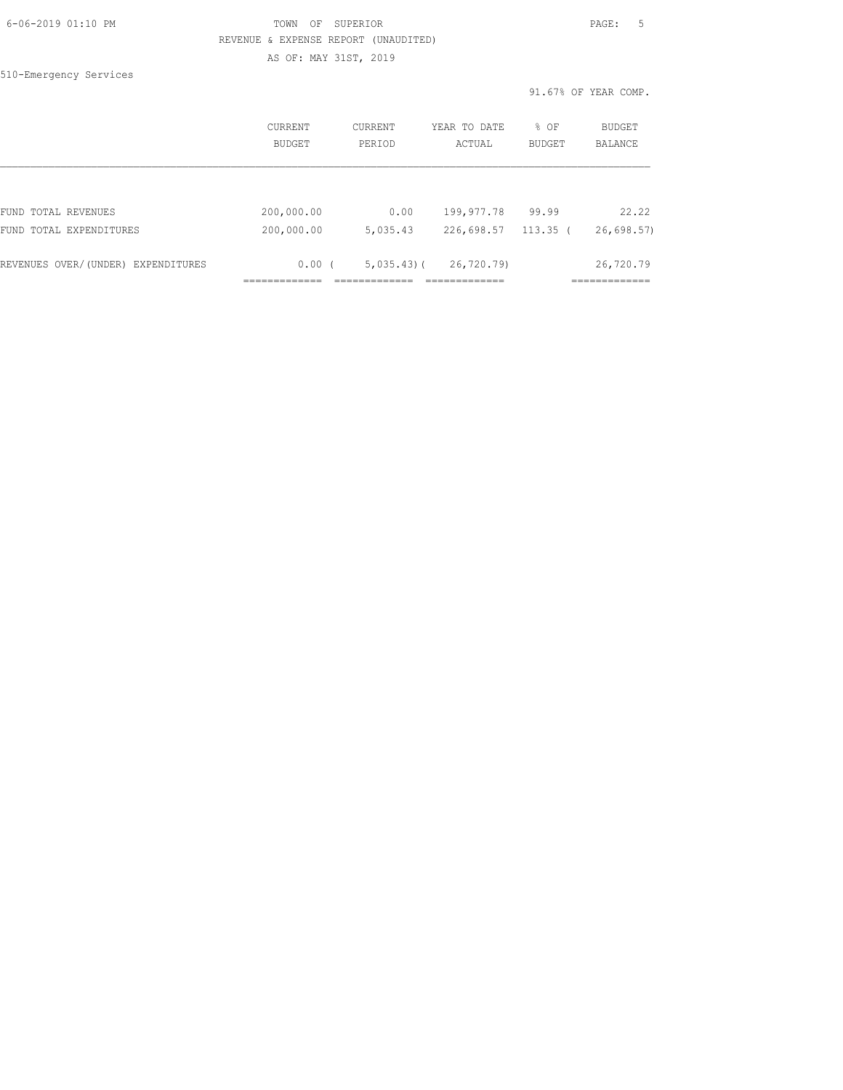| 6-06-2019 01:10 PM |  |
|--------------------|--|
|                    |  |

# FOWN OF SUPERIOR **Example 2019** PAGE: 5 REVENUE & EXPENSE REPORT (UNAUDITED)

AS OF: MAY 31ST, 2019

510-Emergency Services

91.67% OF YEAR COMP.

|                                    | CURRENT<br><b>BUDGET</b> | CURRENT<br>PERIOD | YEAR TO DATE<br>ACTUAL | % OF<br>BUDGET | <b>BUDGET</b><br>BALANCE |
|------------------------------------|--------------------------|-------------------|------------------------|----------------|--------------------------|
|                                    |                          |                   |                        |                |                          |
| FUND TOTAL REVENUES                | 200,000.00               | 0.00              | 199,977.78             | 99.99          | 22.22                    |
| FUND TOTAL EXPENDITURES            | 200,000.00               | 5,035.43          | 226,698.57             | 113.35 (       | 26,698.57                |
|                                    |                          |                   |                        |                |                          |
| REVENUES OVER/(UNDER) EXPENDITURES | 0.00(                    | $5,035,43$ (      | 26,720.79)             |                | 26,720.79                |
|                                    |                          |                   |                        |                |                          |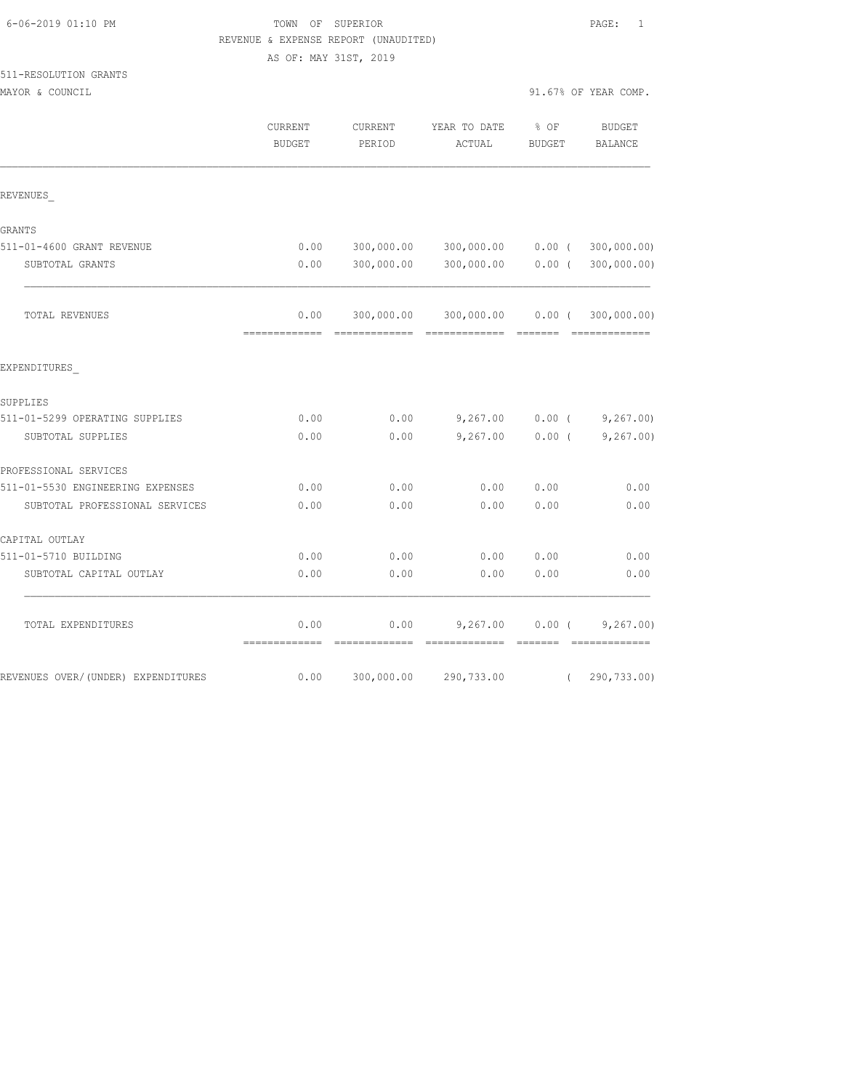# TOWN OF SUPERIOR **Example 2019** PAGE: 1 REVENUE & EXPENSE REPORT (UNAUDITED)

AS OF: MAY 31ST, 2019

# 511-RESOLUTION GRANTS

| MAYOR & COUNCIL                    |                       |                   |                                         |                         | 91.67% OF YEAR COMP.              |
|------------------------------------|-----------------------|-------------------|-----------------------------------------|-------------------------|-----------------------------------|
|                                    | CURRENT<br>BUDGET     | CURRENT<br>PERIOD | YEAR TO DATE<br>ACTUAL                  | $8$ OF<br><b>BUDGET</b> | BUDGET<br>BALANCE                 |
| REVENUES                           |                       |                   |                                         |                         |                                   |
| GRANTS                             |                       |                   |                                         |                         |                                   |
| 511-01-4600 GRANT REVENUE          | 0.00                  |                   | 300,000.00 300,000.00 0.00 (300,000.00) |                         |                                   |
| SUBTOTAL GRANTS                    | 0.00                  | 300,000.00        |                                         |                         | 300,000.00   0.00   ( 300,000.00) |
| TOTAL REVENUES                     | 0.00<br>------------- |                   | 300,000.00 300,000.00 0.00 (            |                         | 300,000.00)<br>--------------     |
| EXPENDITURES                       |                       |                   |                                         |                         |                                   |
| SUPPLIES                           |                       |                   |                                         |                         |                                   |
| 511-01-5299 OPERATING SUPPLIES     | 0.00                  | 0.00              | 9,267.00                                |                         | $0.00$ ( $9,267.00$ )             |
| SUBTOTAL SUPPLIES                  | 0.00                  | 0.00              | 9,267.00                                | $0.00$ (                | 9,267.00)                         |
| PROFESSIONAL SERVICES              |                       |                   |                                         |                         |                                   |
| 511-01-5530 ENGINEERING EXPENSES   | 0.00                  | 0.00              | 0.00                                    | 0.00                    | 0.00                              |
| SUBTOTAL PROFESSIONAL SERVICES     | 0.00                  | 0.00              | 0.00                                    | 0.00                    | 0.00                              |
| CAPITAL OUTLAY                     |                       |                   |                                         |                         |                                   |
| 511-01-5710 BUILDING               | 0.00                  | 0.00              | 0.00                                    | 0.00                    | 0.00                              |
| SUBTOTAL CAPITAL OUTLAY            | 0.00                  | 0.00              | 0.00                                    | 0.00                    | 0.00                              |
| TOTAL EXPENDITURES                 | 0.00<br>============= | 0.00              | 9,267.00<br>-------------- ------       | $0.00$ (                | 9,267.00)<br>--------------       |
| REVENUES OVER/(UNDER) EXPENDITURES | 0.00                  | 300,000.00        | 290,733.00                              | $\left($                | 290,733.00)                       |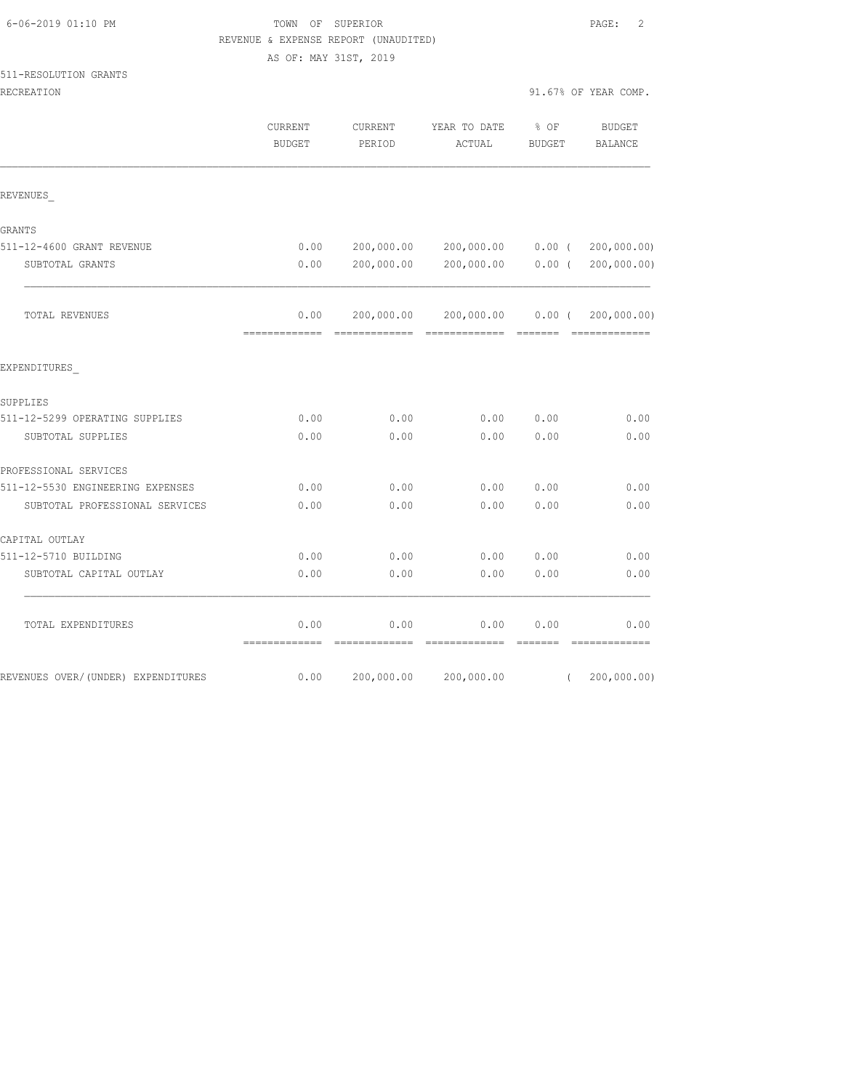# FOWN OF SUPERIOR **Example 2** PAGE: 2 REVENUE & EXPENSE REPORT (UNAUDITED)

AS OF: MAY 31ST, 2019

#### 511-RESOLUTION GRANTS

| RECREATION                         |                                 |                   |                                              |                | 91.67% OF YEAR COMP.         |
|------------------------------------|---------------------------------|-------------------|----------------------------------------------|----------------|------------------------------|
|                                    | <b>CURRENT</b><br><b>BUDGET</b> | CURRENT<br>PERIOD | YEAR TO DATE<br>ACTUAL                       | % OF<br>BUDGET | <b>BUDGET</b><br>BALANCE     |
| REVENUES                           |                                 |                   |                                              |                |                              |
| GRANTS                             |                                 |                   |                                              |                |                              |
| 511-12-4600 GRANT REVENUE          | 0.00                            |                   | 200,000.00 200,000.00 0.00 (200,000.00)      |                |                              |
| SUBTOTAL GRANTS                    | 0.00                            |                   | 200,000.00 200,000.00 0.00 (200,000.00)      |                |                              |
| TOTAL REVENUES                     | 0.00<br>=============           | =============     | 200,000.00 200,000.00<br>eccessessess eccess | $0.00$ (       | 200,000.00)<br>============= |
| EXPENDITURES                       |                                 |                   |                                              |                |                              |
| SUPPLIES                           |                                 |                   |                                              |                |                              |
| 511-12-5299 OPERATING SUPPLIES     | 0.00                            | 0.00              | 0.00                                         | 0.00           | 0.00                         |
| SUBTOTAL SUPPLIES                  | 0.00                            | 0.00              | 0.00                                         | 0.00           | 0.00                         |
| PROFESSIONAL SERVICES              |                                 |                   |                                              |                |                              |
| 511-12-5530 ENGINEERING EXPENSES   | 0.00                            | 0.00              | 0.00                                         | 0.00           | 0.00                         |
| SUBTOTAL PROFESSIONAL SERVICES     | 0.00                            | 0.00              | 0.00                                         | 0.00           | 0.00                         |
| CAPITAL OUTLAY                     |                                 |                   |                                              |                |                              |
| 511-12-5710 BUILDING               | 0.00                            | 0.00              | 0.00                                         | 0.00           | 0.00                         |
| SUBTOTAL CAPITAL OUTLAY            | 0.00                            | 0.00              | 0.00                                         | 0.00           | 0.00                         |
| TOTAL EXPENDITURES                 | 0.00                            | 0.00              | 0.00                                         | 0.00           | 0.00                         |
| REVENUES OVER/(UNDER) EXPENDITURES | 0.00                            | 200,000.00        | 200,000.00                                   |                | (200, 000.00)                |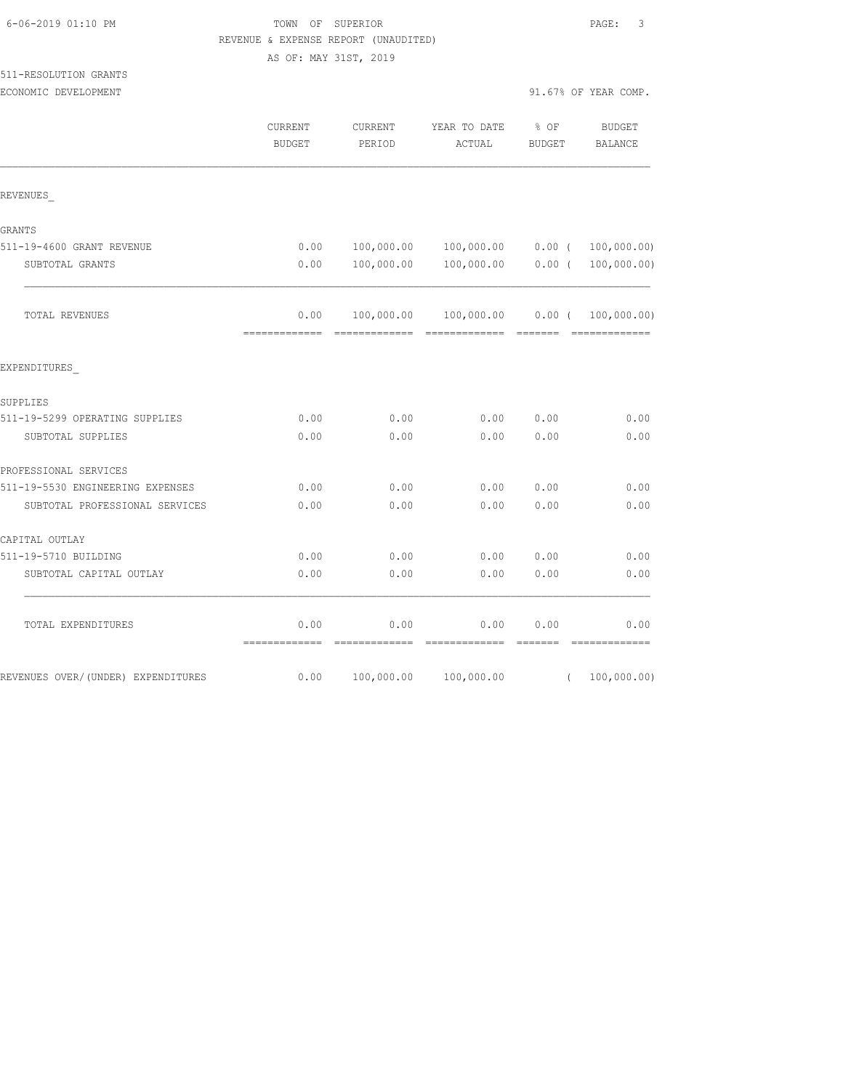# FOWN OF SUPERIOR **EXECUTER** PAGE: 3 REVENUE & EXPENSE REPORT (UNAUDITED)

AS OF: MAY 31ST, 2019

# 511-RESOLUTION GRANTS

| ECONOMIC DEVELOPMENT                |                          |                   |                                                                                                                                                                                                                                                                                                                                                                                                                                                                                                                       | 91.67% OF YEAR COMP.                |                               |
|-------------------------------------|--------------------------|-------------------|-----------------------------------------------------------------------------------------------------------------------------------------------------------------------------------------------------------------------------------------------------------------------------------------------------------------------------------------------------------------------------------------------------------------------------------------------------------------------------------------------------------------------|-------------------------------------|-------------------------------|
|                                     | CURRENT<br><b>BUDGET</b> | CURRENT<br>PERIOD | YEAR TO DATE<br>ACTUAL                                                                                                                                                                                                                                                                                                                                                                                                                                                                                                | % OF<br><b>BUDGET</b>               | <b>BUDGET</b><br>BALANCE      |
| REVENUES                            |                          |                   |                                                                                                                                                                                                                                                                                                                                                                                                                                                                                                                       |                                     |                               |
| GRANTS                              |                          |                   |                                                                                                                                                                                                                                                                                                                                                                                                                                                                                                                       |                                     |                               |
| 511-19-4600 GRANT REVENUE           | 0.00                     | 100,000.00        | $100,000.00$ 0.00 (                                                                                                                                                                                                                                                                                                                                                                                                                                                                                                   |                                     | 100,000.00)                   |
| SUBTOTAL GRANTS                     | 0.00                     | 100,000.00        | 100,000.00                                                                                                                                                                                                                                                                                                                                                                                                                                                                                                            | $0.00$ (                            | 100,000.00)                   |
| TOTAL REVENUES                      | 0.00                     | 100,000.00        | 100,000.00<br>$\begin{tabular}{lllllllllllll} \multicolumn{2}{l}{{\color{red}\textbf{1}}}& \multicolumn{2}{l}{\color{blue}\textbf{2}}& \multicolumn{2}{l}{\color{blue}\textbf{2}}& \multicolumn{2}{l}{\color{blue}\textbf{2}}& \multicolumn{2}{l}{\color{blue}\textbf{2}}& \multicolumn{2}{l}{\color{blue}\textbf{2}}& \multicolumn{2}{l}{\color{blue}\textbf{2}}& \multicolumn{2}{l}{\color{blue}\textbf{2}}& \multicolumn{2}{l}{\color{blue}\textbf{2}}& \multicolumn{2}{l}{\color{blue}\textbf{2}}& \multicolumn{$ | $0.00$ (<br>$=$ $=$ $=$ $=$ $=$ $=$ | 100,000.00)<br>-------------- |
| EXPENDITURES                        |                          |                   |                                                                                                                                                                                                                                                                                                                                                                                                                                                                                                                       |                                     |                               |
| SUPPLIES                            |                          |                   |                                                                                                                                                                                                                                                                                                                                                                                                                                                                                                                       |                                     |                               |
| 511-19-5299 OPERATING SUPPLIES      | 0.00                     | 0.00              | 0.00                                                                                                                                                                                                                                                                                                                                                                                                                                                                                                                  | 0.00                                | 0.00                          |
| SUBTOTAL SUPPLIES                   | 0.00                     | 0.00              | 0.00                                                                                                                                                                                                                                                                                                                                                                                                                                                                                                                  | 0.00                                | 0.00                          |
| PROFESSIONAL SERVICES               |                          |                   |                                                                                                                                                                                                                                                                                                                                                                                                                                                                                                                       |                                     |                               |
| 511-19-5530 ENGINEERING EXPENSES    | 0.00                     | 0.00              | 0.00                                                                                                                                                                                                                                                                                                                                                                                                                                                                                                                  | 0.00                                | 0.00                          |
| SUBTOTAL PROFESSIONAL SERVICES      | 0.00                     | 0.00              | 0.00                                                                                                                                                                                                                                                                                                                                                                                                                                                                                                                  | 0.00                                | 0.00                          |
| CAPITAL OUTLAY                      |                          |                   |                                                                                                                                                                                                                                                                                                                                                                                                                                                                                                                       |                                     |                               |
| 511-19-5710 BUILDING                | 0.00                     | 0.00              | 0.00                                                                                                                                                                                                                                                                                                                                                                                                                                                                                                                  | 0.00                                | 0.00                          |
| SUBTOTAL CAPITAL OUTLAY             | 0.00                     | 0.00              | 0.00                                                                                                                                                                                                                                                                                                                                                                                                                                                                                                                  | 0.00                                | 0.00                          |
| TOTAL EXPENDITURES                  | 0.00<br>=============    | 0.00              | 0.00                                                                                                                                                                                                                                                                                                                                                                                                                                                                                                                  | 0.00<br>=======                     | 0.00                          |
| REVENUES OVER/ (UNDER) EXPENDITURES | 0.00                     | 100,000.00        | 100,000.00                                                                                                                                                                                                                                                                                                                                                                                                                                                                                                            | $\sqrt{2}$                          | 100,000.00)                   |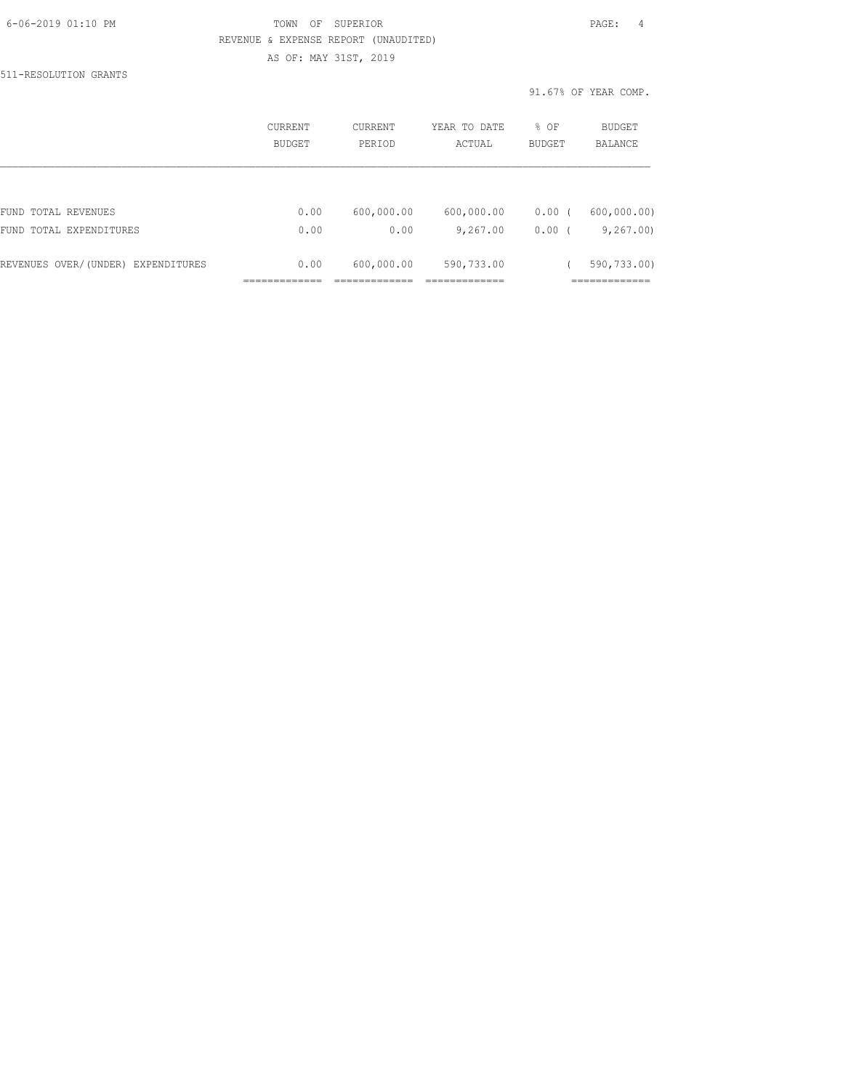# 6-06-2019 01:10 PM TOWN OF SUPERIOR PAGE: 4 REVENUE & EXPENSE REPORT (UNAUDITED) AS OF: MAY 31ST, 2019

511-RESOLUTION GRANTS

91.67% OF YEAR COMP.

|                                    | CURRENT<br>BUDGET | CURRENT<br>PERIOD | YEAR TO DATE<br>ACTUAL | % OF<br><b>BUDGET</b> | BUDGET<br><b>BALANCE</b> |
|------------------------------------|-------------------|-------------------|------------------------|-----------------------|--------------------------|
|                                    |                   |                   |                        |                       |                          |
| FUND TOTAL REVENUES                | 0.00              | 600,000.00        | 600,000.00             | 0.00(                 | 600,000.00)              |
| FUND TOTAL EXPENDITURES            | 0.00              | 0.00              | 9,267.00               | 0.00(                 | 9,267.00                 |
| REVENUES OVER/(UNDER) EXPENDITURES | 0.00              | 600,000.00        | 590,733.00             |                       | 590,733.00)              |
|                                    |                   |                   |                        |                       |                          |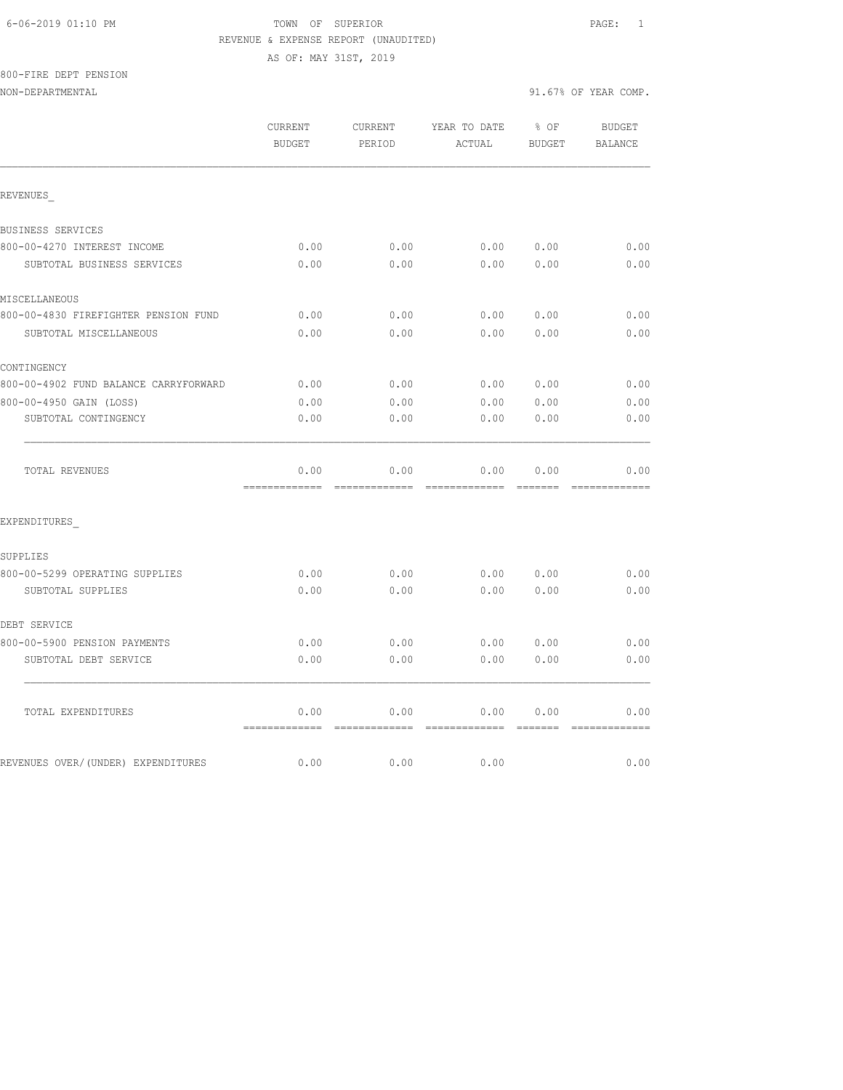#### 6-06-2019 01:10 PM TOWN OF SUPERIOR PAGE: 1 REVENUE & EXPENSE REPORT (UNAUDITED)

AS OF: MAY 31ST, 2019

800-FIRE DEPT PENSION

NON-DEPARTMENTAL 91.67% OF YEAR COMP.

|                                       | CURRENT<br><b>BUDGET</b>               | CURRENT<br>PERIOD | YEAR TO DATE<br>ACTUAL                                                                                                                                                                                                                                                                                                                                                                                                                                                                         | % OF<br><b>BUDGET</b>               | <b>BUDGET</b><br><b>BALANCE</b> |
|---------------------------------------|----------------------------------------|-------------------|------------------------------------------------------------------------------------------------------------------------------------------------------------------------------------------------------------------------------------------------------------------------------------------------------------------------------------------------------------------------------------------------------------------------------------------------------------------------------------------------|-------------------------------------|---------------------------------|
| REVENUES                              |                                        |                   |                                                                                                                                                                                                                                                                                                                                                                                                                                                                                                |                                     |                                 |
| BUSINESS SERVICES                     |                                        |                   |                                                                                                                                                                                                                                                                                                                                                                                                                                                                                                |                                     |                                 |
| 800-00-4270 INTEREST INCOME           | 0.00                                   | 0.00              | 0.00                                                                                                                                                                                                                                                                                                                                                                                                                                                                                           | 0.00                                | 0.00                            |
| SUBTOTAL BUSINESS SERVICES            | 0.00                                   | 0.00              | 0.00                                                                                                                                                                                                                                                                                                                                                                                                                                                                                           | 0.00                                | 0.00                            |
| MISCELLANEOUS                         |                                        |                   |                                                                                                                                                                                                                                                                                                                                                                                                                                                                                                |                                     |                                 |
| 800-00-4830 FIREFIGHTER PENSION FUND  | 0.00                                   | 0.00              | 0.00                                                                                                                                                                                                                                                                                                                                                                                                                                                                                           | 0.00                                | 0.00                            |
| SUBTOTAL MISCELLANEOUS                | 0.00                                   | 0.00              | 0.00                                                                                                                                                                                                                                                                                                                                                                                                                                                                                           | 0.00                                | 0.00                            |
| CONTINGENCY                           |                                        |                   |                                                                                                                                                                                                                                                                                                                                                                                                                                                                                                |                                     |                                 |
| 800-00-4902 FUND BALANCE CARRYFORWARD | 0.00                                   | 0.00              | 0.00                                                                                                                                                                                                                                                                                                                                                                                                                                                                                           | 0.00                                | 0.00                            |
| 800-00-4950 GAIN (LOSS)               | 0.00                                   | 0.00              | 0.00                                                                                                                                                                                                                                                                                                                                                                                                                                                                                           | 0.00                                | 0.00                            |
| SUBTOTAL CONTINGENCY                  | 0.00                                   | 0.00              | 0.00                                                                                                                                                                                                                                                                                                                                                                                                                                                                                           | 0.00                                | 0.00                            |
| TOTAL REVENUES                        | 0.00<br>-------------- --------------  | 0.00              | 0.00<br>$\begin{array}{cccccccccc} \multicolumn{2}{c}{} & \multicolumn{2}{c}{} & \multicolumn{2}{c}{} & \multicolumn{2}{c}{} & \multicolumn{2}{c}{} & \multicolumn{2}{c}{} & \multicolumn{2}{c}{} & \multicolumn{2}{c}{} & \multicolumn{2}{c}{} & \multicolumn{2}{c}{} & \multicolumn{2}{c}{} & \multicolumn{2}{c}{} & \multicolumn{2}{c}{} & \multicolumn{2}{c}{} & \multicolumn{2}{c}{} & \multicolumn{2}{c}{} & \multicolumn{2}{c}{} & \multicolumn{2}{c}{} & \multicolumn{2}{c}{} & \mult$ | 0.00<br>$=$ $=$ $=$ $=$ $=$ $=$ $=$ | 0.00                            |
| EXPENDITURES                          |                                        |                   |                                                                                                                                                                                                                                                                                                                                                                                                                                                                                                |                                     |                                 |
| SUPPLIES                              |                                        |                   |                                                                                                                                                                                                                                                                                                                                                                                                                                                                                                |                                     |                                 |
| 800-00-5299 OPERATING SUPPLIES        | 0.00                                   | 0.00              | 0.00                                                                                                                                                                                                                                                                                                                                                                                                                                                                                           | 0.00                                | 0.00                            |
| SUBTOTAL SUPPLIES                     | 0.00                                   | 0.00              | 0.00                                                                                                                                                                                                                                                                                                                                                                                                                                                                                           | 0.00                                | 0.00                            |
| DEBT SERVICE                          |                                        |                   |                                                                                                                                                                                                                                                                                                                                                                                                                                                                                                |                                     |                                 |
| 800-00-5900 PENSION PAYMENTS          | 0.00                                   | 0.00              | 0.00                                                                                                                                                                                                                                                                                                                                                                                                                                                                                           | 0.00                                | 0.00                            |
| SUBTOTAL DEBT SERVICE                 | 0.00                                   | 0.00              | 0.00                                                                                                                                                                                                                                                                                                                                                                                                                                                                                           | 0.00                                | 0.00                            |
| TOTAL EXPENDITURES                    | 0.00<br>============================== | 0.00              | 0.00<br>-------------                                                                                                                                                                                                                                                                                                                                                                                                                                                                          | 0.00<br><b>BEEFEE</b>               | 0.00<br>=============           |
| REVENUES OVER/(UNDER) EXPENDITURES    | 0.00                                   | 0.00              | 0.00                                                                                                                                                                                                                                                                                                                                                                                                                                                                                           |                                     | 0.00                            |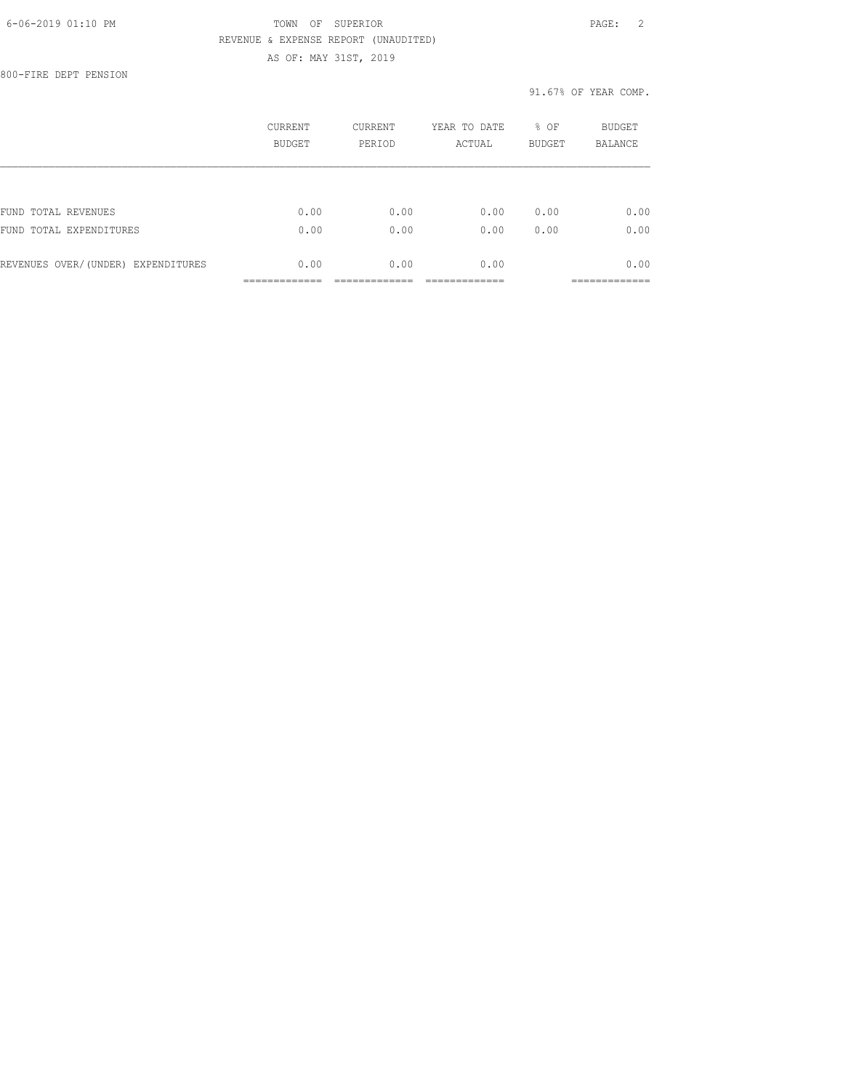# 6-06-2019 01:10 PM TOWN OF SUPERIOR PAGE: 2 REVENUE & EXPENSE REPORT (UNAUDITED) AS OF: MAY 31ST, 2019

800-FIRE DEPT PENSION

#### 91.67% OF YEAR COMP.

|                                    | CURRENT<br>BUDGET | CURRENT<br>PERIOD | YEAR TO DATE<br>ACTUAL | % OF<br><b>BUDGET</b> | <b>BUDGET</b><br><b>BALANCE</b> |
|------------------------------------|-------------------|-------------------|------------------------|-----------------------|---------------------------------|
|                                    |                   |                   |                        |                       |                                 |
| FUND TOTAL REVENUES                | 0.00              | 0.00              | 0.00                   | 0.00                  | 0.00                            |
| FUND TOTAL EXPENDITURES            | 0.00              | 0.00              | 0.00                   | 0.00                  | 0.00                            |
| REVENUES OVER/(UNDER) EXPENDITURES | 0.00              | 0.00              | 0.00                   |                       | 0.00                            |
|                                    |                   |                   |                        |                       |                                 |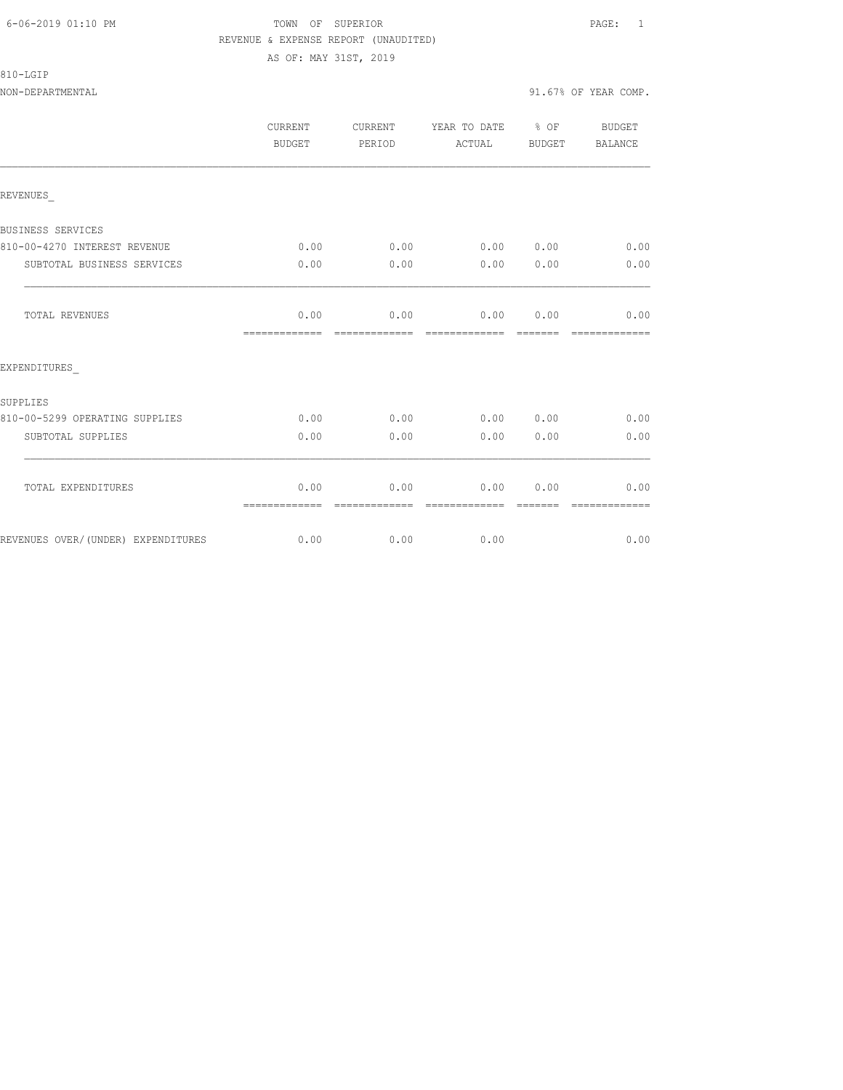#### 6-06-2019 01:10 PM TOWN OF SUPERIOR PAGE: 1 REVENUE & EXPENSE REPORT (UNAUDITED) AS OF: MAY 31ST, 2019

|                                    | CURRENT<br>BUDGET     | CURRENT<br>PERIOD     | YEAR TO DATE % OF<br>ACTUAL                                                                                                                                                                                                                                                                                                                                                                                                                                                                    | BUDGET                                                                                                                                                                                                                                                                                                                                                                                                                                                                                         | BUDGET<br><b>BALANCE</b> |
|------------------------------------|-----------------------|-----------------------|------------------------------------------------------------------------------------------------------------------------------------------------------------------------------------------------------------------------------------------------------------------------------------------------------------------------------------------------------------------------------------------------------------------------------------------------------------------------------------------------|------------------------------------------------------------------------------------------------------------------------------------------------------------------------------------------------------------------------------------------------------------------------------------------------------------------------------------------------------------------------------------------------------------------------------------------------------------------------------------------------|--------------------------|
| REVENUES                           |                       |                       |                                                                                                                                                                                                                                                                                                                                                                                                                                                                                                |                                                                                                                                                                                                                                                                                                                                                                                                                                                                                                |                          |
| BUSINESS SERVICES                  |                       |                       |                                                                                                                                                                                                                                                                                                                                                                                                                                                                                                |                                                                                                                                                                                                                                                                                                                                                                                                                                                                                                |                          |
| 810-00-4270 INTEREST REVENUE       | 0.00                  | 0.00                  | 0.00 0.00                                                                                                                                                                                                                                                                                                                                                                                                                                                                                      |                                                                                                                                                                                                                                                                                                                                                                                                                                                                                                | 0.00                     |
| SUBTOTAL BUSINESS SERVICES         | 0.00                  | 0.00                  | 0.00                                                                                                                                                                                                                                                                                                                                                                                                                                                                                           | 0.00                                                                                                                                                                                                                                                                                                                                                                                                                                                                                           | 0.00                     |
| TOTAL REVENUES                     | 0.00<br>------------- | 0.00<br>------------- | 0.00<br>--------------                                                                                                                                                                                                                                                                                                                                                                                                                                                                         | 0.00<br>$\begin{array}{cccccccccc} \multicolumn{2}{c}{} & \multicolumn{2}{c}{} & \multicolumn{2}{c}{} & \multicolumn{2}{c}{} & \multicolumn{2}{c}{} & \multicolumn{2}{c}{} & \multicolumn{2}{c}{} & \multicolumn{2}{c}{} & \multicolumn{2}{c}{} & \multicolumn{2}{c}{} & \multicolumn{2}{c}{} & \multicolumn{2}{c}{} & \multicolumn{2}{c}{} & \multicolumn{2}{c}{} & \multicolumn{2}{c}{} & \multicolumn{2}{c}{} & \multicolumn{2}{c}{} & \multicolumn{2}{c}{} & \multicolumn{2}{c}{} & \mult$ | 0.00<br>=============    |
| EXPENDITURES                       |                       |                       |                                                                                                                                                                                                                                                                                                                                                                                                                                                                                                |                                                                                                                                                                                                                                                                                                                                                                                                                                                                                                |                          |
| SUPPLIES                           |                       |                       |                                                                                                                                                                                                                                                                                                                                                                                                                                                                                                |                                                                                                                                                                                                                                                                                                                                                                                                                                                                                                |                          |
| 810-00-5299 OPERATING SUPPLIES     | 0.00                  | 0.00                  | 0.00 0.00                                                                                                                                                                                                                                                                                                                                                                                                                                                                                      |                                                                                                                                                                                                                                                                                                                                                                                                                                                                                                | 0.00                     |
| SUBTOTAL SUPPLIES                  | 0.00                  | 0.00                  | 0.00                                                                                                                                                                                                                                                                                                                                                                                                                                                                                           | 0.00                                                                                                                                                                                                                                                                                                                                                                                                                                                                                           | 0.00                     |
| TOTAL EXPENDITURES                 | 0.00<br>============= | 0.00<br>============= | 0.00<br>$\begin{array}{cccccccccc} \multicolumn{2}{c}{} & \multicolumn{2}{c}{} & \multicolumn{2}{c}{} & \multicolumn{2}{c}{} & \multicolumn{2}{c}{} & \multicolumn{2}{c}{} & \multicolumn{2}{c}{} & \multicolumn{2}{c}{} & \multicolumn{2}{c}{} & \multicolumn{2}{c}{} & \multicolumn{2}{c}{} & \multicolumn{2}{c}{} & \multicolumn{2}{c}{} & \multicolumn{2}{c}{} & \multicolumn{2}{c}{} & \multicolumn{2}{c}{} & \multicolumn{2}{c}{} & \multicolumn{2}{c}{} & \multicolumn{2}{c}{} & \mult$ | 0.00<br>$------$                                                                                                                                                                                                                                                                                                                                                                                                                                                                               | 0.00<br>=============    |
| REVENUES OVER/(UNDER) EXPENDITURES | 0.00                  | 0.00                  | 0.00                                                                                                                                                                                                                                                                                                                                                                                                                                                                                           |                                                                                                                                                                                                                                                                                                                                                                                                                                                                                                | 0.00                     |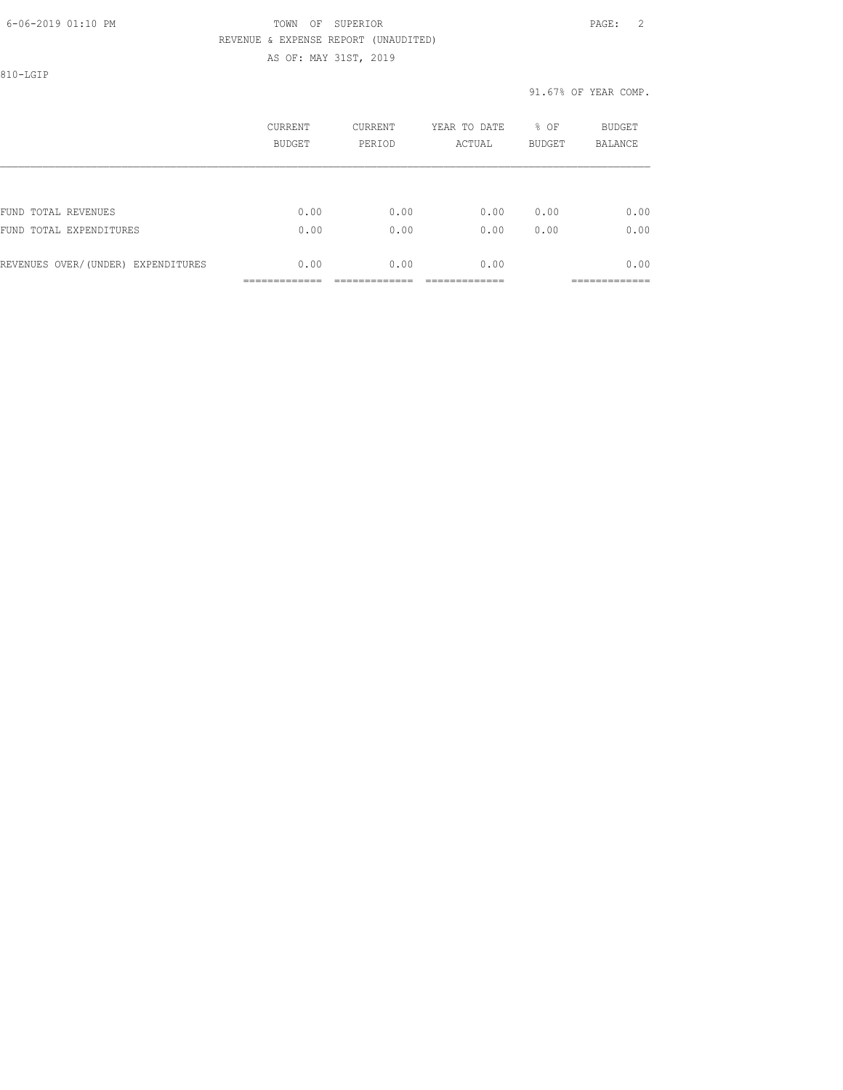#### 6-06-2019 01:10 PM TOWN OF SUPERIOR PAGE: 2 REVENUE & EXPENSE REPORT (UNAUDITED) AS OF: MAY 31ST, 2019

810-LGIP

#### 91.67% OF YEAR COMP.

|                                    | CURRENT<br><b>BUDGET</b> | CURRENT<br>PERIOD | YEAR TO DATE<br>ACTUAL | % OF<br><b>BUDGET</b> | BUDGET<br><b>BALANCE</b> |
|------------------------------------|--------------------------|-------------------|------------------------|-----------------------|--------------------------|
|                                    |                          |                   |                        |                       |                          |
| FUND TOTAL REVENUES                | 0.00                     | 0.00              | 0.00                   | 0.00                  | 0.00                     |
| FUND TOTAL EXPENDITURES            | 0.00                     | 0.00              | 0.00                   | 0.00                  | 0.00                     |
| REVENUES OVER/(UNDER) EXPENDITURES | 0.00                     | 0.00              | 0.00                   |                       | 0.00<br>------------     |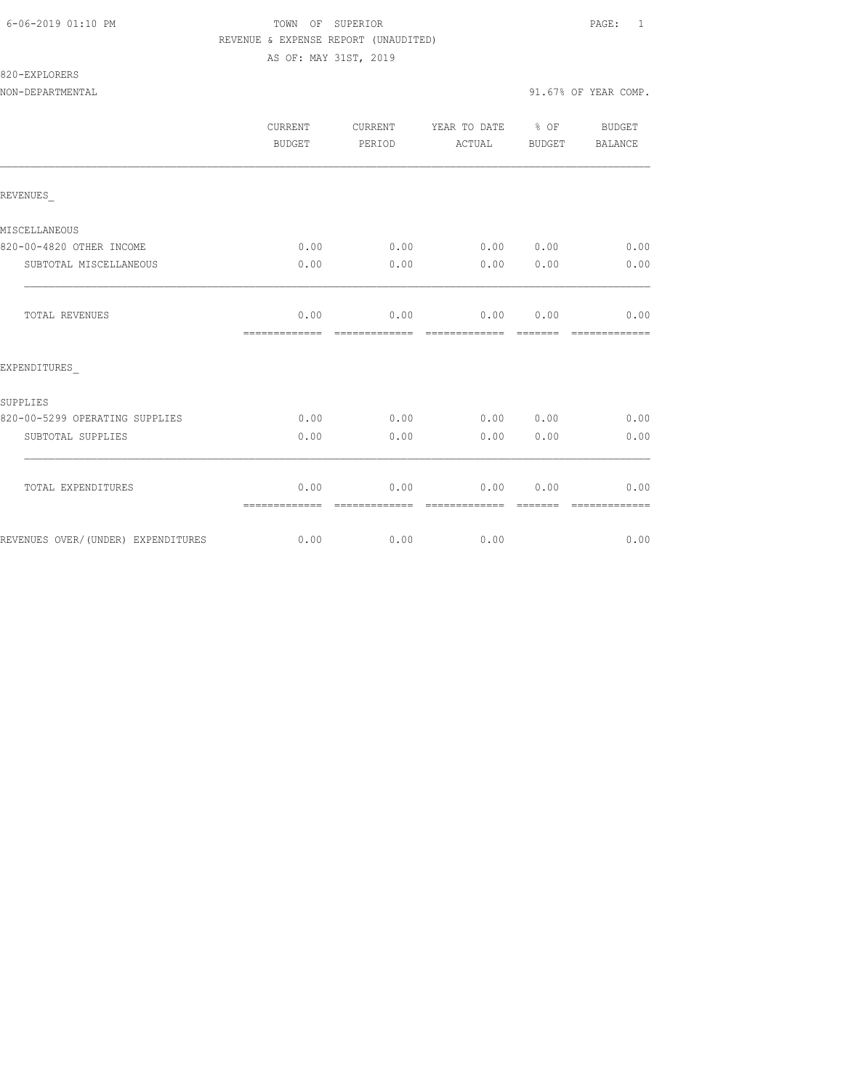#### 6-06-2019 01:10 PM TOWN OF SUPERIOR PAGE: 1 REVENUE & EXPENSE REPORT (UNAUDITED) AS OF: MAY 31ST, 2019

# 820-EXPLORERS

|                                    | CURRENT<br>BUDGET     | CURRENT<br>PERIOD      | YEAR TO DATE % OF<br>ACTUAL | BUDGET    | BUDGET<br>BALANCE                                                                                                                                                                                                                                                                                                                                                                                                                                                                              |
|------------------------------------|-----------------------|------------------------|-----------------------------|-----------|------------------------------------------------------------------------------------------------------------------------------------------------------------------------------------------------------------------------------------------------------------------------------------------------------------------------------------------------------------------------------------------------------------------------------------------------------------------------------------------------|
| REVENUES                           |                       |                        |                             |           |                                                                                                                                                                                                                                                                                                                                                                                                                                                                                                |
| MISCELLANEOUS                      |                       |                        |                             |           |                                                                                                                                                                                                                                                                                                                                                                                                                                                                                                |
| 820-00-4820 OTHER INCOME           | 0.00                  | 0.00                   | 0.00 0.00                   |           | 0.00                                                                                                                                                                                                                                                                                                                                                                                                                                                                                           |
| SUBTOTAL MISCELLANEOUS             | 0.00                  | 0.00                   | 0.00                        | 0.00      | 0.00                                                                                                                                                                                                                                                                                                                                                                                                                                                                                           |
| TOTAL REVENUES                     | 0.00<br>============= |                        | $0.00$ $0.00$ $0.00$        |           | 0.00<br>$\begin{array}{cccccccccc} \multicolumn{2}{c}{} & \multicolumn{2}{c}{} & \multicolumn{2}{c}{} & \multicolumn{2}{c}{} & \multicolumn{2}{c}{} & \multicolumn{2}{c}{} & \multicolumn{2}{c}{} & \multicolumn{2}{c}{} & \multicolumn{2}{c}{} & \multicolumn{2}{c}{} & \multicolumn{2}{c}{} & \multicolumn{2}{c}{} & \multicolumn{2}{c}{} & \multicolumn{2}{c}{} & \multicolumn{2}{c}{} & \multicolumn{2}{c}{} & \multicolumn{2}{c}{} & \multicolumn{2}{c}{} & \multicolumn{2}{c}{} & \mult$ |
| EXPENDITURES                       |                       |                        |                             |           |                                                                                                                                                                                                                                                                                                                                                                                                                                                                                                |
| SUPPLIES                           |                       |                        |                             |           |                                                                                                                                                                                                                                                                                                                                                                                                                                                                                                |
| 820-00-5299 OPERATING SUPPLIES     | 0.00                  | 0.00                   | 0.00 0.00                   |           | 0.00                                                                                                                                                                                                                                                                                                                                                                                                                                                                                           |
| SUBTOTAL SUPPLIES                  | 0.00                  | 0.00                   | 0.00                        | 0.00      | 0.00                                                                                                                                                                                                                                                                                                                                                                                                                                                                                           |
| TOTAL EXPENDITURES                 | 0.00<br>============= | 0.00<br>-------------- | essessessesse               | 0.00 0.00 | 0.00<br>--------------                                                                                                                                                                                                                                                                                                                                                                                                                                                                         |
| REVENUES OVER/(UNDER) EXPENDITURES |                       | $0.00$ 0.00            | 0.00                        |           | 0.00                                                                                                                                                                                                                                                                                                                                                                                                                                                                                           |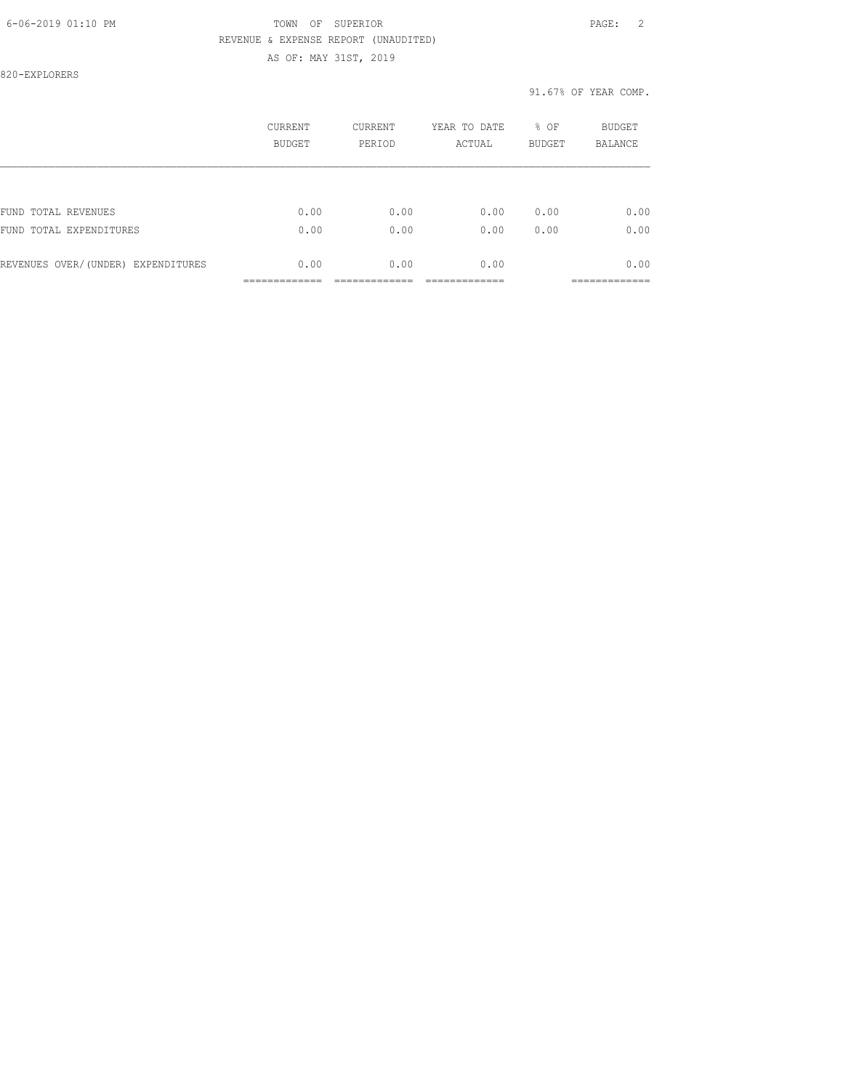# 6-06-2019 01:10 PM TOWN OF SUPERIOR PAGE: 2 REVENUE & EXPENSE REPORT (UNAUDITED)

AS OF: MAY 31ST, 2019

820-EXPLORERS

#### 91.67% OF YEAR COMP.

|                                    | CURRENT<br><b>BUDGET</b> | <b>CURRENT</b><br>PERIOD | YEAR TO DATE<br>ACTUAL | % OF<br><b>BUDGET</b> | <b>BUDGET</b><br><b>BALANCE</b> |
|------------------------------------|--------------------------|--------------------------|------------------------|-----------------------|---------------------------------|
|                                    |                          |                          |                        |                       |                                 |
| FUND TOTAL REVENUES                | 0.00                     | 0.00                     | 0.00                   | 0.00                  | 0.00                            |
| FUND TOTAL EXPENDITURES            | 0.00                     | 0.00                     | 0.00                   | 0.00                  | 0.00                            |
| REVENUES OVER/(UNDER) EXPENDITURES | 0.00                     | 0.00                     | 0.00                   |                       | 0.00                            |
|                                    |                          |                          |                        |                       |                                 |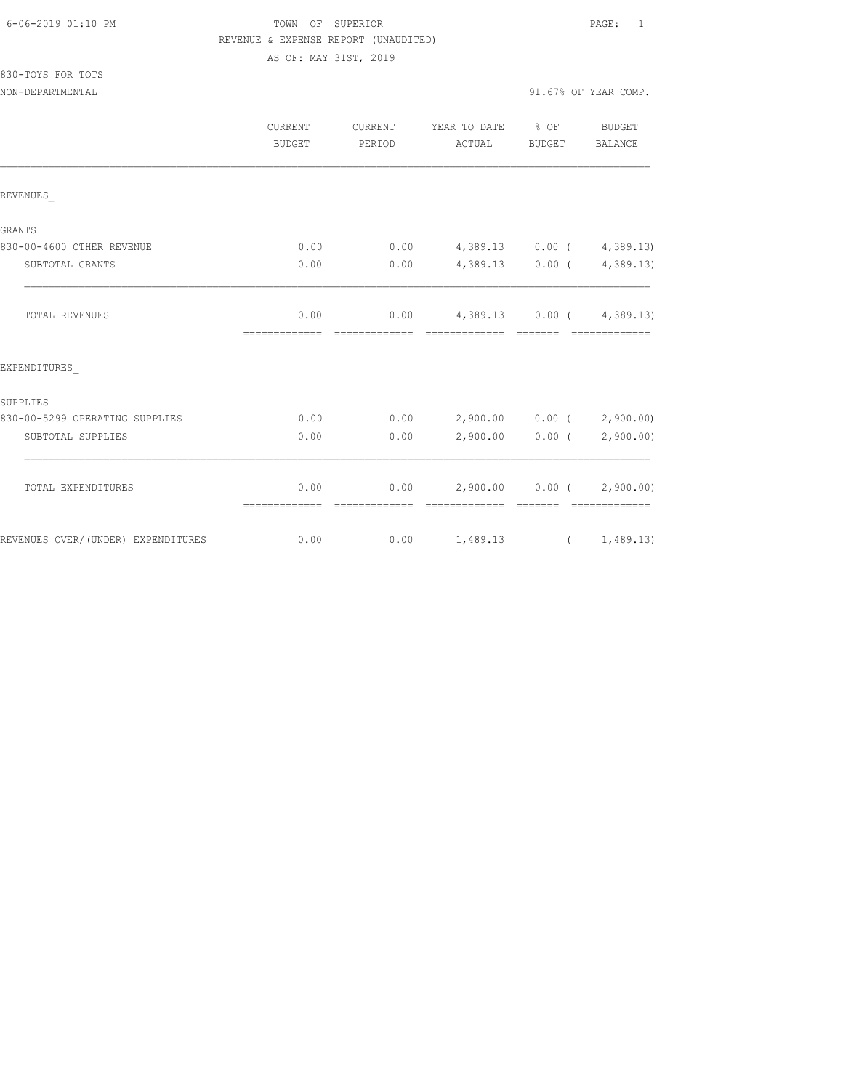|  | 6-06-2019 01:10 PM |  |
|--|--------------------|--|
|  |                    |  |

# FOWN OF SUPERIOR **Example 2019** PAGE: 1 REVENUE & EXPENSE REPORT (UNAUDITED) AS OF: MAY 31ST, 2019

830-TOYS FOR TOTS

|                                     | CURRENT<br>BUDGET     | CURRENT<br>PERIOD | YEAR TO DATE % OF<br>ACTUAL                       | BUDGET                                                                                                                                                                                                                                                                                                                                                                                                                                                                                 | BUDGET<br>BALANCE           |
|-------------------------------------|-----------------------|-------------------|---------------------------------------------------|----------------------------------------------------------------------------------------------------------------------------------------------------------------------------------------------------------------------------------------------------------------------------------------------------------------------------------------------------------------------------------------------------------------------------------------------------------------------------------------|-----------------------------|
| REVENUES                            |                       |                   |                                                   |                                                                                                                                                                                                                                                                                                                                                                                                                                                                                        |                             |
| GRANTS                              |                       |                   |                                                   |                                                                                                                                                                                                                                                                                                                                                                                                                                                                                        |                             |
| 830-00-4600 OTHER REVENUE           | 0.00                  | 0.00              | 4,389.13 0.00 ( 4,389.13)                         |                                                                                                                                                                                                                                                                                                                                                                                                                                                                                        |                             |
| SUBTOTAL GRANTS                     | 0.00                  | 0.00              | 4,389.13 0.00 (4,389.13)                          |                                                                                                                                                                                                                                                                                                                                                                                                                                                                                        |                             |
| <b>TOTAL REVENUES</b>               | 0.00<br>============= |                   | $0.00$ 4,389.13 0.00 ( 4,389.13)                  |                                                                                                                                                                                                                                                                                                                                                                                                                                                                                        |                             |
| EXPENDITURES                        |                       |                   |                                                   |                                                                                                                                                                                                                                                                                                                                                                                                                                                                                        |                             |
| SUPPLIES                            |                       |                   |                                                   |                                                                                                                                                                                                                                                                                                                                                                                                                                                                                        |                             |
| 830-00-5299 OPERATING SUPPLIES      | 0.00                  | 0.00              | 2,900.00 0.00 (2,900.00)                          |                                                                                                                                                                                                                                                                                                                                                                                                                                                                                        |                             |
| SUBTOTAL SUPPLIES                   | 0.00                  | 0.00              |                                                   |                                                                                                                                                                                                                                                                                                                                                                                                                                                                                        | $2,900.00$ 0.00 ( 2,900.00) |
| TOTAL EXPENDITURES                  | 0.00<br>============= | --------------    | $0.00$ 2,900.00 0.00 ( 2,900.00)<br>============= | $\begin{array}{cccccccccc} \multicolumn{2}{c}{} & \multicolumn{2}{c}{} & \multicolumn{2}{c}{} & \multicolumn{2}{c}{} & \multicolumn{2}{c}{} & \multicolumn{2}{c}{} & \multicolumn{2}{c}{} & \multicolumn{2}{c}{} & \multicolumn{2}{c}{} & \multicolumn{2}{c}{} & \multicolumn{2}{c}{} & \multicolumn{2}{c}{} & \multicolumn{2}{c}{} & \multicolumn{2}{c}{} & \multicolumn{2}{c}{} & \multicolumn{2}{c}{} & \multicolumn{2}{c}{} & \multicolumn{2}{c}{} & \multicolumn{2}{c}{} & \mult$ | $2222222222222222$          |
| REVENUES OVER/ (UNDER) EXPENDITURES | 0.00                  |                   | $0.00 \t 1,489.13 \t (1,489.13)$                  |                                                                                                                                                                                                                                                                                                                                                                                                                                                                                        |                             |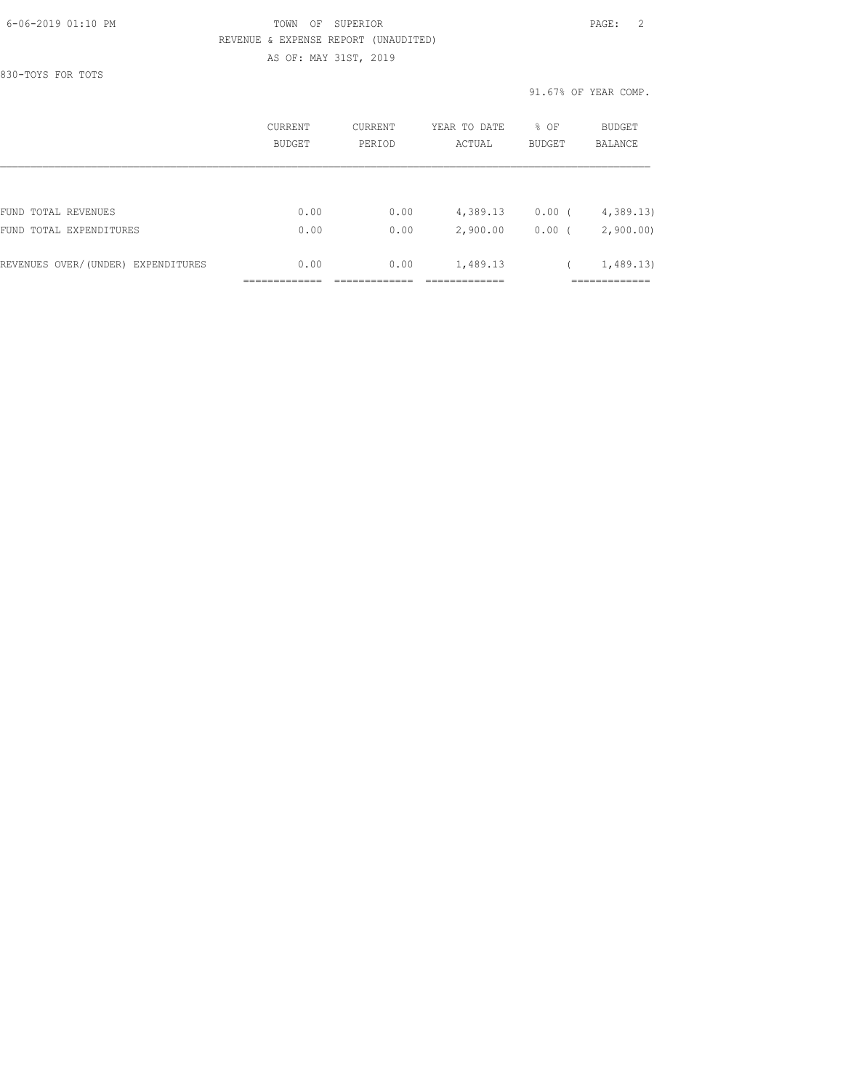# 6-06-2019 01:10 PM TOWN OF SUPERIOR PAGE: 2 REVENUE & EXPENSE REPORT (UNAUDITED) AS OF: MAY 31ST, 2019

830-TOYS FOR TOTS

91.67% OF YEAR COMP.

|                                    | CURRENT<br><b>BUDGET</b> | <b>CURRENT</b><br>PERIOD | YEAR TO DATE<br>ACTUAL | % OF<br><b>BUDGET</b> | BUDGET<br><b>BALANCE</b> |
|------------------------------------|--------------------------|--------------------------|------------------------|-----------------------|--------------------------|
|                                    |                          |                          |                        |                       |                          |
| FUND TOTAL REVENUES                | 0.00                     | 0.00                     | 4,389.13               | 0.00(                 | 4,389.13                 |
| FUND TOTAL EXPENDITURES            | 0.00                     | 0.00                     | 2,900.00               | 0.00                  | 2,900.00                 |
| REVENUES OVER/(UNDER) EXPENDITURES | 0.00                     | 0.00                     | 1,489.13               |                       | 1,489.13                 |
|                                    |                          |                          |                        |                       |                          |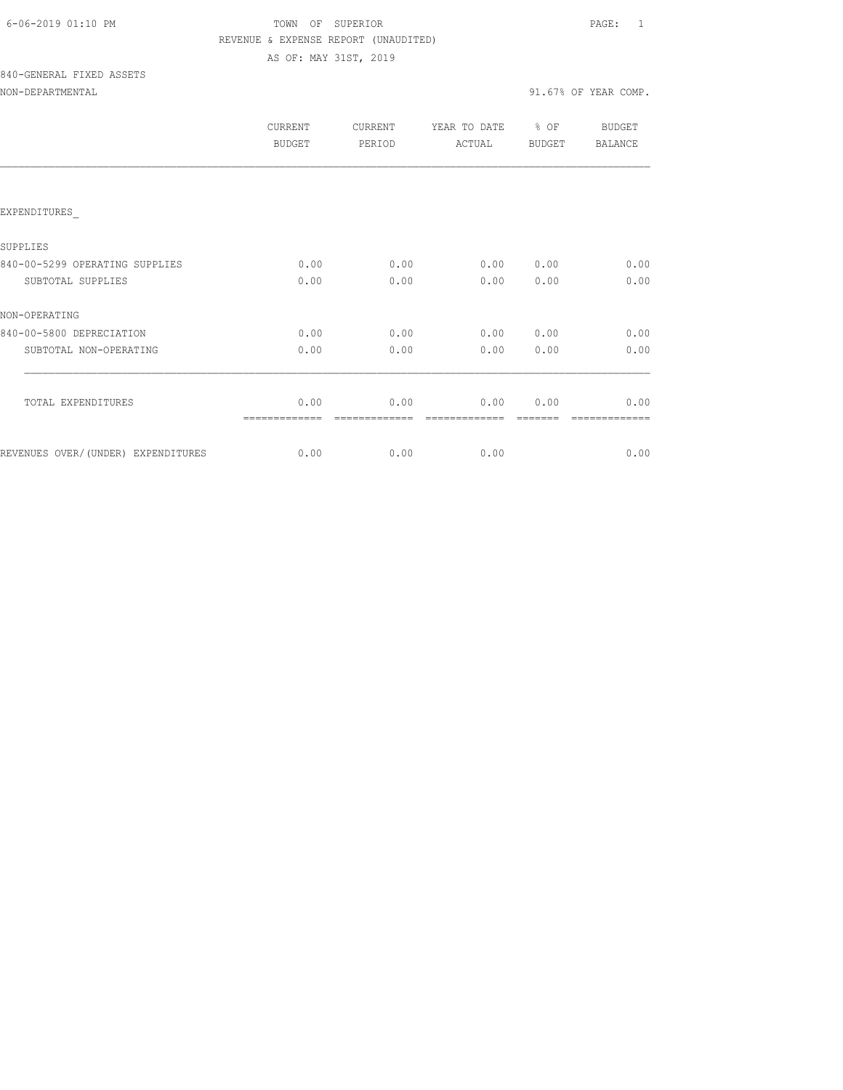# FOWN OF SUPERIOR **Example 2019** PAGE: 1 REVENUE & EXPENSE REPORT (UNAUDITED) AS OF: MAY 31ST, 2019

# 840-GENERAL FIXED ASSETS

| NON-DEPARTMENTAL |  |  |
|------------------|--|--|
|                  |  |  |

|                                    | CURRENT<br>BUDGET | <b>CURRENT</b><br>PERIOD | YEAR TO DATE<br>ACTUAL | $8$ OF<br><b>BUDGET</b> | BUDGET<br><b>BALANCE</b> |
|------------------------------------|-------------------|--------------------------|------------------------|-------------------------|--------------------------|
|                                    |                   |                          |                        |                         |                          |
| EXPENDITURES                       |                   |                          |                        |                         |                          |
| SUPPLIES                           |                   |                          |                        |                         |                          |
| 840-00-5299 OPERATING SUPPLIES     | 0.00              | 0.00                     | 0.00                   | 0.00                    | 0.00                     |
| SUBTOTAL SUPPLIES                  | 0.00              | 0.00                     | 0.00                   | 0.00                    | 0.00                     |
| NON-OPERATING                      |                   |                          |                        |                         |                          |
| 840-00-5800 DEPRECIATION           | 0.00              | 0.00                     | 0.00                   | 0.00                    | 0.00                     |
| SUBTOTAL NON-OPERATING             | 0.00              | 0.00                     | 0.00                   | 0.00                    | 0.00                     |
|                                    |                   |                          |                        |                         |                          |
| TOTAL EXPENDITURES                 | 0.00              | 0.00                     | 0.00                   | 0.00                    | 0.00                     |
| REVENUES OVER/(UNDER) EXPENDITURES | 0.00              | 0.00                     | 0.00                   |                         | 0.00                     |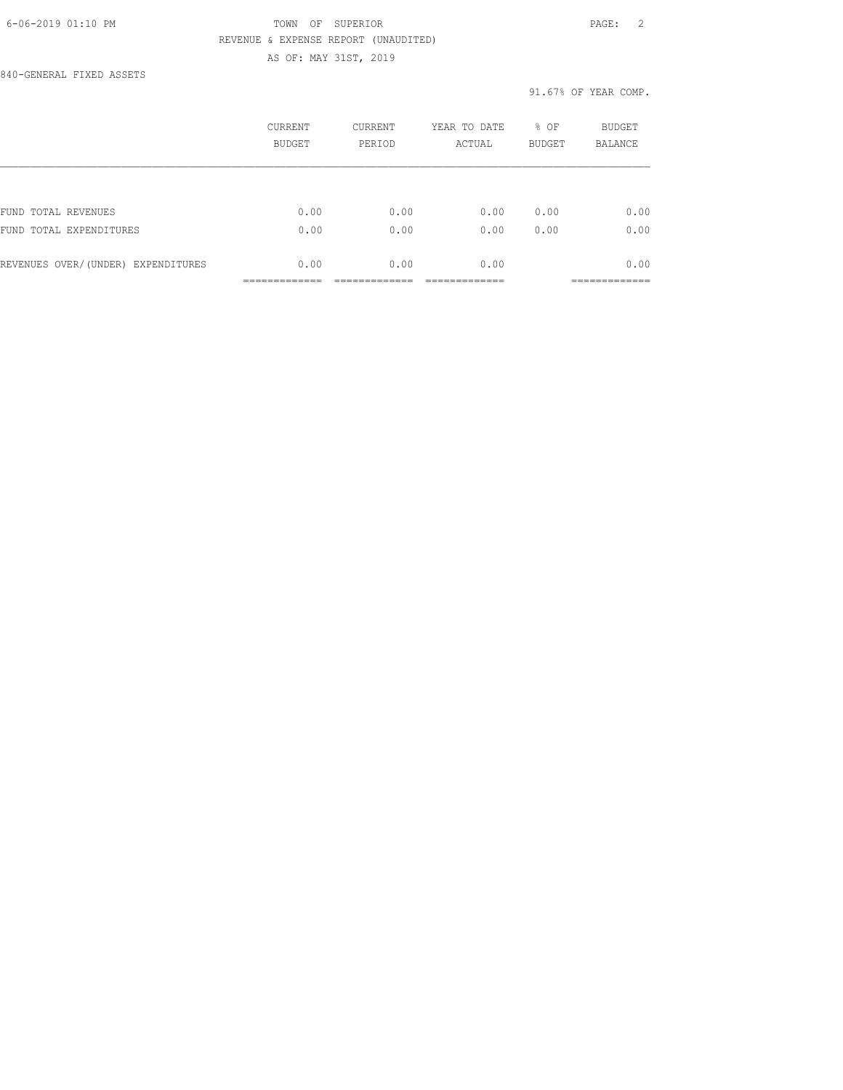# 6-06-2019 01:10 PM TOWN OF SUPERIOR PAGE: 2 REVENUE & EXPENSE REPORT (UNAUDITED) AS OF: MAY 31ST, 2019

840-GENERAL FIXED ASSETS

## 91.67% OF YEAR COMP.

|                                    | CURRENT<br><b>BUDGET</b> | <b>CURRENT</b><br>PERIOD | YEAR TO DATE<br>ACTUAL | % OF<br><b>BUDGET</b> | <b>BUDGET</b><br><b>BALANCE</b> |
|------------------------------------|--------------------------|--------------------------|------------------------|-----------------------|---------------------------------|
|                                    |                          |                          |                        |                       |                                 |
| FUND TOTAL REVENUES                | 0.00                     | 0.00                     | 0.00                   | 0.00                  | 0.00                            |
| FUND TOTAL EXPENDITURES            | 0.00                     | 0.00                     | 0.00                   | 0.00                  | 0.00                            |
| REVENUES OVER/(UNDER) EXPENDITURES | 0.00                     | 0.00                     | 0.00                   |                       | 0.00                            |
|                                    |                          |                          |                        |                       |                                 |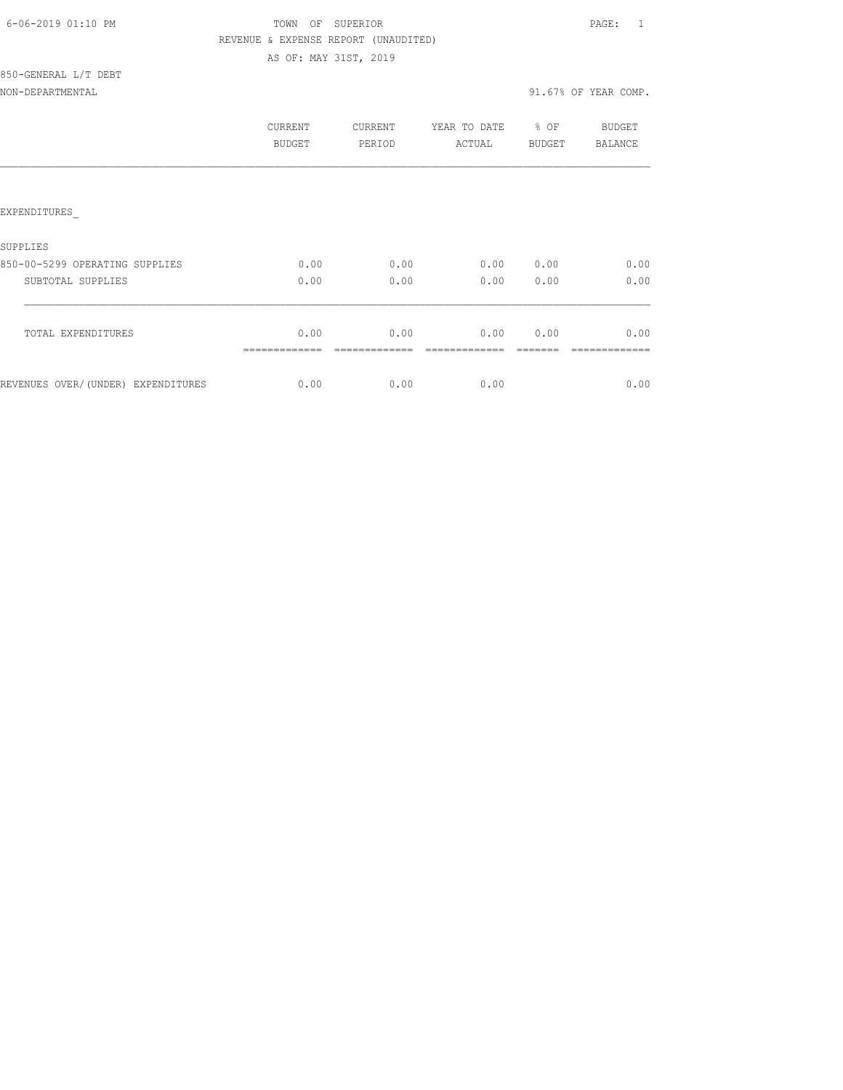| 6-06-2019 01:10 PM |  |
|--------------------|--|
|                    |  |

# TOWN OF SUPERIOR **Example 2019** PAGE: 1 REVENUE & EXPENSE REPORT (UNAUDITED) AS OF: MAY 31ST, 2019

| 850-GENERAL L/T DEBT |  |  |
|----------------------|--|--|
|                      |  |  |

|                                    | CURRENT<br><b>BUDGET</b> | <b>CURRENT</b><br>PERIOD | YEAR TO DATE<br>ACTUAL | % OF<br>BUDGET | <b>BUDGET</b><br>BALANCE |
|------------------------------------|--------------------------|--------------------------|------------------------|----------------|--------------------------|
|                                    |                          |                          |                        |                |                          |
| EXPENDITURES                       |                          |                          |                        |                |                          |
| <b>SUPPLIES</b>                    |                          |                          |                        |                |                          |
| 850-00-5299 OPERATING SUPPLIES     | 0.00                     | 0.00                     | 0.00                   | 0.00           | 0.00                     |
| SUBTOTAL SUPPLIES                  | 0.00                     | 0.00                     | 0.00                   | 0.00           | 0.00                     |
| TOTAL EXPENDITURES                 | 0.00                     | 0.00                     | 0.00                   | 0.00           | 0.00                     |
| REVENUES OVER/(UNDER) EXPENDITURES | 0.00                     | 0.00                     | 0.00                   |                | 0.00                     |